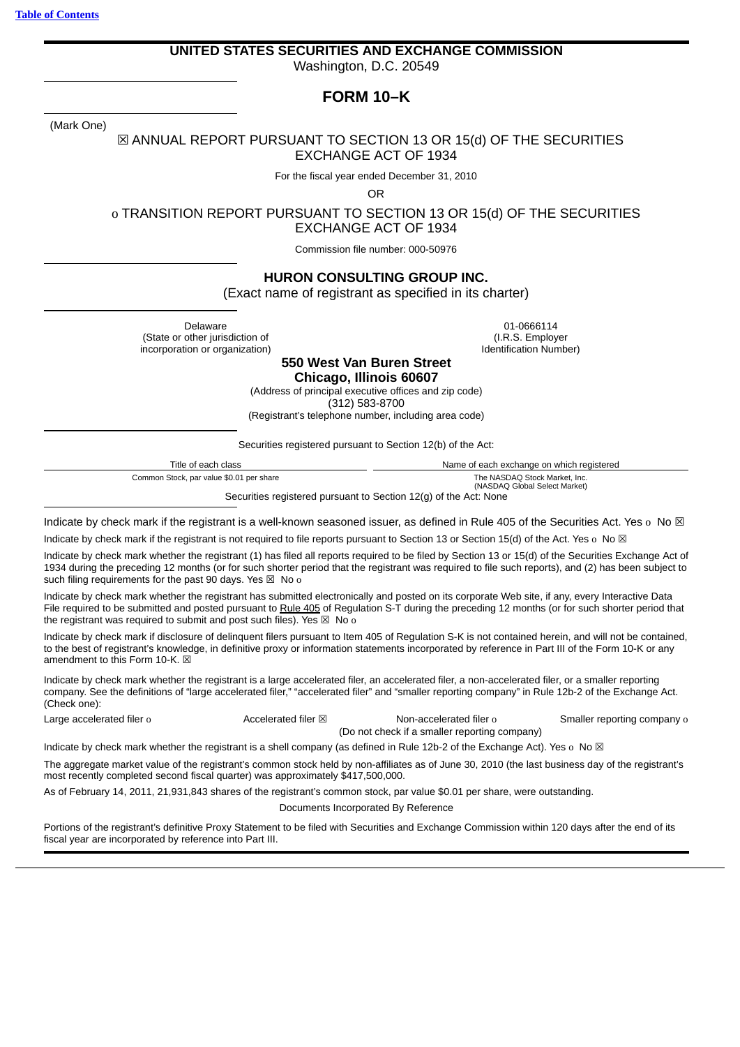**Table of [Contents](#page-2-0)**

# **UNITED STATES SECURITIES AND EXCHANGE COMMISSION**

Washington, D.C. 20549

**FORM 10–K**

(Mark One)

# ☒ ANNUAL REPORT PURSUANT TO SECTION 13 OR 15(d) OF THE SECURITIES EXCHANGE ACT OF 1934

For the fiscal year ended December 31, 2010

OR

o TRANSITION REPORT PURSUANT TO SECTION 13 OR 15(d) OF THE SECURITIES EXCHANGE ACT OF 1934

Commission file number: 000-50976

# **HURON CONSULTING GROUP INC.**

(Exact name of registrant as specified in its charter)

Delaware 01-0666114 (State or other jurisdiction of incorporation or organization)

(I.R.S. Employer Identification Number)

**550 West Van Buren Street Chicago, Illinois 60607**

(Address of principal executive offices and zip code) (312) 583-8700

(Registrant's telephone number, including area code)

Securities registered pursuant to Section 12(b) of the Act:

| Title of each class                                              | Name of each exchange on which registered                      |
|------------------------------------------------------------------|----------------------------------------------------------------|
| Common Stock, par value \$0.01 per share                         | The NASDAQ Stock Market, Inc.<br>(NASDAQ Global Select Market) |
| Securities registered pursuant to Section 12(g) of the Act: None |                                                                |

Indicate by check mark if the registrant is a well-known seasoned issuer, as defined in Rule 405 of the Securities Act. Yes o No  $\boxtimes$ 

Indicate by check mark if the registrant is not required to file reports pursuant to Section 13 or Section 15(d) of the Act. Yes o No  $\boxtimes$ 

Indicate by check mark whether the registrant (1) has filed all reports required to be filed by Section 13 or 15(d) of the Securities Exchange Act of 1934 during the preceding 12 months (or for such shorter period that the registrant was required to file such reports), and (2) has been subject to such filing requirements for the past 90 days. Yes  $\boxtimes$  No o

Indicate by check mark whether the registrant has submitted electronically and posted on its corporate Web site, if any, every Interactive Data File required to be submitted and posted pursuant to Rule 405 of Regulation S-T during the preceding 12 months (or for such shorter period that the registrant was required to submit and post such files). Yes  $\boxtimes$  No o

Indicate by check mark if disclosure of delinquent filers pursuant to Item 405 of Regulation S-K is not contained herein, and will not be contained, to the best of registrant's knowledge, in definitive proxy or information statements incorporated by reference in Part III of the Form 10-K or any amendment to this Form 10-K.  $\boxtimes$ 

Indicate by check mark whether the registrant is a large accelerated filer, an accelerated filer, a non-accelerated filer, or a smaller reporting company. See the definitions of "large accelerated filer," "accelerated filer" and "smaller reporting company" in Rule 12b-2 of the Exchange Act. (Check one):

Large accelerated filer o  $\Box$  Accelerated filer  $\boxtimes$  Non-accelerated filer o Smaller reporting company o (Do not check if a smaller reporting company)

Indicate by check mark whether the registrant is a shell company (as defined in Rule 12b-2 of the Exchange Act). Yes o No  $\boxtimes$ 

The aggregate market value of the registrant's common stock held by non-affiliates as of June 30, 2010 (the last business day of the registrant's most recently completed second fiscal quarter) was approximately \$417,500,000.

As of February 14, 2011, 21,931,843 shares of the registrant's common stock, par value \$0.01 per share, were outstanding.

Documents Incorporated By Reference

Portions of the registrant's definitive Proxy Statement to be filed with Securities and Exchange Commission within 120 days after the end of its fiscal year are incorporated by reference into Part III.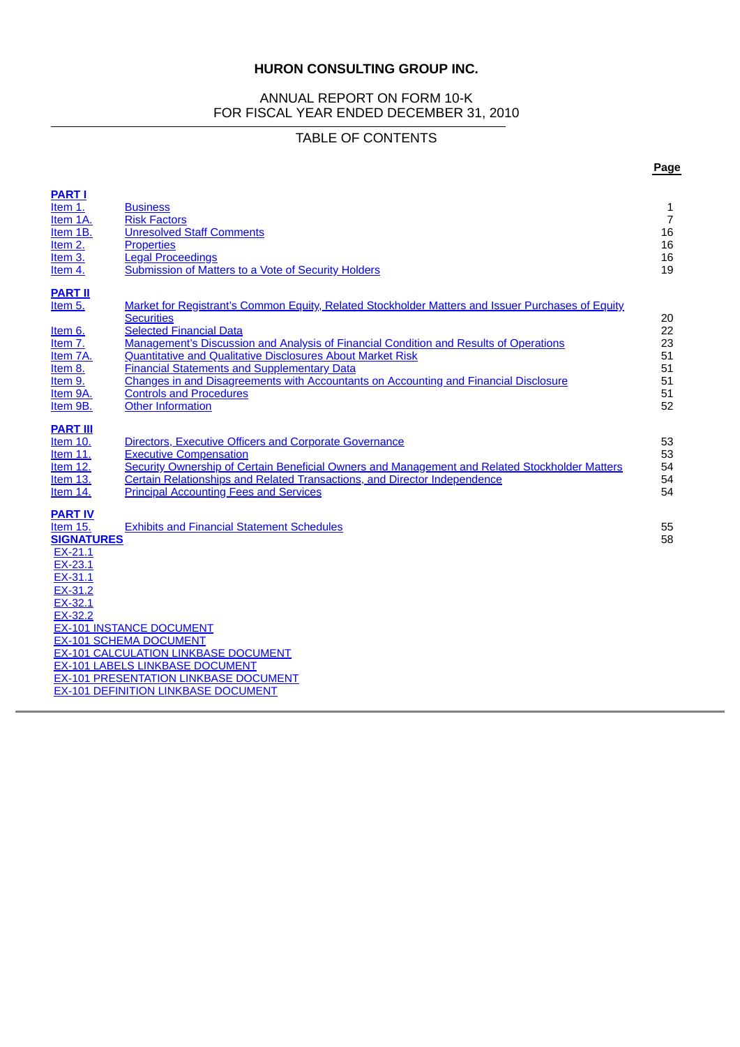# **HURON CONSULTING GROUP INC.**

# ANNUAL REPORT ON FORM 10-K FOR FISCAL YEAR ENDED DECEMBER 31, 2010

# TABLE OF CONTENTS

**Page**

<span id="page-2-0"></span>

| <u>PART I</u><br>Item 1.<br>Item 1A.<br>Item 1B.<br>Item 2.<br>Item 3.<br>Item 4. | <b>Business</b><br><b>Risk Factors</b><br><b>Unresolved Staff Comments</b><br><b>Properties</b><br><b>Legal Proceedings</b><br><b>Submission of Matters to a Vote of Security Holders</b> | 1<br>$\overline{7}$<br>16<br>16<br>16<br>19 |
|-----------------------------------------------------------------------------------|-------------------------------------------------------------------------------------------------------------------------------------------------------------------------------------------|---------------------------------------------|
| <b>PART II</b>                                                                    |                                                                                                                                                                                           |                                             |
| Item 5.                                                                           | Market for Registrant's Common Equity, Related Stockholder Matters and Issuer Purchases of Equity                                                                                         |                                             |
|                                                                                   | <b>Securities</b>                                                                                                                                                                         | 20                                          |
| <u>ltem 6.</u>                                                                    | <b>Selected Financial Data</b>                                                                                                                                                            | 22                                          |
| Item 7.                                                                           | <b>Management's Discussion and Analysis of Financial Condition and Results of Operations</b>                                                                                              | 23                                          |
| Item 7A.                                                                          | <b>Quantitative and Qualitative Disclosures About Market Risk</b>                                                                                                                         | 51                                          |
| Item 8.                                                                           | <b>Financial Statements and Supplementary Data</b>                                                                                                                                        | 51                                          |
| Item 9.                                                                           | <b>Changes in and Disagreements with Accountants on Accounting and Financial Disclosure</b>                                                                                               | 51                                          |
| Item 9A.                                                                          | <b>Controls and Procedures</b>                                                                                                                                                            | 51                                          |
| Item 9B.                                                                          | <b>Other Information</b>                                                                                                                                                                  | 52                                          |
| <b>PART III</b>                                                                   |                                                                                                                                                                                           |                                             |
| Item 10.                                                                          | <b>Directors, Executive Officers and Corporate Governance</b>                                                                                                                             | 53                                          |
| Item 11.                                                                          | <b>Executive Compensation</b>                                                                                                                                                             | 53                                          |
| Item 12.                                                                          | Security Ownership of Certain Beneficial Owners and Management and Related Stockholder Matters                                                                                            | 54                                          |
| Item 13.                                                                          | Certain Relationships and Related Transactions, and Director Independence                                                                                                                 | 54                                          |
| Item 14.                                                                          | <b>Principal Accounting Fees and Services</b>                                                                                                                                             | 54                                          |
| <b>PART IV</b>                                                                    |                                                                                                                                                                                           |                                             |
| <u>Item 15.</u>                                                                   | <b>Exhibits and Financial Statement Schedules</b>                                                                                                                                         | 55                                          |
| <b>SIGNATURES</b>                                                                 |                                                                                                                                                                                           | 58                                          |
| $EX-21.1$                                                                         |                                                                                                                                                                                           |                                             |
| $EX-23.1$                                                                         |                                                                                                                                                                                           |                                             |
| EX-31.1                                                                           |                                                                                                                                                                                           |                                             |
| EX-31.2                                                                           |                                                                                                                                                                                           |                                             |
| EX-32.1                                                                           |                                                                                                                                                                                           |                                             |
| EX-32.2                                                                           |                                                                                                                                                                                           |                                             |
|                                                                                   | <b>EX-101 INSTANCE DOCUMENT</b>                                                                                                                                                           |                                             |
|                                                                                   | <b>EX-101 SCHEMA DOCUMENT</b>                                                                                                                                                             |                                             |
|                                                                                   | <b>EX-101 CALCULATION LINKBASE DOCUMENT</b>                                                                                                                                               |                                             |
|                                                                                   | EX-101 LABELS LINKBASE DOCUMENT                                                                                                                                                           |                                             |
|                                                                                   | <b>EX-101 PRESENTATION LINKBASE DOCUMENT</b>                                                                                                                                              |                                             |

EX-101 DEFINITION LINKBASE DOCUMENT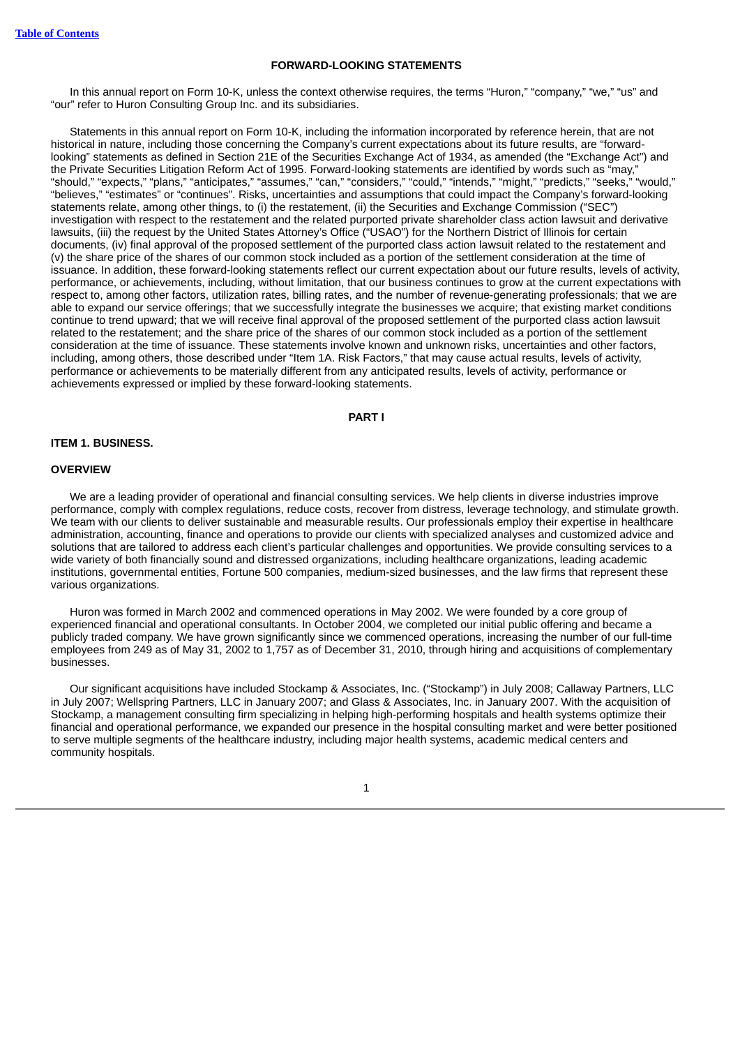# **FORWARD-LOOKING STATEMENTS**

In this annual report on Form 10-K, unless the context otherwise requires, the terms "Huron," "company," "we," "us" and "our" refer to Huron Consulting Group Inc. and its subsidiaries.

Statements in this annual report on Form 10-K, including the information incorporated by reference herein, that are not historical in nature, including those concerning the Company's current expectations about its future results, are "forwardlooking" statements as defined in Section 21E of the Securities Exchange Act of 1934, as amended (the "Exchange Act") and the Private Securities Litigation Reform Act of 1995. Forward-looking statements are identified by words such as "may,"<br>"should," "expects," "plans," "anticipates," "assumes," "can," "considers," "could," "intends," "might "should," "expects," "plans," "anticipates," "assumes," "can," "considers," "could," "intends," "might," "predicts," "seeks, "believes," "estimates" or "continues". Risks, uncertainties and assumptions that could impact the Company's forward-looking statements relate, among other things, to (i) the restatement, (ii) the Securities and Exchange Commission ("SEC") investigation with respect to the restatement and the related purported private shareholder class action lawsuit and derivative lawsuits, (iii) the request by the United States Attorney's Office ("USAO") for the Northern District of Illinois for certain documents, (iv) final approval of the proposed settlement of the purported class action lawsuit related to the restatement and (v) the share price of the shares of our common stock included as a portion of the settlement consideration at the time of issuance. In addition, these forward-looking statements reflect our current expectation about our future results, levels of activity, performance, or achievements, including, without limitation, that our business continues to grow at the current expectations with respect to, among other factors, utilization rates, billing rates, and the number of revenue-generating professionals; that we are able to expand our service offerings; that we successfully integrate the businesses we acquire; that existing market conditions continue to trend upward; that we will receive final approval of the proposed settlement of the purported class action lawsuit related to the restatement; and the share price of the shares of our common stock included as a portion of the settlement consideration at the time of issuance. These statements involve known and unknown risks, uncertainties and other factors, including, among others, those described under "Item 1A. Risk Factors," that may cause actual results, levels of activity, performance or achievements to be materially different from any anticipated results, levels of activity, performance or achievements expressed or implied by these forward-looking statements.

#### **PART I**

#### <span id="page-3-1"></span><span id="page-3-0"></span>**ITEM 1. BUSINESS.**

#### **OVERVIEW**

We are a leading provider of operational and financial consulting services. We help clients in diverse industries improve performance, comply with complex regulations, reduce costs, recover from distress, leverage technology, and stimulate growth. We team with our clients to deliver sustainable and measurable results. Our professionals employ their expertise in healthcare administration, accounting, finance and operations to provide our clients with specialized analyses and customized advice and solutions that are tailored to address each client's particular challenges and opportunities. We provide consulting services to a wide variety of both financially sound and distressed organizations, including healthcare organizations, leading academic institutions, governmental entities, Fortune 500 companies, medium-sized businesses, and the law firms that represent these various organizations.

Huron was formed in March 2002 and commenced operations in May 2002. We were founded by a core group of experienced financial and operational consultants. In October 2004, we completed our initial public offering and became a publicly traded company. We have grown significantly since we commenced operations, increasing the number of our full-time employees from 249 as of May 31, 2002 to 1,757 as of December 31, 2010, through hiring and acquisitions of complementary businesses.

Our significant acquisitions have included Stockamp & Associates, Inc. ("Stockamp") in July 2008; Callaway Partners, LLC in July 2007; Wellspring Partners, LLC in January 2007; and Glass & Associates, Inc. in January 2007. With the acquisition of Stockamp, a management consulting firm specializing in helping high-performing hospitals and health systems optimize their financial and operational performance, we expanded our presence in the hospital consulting market and were better positioned to serve multiple segments of the healthcare industry, including major health systems, academic medical centers and community hospitals.

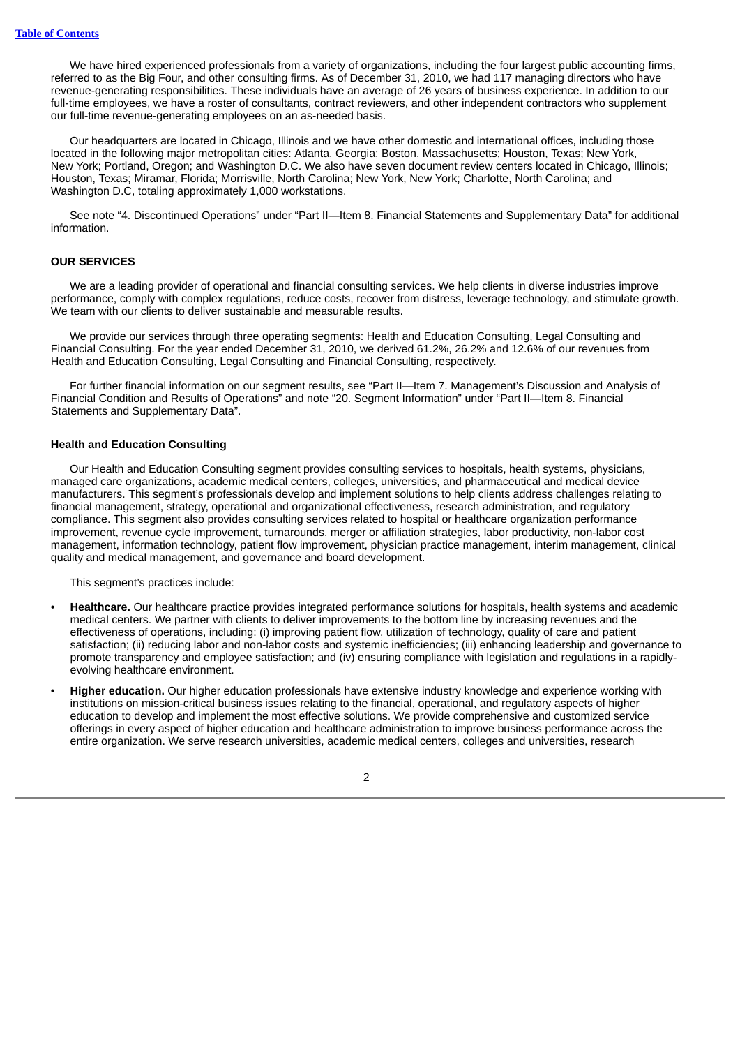We have hired experienced professionals from a variety of organizations, including the four largest public accounting firms, referred to as the Big Four, and other consulting firms. As of December 31, 2010, we had 117 managing directors who have revenue-generating responsibilities. These individuals have an average of 26 years of business experience. In addition to our full-time employees, we have a roster of consultants, contract reviewers, and other independent contractors who supplement our full-time revenue-generating employees on an as-needed basis.

Our headquarters are located in Chicago, Illinois and we have other domestic and international offices, including those located in the following major metropolitan cities: Atlanta, Georgia; Boston, Massachusetts; Houston, Texas; New York, New York; Portland, Oregon; and Washington D.C. We also have seven document review centers located in Chicago, Illinois; Houston, Texas; Miramar, Florida; Morrisville, North Carolina; New York, New York; Charlotte, North Carolina; and Washington D.C, totaling approximately 1,000 workstations.

See note "4. Discontinued Operations" under "Part II—Item 8. Financial Statements and Supplementary Data" for additional information.

### **OUR SERVICES**

We are a leading provider of operational and financial consulting services. We help clients in diverse industries improve performance, comply with complex regulations, reduce costs, recover from distress, leverage technology, and stimulate growth. We team with our clients to deliver sustainable and measurable results.

We provide our services through three operating segments: Health and Education Consulting, Legal Consulting and Financial Consulting. For the year ended December 31, 2010, we derived 61.2%, 26.2% and 12.6% of our revenues from Health and Education Consulting, Legal Consulting and Financial Consulting, respectively.

For further financial information on our segment results, see "Part II—Item 7. Management's Discussion and Analysis of Financial Condition and Results of Operations" and note "20. Segment Information" under "Part II—Item 8. Financial Statements and Supplementary Data".

# **Health and Education Consulting**

Our Health and Education Consulting segment provides consulting services to hospitals, health systems, physicians, managed care organizations, academic medical centers, colleges, universities, and pharmaceutical and medical device manufacturers. This segment's professionals develop and implement solutions to help clients address challenges relating to financial management, strategy, operational and organizational effectiveness, research administration, and regulatory compliance. This segment also provides consulting services related to hospital or healthcare organization performance improvement, revenue cycle improvement, turnarounds, merger or affiliation strategies, labor productivity, non-labor cost management, information technology, patient flow improvement, physician practice management, interim management, clinical quality and medical management, and governance and board development.

This segment's practices include:

- **Healthcare.** Our healthcare practice provides integrated performance solutions for hospitals, health systems and academic medical centers. We partner with clients to deliver improvements to the bottom line by increasing revenues and the effectiveness of operations, including: (i) improving patient flow, utilization of technology, quality of care and patient satisfaction; (ii) reducing labor and non-labor costs and systemic inefficiencies; (iii) enhancing leadership and governance to promote transparency and employee satisfaction; and (iv) ensuring compliance with legislation and regulations in a rapidlyevolving healthcare environment.
- **Higher education.** Our higher education professionals have extensive industry knowledge and experience working with institutions on mission-critical business issues relating to the financial, operational, and regulatory aspects of higher education to develop and implement the most effective solutions. We provide comprehensive and customized service offerings in every aspect of higher education and healthcare administration to improve business performance across the entire organization. We serve research universities, academic medical centers, colleges and universities, research

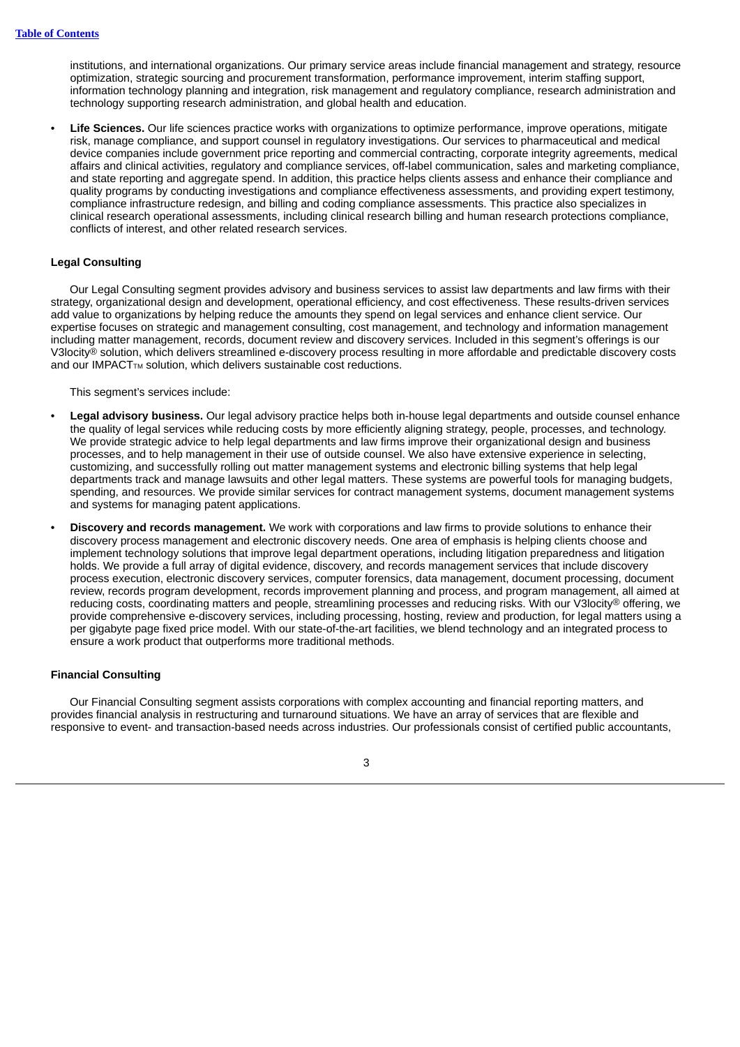institutions, and international organizations. Our primary service areas include financial management and strategy, resource optimization, strategic sourcing and procurement transformation, performance improvement, interim staffing support, information technology planning and integration, risk management and regulatory compliance, research administration and technology supporting research administration, and global health and education.

• **Life Sciences.** Our life sciences practice works with organizations to optimize performance, improve operations, mitigate risk, manage compliance, and support counsel in regulatory investigations. Our services to pharmaceutical and medical device companies include government price reporting and commercial contracting, corporate integrity agreements, medical affairs and clinical activities, regulatory and compliance services, off-label communication, sales and marketing compliance, and state reporting and aggregate spend. In addition, this practice helps clients assess and enhance their compliance and quality programs by conducting investigations and compliance effectiveness assessments, and providing expert testimony, compliance infrastructure redesign, and billing and coding compliance assessments. This practice also specializes in clinical research operational assessments, including clinical research billing and human research protections compliance, conflicts of interest, and other related research services.

## **Legal Consulting**

Our Legal Consulting segment provides advisory and business services to assist law departments and law firms with their strategy, organizational design and development, operational efficiency, and cost effectiveness. These results-driven services add value to organizations by helping reduce the amounts they spend on legal services and enhance client service. Our expertise focuses on strategic and management consulting, cost management, and technology and information management including matter management, records, document review and discovery services. Included in this segment's offerings is our V3locity® solution, which delivers streamlined e-discovery process resulting in more affordable and predictable discovery costs and our IMPACT<sub>TM</sub> solution, which delivers sustainable cost reductions.

This segment's services include:

- **Legal advisory business.** Our legal advisory practice helps both in-house legal departments and outside counsel enhance the quality of legal services while reducing costs by more efficiently aligning strategy, people, processes, and technology. We provide strategic advice to help legal departments and law firms improve their organizational design and business processes, and to help management in their use of outside counsel. We also have extensive experience in selecting, customizing, and successfully rolling out matter management systems and electronic billing systems that help legal departments track and manage lawsuits and other legal matters. These systems are powerful tools for managing budgets, spending, and resources. We provide similar services for contract management systems, document management systems and systems for managing patent applications.
- **Discovery and records management.** We work with corporations and law firms to provide solutions to enhance their discovery process management and electronic discovery needs. One area of emphasis is helping clients choose and implement technology solutions that improve legal department operations, including litigation preparedness and litigation holds. We provide a full array of digital evidence, discovery, and records management services that include discovery process execution, electronic discovery services, computer forensics, data management, document processing, document review, records program development, records improvement planning and process, and program management, all aimed at reducing costs, coordinating matters and people, streamlining processes and reducing risks. With our V3locity® offering, we provide comprehensive e-discovery services, including processing, hosting, review and production, for legal matters using a per gigabyte page fixed price model. With our state-of-the-art facilities, we blend technology and an integrated process to ensure a work product that outperforms more traditional methods.

#### **Financial Consulting**

Our Financial Consulting segment assists corporations with complex accounting and financial reporting matters, and provides financial analysis in restructuring and turnaround situations. We have an array of services that are flexible and responsive to event- and transaction-based needs across industries. Our professionals consist of certified public accountants,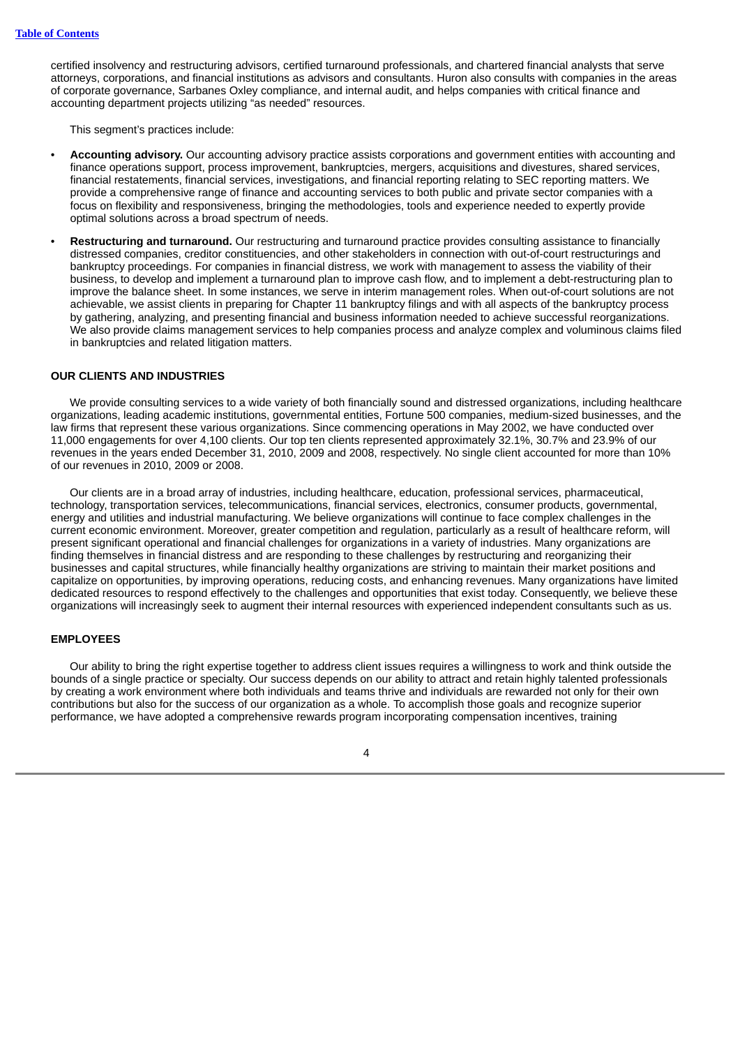certified insolvency and restructuring advisors, certified turnaround professionals, and chartered financial analysts that serve attorneys, corporations, and financial institutions as advisors and consultants. Huron also consults with companies in the areas of corporate governance, Sarbanes Oxley compliance, and internal audit, and helps companies with critical finance and accounting department projects utilizing "as needed" resources.

This segment's practices include:

- **Accounting advisory.** Our accounting advisory practice assists corporations and government entities with accounting and finance operations support, process improvement, bankruptcies, mergers, acquisitions and divestures, shared services, financial restatements, financial services, investigations, and financial reporting relating to SEC reporting matters. We provide a comprehensive range of finance and accounting services to both public and private sector companies with a focus on flexibility and responsiveness, bringing the methodologies, tools and experience needed to expertly provide optimal solutions across a broad spectrum of needs.
- **Restructuring and turnaround.** Our restructuring and turnaround practice provides consulting assistance to financially distressed companies, creditor constituencies, and other stakeholders in connection with out-of-court restructurings and bankruptcy proceedings. For companies in financial distress, we work with management to assess the viability of their business, to develop and implement a turnaround plan to improve cash flow, and to implement a debt-restructuring plan to improve the balance sheet. In some instances, we serve in interim management roles. When out-of-court solutions are not achievable, we assist clients in preparing for Chapter 11 bankruptcy filings and with all aspects of the bankruptcy process by gathering, analyzing, and presenting financial and business information needed to achieve successful reorganizations. We also provide claims management services to help companies process and analyze complex and voluminous claims filed in bankruptcies and related litigation matters.

# **OUR CLIENTS AND INDUSTRIES**

We provide consulting services to a wide variety of both financially sound and distressed organizations, including healthcare organizations, leading academic institutions, governmental entities, Fortune 500 companies, medium-sized businesses, and the law firms that represent these various organizations. Since commencing operations in May 2002, we have conducted over 11,000 engagements for over 4,100 clients. Our top ten clients represented approximately 32.1%, 30.7% and 23.9% of our revenues in the years ended December 31, 2010, 2009 and 2008, respectively. No single client accounted for more than 10% of our revenues in 2010, 2009 or 2008.

Our clients are in a broad array of industries, including healthcare, education, professional services, pharmaceutical, technology, transportation services, telecommunications, financial services, electronics, consumer products, governmental, energy and utilities and industrial manufacturing. We believe organizations will continue to face complex challenges in the current economic environment. Moreover, greater competition and regulation, particularly as a result of healthcare reform, will present significant operational and financial challenges for organizations in a variety of industries. Many organizations are finding themselves in financial distress and are responding to these challenges by restructuring and reorganizing their businesses and capital structures, while financially healthy organizations are striving to maintain their market positions and capitalize on opportunities, by improving operations, reducing costs, and enhancing revenues. Many organizations have limited dedicated resources to respond effectively to the challenges and opportunities that exist today. Consequently, we believe these organizations will increasingly seek to augment their internal resources with experienced independent consultants such as us.

#### **EMPLOYEES**

Our ability to bring the right expertise together to address client issues requires a willingness to work and think outside the bounds of a single practice or specialty. Our success depends on our ability to attract and retain highly talented professionals by creating a work environment where both individuals and teams thrive and individuals are rewarded not only for their own contributions but also for the success of our organization as a whole. To accomplish those goals and recognize superior performance, we have adopted a comprehensive rewards program incorporating compensation incentives, training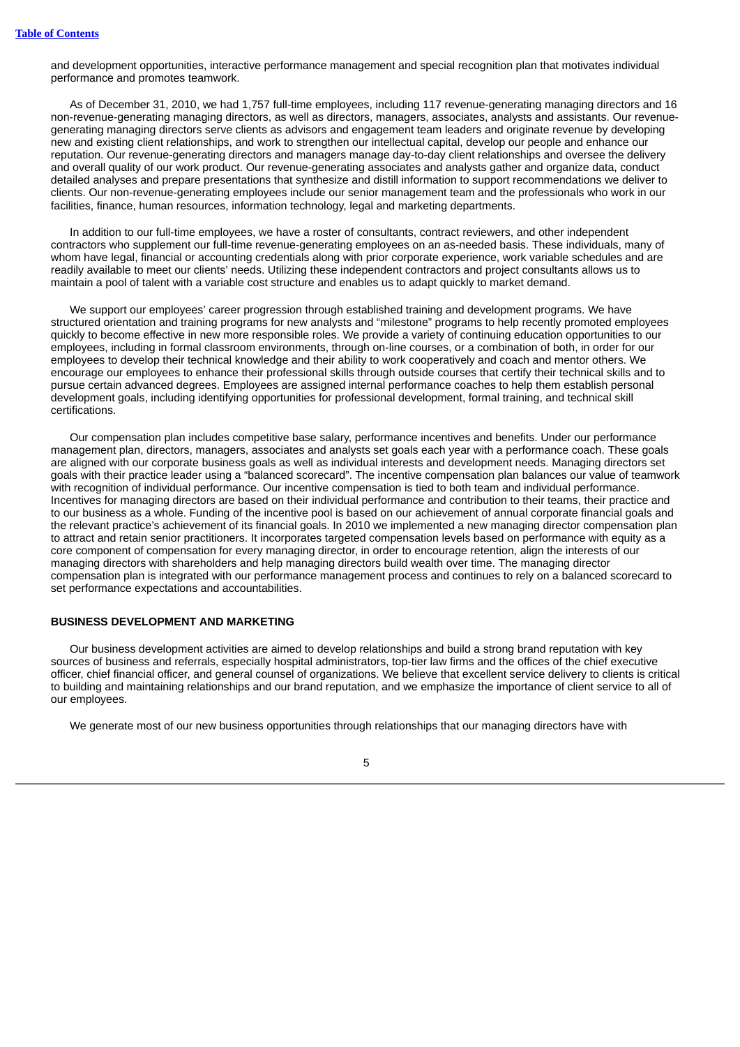and development opportunities, interactive performance management and special recognition plan that motivates individual performance and promotes teamwork.

As of December 31, 2010, we had 1,757 full-time employees, including 117 revenue-generating managing directors and 16 non-revenue-generating managing directors, as well as directors, managers, associates, analysts and assistants. Our revenuegenerating managing directors serve clients as advisors and engagement team leaders and originate revenue by developing new and existing client relationships, and work to strengthen our intellectual capital, develop our people and enhance our reputation. Our revenue-generating directors and managers manage day-to-day client relationships and oversee the delivery and overall quality of our work product. Our revenue-generating associates and analysts gather and organize data, conduct detailed analyses and prepare presentations that synthesize and distill information to support recommendations we deliver to clients. Our non-revenue-generating employees include our senior management team and the professionals who work in our facilities, finance, human resources, information technology, legal and marketing departments.

In addition to our full-time employees, we have a roster of consultants, contract reviewers, and other independent contractors who supplement our full-time revenue-generating employees on an as-needed basis. These individuals, many of whom have legal, financial or accounting credentials along with prior corporate experience, work variable schedules and are readily available to meet our clients' needs. Utilizing these independent contractors and project consultants allows us to maintain a pool of talent with a variable cost structure and enables us to adapt quickly to market demand.

We support our employees' career progression through established training and development programs. We have structured orientation and training programs for new analysts and "milestone" programs to help recently promoted employees quickly to become effective in new more responsible roles. We provide a variety of continuing education opportunities to our employees, including in formal classroom environments, through on-line courses, or a combination of both, in order for our employees to develop their technical knowledge and their ability to work cooperatively and coach and mentor others. We encourage our employees to enhance their professional skills through outside courses that certify their technical skills and to pursue certain advanced degrees. Employees are assigned internal performance coaches to help them establish personal development goals, including identifying opportunities for professional development, formal training, and technical skill certifications.

Our compensation plan includes competitive base salary, performance incentives and benefits. Under our performance management plan, directors, managers, associates and analysts set goals each year with a performance coach. These goals are aligned with our corporate business goals as well as individual interests and development needs. Managing directors set goals with their practice leader using a "balanced scorecard". The incentive compensation plan balances our value of teamwork with recognition of individual performance. Our incentive compensation is tied to both team and individual performance. Incentives for managing directors are based on their individual performance and contribution to their teams, their practice and to our business as a whole. Funding of the incentive pool is based on our achievement of annual corporate financial goals and the relevant practice's achievement of its financial goals. In 2010 we implemented a new managing director compensation plan to attract and retain senior practitioners. It incorporates targeted compensation levels based on performance with equity as a core component of compensation for every managing director, in order to encourage retention, align the interests of our managing directors with shareholders and help managing directors build wealth over time. The managing director compensation plan is integrated with our performance management process and continues to rely on a balanced scorecard to set performance expectations and accountabilities.

# **BUSINESS DEVELOPMENT AND MARKETING**

Our business development activities are aimed to develop relationships and build a strong brand reputation with key sources of business and referrals, especially hospital administrators, top-tier law firms and the offices of the chief executive officer, chief financial officer, and general counsel of organizations. We believe that excellent service delivery to clients is critical to building and maintaining relationships and our brand reputation, and we emphasize the importance of client service to all of our employees.

We generate most of our new business opportunities through relationships that our managing directors have with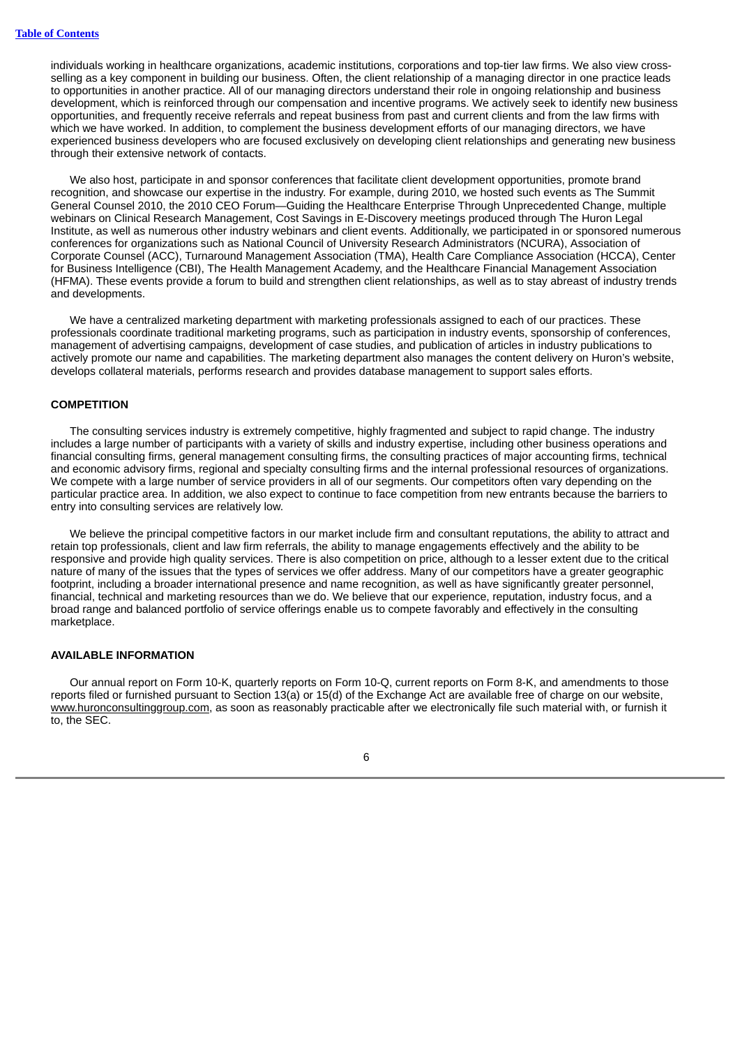individuals working in healthcare organizations, academic institutions, corporations and top-tier law firms. We also view crossselling as a key component in building our business. Often, the client relationship of a managing director in one practice leads to opportunities in another practice. All of our managing directors understand their role in ongoing relationship and business development, which is reinforced through our compensation and incentive programs. We actively seek to identify new business opportunities, and frequently receive referrals and repeat business from past and current clients and from the law firms with which we have worked. In addition, to complement the business development efforts of our managing directors, we have experienced business developers who are focused exclusively on developing client relationships and generating new business through their extensive network of contacts.

We also host, participate in and sponsor conferences that facilitate client development opportunities, promote brand recognition, and showcase our expertise in the industry. For example, during 2010, we hosted such events as The Summit General Counsel 2010, the 2010 CEO Forum—Guiding the Healthcare Enterprise Through Unprecedented Change, multiple webinars on Clinical Research Management, Cost Savings in E-Discovery meetings produced through The Huron Legal Institute, as well as numerous other industry webinars and client events. Additionally, we participated in or sponsored numerous conferences for organizations such as National Council of University Research Administrators (NCURA), Association of Corporate Counsel (ACC), Turnaround Management Association (TMA), Health Care Compliance Association (HCCA), Center for Business Intelligence (CBI), The Health Management Academy, and the Healthcare Financial Management Association (HFMA). These events provide a forum to build and strengthen client relationships, as well as to stay abreast of industry trends and developments.

We have a centralized marketing department with marketing professionals assigned to each of our practices. These professionals coordinate traditional marketing programs, such as participation in industry events, sponsorship of conferences, management of advertising campaigns, development of case studies, and publication of articles in industry publications to actively promote our name and capabilities. The marketing department also manages the content delivery on Huron's website, develops collateral materials, performs research and provides database management to support sales efforts.

#### **COMPETITION**

The consulting services industry is extremely competitive, highly fragmented and subject to rapid change. The industry includes a large number of participants with a variety of skills and industry expertise, including other business operations and financial consulting firms, general management consulting firms, the consulting practices of major accounting firms, technical and economic advisory firms, regional and specialty consulting firms and the internal professional resources of organizations. We compete with a large number of service providers in all of our segments. Our competitors often vary depending on the particular practice area. In addition, we also expect to continue to face competition from new entrants because the barriers to entry into consulting services are relatively low.

We believe the principal competitive factors in our market include firm and consultant reputations, the ability to attract and retain top professionals, client and law firm referrals, the ability to manage engagements effectively and the ability to be responsive and provide high quality services. There is also competition on price, although to a lesser extent due to the critical nature of many of the issues that the types of services we offer address. Many of our competitors have a greater geographic footprint, including a broader international presence and name recognition, as well as have significantly greater personnel, financial, technical and marketing resources than we do. We believe that our experience, reputation, industry focus, and a broad range and balanced portfolio of service offerings enable us to compete favorably and effectively in the consulting marketplace.

#### **AVAILABLE INFORMATION**

Our annual report on Form 10-K, quarterly reports on Form 10-Q, current reports on Form 8-K, and amendments to those reports filed or furnished pursuant to Section 13(a) or 15(d) of the Exchange Act are available free of charge on our website, www.huronconsultinggroup.com, as soon as reasonably practicable after we electronically file such material with, or furnish it to, the SEC.

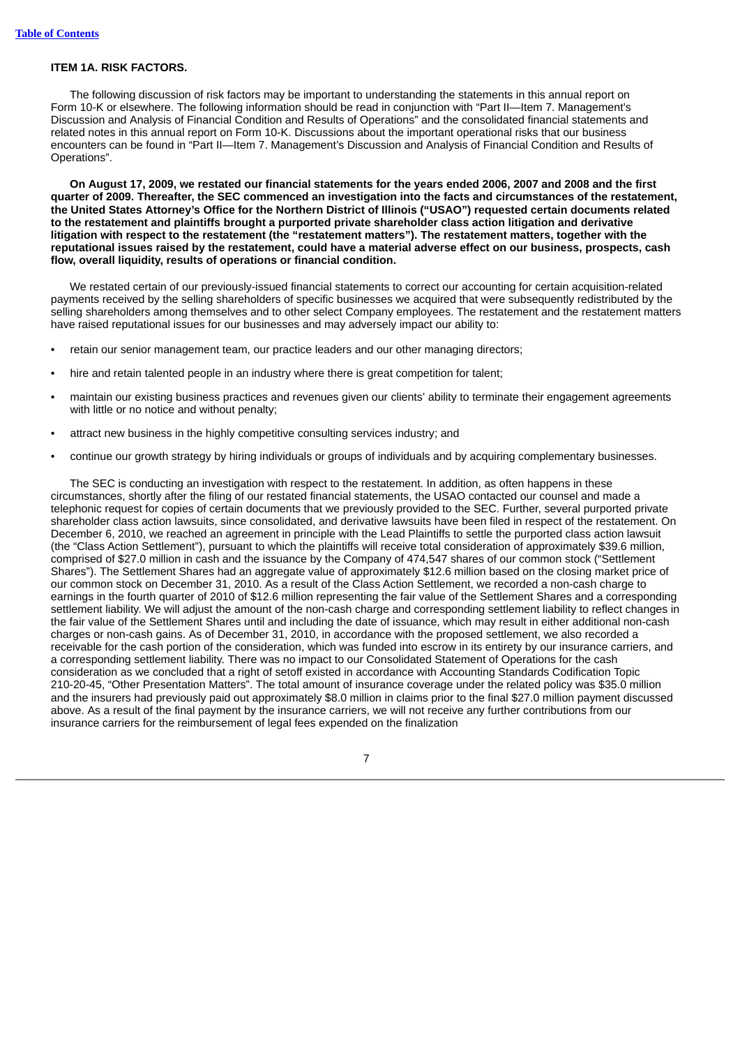# <span id="page-9-0"></span>**ITEM 1A. RISK FACTORS.**

The following discussion of risk factors may be important to understanding the statements in this annual report on Form 10-K or elsewhere. The following information should be read in conjunction with "Part II—Item 7. Management's Discussion and Analysis of Financial Condition and Results of Operations" and the consolidated financial statements and related notes in this annual report on Form 10-K. Discussions about the important operational risks that our business encounters can be found in "Part II—Item 7. Management's Discussion and Analysis of Financial Condition and Results of Operations".

On August 17, 2009, we restated our financial statements for the years ended 2006, 2007 and 2008 and the first quarter of 2009. Thereafter, the SEC commenced an investigation into the facts and circumstances of the restatement, the United States Attorney's Office for the Northern District of Illinois ("USAO") requested certain documents related **to the restatement and plaintiffs brought a purported private shareholder class action litigation and derivative litigation with respect to the restatement (the "restatement matters"). The restatement matters, together with the** reputational issues raised by the restatement, could have a material adverse effect on our business, prospects, cash **flow, overall liquidity, results of operations or financial condition.**

We restated certain of our previously-issued financial statements to correct our accounting for certain acquisition-related payments received by the selling shareholders of specific businesses we acquired that were subsequently redistributed by the selling shareholders among themselves and to other select Company employees. The restatement and the restatement matters have raised reputational issues for our businesses and may adversely impact our ability to:

- retain our senior management team, our practice leaders and our other managing directors;
- hire and retain talented people in an industry where there is great competition for talent;
- maintain our existing business practices and revenues given our clients' ability to terminate their engagement agreements with little or no notice and without penalty:
- attract new business in the highly competitive consulting services industry; and
- continue our growth strategy by hiring individuals or groups of individuals and by acquiring complementary businesses.

The SEC is conducting an investigation with respect to the restatement. In addition, as often happens in these circumstances, shortly after the filing of our restated financial statements, the USAO contacted our counsel and made a telephonic request for copies of certain documents that we previously provided to the SEC. Further, several purported private shareholder class action lawsuits, since consolidated, and derivative lawsuits have been filed in respect of the restatement. On December 6, 2010, we reached an agreement in principle with the Lead Plaintiffs to settle the purported class action lawsuit (the "Class Action Settlement"), pursuant to which the plaintiffs will receive total consideration of approximately \$39.6 million, comprised of \$27.0 million in cash and the issuance by the Company of 474,547 shares of our common stock ("Settlement Shares"). The Settlement Shares had an aggregate value of approximately \$12.6 million based on the closing market price of our common stock on December 31, 2010. As a result of the Class Action Settlement, we recorded a non-cash charge to earnings in the fourth quarter of 2010 of \$12.6 million representing the fair value of the Settlement Shares and a corresponding settlement liability. We will adjust the amount of the non-cash charge and corresponding settlement liability to reflect changes in the fair value of the Settlement Shares until and including the date of issuance, which may result in either additional non-cash charges or non-cash gains. As of December 31, 2010, in accordance with the proposed settlement, we also recorded a receivable for the cash portion of the consideration, which was funded into escrow in its entirety by our insurance carriers, and a corresponding settlement liability. There was no impact to our Consolidated Statement of Operations for the cash consideration as we concluded that a right of setoff existed in accordance with Accounting Standards Codification Topic 210-20-45, "Other Presentation Matters". The total amount of insurance coverage under the related policy was \$35.0 million and the insurers had previously paid out approximately \$8.0 million in claims prior to the final \$27.0 million payment discussed above. As a result of the final payment by the insurance carriers, we will not receive any further contributions from our insurance carriers for the reimbursement of legal fees expended on the finalization

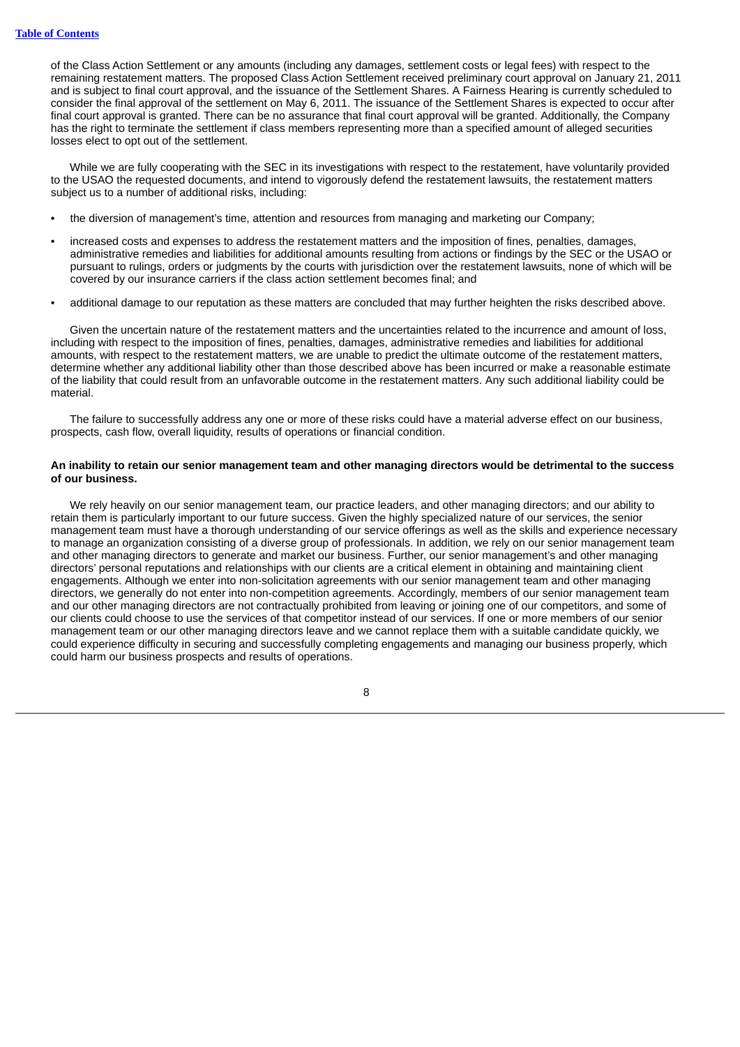of the Class Action Settlement or any amounts (including any damages, settlement costs or legal fees) with respect to the remaining restatement matters. The proposed Class Action Settlement received preliminary court approval on January 21, 2011 and is subject to final court approval, and the issuance of the Settlement Shares. A Fairness Hearing is currently scheduled to consider the final approval of the settlement on May 6, 2011. The issuance of the Settlement Shares is expected to occur after final court approval is granted. There can be no assurance that final court approval will be granted. Additionally, the Company has the right to terminate the settlement if class members representing more than a specified amount of alleged securities losses elect to opt out of the settlement.

While we are fully cooperating with the SEC in its investigations with respect to the restatement, have voluntarily provided to the USAO the requested documents, and intend to vigorously defend the restatement lawsuits, the restatement matters subject us to a number of additional risks, including:

- the diversion of management's time, attention and resources from managing and marketing our Company;
- increased costs and expenses to address the restatement matters and the imposition of fines, penalties, damages, administrative remedies and liabilities for additional amounts resulting from actions or findings by the SEC or the USAO or pursuant to rulings, orders or judgments by the courts with jurisdiction over the restatement lawsuits, none of which will be covered by our insurance carriers if the class action settlement becomes final; and
- additional damage to our reputation as these matters are concluded that may further heighten the risks described above.

Given the uncertain nature of the restatement matters and the uncertainties related to the incurrence and amount of loss, including with respect to the imposition of fines, penalties, damages, administrative remedies and liabilities for additional amounts, with respect to the restatement matters, we are unable to predict the ultimate outcome of the restatement matters, determine whether any additional liability other than those described above has been incurred or make a reasonable estimate of the liability that could result from an unfavorable outcome in the restatement matters. Any such additional liability could be material.

The failure to successfully address any one or more of these risks could have a material adverse effect on our business, prospects, cash flow, overall liquidity, results of operations or financial condition.

#### An inability to retain our senior management team and other managing directors would be detrimental to the success **of our business.**

We rely heavily on our senior management team, our practice leaders, and other managing directors; and our ability to retain them is particularly important to our future success. Given the highly specialized nature of our services, the senior management team must have a thorough understanding of our service offerings as well as the skills and experience necessary to manage an organization consisting of a diverse group of professionals. In addition, we rely on our senior management team and other managing directors to generate and market our business. Further, our senior management's and other managing directors' personal reputations and relationships with our clients are a critical element in obtaining and maintaining client engagements. Although we enter into non-solicitation agreements with our senior management team and other managing directors, we generally do not enter into non-competition agreements. Accordingly, members of our senior management team and our other managing directors are not contractually prohibited from leaving or joining one of our competitors, and some of our clients could choose to use the services of that competitor instead of our services. If one or more members of our senior management team or our other managing directors leave and we cannot replace them with a suitable candidate quickly, we could experience difficulty in securing and successfully completing engagements and managing our business properly, which could harm our business prospects and results of operations.

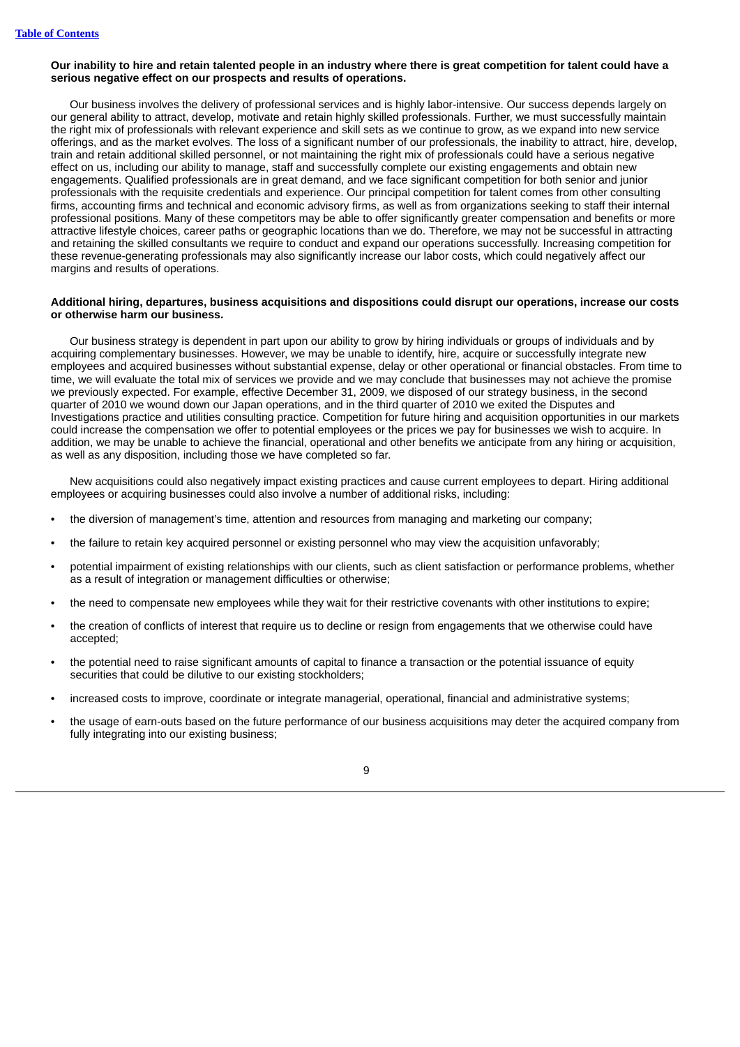### Our inability to hire and retain talented people in an industry where there is great competition for talent could have a **serious negative effect on our prospects and results of operations.**

Our business involves the delivery of professional services and is highly labor-intensive. Our success depends largely on our general ability to attract, develop, motivate and retain highly skilled professionals. Further, we must successfully maintain the right mix of professionals with relevant experience and skill sets as we continue to grow, as we expand into new service offerings, and as the market evolves. The loss of a significant number of our professionals, the inability to attract, hire, develop, train and retain additional skilled personnel, or not maintaining the right mix of professionals could have a serious negative effect on us, including our ability to manage, staff and successfully complete our existing engagements and obtain new engagements. Qualified professionals are in great demand, and we face significant competition for both senior and junior professionals with the requisite credentials and experience. Our principal competition for talent comes from other consulting firms, accounting firms and technical and economic advisory firms, as well as from organizations seeking to staff their internal professional positions. Many of these competitors may be able to offer significantly greater compensation and benefits or more attractive lifestyle choices, career paths or geographic locations than we do. Therefore, we may not be successful in attracting and retaining the skilled consultants we require to conduct and expand our operations successfully. Increasing competition for these revenue-generating professionals may also significantly increase our labor costs, which could negatively affect our margins and results of operations.

## **Additional hiring, departures, business acquisitions and dispositions could disrupt our operations, increase our costs or otherwise harm our business.**

Our business strategy is dependent in part upon our ability to grow by hiring individuals or groups of individuals and by acquiring complementary businesses. However, we may be unable to identify, hire, acquire or successfully integrate new employees and acquired businesses without substantial expense, delay or other operational or financial obstacles. From time to time, we will evaluate the total mix of services we provide and we may conclude that businesses may not achieve the promise we previously expected. For example, effective December 31, 2009, we disposed of our strategy business, in the second quarter of 2010 we wound down our Japan operations, and in the third quarter of 2010 we exited the Disputes and Investigations practice and utilities consulting practice. Competition for future hiring and acquisition opportunities in our markets could increase the compensation we offer to potential employees or the prices we pay for businesses we wish to acquire. In addition, we may be unable to achieve the financial, operational and other benefits we anticipate from any hiring or acquisition, as well as any disposition, including those we have completed so far.

New acquisitions could also negatively impact existing practices and cause current employees to depart. Hiring additional employees or acquiring businesses could also involve a number of additional risks, including:

- the diversion of management's time, attention and resources from managing and marketing our company;
- the failure to retain key acquired personnel or existing personnel who may view the acquisition unfavorably;
- potential impairment of existing relationships with our clients, such as client satisfaction or performance problems, whether as a result of integration or management difficulties or otherwise;
- the need to compensate new employees while they wait for their restrictive covenants with other institutions to expire;
- the creation of conflicts of interest that require us to decline or resign from engagements that we otherwise could have accepted;
- the potential need to raise significant amounts of capital to finance a transaction or the potential issuance of equity securities that could be dilutive to our existing stockholders;
- increased costs to improve, coordinate or integrate managerial, operational, financial and administrative systems;
- the usage of earn-outs based on the future performance of our business acquisitions may deter the acquired company from fully integrating into our existing business;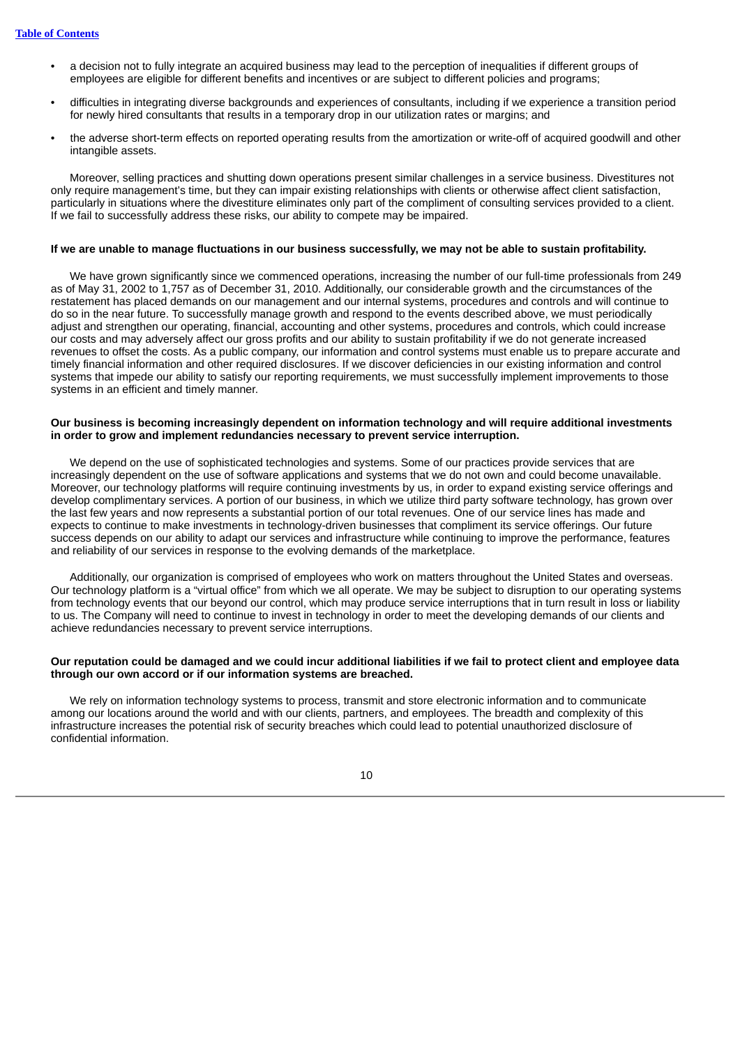- a decision not to fully integrate an acquired business may lead to the perception of inequalities if different groups of employees are eligible for different benefits and incentives or are subject to different policies and programs;
- difficulties in integrating diverse backgrounds and experiences of consultants, including if we experience a transition period for newly hired consultants that results in a temporary drop in our utilization rates or margins; and
- the adverse short-term effects on reported operating results from the amortization or write-off of acquired goodwill and other intangible assets.

Moreover, selling practices and shutting down operations present similar challenges in a service business. Divestitures not only require management's time, but they can impair existing relationships with clients or otherwise affect client satisfaction, particularly in situations where the divestiture eliminates only part of the compliment of consulting services provided to a client. If we fail to successfully address these risks, our ability to compete may be impaired.

#### If we are unable to manage fluctuations in our business successfully, we may not be able to sustain profitability,

We have grown significantly since we commenced operations, increasing the number of our full-time professionals from 249 as of May 31, 2002 to 1,757 as of December 31, 2010. Additionally, our considerable growth and the circumstances of the restatement has placed demands on our management and our internal systems, procedures and controls and will continue to do so in the near future. To successfully manage growth and respond to the events described above, we must periodically adjust and strengthen our operating, financial, accounting and other systems, procedures and controls, which could increase our costs and may adversely affect our gross profits and our ability to sustain profitability if we do not generate increased revenues to offset the costs. As a public company, our information and control systems must enable us to prepare accurate and timely financial information and other required disclosures. If we discover deficiencies in our existing information and control systems that impede our ability to satisfy our reporting requirements, we must successfully implement improvements to those systems in an efficient and timely manner.

#### **Our business is becoming increasingly dependent on information technology and will require additional investments in order to grow and implement redundancies necessary to prevent service interruption.**

We depend on the use of sophisticated technologies and systems. Some of our practices provide services that are increasingly dependent on the use of software applications and systems that we do not own and could become unavailable. Moreover, our technology platforms will require continuing investments by us, in order to expand existing service offerings and develop complimentary services. A portion of our business, in which we utilize third party software technology, has grown over the last few years and now represents a substantial portion of our total revenues. One of our service lines has made and expects to continue to make investments in technology-driven businesses that compliment its service offerings. Our future success depends on our ability to adapt our services and infrastructure while continuing to improve the performance, features and reliability of our services in response to the evolving demands of the marketplace.

Additionally, our organization is comprised of employees who work on matters throughout the United States and overseas. Our technology platform is a "virtual office" from which we all operate. We may be subject to disruption to our operating systems from technology events that our beyond our control, which may produce service interruptions that in turn result in loss or liability to us. The Company will need to continue to invest in technology in order to meet the developing demands of our clients and achieve redundancies necessary to prevent service interruptions.

## Our reputation could be damaged and we could incur additional liabilities if we fail to protect client and employee data **through our own accord or if our information systems are breached.**

We rely on information technology systems to process, transmit and store electronic information and to communicate among our locations around the world and with our clients, partners, and employees. The breadth and complexity of this infrastructure increases the potential risk of security breaches which could lead to potential unauthorized disclosure of confidential information.

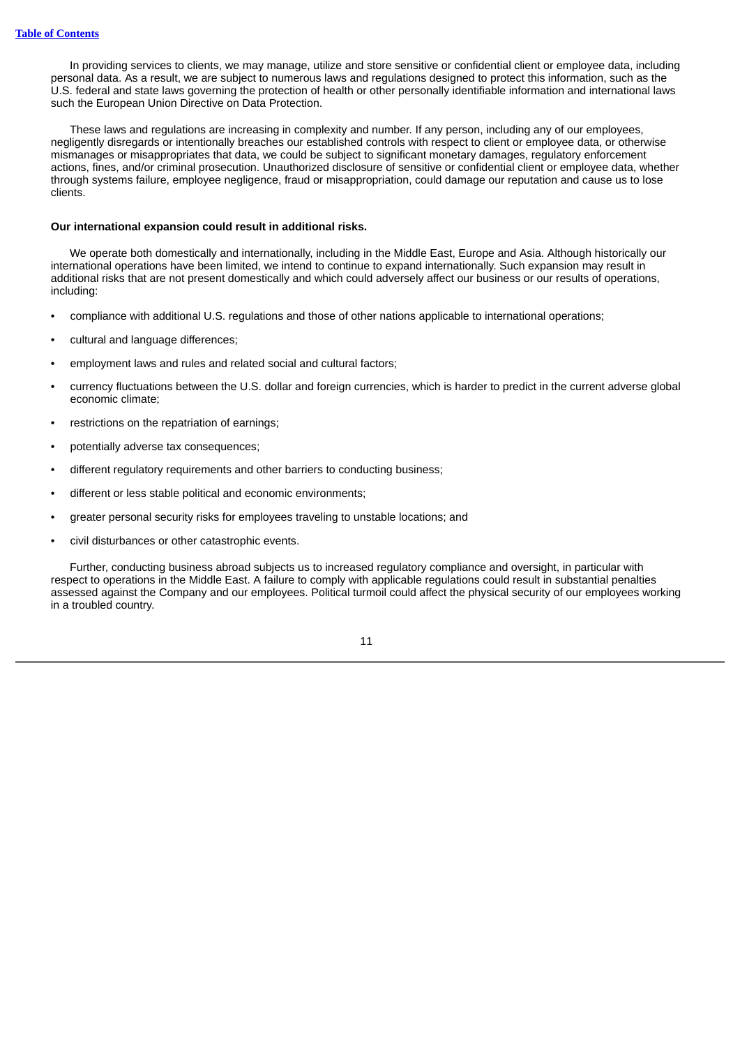In providing services to clients, we may manage, utilize and store sensitive or confidential client or employee data, including personal data. As a result, we are subject to numerous laws and regulations designed to protect this information, such as the U.S. federal and state laws governing the protection of health or other personally identifiable information and international laws such the European Union Directive on Data Protection.

These laws and regulations are increasing in complexity and number. If any person, including any of our employees, negligently disregards or intentionally breaches our established controls with respect to client or employee data, or otherwise mismanages or misappropriates that data, we could be subject to significant monetary damages, regulatory enforcement actions, fines, and/or criminal prosecution. Unauthorized disclosure of sensitive or confidential client or employee data, whether through systems failure, employee negligence, fraud or misappropriation, could damage our reputation and cause us to lose clients.

#### **Our international expansion could result in additional risks.**

We operate both domestically and internationally, including in the Middle East, Europe and Asia. Although historically our international operations have been limited, we intend to continue to expand internationally. Such expansion may result in additional risks that are not present domestically and which could adversely affect our business or our results of operations, including:

- compliance with additional U.S. regulations and those of other nations applicable to international operations;
- cultural and language differences;
- employment laws and rules and related social and cultural factors;
- currency fluctuations between the U.S. dollar and foreign currencies, which is harder to predict in the current adverse global economic climate;
- restrictions on the repatriation of earnings;
- potentially adverse tax consequences;
- different regulatory requirements and other barriers to conducting business;
- different or less stable political and economic environments;
- greater personal security risks for employees traveling to unstable locations; and
- civil disturbances or other catastrophic events.

Further, conducting business abroad subjects us to increased regulatory compliance and oversight, in particular with respect to operations in the Middle East. A failure to comply with applicable regulations could result in substantial penalties assessed against the Company and our employees. Political turmoil could affect the physical security of our employees working in a troubled country.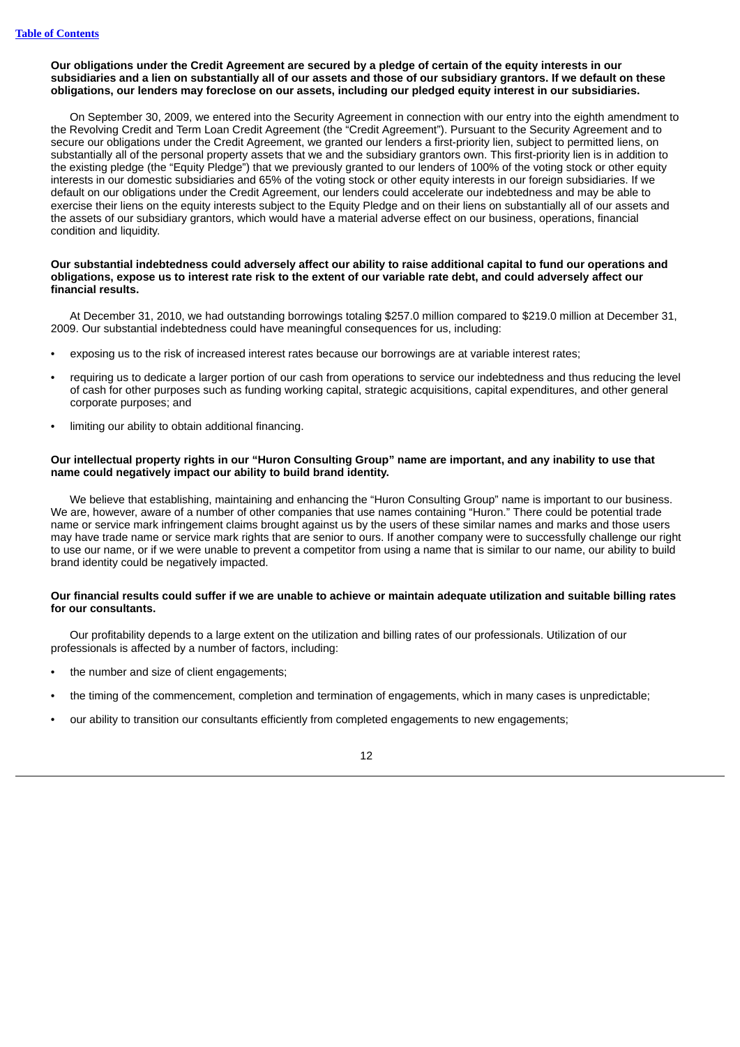# Our obligations under the Credit Agreement are secured by a pledge of certain of the equity interests in our subsidiaries and a lien on substantially all of our assets and those of our subsidiary grantors. If we default on these **obligations, our lenders may foreclose on our assets, including our pledged equity interest in our subsidiaries.**

On September 30, 2009, we entered into the Security Agreement in connection with our entry into the eighth amendment to the Revolving Credit and Term Loan Credit Agreement (the "Credit Agreement"). Pursuant to the Security Agreement and to secure our obligations under the Credit Agreement, we granted our lenders a first-priority lien, subject to permitted liens, on substantially all of the personal property assets that we and the subsidiary grantors own. This first-priority lien is in addition to the existing pledge (the "Equity Pledge") that we previously granted to our lenders of 100% of the voting stock or other equity interests in our domestic subsidiaries and 65% of the voting stock or other equity interests in our foreign subsidiaries. If we default on our obligations under the Credit Agreement, our lenders could accelerate our indebtedness and may be able to exercise their liens on the equity interests subject to the Equity Pledge and on their liens on substantially all of our assets and the assets of our subsidiary grantors, which would have a material adverse effect on our business, operations, financial condition and liquidity.

#### Our substantial indebtedness could adversely affect our ability to raise additional capital to fund our operations and obligations, expose us to interest rate risk to the extent of our variable rate debt, and could adversely affect our **financial results.**

At December 31, 2010, we had outstanding borrowings totaling \$257.0 million compared to \$219.0 million at December 31, 2009. Our substantial indebtedness could have meaningful consequences for us, including:

- exposing us to the risk of increased interest rates because our borrowings are at variable interest rates;
- requiring us to dedicate a larger portion of our cash from operations to service our indebtedness and thus reducing the level of cash for other purposes such as funding working capital, strategic acquisitions, capital expenditures, and other general corporate purposes; and
- limiting our ability to obtain additional financing.

## Our intellectual property rights in our "Huron Consulting Group" name are important, and any inability to use that **name could negatively impact our ability to build brand identity.**

We believe that establishing, maintaining and enhancing the "Huron Consulting Group" name is important to our business. We are, however, aware of a number of other companies that use names containing "Huron." There could be potential trade name or service mark infringement claims brought against us by the users of these similar names and marks and those users may have trade name or service mark rights that are senior to ours. If another company were to successfully challenge our right to use our name, or if we were unable to prevent a competitor from using a name that is similar to our name, our ability to build brand identity could be negatively impacted.

# Our financial results could suffer if we are unable to achieve or maintain adequate utilization and suitable billing rates **for our consultants.**

Our profitability depends to a large extent on the utilization and billing rates of our professionals. Utilization of our professionals is affected by a number of factors, including:

- the number and size of client engagements;
- the timing of the commencement, completion and termination of engagements, which in many cases is unpredictable;
- our ability to transition our consultants efficiently from completed engagements to new engagements;

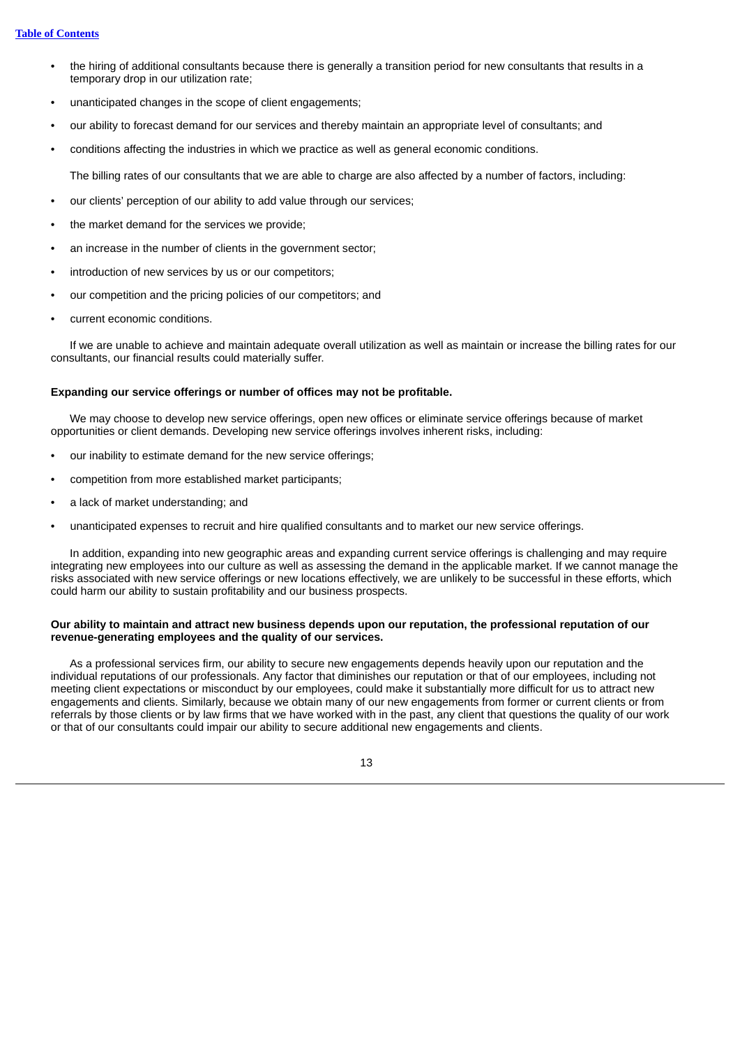- the hiring of additional consultants because there is generally a transition period for new consultants that results in a temporary drop in our utilization rate;
- unanticipated changes in the scope of client engagements;
- our ability to forecast demand for our services and thereby maintain an appropriate level of consultants; and
- conditions affecting the industries in which we practice as well as general economic conditions.

The billing rates of our consultants that we are able to charge are also affected by a number of factors, including:

- our clients' perception of our ability to add value through our services;
- the market demand for the services we provide;
- an increase in the number of clients in the government sector;
- introduction of new services by us or our competitors;
- our competition and the pricing policies of our competitors; and
- current economic conditions.

If we are unable to achieve and maintain adequate overall utilization as well as maintain or increase the billing rates for our consultants, our financial results could materially suffer.

# **Expanding our service offerings or number of offices may not be profitable.**

We may choose to develop new service offerings, open new offices or eliminate service offerings because of market opportunities or client demands. Developing new service offerings involves inherent risks, including:

- our inability to estimate demand for the new service offerings;
- competition from more established market participants;
- a lack of market understanding; and
- unanticipated expenses to recruit and hire qualified consultants and to market our new service offerings.

In addition, expanding into new geographic areas and expanding current service offerings is challenging and may require integrating new employees into our culture as well as assessing the demand in the applicable market. If we cannot manage the risks associated with new service offerings or new locations effectively, we are unlikely to be successful in these efforts, which could harm our ability to sustain profitability and our business prospects.

# Our ability to maintain and attract new business depends upon our reputation, the professional reputation of our **revenue-generating employees and the quality of our services.**

As a professional services firm, our ability to secure new engagements depends heavily upon our reputation and the individual reputations of our professionals. Any factor that diminishes our reputation or that of our employees, including not meeting client expectations or misconduct by our employees, could make it substantially more difficult for us to attract new engagements and clients. Similarly, because we obtain many of our new engagements from former or current clients or from referrals by those clients or by law firms that we have worked with in the past, any client that questions the quality of our work or that of our consultants could impair our ability to secure additional new engagements and clients.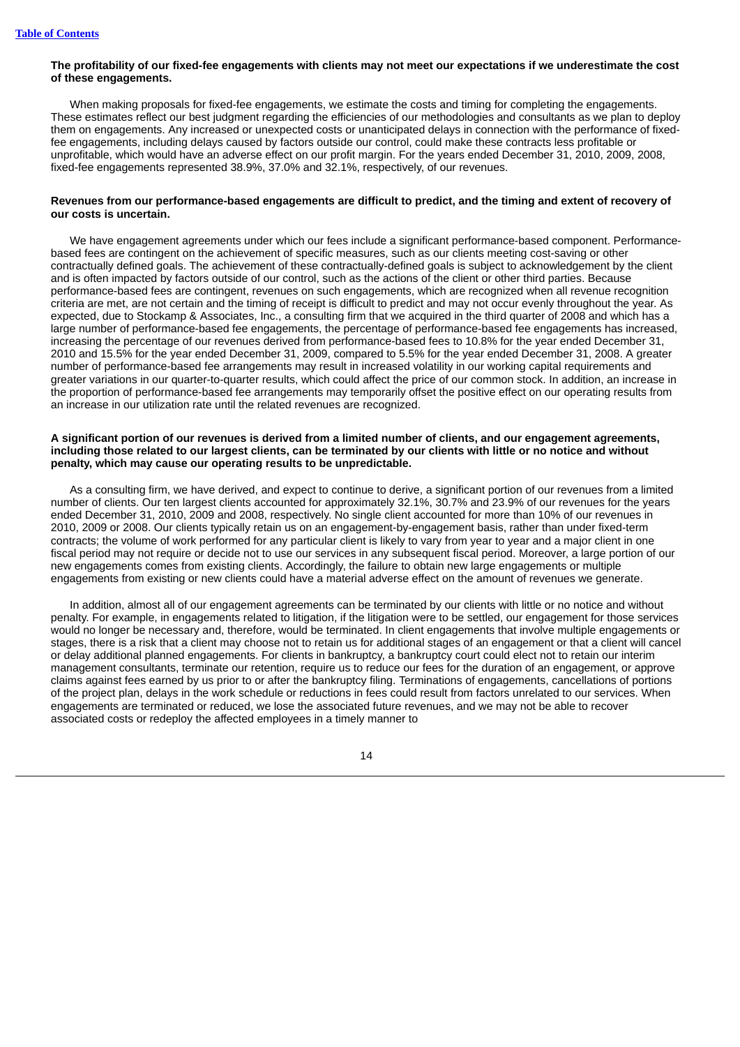### The profitability of our fixed-fee engagements with clients may not meet our expectations if we underestimate the cost **of these engagements.**

When making proposals for fixed-fee engagements, we estimate the costs and timing for completing the engagements. These estimates reflect our best judgment regarding the efficiencies of our methodologies and consultants as we plan to deploy them on engagements. Any increased or unexpected costs or unanticipated delays in connection with the performance of fixedfee engagements, including delays caused by factors outside our control, could make these contracts less profitable or unprofitable, which would have an adverse effect on our profit margin. For the years ended December 31, 2010, 2009, 2008, fixed-fee engagements represented 38.9%, 37.0% and 32.1%, respectively, of our revenues.

## Revenues from our performance-based engagements are difficult to predict, and the timing and extent of recovery of **our costs is uncertain.**

We have engagement agreements under which our fees include a significant performance-based component. Performancebased fees are contingent on the achievement of specific measures, such as our clients meeting cost-saving or other contractually defined goals. The achievement of these contractually-defined goals is subject to acknowledgement by the client and is often impacted by factors outside of our control, such as the actions of the client or other third parties. Because performance-based fees are contingent, revenues on such engagements, which are recognized when all revenue recognition criteria are met, are not certain and the timing of receipt is difficult to predict and may not occur evenly throughout the year. As expected, due to Stockamp & Associates, Inc., a consulting firm that we acquired in the third quarter of 2008 and which has a large number of performance-based fee engagements, the percentage of performance-based fee engagements has increased, increasing the percentage of our revenues derived from performance-based fees to 10.8% for the year ended December 31, 2010 and 15.5% for the year ended December 31, 2009, compared to 5.5% for the year ended December 31, 2008. A greater number of performance-based fee arrangements may result in increased volatility in our working capital requirements and greater variations in our quarter-to-quarter results, which could affect the price of our common stock. In addition, an increase in the proportion of performance-based fee arrangements may temporarily offset the positive effect on our operating results from an increase in our utilization rate until the related revenues are recognized.

## A significant portion of our revenues is derived from a limited number of clients, and our engagement agreements, including those related to our largest clients, can be terminated by our clients with little or no notice and without **penalty, which may cause our operating results to be unpredictable.**

As a consulting firm, we have derived, and expect to continue to derive, a significant portion of our revenues from a limited number of clients. Our ten largest clients accounted for approximately 32.1%, 30.7% and 23.9% of our revenues for the years ended December 31, 2010, 2009 and 2008, respectively. No single client accounted for more than 10% of our revenues in 2010, 2009 or 2008. Our clients typically retain us on an engagement-by-engagement basis, rather than under fixed-term contracts; the volume of work performed for any particular client is likely to vary from year to year and a major client in one fiscal period may not require or decide not to use our services in any subsequent fiscal period. Moreover, a large portion of our new engagements comes from existing clients. Accordingly, the failure to obtain new large engagements or multiple engagements from existing or new clients could have a material adverse effect on the amount of revenues we generate.

In addition, almost all of our engagement agreements can be terminated by our clients with little or no notice and without penalty. For example, in engagements related to litigation, if the litigation were to be settled, our engagement for those services would no longer be necessary and, therefore, would be terminated. In client engagements that involve multiple engagements or stages, there is a risk that a client may choose not to retain us for additional stages of an engagement or that a client will cancel or delay additional planned engagements. For clients in bankruptcy, a bankruptcy court could elect not to retain our interim management consultants, terminate our retention, require us to reduce our fees for the duration of an engagement, or approve claims against fees earned by us prior to or after the bankruptcy filing. Terminations of engagements, cancellations of portions of the project plan, delays in the work schedule or reductions in fees could result from factors unrelated to our services. When engagements are terminated or reduced, we lose the associated future revenues, and we may not be able to recover associated costs or redeploy the affected employees in a timely manner to

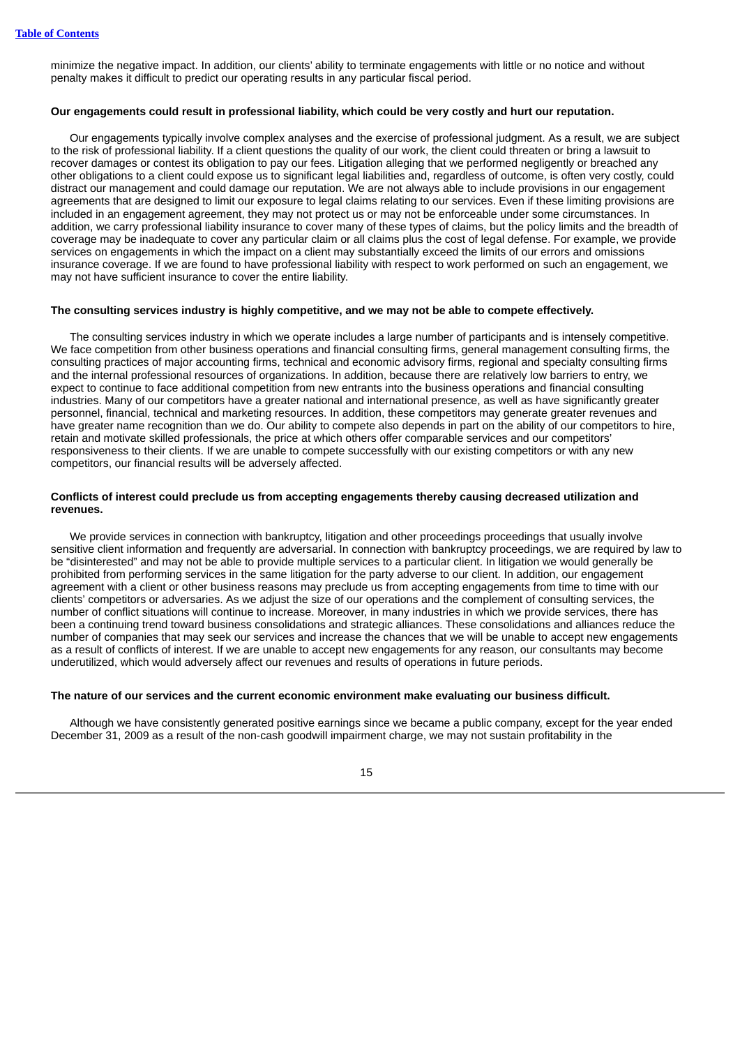minimize the negative impact. In addition, our clients' ability to terminate engagements with little or no notice and without penalty makes it difficult to predict our operating results in any particular fiscal period.

### **Our engagements could result in professional liability, which could be very costly and hurt our reputation.**

Our engagements typically involve complex analyses and the exercise of professional judgment. As a result, we are subject to the risk of professional liability. If a client questions the quality of our work, the client could threaten or bring a lawsuit to recover damages or contest its obligation to pay our fees. Litigation alleging that we performed negligently or breached any other obligations to a client could expose us to significant legal liabilities and, regardless of outcome, is often very costly, could distract our management and could damage our reputation. We are not always able to include provisions in our engagement agreements that are designed to limit our exposure to legal claims relating to our services. Even if these limiting provisions are included in an engagement agreement, they may not protect us or may not be enforceable under some circumstances. In addition, we carry professional liability insurance to cover many of these types of claims, but the policy limits and the breadth of coverage may be inadequate to cover any particular claim or all claims plus the cost of legal defense. For example, we provide services on engagements in which the impact on a client may substantially exceed the limits of our errors and omissions insurance coverage. If we are found to have professional liability with respect to work performed on such an engagement, we may not have sufficient insurance to cover the entire liability.

#### **The consulting services industry is highly competitive, and we may not be able to compete effectively.**

The consulting services industry in which we operate includes a large number of participants and is intensely competitive. We face competition from other business operations and financial consulting firms, general management consulting firms, the consulting practices of major accounting firms, technical and economic advisory firms, regional and specialty consulting firms and the internal professional resources of organizations. In addition, because there are relatively low barriers to entry, we expect to continue to face additional competition from new entrants into the business operations and financial consulting industries. Many of our competitors have a greater national and international presence, as well as have significantly greater personnel, financial, technical and marketing resources. In addition, these competitors may generate greater revenues and have greater name recognition than we do. Our ability to compete also depends in part on the ability of our competitors to hire, retain and motivate skilled professionals, the price at which others offer comparable services and our competitors' responsiveness to their clients. If we are unable to compete successfully with our existing competitors or with any new competitors, our financial results will be adversely affected.

# **Conflicts of interest could preclude us from accepting engagements thereby causing decreased utilization and revenues.**

We provide services in connection with bankruptcy, litigation and other proceedings proceedings that usually involve sensitive client information and frequently are adversarial. In connection with bankruptcy proceedings, we are required by law to be "disinterested" and may not be able to provide multiple services to a particular client. In litigation we would generally be prohibited from performing services in the same litigation for the party adverse to our client. In addition, our engagement agreement with a client or other business reasons may preclude us from accepting engagements from time to time with our clients' competitors or adversaries. As we adjust the size of our operations and the complement of consulting services, the number of conflict situations will continue to increase. Moreover, in many industries in which we provide services, there has been a continuing trend toward business consolidations and strategic alliances. These consolidations and alliances reduce the number of companies that may seek our services and increase the chances that we will be unable to accept new engagements as a result of conflicts of interest. If we are unable to accept new engagements for any reason, our consultants may become underutilized, which would adversely affect our revenues and results of operations in future periods.

#### **The nature of our services and the current economic environment make evaluating our business difficult.**

Although we have consistently generated positive earnings since we became a public company, except for the year ended December 31, 2009 as a result of the non-cash goodwill impairment charge, we may not sustain profitability in the

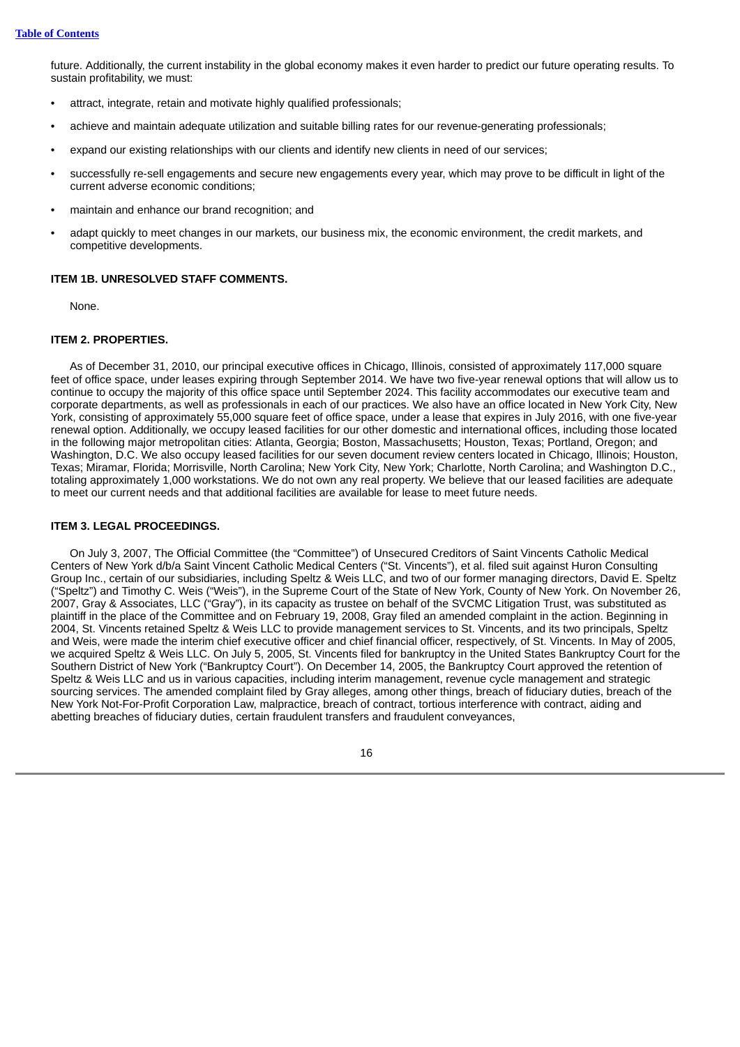future. Additionally, the current instability in the global economy makes it even harder to predict our future operating results. To sustain profitability, we must:

- attract, integrate, retain and motivate highly qualified professionals;
- achieve and maintain adequate utilization and suitable billing rates for our revenue-generating professionals;
- expand our existing relationships with our clients and identify new clients in need of our services;
- successfully re-sell engagements and secure new engagements every year, which may prove to be difficult in light of the current adverse economic conditions;
- maintain and enhance our brand recognition; and
- adapt quickly to meet changes in our markets, our business mix, the economic environment, the credit markets, and competitive developments.

# <span id="page-18-0"></span>**ITEM 1B. UNRESOLVED STAFF COMMENTS.**

<span id="page-18-1"></span>None.

## **ITEM 2. PROPERTIES.**

As of December 31, 2010, our principal executive offices in Chicago, Illinois, consisted of approximately 117,000 square feet of office space, under leases expiring through September 2014. We have two five-year renewal options that will allow us to continue to occupy the majority of this office space until September 2024. This facility accommodates our executive team and corporate departments, as well as professionals in each of our practices. We also have an office located in New York City, New York, consisting of approximately 55,000 square feet of office space, under a lease that expires in July 2016, with one five-year renewal option. Additionally, we occupy leased facilities for our other domestic and international offices, including those located in the following major metropolitan cities: Atlanta, Georgia; Boston, Massachusetts; Houston, Texas; Portland, Oregon; and Washington, D.C. We also occupy leased facilities for our seven document review centers located in Chicago, Illinois; Houston, Texas; Miramar, Florida; Morrisville, North Carolina; New York City, New York; Charlotte, North Carolina; and Washington D.C., totaling approximately 1,000 workstations. We do not own any real property. We believe that our leased facilities are adequate to meet our current needs and that additional facilities are available for lease to meet future needs.

#### <span id="page-18-2"></span>**ITEM 3. LEGAL PROCEEDINGS.**

On July 3, 2007, The Official Committee (the "Committee") of Unsecured Creditors of Saint Vincents Catholic Medical Centers of New York d/b/a Saint Vincent Catholic Medical Centers ("St. Vincents"), et al. filed suit against Huron Consulting Group Inc., certain of our subsidiaries, including Speltz & Weis LLC, and two of our former managing directors, David E. Speltz ("Speltz") and Timothy C. Weis ("Weis"), in the Supreme Court of the State of New York, County of New York. On November 26, 2007, Gray & Associates, LLC ("Gray"), in its capacity as trustee on behalf of the SVCMC Litigation Trust, was substituted as plaintiff in the place of the Committee and on February 19, 2008, Gray filed an amended complaint in the action. Beginning in 2004, St. Vincents retained Speltz & Weis LLC to provide management services to St. Vincents, and its two principals, Speltz and Weis, were made the interim chief executive officer and chief financial officer, respectively, of St. Vincents. In May of 2005, we acquired Speltz & Weis LLC. On July 5, 2005, St. Vincents filed for bankruptcy in the United States Bankruptcy Court for the Southern District of New York ("Bankruptcy Court"). On December 14, 2005, the Bankruptcy Court approved the retention of Speltz & Weis LLC and us in various capacities, including interim management, revenue cycle management and strategic sourcing services. The amended complaint filed by Gray alleges, among other things, breach of fiduciary duties, breach of the New York Not-For-Profit Corporation Law, malpractice, breach of contract, tortious interference with contract, aiding and abetting breaches of fiduciary duties, certain fraudulent transfers and fraudulent conveyances,

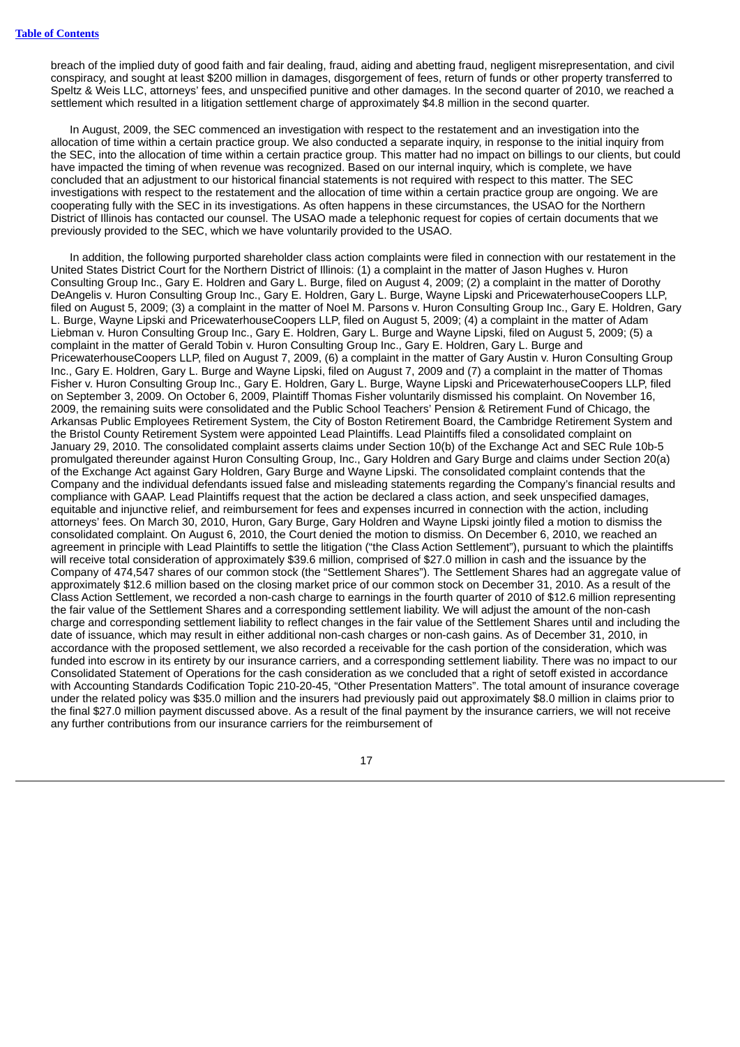breach of the implied duty of good faith and fair dealing, fraud, aiding and abetting fraud, negligent misrepresentation, and civil conspiracy, and sought at least \$200 million in damages, disgorgement of fees, return of funds or other property transferred to Speltz & Weis LLC, attorneys' fees, and unspecified punitive and other damages. In the second quarter of 2010, we reached a settlement which resulted in a litigation settlement charge of approximately \$4.8 million in the second quarter.

In August, 2009, the SEC commenced an investigation with respect to the restatement and an investigation into the allocation of time within a certain practice group. We also conducted a separate inquiry, in response to the initial inquiry from the SEC, into the allocation of time within a certain practice group. This matter had no impact on billings to our clients, but could have impacted the timing of when revenue was recognized. Based on our internal inquiry, which is complete, we have concluded that an adjustment to our historical financial statements is not required with respect to this matter. The SEC investigations with respect to the restatement and the allocation of time within a certain practice group are ongoing. We are cooperating fully with the SEC in its investigations. As often happens in these circumstances, the USAO for the Northern District of Illinois has contacted our counsel. The USAO made a telephonic request for copies of certain documents that we previously provided to the SEC, which we have voluntarily provided to the USAO.

In addition, the following purported shareholder class action complaints were filed in connection with our restatement in the United States District Court for the Northern District of Illinois: (1) a complaint in the matter of Jason Hughes v. Huron Consulting Group Inc., Gary E. Holdren and Gary L. Burge, filed on August 4, 2009; (2) a complaint in the matter of Dorothy DeAngelis v. Huron Consulting Group Inc., Gary E. Holdren, Gary L. Burge, Wayne Lipski and PricewaterhouseCoopers LLP, filed on August 5, 2009; (3) a complaint in the matter of Noel M. Parsons v. Huron Consulting Group Inc., Gary E. Holdren, Gary L. Burge, Wayne Lipski and PricewaterhouseCoopers LLP, filed on August 5, 2009; (4) a complaint in the matter of Adam Liebman v. Huron Consulting Group Inc., Gary E. Holdren, Gary L. Burge and Wayne Lipski, filed on August 5, 2009; (5) a complaint in the matter of Gerald Tobin v. Huron Consulting Group Inc., Gary E. Holdren, Gary L. Burge and PricewaterhouseCoopers LLP, filed on August 7, 2009, (6) a complaint in the matter of Gary Austin v. Huron Consulting Group Inc., Gary E. Holdren, Gary L. Burge and Wayne Lipski, filed on August 7, 2009 and (7) a complaint in the matter of Thomas Fisher v. Huron Consulting Group Inc., Gary E. Holdren, Gary L. Burge, Wayne Lipski and PricewaterhouseCoopers LLP, filed on September 3, 2009. On October 6, 2009, Plaintiff Thomas Fisher voluntarily dismissed his complaint. On November 16, 2009, the remaining suits were consolidated and the Public School Teachers' Pension & Retirement Fund of Chicago, the Arkansas Public Employees Retirement System, the City of Boston Retirement Board, the Cambridge Retirement System and the Bristol County Retirement System were appointed Lead Plaintiffs. Lead Plaintiffs filed a consolidated complaint on January 29, 2010. The consolidated complaint asserts claims under Section 10(b) of the Exchange Act and SEC Rule 10b-5 promulgated thereunder against Huron Consulting Group, Inc., Gary Holdren and Gary Burge and claims under Section 20(a) of the Exchange Act against Gary Holdren, Gary Burge and Wayne Lipski. The consolidated complaint contends that the Company and the individual defendants issued false and misleading statements regarding the Company's financial results and compliance with GAAP. Lead Plaintiffs request that the action be declared a class action, and seek unspecified damages, equitable and injunctive relief, and reimbursement for fees and expenses incurred in connection with the action, including attorneys' fees. On March 30, 2010, Huron, Gary Burge, Gary Holdren and Wayne Lipski jointly filed a motion to dismiss the consolidated complaint. On August 6, 2010, the Court denied the motion to dismiss. On December 6, 2010, we reached an agreement in principle with Lead Plaintiffs to settle the litigation ("the Class Action Settlement"), pursuant to which the plaintiffs will receive total consideration of approximately \$39.6 million, comprised of \$27.0 million in cash and the issuance by the Company of 474,547 shares of our common stock (the "Settlement Shares"). The Settlement Shares had an aggregate value of approximately \$12.6 million based on the closing market price of our common stock on December 31, 2010. As a result of the Class Action Settlement, we recorded a non-cash charge to earnings in the fourth quarter of 2010 of \$12.6 million representing the fair value of the Settlement Shares and a corresponding settlement liability. We will adjust the amount of the non-cash charge and corresponding settlement liability to reflect changes in the fair value of the Settlement Shares until and including the date of issuance, which may result in either additional non-cash charges or non-cash gains. As of December 31, 2010, in accordance with the proposed settlement, we also recorded a receivable for the cash portion of the consideration, which was funded into escrow in its entirety by our insurance carriers, and a corresponding settlement liability. There was no impact to our Consolidated Statement of Operations for the cash consideration as we concluded that a right of setoff existed in accordance with Accounting Standards Codification Topic 210-20-45, "Other Presentation Matters". The total amount of insurance coverage under the related policy was \$35.0 million and the insurers had previously paid out approximately \$8.0 million in claims prior to the final \$27.0 million payment discussed above. As a result of the final payment by the insurance carriers, we will not receive any further contributions from our insurance carriers for the reimbursement of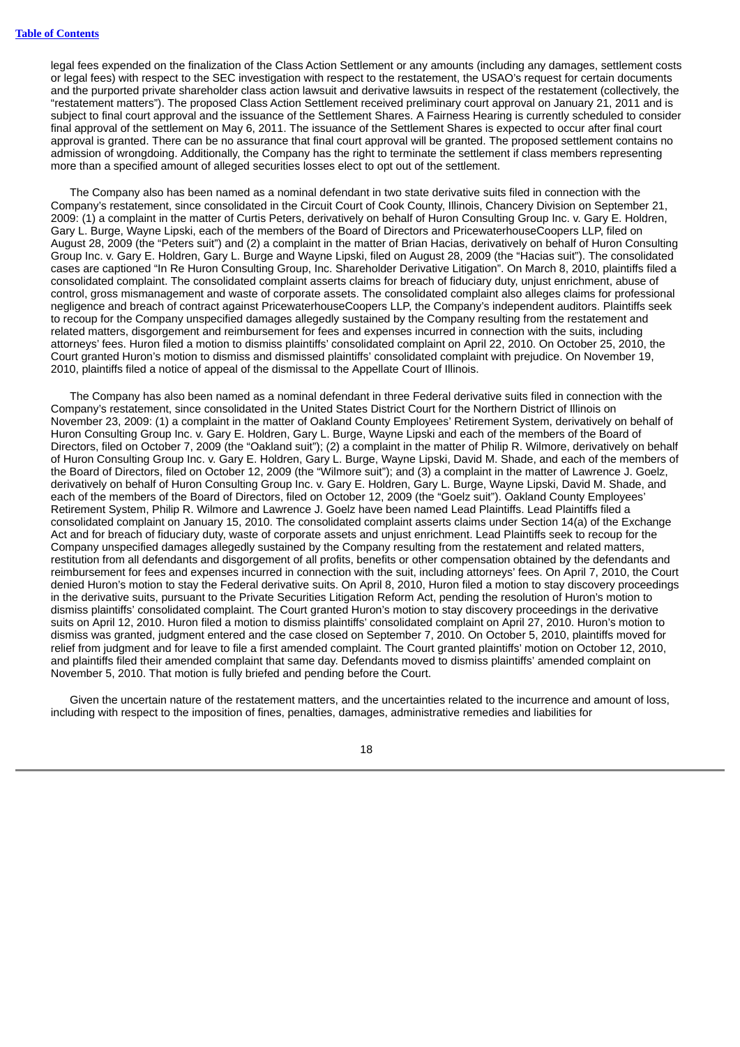legal fees expended on the finalization of the Class Action Settlement or any amounts (including any damages, settlement costs or legal fees) with respect to the SEC investigation with respect to the restatement, the USAO's request for certain documents and the purported private shareholder class action lawsuit and derivative lawsuits in respect of the restatement (collectively, the "restatement matters"). The proposed Class Action Settlement received preliminary court approval on January 21, 2011 and is subject to final court approval and the issuance of the Settlement Shares. A Fairness Hearing is currently scheduled to consider final approval of the settlement on May 6, 2011. The issuance of the Settlement Shares is expected to occur after final court approval is granted. There can be no assurance that final court approval will be granted. The proposed settlement contains no admission of wrongdoing. Additionally, the Company has the right to terminate the settlement if class members representing more than a specified amount of alleged securities losses elect to opt out of the settlement.

The Company also has been named as a nominal defendant in two state derivative suits filed in connection with the Company's restatement, since consolidated in the Circuit Court of Cook County, Illinois, Chancery Division on September 21, 2009: (1) a complaint in the matter of Curtis Peters, derivatively on behalf of Huron Consulting Group Inc. v. Gary E. Holdren, Gary L. Burge, Wayne Lipski, each of the members of the Board of Directors and PricewaterhouseCoopers LLP, filed on August 28, 2009 (the "Peters suit") and (2) a complaint in the matter of Brian Hacias, derivatively on behalf of Huron Consulting Group Inc. v. Gary E. Holdren, Gary L. Burge and Wayne Lipski, filed on August 28, 2009 (the "Hacias suit"). The consolidated cases are captioned "In Re Huron Consulting Group, Inc. Shareholder Derivative Litigation". On March 8, 2010, plaintiffs filed a consolidated complaint. The consolidated complaint asserts claims for breach of fiduciary duty, unjust enrichment, abuse of control, gross mismanagement and waste of corporate assets. The consolidated complaint also alleges claims for professional negligence and breach of contract against PricewaterhouseCoopers LLP, the Company's independent auditors. Plaintiffs seek to recoup for the Company unspecified damages allegedly sustained by the Company resulting from the restatement and related matters, disgorgement and reimbursement for fees and expenses incurred in connection with the suits, including attorneys' fees. Huron filed a motion to dismiss plaintiffs' consolidated complaint on April 22, 2010. On October 25, 2010, the Court granted Huron's motion to dismiss and dismissed plaintiffs' consolidated complaint with prejudice. On November 19, 2010, plaintiffs filed a notice of appeal of the dismissal to the Appellate Court of Illinois.

The Company has also been named as a nominal defendant in three Federal derivative suits filed in connection with the Company's restatement, since consolidated in the United States District Court for the Northern District of Illinois on November 23, 2009: (1) a complaint in the matter of Oakland County Employees' Retirement System, derivatively on behalf of Huron Consulting Group Inc. v. Gary E. Holdren, Gary L. Burge, Wayne Lipski and each of the members of the Board of Directors, filed on October 7, 2009 (the "Oakland suit"); (2) a complaint in the matter of Philip R. Wilmore, derivatively on behalf of Huron Consulting Group Inc. v. Gary E. Holdren, Gary L. Burge, Wayne Lipski, David M. Shade, and each of the members of the Board of Directors, filed on October 12, 2009 (the "Wilmore suit"); and (3) a complaint in the matter of Lawrence J. Goelz, derivatively on behalf of Huron Consulting Group Inc. v. Gary E. Holdren, Gary L. Burge, Wayne Lipski, David M. Shade, and each of the members of the Board of Directors, filed on October 12, 2009 (the "Goelz suit"). Oakland County Employees' Retirement System, Philip R. Wilmore and Lawrence J. Goelz have been named Lead Plaintiffs. Lead Plaintiffs filed a consolidated complaint on January 15, 2010. The consolidated complaint asserts claims under Section 14(a) of the Exchange Act and for breach of fiduciary duty, waste of corporate assets and unjust enrichment. Lead Plaintiffs seek to recoup for the Company unspecified damages allegedly sustained by the Company resulting from the restatement and related matters, restitution from all defendants and disgorgement of all profits, benefits or other compensation obtained by the defendants and reimbursement for fees and expenses incurred in connection with the suit, including attorneys' fees. On April 7, 2010, the Court denied Huron's motion to stay the Federal derivative suits. On April 8, 2010, Huron filed a motion to stay discovery proceedings in the derivative suits, pursuant to the Private Securities Litigation Reform Act, pending the resolution of Huron's motion to dismiss plaintiffs' consolidated complaint. The Court granted Huron's motion to stay discovery proceedings in the derivative suits on April 12, 2010. Huron filed a motion to dismiss plaintiffs' consolidated complaint on April 27, 2010. Huron's motion to dismiss was granted, judgment entered and the case closed on September 7, 2010. On October 5, 2010, plaintiffs moved for relief from judgment and for leave to file a first amended complaint. The Court granted plaintiffs' motion on October 12, 2010, and plaintiffs filed their amended complaint that same day. Defendants moved to dismiss plaintiffs' amended complaint on November 5, 2010. That motion is fully briefed and pending before the Court.

Given the uncertain nature of the restatement matters, and the uncertainties related to the incurrence and amount of loss, including with respect to the imposition of fines, penalties, damages, administrative remedies and liabilities for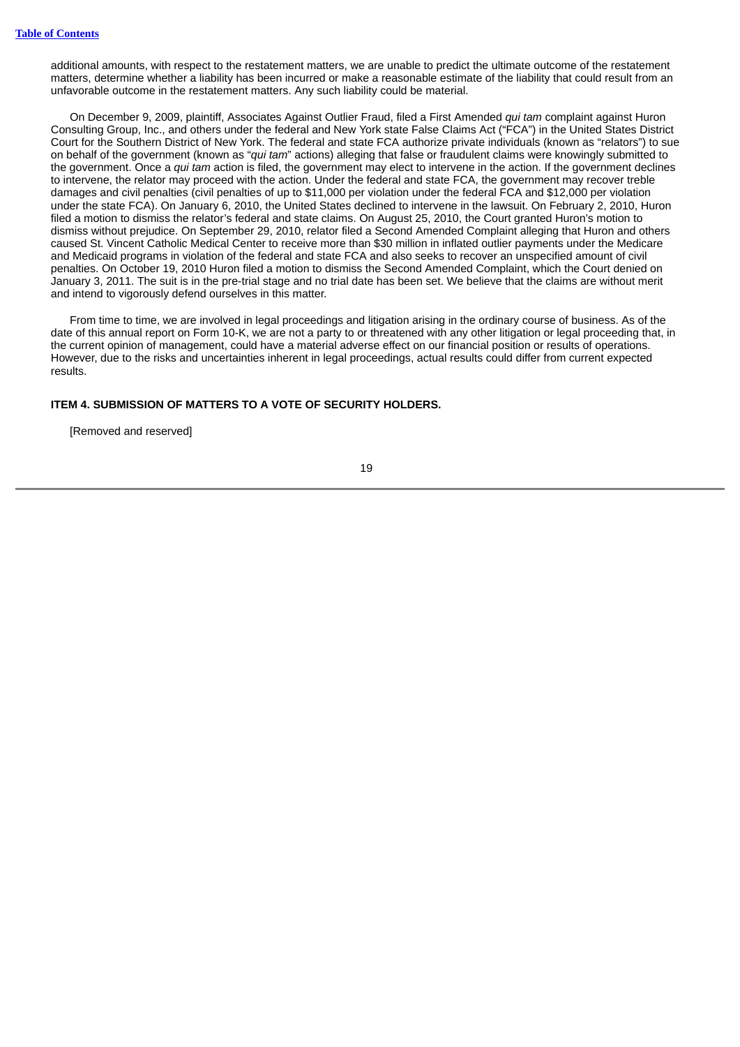additional amounts, with respect to the restatement matters, we are unable to predict the ultimate outcome of the restatement matters, determine whether a liability has been incurred or make a reasonable estimate of the liability that could result from an unfavorable outcome in the restatement matters. Any such liability could be material.

On December 9, 2009, plaintiff, Associates Against Outlier Fraud, filed a First Amended *qui tam* complaint against Huron Consulting Group, Inc., and others under the federal and New York state False Claims Act ("FCA") in the United States District Court for the Southern District of New York. The federal and state FCA authorize private individuals (known as "relators") to sue on behalf of the government (known as "*qui tam*" actions) alleging that false or fraudulent claims were knowingly submitted to the government. Once a *qui tam* action is filed, the government may elect to intervene in the action. If the government declines to intervene, the relator may proceed with the action. Under the federal and state FCA, the government may recover treble damages and civil penalties (civil penalties of up to \$11,000 per violation under the federal FCA and \$12,000 per violation under the state FCA). On January 6, 2010, the United States declined to intervene in the lawsuit. On February 2, 2010, Huron filed a motion to dismiss the relator's federal and state claims. On August 25, 2010, the Court granted Huron's motion to dismiss without prejudice. On September 29, 2010, relator filed a Second Amended Complaint alleging that Huron and others caused St. Vincent Catholic Medical Center to receive more than \$30 million in inflated outlier payments under the Medicare and Medicaid programs in violation of the federal and state FCA and also seeks to recover an unspecified amount of civil penalties. On October 19, 2010 Huron filed a motion to dismiss the Second Amended Complaint, which the Court denied on January 3, 2011. The suit is in the pre-trial stage and no trial date has been set. We believe that the claims are without merit and intend to vigorously defend ourselves in this matter.

From time to time, we are involved in legal proceedings and litigation arising in the ordinary course of business. As of the date of this annual report on Form 10-K, we are not a party to or threatened with any other litigation or legal proceeding that, in the current opinion of management, could have a material adverse effect on our financial position or results of operations. However, due to the risks and uncertainties inherent in legal proceedings, actual results could differ from current expected results.

## <span id="page-21-0"></span>**ITEM 4. SUBMISSION OF MATTERS TO A VOTE OF SECURITY HOLDERS.**

[Removed and reserved]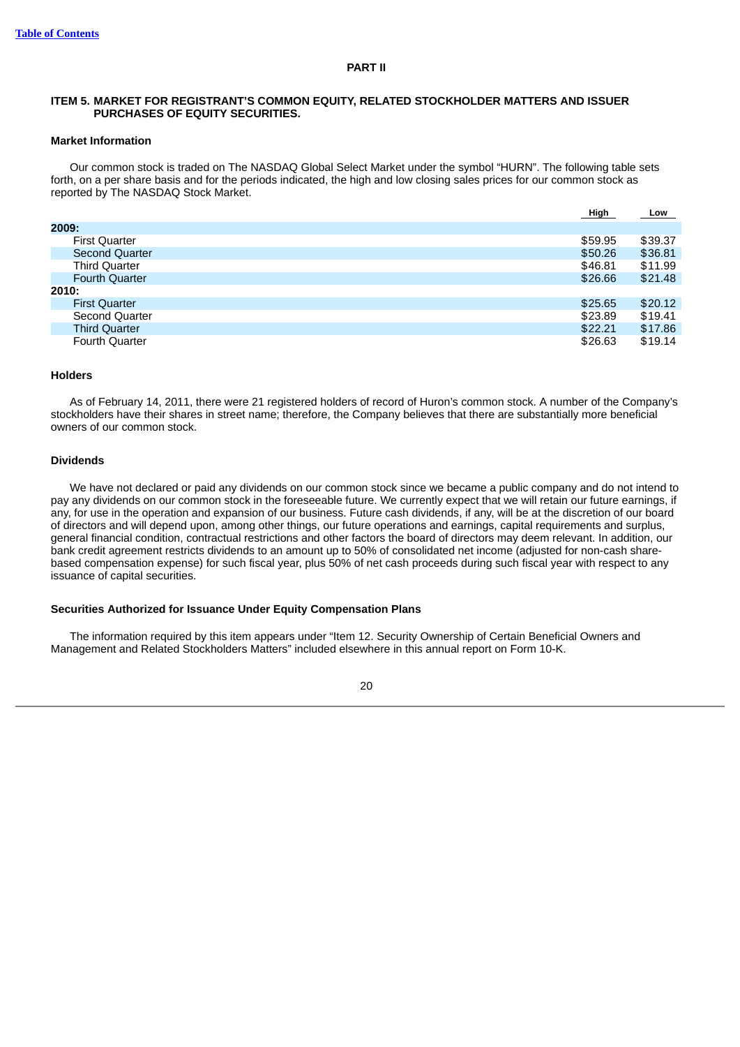# **PART II**

# <span id="page-22-1"></span><span id="page-22-0"></span>**ITEM 5. MARKET FOR REGISTRANT'S COMMON EQUITY, RELATED STOCKHOLDER MATTERS AND ISSUER PURCHASES OF EQUITY SECURITIES.**

#### **Market Information**

Our common stock is traded on The NASDAQ Global Select Market under the symbol "HURN". The following table sets forth, on a per share basis and for the periods indicated, the high and low closing sales prices for our common stock as reported by The NASDAQ Stock Market.

|                       | High    | Low     |
|-----------------------|---------|---------|
| 2009:                 |         |         |
| <b>First Quarter</b>  | \$59.95 | \$39.37 |
| <b>Second Quarter</b> | \$50.26 | \$36.81 |
| <b>Third Quarter</b>  | \$46.81 | \$11.99 |
| <b>Fourth Quarter</b> | \$26.66 | \$21.48 |
| 2010:                 |         |         |
| <b>First Quarter</b>  | \$25.65 | \$20.12 |
| Second Quarter        | \$23.89 | \$19.41 |
| <b>Third Quarter</b>  | \$22.21 | \$17.86 |
| Fourth Quarter        | \$26.63 | \$19.14 |

# **Holders**

As of February 14, 2011, there were 21 registered holders of record of Huron's common stock. A number of the Company's stockholders have their shares in street name; therefore, the Company believes that there are substantially more beneficial owners of our common stock.

#### **Dividends**

We have not declared or paid any dividends on our common stock since we became a public company and do not intend to pay any dividends on our common stock in the foreseeable future. We currently expect that we will retain our future earnings, if any, for use in the operation and expansion of our business. Future cash dividends, if any, will be at the discretion of our board of directors and will depend upon, among other things, our future operations and earnings, capital requirements and surplus, general financial condition, contractual restrictions and other factors the board of directors may deem relevant. In addition, our bank credit agreement restricts dividends to an amount up to 50% of consolidated net income (adjusted for non-cash sharebased compensation expense) for such fiscal year, plus 50% of net cash proceeds during such fiscal year with respect to any issuance of capital securities.

## **Securities Authorized for Issuance Under Equity Compensation Plans**

The information required by this item appears under "Item 12. Security Ownership of Certain Beneficial Owners and Management and Related Stockholders Matters" included elsewhere in this annual report on Form 10-K.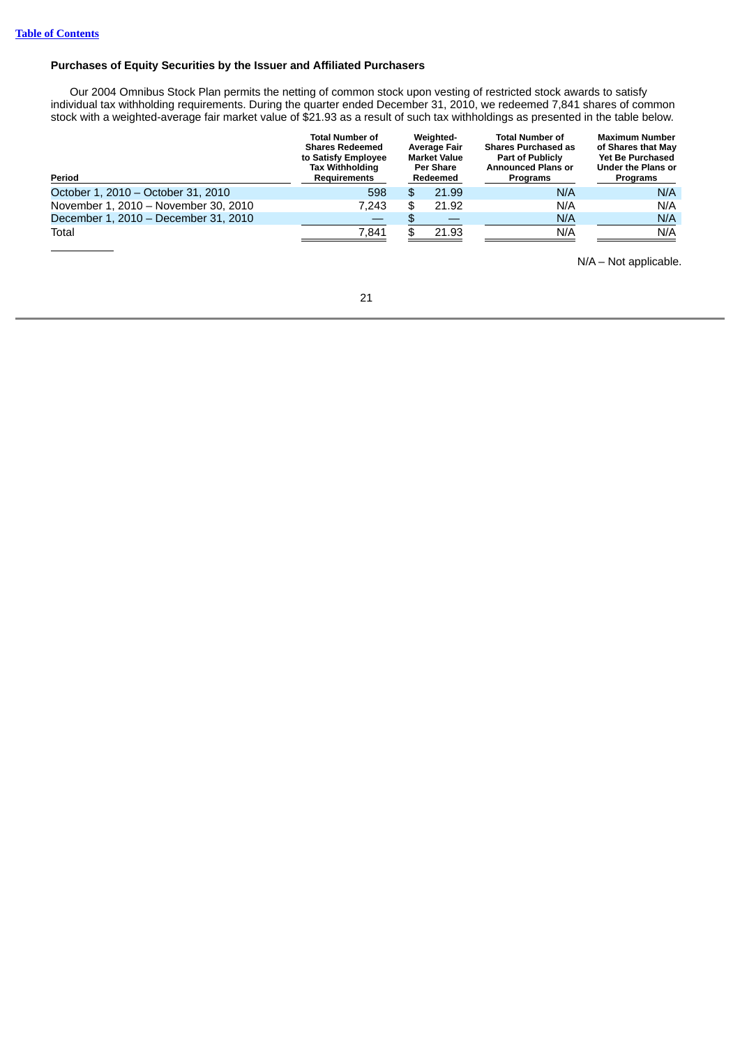# **Purchases of Equity Securities by the Issuer and Affiliated Purchasers**

Our 2004 Omnibus Stock Plan permits the netting of common stock upon vesting of restricted stock awards to satisfy individual tax withholding requirements. During the quarter ended December 31, 2010, we redeemed 7,841 shares of common stock with a weighted-average fair market value of \$21.93 as a result of such tax withholdings as presented in the table below.

| Period                               | <b>Total Number of</b><br><b>Shares Redeemed</b><br>to Satisfy Employee<br><b>Tax Withholding</b><br><b>Requirements</b> | <b>Weighted-</b><br>Average Fair<br><b>Market Value</b><br><b>Per Share</b><br>Redeemed | <b>Total Number of</b><br><b>Shares Purchased as</b><br><b>Part of Publicly</b><br><b>Announced Plans or</b><br><b>Programs</b> | <b>Maximum Number</b><br>of Shares that May<br><b>Yet Be Purchased</b><br>Under the Plans or<br><b>Programs</b> |
|--------------------------------------|--------------------------------------------------------------------------------------------------------------------------|-----------------------------------------------------------------------------------------|---------------------------------------------------------------------------------------------------------------------------------|-----------------------------------------------------------------------------------------------------------------|
| October 1, 2010 – October 31, 2010   | 598                                                                                                                      | 21.99                                                                                   | N/A                                                                                                                             | N/A                                                                                                             |
| November 1, 2010 - November 30, 2010 | 7.243                                                                                                                    | 21.92                                                                                   | N/A                                                                                                                             | N/A                                                                                                             |
| December 1, 2010 - December 31, 2010 |                                                                                                                          |                                                                                         | N/A                                                                                                                             | N/A                                                                                                             |
| Total                                | 7.841                                                                                                                    | 21.93                                                                                   | N/A                                                                                                                             | N/A                                                                                                             |

N/A – Not applicable.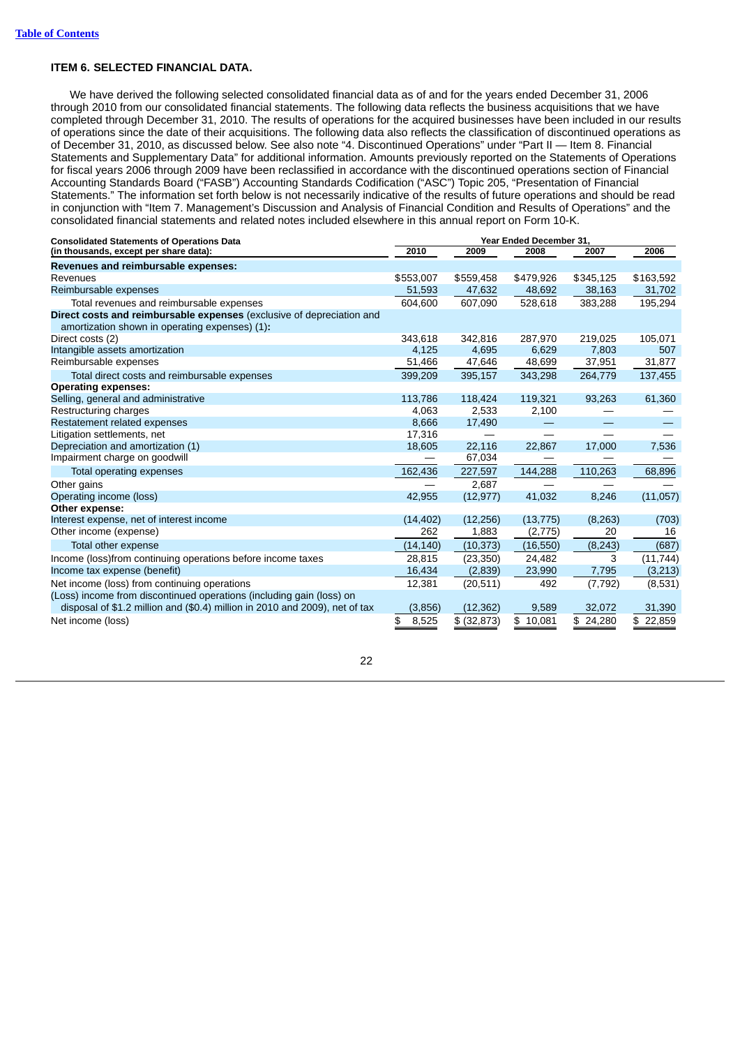# <span id="page-24-0"></span>**ITEM 6. SELECTED FINANCIAL DATA.**

We have derived the following selected consolidated financial data as of and for the years ended December 31, 2006 through 2010 from our consolidated financial statements. The following data reflects the business acquisitions that we have completed through December 31, 2010. The results of operations for the acquired businesses have been included in our results of operations since the date of their acquisitions. The following data also reflects the classification of discontinued operations as of December 31, 2010, as discussed below. See also note "4. Discontinued Operations" under "Part II — Item 8. Financial Statements and Supplementary Data" for additional information. Amounts previously reported on the Statements of Operations for fiscal years 2006 through 2009 have been reclassified in accordance with the discontinued operations section of Financial Accounting Standards Board ("FASB") Accounting Standards Codification ("ASC") Topic 205, "Presentation of Financial Statements." The information set forth below is not necessarily indicative of the results of future operations and should be read in conjunction with "Item 7. Management's Discussion and Analysis of Financial Condition and Results of Operations" and the consolidated financial statements and related notes included elsewhere in this annual report on Form 10-K.

| <b>Consolidated Statements of Operations Data</b>                           | Year Ended December 31, |              |              |           |              |
|-----------------------------------------------------------------------------|-------------------------|--------------|--------------|-----------|--------------|
| (in thousands, except per share data):                                      | 2010                    | 2009         | 2008         | 2007      | 2006         |
| Revenues and reimbursable expenses:                                         |                         |              |              |           |              |
| Revenues                                                                    | \$553.007               | \$559,458    | \$479,926    | \$345,125 | \$163,592    |
| Reimbursable expenses                                                       | 51,593                  | 47,632       | 48,692       | 38,163    | 31,702       |
| Total revenues and reimbursable expenses                                    | 604,600                 | 607,090      | 528,618      | 383,288   | 195,294      |
| Direct costs and reimbursable expenses (exclusive of depreciation and       |                         |              |              |           |              |
| amortization shown in operating expenses) (1):                              |                         |              |              |           |              |
| Direct costs (2)                                                            | 343.618                 | 342.816      | 287.970      | 219.025   | 105,071      |
| Intangible assets amortization                                              | 4,125                   | 4,695        | 6.629        | 7,803     | 507          |
| Reimbursable expenses                                                       | 51,466                  | 47,646       | 48,699       | 37,951    | 31,877       |
| Total direct costs and reimbursable expenses                                | 399,209                 | 395,157      | 343,298      | 264,779   | 137,455      |
| <b>Operating expenses:</b>                                                  |                         |              |              |           |              |
| Selling, general and administrative                                         | 113,786                 | 118,424      | 119,321      | 93,263    | 61,360       |
| Restructuring charges                                                       | 4,063                   | 2,533        | 2,100        |           |              |
| Restatement related expenses                                                | 8,666                   | 17,490       |              |           |              |
| Litigation settlements, net                                                 | 17,316                  |              |              |           |              |
| Depreciation and amortization (1)                                           | 18,605                  | 22,116       | 22,867       | 17,000    | 7,536        |
| Impairment charge on goodwill                                               |                         | 67,034       |              |           |              |
| Total operating expenses                                                    | 162,436                 | 227,597      | 144,288      | 110,263   | 68,896       |
| Other gains                                                                 |                         | 2.687        |              |           |              |
| Operating income (loss)                                                     | 42,955                  | (12, 977)    | 41,032       | 8,246     | (11,057)     |
| Other expense:                                                              |                         |              |              |           |              |
| Interest expense, net of interest income                                    | (14, 402)               | (12, 256)    | (13, 775)    | (8, 263)  | (703)        |
| Other income (expense)                                                      | 262                     | 1,883        | (2,775)      | 20        | 16           |
| Total other expense                                                         | (14, 140)               | (10, 373)    | (16, 550)    | (8, 243)  | (687)        |
| Income (loss)from continuing operations before income taxes                 | 28,815                  | (23, 350)    | 24,482       | 3         | (11, 744)    |
| Income tax expense (benefit)                                                | 16,434                  | (2, 839)     | 23,990       | 7,795     | (3, 213)     |
| Net income (loss) from continuing operations                                | 12,381                  | (20,511)     | 492          | (7, 792)  | (8,531)      |
| (Loss) income from discontinued operations (including gain (loss) on        |                         |              |              |           |              |
| disposal of \$1.2 million and (\$0.4) million in 2010 and 2009), net of tax | (3,856)                 | (12, 362)    | 9,589        | 32,072    | 31,390       |
| Net income (loss)                                                           | 8,525<br>\$             | \$ (32, 873) | \$<br>10,081 | \$24,280  | 22,859<br>\$ |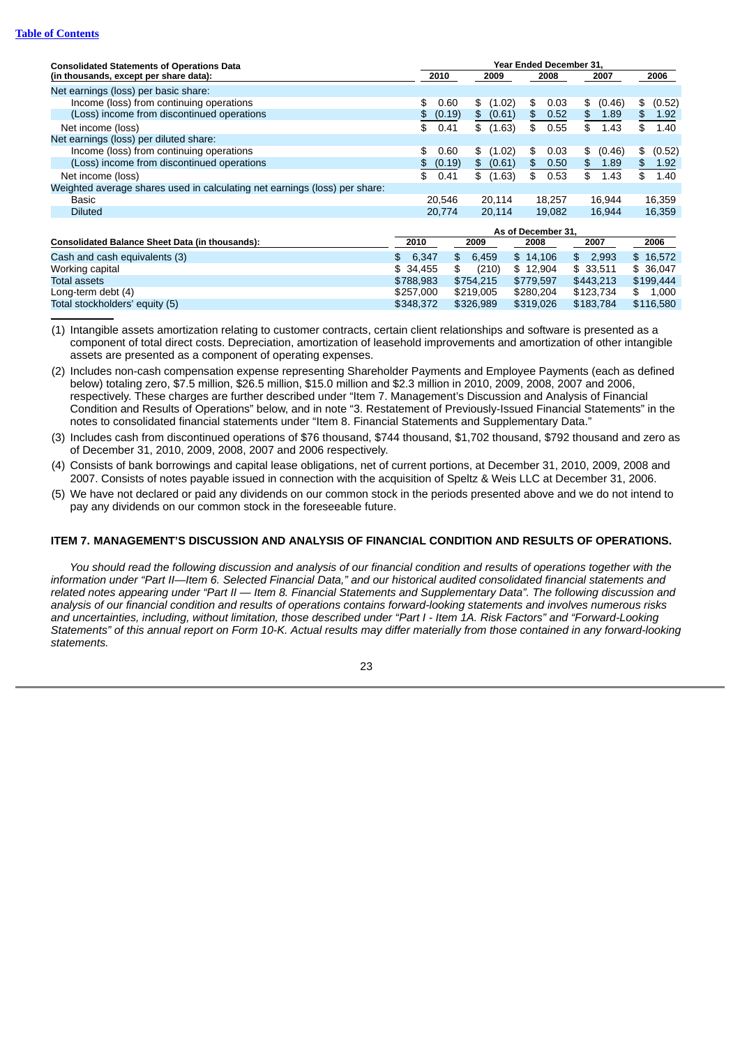| <b>Consolidated Statements of Operations Data</b>                          |             |        |              | <b>Year Ended December 31.</b> |              |              |
|----------------------------------------------------------------------------|-------------|--------|--------------|--------------------------------|--------------|--------------|
| (in thousands, except per share data):                                     |             | 2010   | 2009         | 2008                           | 2007         | 2006         |
| Net earnings (loss) per basic share:                                       |             |        |              |                                |              |              |
| Income (loss) from continuing operations                                   | \$          | 0.60   | (1.02)<br>\$ | \$<br>0.03                     | \$<br>(0.46) | (0.52)<br>\$ |
| (Loss) income from discontinued operations                                 | \$          | (0.19) | \$<br>(0.61) | \$<br>0.52                     | \$<br>1.89   | \$<br>1.92   |
| Net income (loss)                                                          | \$          | 0.41   | \$<br>(1.63) | \$<br>0.55                     | \$<br>1.43   | \$<br>1.40   |
| Net earnings (loss) per diluted share:                                     |             |        |              |                                |              |              |
| Income (loss) from continuing operations                                   | \$          | 0.60   | \$<br>(1.02) | 0.03<br>\$                     | \$<br>(0.46) | (0.52)<br>\$ |
| (Loss) income from discontinued operations                                 | \$          | (0.19) | (0.61)<br>\$ | 0.50<br>\$                     | \$<br>1.89   | \$<br>1.92   |
| Net income (loss)                                                          | \$          | 0.41   | \$ (1.63)    | \$<br>0.53                     | \$<br>1.43   | \$<br>1.40   |
| Weighted average shares used in calculating net earnings (loss) per share: |             |        |              |                                |              |              |
| Basic                                                                      |             | 20.546 | 20.114       | 18.257                         | 16.944       | 16,359       |
| <b>Diluted</b>                                                             |             | 20,774 | 20.114       | 19,082                         | 16.944       | 16,359       |
|                                                                            |             |        |              | As of December 31,             |              |              |
| Consolidated Balance Sheet Data (in thousands):                            | 2010        |        | 2009         | 2008                           | 2007         | 2006         |
| Cash and cash equivalents (3)                                              | 6,347<br>\$ | \$     | 6,459        | \$14,106                       | \$2,993      | \$16,572     |
| Working capital                                                            | \$34,455    | \$     | (210)        | \$12,904                       | \$33,511     | \$36,047     |
| <b>Total assets</b>                                                        | \$788,983   |        | \$754.215    | \$779,597                      | \$443.213    | \$199,444    |
| Long-term debt (4)                                                         | \$257,000   |        | \$219,005    | \$280,204                      | \$123,734    | 1,000<br>\$  |
| Total stockholders' equity (5)                                             | \$348,372   |        | \$326,989    | \$319,026                      | \$183,784    | \$116,580    |

(1) Intangible assets amortization relating to customer contracts, certain client relationships and software is presented as a component of total direct costs. Depreciation, amortization of leasehold improvements and amortization of other intangible assets are presented as a component of operating expenses.

(2) Includes non-cash compensation expense representing Shareholder Payments and Employee Payments (each as defined below) totaling zero, \$7.5 million, \$26.5 million, \$15.0 million and \$2.3 million in 2010, 2009, 2008, 2007 and 2006, respectively. These charges are further described under "Item 7. Management's Discussion and Analysis of Financial Condition and Results of Operations" below, and in note "3. Restatement of Previously-Issued Financial Statements" in the notes to consolidated financial statements under "Item 8. Financial Statements and Supplementary Data."

(3) Includes cash from discontinued operations of \$76 thousand, \$744 thousand, \$1,702 thousand, \$792 thousand and zero as of December 31, 2010, 2009, 2008, 2007 and 2006 respectively.

(4) Consists of bank borrowings and capital lease obligations, net of current portions, at December 31, 2010, 2009, 2008 and 2007. Consists of notes payable issued in connection with the acquisition of Speltz & Weis LLC at December 31, 2006.

(5) We have not declared or paid any dividends on our common stock in the periods presented above and we do not intend to pay any dividends on our common stock in the foreseeable future.

# <span id="page-25-0"></span>**ITEM 7. MANAGEMENT'S DISCUSSION AND ANALYSIS OF FINANCIAL CONDITION AND RESULTS OF OPERATIONS.**

You should read the following discussion and analysis of our financial condition and results of operations together with the information under "Part II—Item 6. Selected Financial Data." and our historical audited consolidated financial statements and related notes appearing under "Part II - Item 8. Financial Statements and Supplementary Data". The following discussion and analysis of our financial condition and results of operations contains forward-looking statements and involves numerous risks and uncertainties, including, without limitation, those described under "Part I - Item 1A. Risk Factors" and "Forward-Looking Statements" of this annual report on Form 10-K. Actual results may differ materially from those contained in any forward-looking *statements.*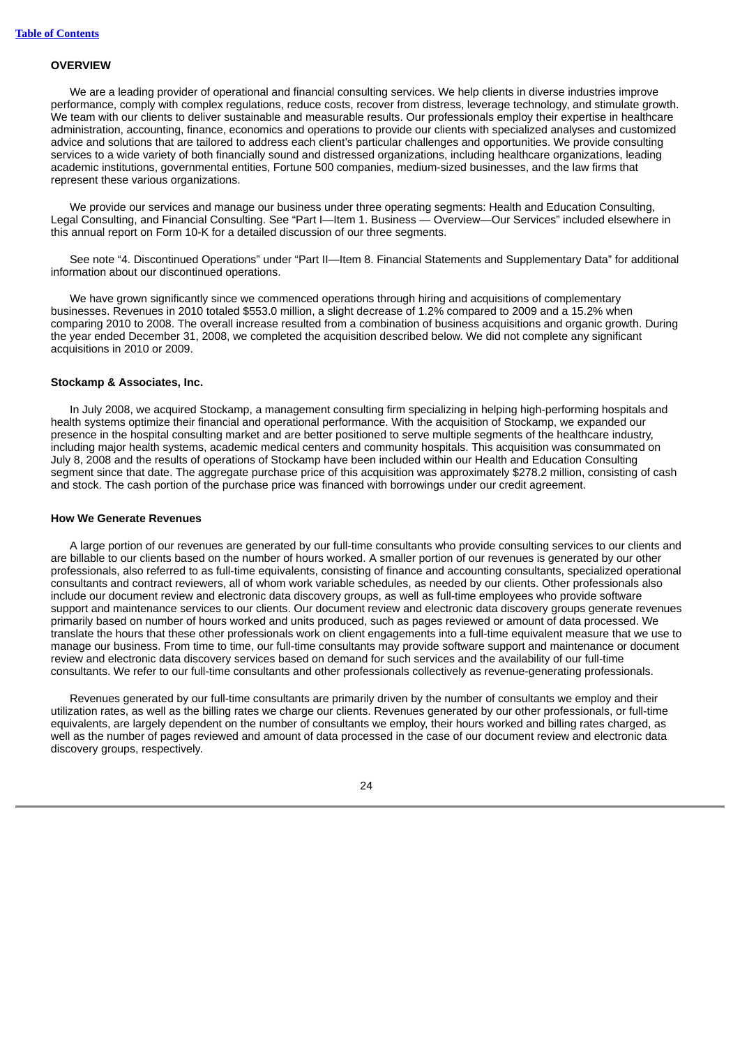#### **OVERVIEW**

We are a leading provider of operational and financial consulting services. We help clients in diverse industries improve performance, comply with complex regulations, reduce costs, recover from distress, leverage technology, and stimulate growth. We team with our clients to deliver sustainable and measurable results. Our professionals employ their expertise in healthcare administration, accounting, finance, economics and operations to provide our clients with specialized analyses and customized advice and solutions that are tailored to address each client's particular challenges and opportunities. We provide consulting services to a wide variety of both financially sound and distressed organizations, including healthcare organizations, leading academic institutions, governmental entities, Fortune 500 companies, medium-sized businesses, and the law firms that represent these various organizations.

We provide our services and manage our business under three operating segments: Health and Education Consulting, Legal Consulting, and Financial Consulting. See "Part I—Item 1. Business — Overview—Our Services" included elsewhere in this annual report on Form 10-K for a detailed discussion of our three segments.

See note "4. Discontinued Operations" under "Part II—Item 8. Financial Statements and Supplementary Data" for additional information about our discontinued operations.

We have grown significantly since we commenced operations through hiring and acquisitions of complementary businesses. Revenues in 2010 totaled \$553.0 million, a slight decrease of 1.2% compared to 2009 and a 15.2% when comparing 2010 to 2008. The overall increase resulted from a combination of business acquisitions and organic growth. During the year ended December 31, 2008, we completed the acquisition described below. We did not complete any significant acquisitions in 2010 or 2009.

#### **Stockamp & Associates, Inc.**

In July 2008, we acquired Stockamp, a management consulting firm specializing in helping high-performing hospitals and health systems optimize their financial and operational performance. With the acquisition of Stockamp, we expanded our presence in the hospital consulting market and are better positioned to serve multiple segments of the healthcare industry, including major health systems, academic medical centers and community hospitals. This acquisition was consummated on July 8, 2008 and the results of operations of Stockamp have been included within our Health and Education Consulting segment since that date. The aggregate purchase price of this acquisition was approximately \$278.2 million, consisting of cash and stock. The cash portion of the purchase price was financed with borrowings under our credit agreement.

#### **How We Generate Revenues**

A large portion of our revenues are generated by our full-time consultants who provide consulting services to our clients and are billable to our clients based on the number of hours worked. A smaller portion of our revenues is generated by our other professionals, also referred to as full-time equivalents, consisting of finance and accounting consultants, specialized operational consultants and contract reviewers, all of whom work variable schedules, as needed by our clients. Other professionals also include our document review and electronic data discovery groups, as well as full-time employees who provide software support and maintenance services to our clients. Our document review and electronic data discovery groups generate revenues primarily based on number of hours worked and units produced, such as pages reviewed or amount of data processed. We translate the hours that these other professionals work on client engagements into a full-time equivalent measure that we use to manage our business. From time to time, our full-time consultants may provide software support and maintenance or document review and electronic data discovery services based on demand for such services and the availability of our full-time consultants. We refer to our full-time consultants and other professionals collectively as revenue-generating professionals.

Revenues generated by our full-time consultants are primarily driven by the number of consultants we employ and their utilization rates, as well as the billing rates we charge our clients. Revenues generated by our other professionals, or full-time equivalents, are largely dependent on the number of consultants we employ, their hours worked and billing rates charged, as well as the number of pages reviewed and amount of data processed in the case of our document review and electronic data discovery groups, respectively.

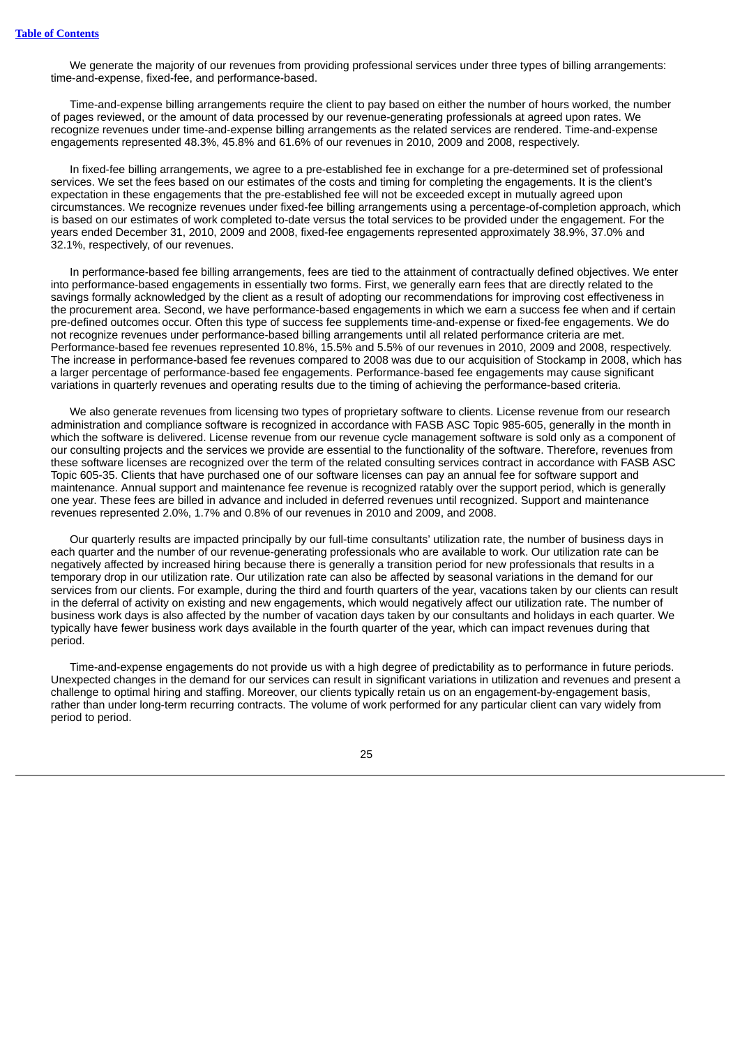We generate the majority of our revenues from providing professional services under three types of billing arrangements: time-and-expense, fixed-fee, and performance-based.

Time-and-expense billing arrangements require the client to pay based on either the number of hours worked, the number of pages reviewed, or the amount of data processed by our revenue-generating professionals at agreed upon rates. We recognize revenues under time-and-expense billing arrangements as the related services are rendered. Time-and-expense engagements represented 48.3%, 45.8% and 61.6% of our revenues in 2010, 2009 and 2008, respectively.

In fixed-fee billing arrangements, we agree to a pre-established fee in exchange for a pre-determined set of professional services. We set the fees based on our estimates of the costs and timing for completing the engagements. It is the client's expectation in these engagements that the pre-established fee will not be exceeded except in mutually agreed upon circumstances. We recognize revenues under fixed-fee billing arrangements using a percentage-of-completion approach, which is based on our estimates of work completed to-date versus the total services to be provided under the engagement. For the years ended December 31, 2010, 2009 and 2008, fixed-fee engagements represented approximately 38.9%, 37.0% and 32.1%, respectively, of our revenues.

In performance-based fee billing arrangements, fees are tied to the attainment of contractually defined objectives. We enter into performance-based engagements in essentially two forms. First, we generally earn fees that are directly related to the savings formally acknowledged by the client as a result of adopting our recommendations for improving cost effectiveness in the procurement area. Second, we have performance-based engagements in which we earn a success fee when and if certain pre-defined outcomes occur. Often this type of success fee supplements time-and-expense or fixed-fee engagements. We do not recognize revenues under performance-based billing arrangements until all related performance criteria are met. Performance-based fee revenues represented 10.8%, 15.5% and 5.5% of our revenues in 2010, 2009 and 2008, respectively. The increase in performance-based fee revenues compared to 2008 was due to our acquisition of Stockamp in 2008, which has a larger percentage of performance-based fee engagements. Performance-based fee engagements may cause significant variations in quarterly revenues and operating results due to the timing of achieving the performance-based criteria.

We also generate revenues from licensing two types of proprietary software to clients. License revenue from our research administration and compliance software is recognized in accordance with FASB ASC Topic 985-605, generally in the month in which the software is delivered. License revenue from our revenue cycle management software is sold only as a component of our consulting projects and the services we provide are essential to the functionality of the software. Therefore, revenues from these software licenses are recognized over the term of the related consulting services contract in accordance with FASB ASC Topic 605-35. Clients that have purchased one of our software licenses can pay an annual fee for software support and maintenance. Annual support and maintenance fee revenue is recognized ratably over the support period, which is generally one year. These fees are billed in advance and included in deferred revenues until recognized. Support and maintenance revenues represented 2.0%, 1.7% and 0.8% of our revenues in 2010 and 2009, and 2008.

Our quarterly results are impacted principally by our full-time consultants' utilization rate, the number of business days in each quarter and the number of our revenue-generating professionals who are available to work. Our utilization rate can be negatively affected by increased hiring because there is generally a transition period for new professionals that results in a temporary drop in our utilization rate. Our utilization rate can also be affected by seasonal variations in the demand for our services from our clients. For example, during the third and fourth quarters of the year, vacations taken by our clients can result in the deferral of activity on existing and new engagements, which would negatively affect our utilization rate. The number of business work days is also affected by the number of vacation days taken by our consultants and holidays in each quarter. We typically have fewer business work days available in the fourth quarter of the year, which can impact revenues during that period.

Time-and-expense engagements do not provide us with a high degree of predictability as to performance in future periods. Unexpected changes in the demand for our services can result in significant variations in utilization and revenues and present a challenge to optimal hiring and staffing. Moreover, our clients typically retain us on an engagement-by-engagement basis, rather than under long-term recurring contracts. The volume of work performed for any particular client can vary widely from period to period.

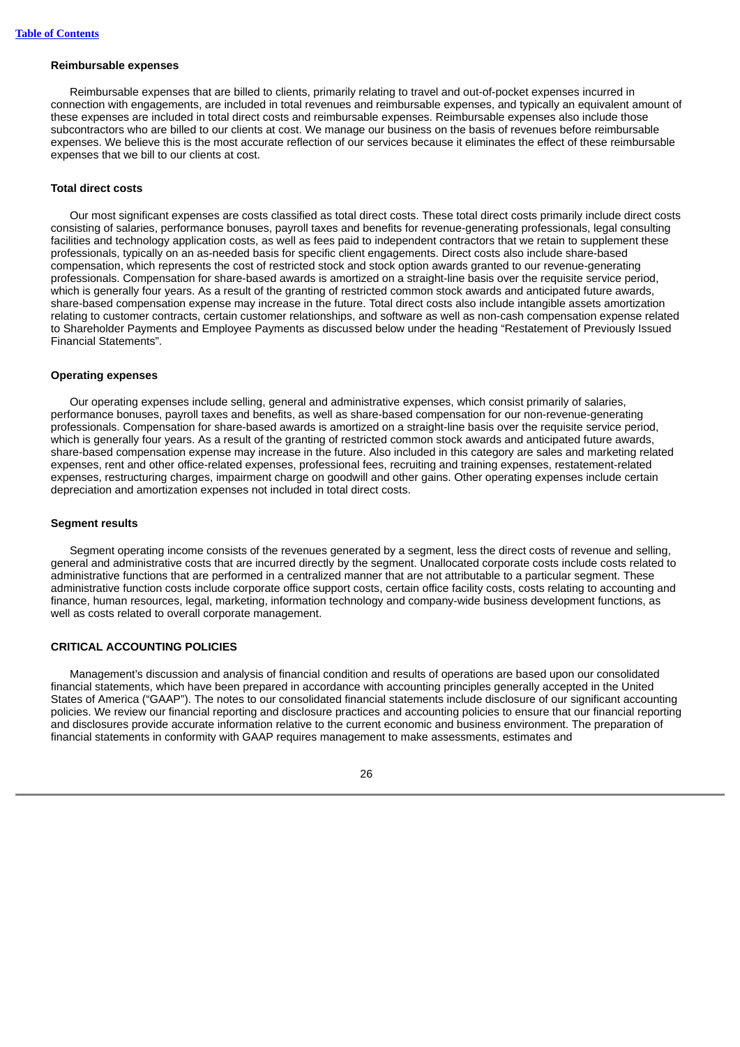#### **Reimbursable expenses**

Reimbursable expenses that are billed to clients, primarily relating to travel and out-of-pocket expenses incurred in connection with engagements, are included in total revenues and reimbursable expenses, and typically an equivalent amount of these expenses are included in total direct costs and reimbursable expenses. Reimbursable expenses also include those subcontractors who are billed to our clients at cost. We manage our business on the basis of revenues before reimbursable expenses. We believe this is the most accurate reflection of our services because it eliminates the effect of these reimbursable expenses that we bill to our clients at cost.

## **Total direct costs**

Our most significant expenses are costs classified as total direct costs. These total direct costs primarily include direct costs consisting of salaries, performance bonuses, payroll taxes and benefits for revenue-generating professionals, legal consulting facilities and technology application costs, as well as fees paid to independent contractors that we retain to supplement these professionals, typically on an as-needed basis for specific client engagements. Direct costs also include share-based compensation, which represents the cost of restricted stock and stock option awards granted to our revenue-generating professionals. Compensation for share-based awards is amortized on a straight-line basis over the requisite service period, which is generally four years. As a result of the granting of restricted common stock awards and anticipated future awards, share-based compensation expense may increase in the future. Total direct costs also include intangible assets amortization relating to customer contracts, certain customer relationships, and software as well as non-cash compensation expense related to Shareholder Payments and Employee Payments as discussed below under the heading "Restatement of Previously Issued Financial Statements".

#### **Operating expenses**

Our operating expenses include selling, general and administrative expenses, which consist primarily of salaries, performance bonuses, payroll taxes and benefits, as well as share-based compensation for our non-revenue-generating professionals. Compensation for share-based awards is amortized on a straight-line basis over the requisite service period, which is generally four years. As a result of the granting of restricted common stock awards and anticipated future awards, share-based compensation expense may increase in the future. Also included in this category are sales and marketing related expenses, rent and other office-related expenses, professional fees, recruiting and training expenses, restatement-related expenses, restructuring charges, impairment charge on goodwill and other gains. Other operating expenses include certain depreciation and amortization expenses not included in total direct costs.

### **Segment results**

Segment operating income consists of the revenues generated by a segment, less the direct costs of revenue and selling, general and administrative costs that are incurred directly by the segment. Unallocated corporate costs include costs related to administrative functions that are performed in a centralized manner that are not attributable to a particular segment. These administrative function costs include corporate office support costs, certain office facility costs, costs relating to accounting and finance, human resources, legal, marketing, information technology and company-wide business development functions, as well as costs related to overall corporate management.

# **CRITICAL ACCOUNTING POLICIES**

Management's discussion and analysis of financial condition and results of operations are based upon our consolidated financial statements, which have been prepared in accordance with accounting principles generally accepted in the United States of America ("GAAP"). The notes to our consolidated financial statements include disclosure of our significant accounting policies. We review our financial reporting and disclosure practices and accounting policies to ensure that our financial reporting and disclosures provide accurate information relative to the current economic and business environment. The preparation of financial statements in conformity with GAAP requires management to make assessments, estimates and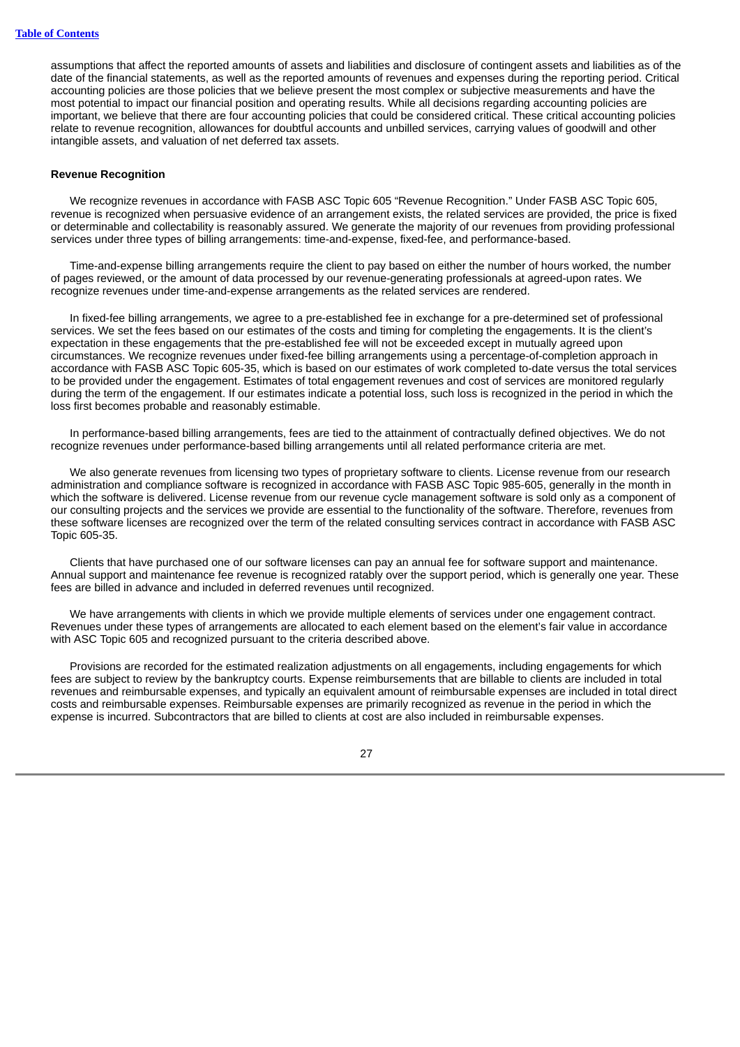assumptions that affect the reported amounts of assets and liabilities and disclosure of contingent assets and liabilities as of the date of the financial statements, as well as the reported amounts of revenues and expenses during the reporting period. Critical accounting policies are those policies that we believe present the most complex or subjective measurements and have the most potential to impact our financial position and operating results. While all decisions regarding accounting policies are important, we believe that there are four accounting policies that could be considered critical. These critical accounting policies relate to revenue recognition, allowances for doubtful accounts and unbilled services, carrying values of goodwill and other intangible assets, and valuation of net deferred tax assets.

#### **Revenue Recognition**

We recognize revenues in accordance with FASB ASC Topic 605 "Revenue Recognition." Under FASB ASC Topic 605, revenue is recognized when persuasive evidence of an arrangement exists, the related services are provided, the price is fixed or determinable and collectability is reasonably assured. We generate the majority of our revenues from providing professional services under three types of billing arrangements: time-and-expense, fixed-fee, and performance-based.

Time-and-expense billing arrangements require the client to pay based on either the number of hours worked, the number of pages reviewed, or the amount of data processed by our revenue-generating professionals at agreed-upon rates. We recognize revenues under time-and-expense arrangements as the related services are rendered.

In fixed-fee billing arrangements, we agree to a pre-established fee in exchange for a pre-determined set of professional services. We set the fees based on our estimates of the costs and timing for completing the engagements. It is the client's expectation in these engagements that the pre-established fee will not be exceeded except in mutually agreed upon circumstances. We recognize revenues under fixed-fee billing arrangements using a percentage-of-completion approach in accordance with FASB ASC Topic 605-35, which is based on our estimates of work completed to-date versus the total services to be provided under the engagement. Estimates of total engagement revenues and cost of services are monitored regularly during the term of the engagement. If our estimates indicate a potential loss, such loss is recognized in the period in which the loss first becomes probable and reasonably estimable.

In performance-based billing arrangements, fees are tied to the attainment of contractually defined objectives. We do not recognize revenues under performance-based billing arrangements until all related performance criteria are met.

We also generate revenues from licensing two types of proprietary software to clients. License revenue from our research administration and compliance software is recognized in accordance with FASB ASC Topic 985-605, generally in the month in which the software is delivered. License revenue from our revenue cycle management software is sold only as a component of our consulting projects and the services we provide are essential to the functionality of the software. Therefore, revenues from these software licenses are recognized over the term of the related consulting services contract in accordance with FASB ASC Topic 605-35.

Clients that have purchased one of our software licenses can pay an annual fee for software support and maintenance. Annual support and maintenance fee revenue is recognized ratably over the support period, which is generally one year. These fees are billed in advance and included in deferred revenues until recognized.

We have arrangements with clients in which we provide multiple elements of services under one engagement contract. Revenues under these types of arrangements are allocated to each element based on the element's fair value in accordance with ASC Topic 605 and recognized pursuant to the criteria described above.

Provisions are recorded for the estimated realization adjustments on all engagements, including engagements for which fees are subject to review by the bankruptcy courts. Expense reimbursements that are billable to clients are included in total revenues and reimbursable expenses, and typically an equivalent amount of reimbursable expenses are included in total direct costs and reimbursable expenses. Reimbursable expenses are primarily recognized as revenue in the period in which the expense is incurred. Subcontractors that are billed to clients at cost are also included in reimbursable expenses.

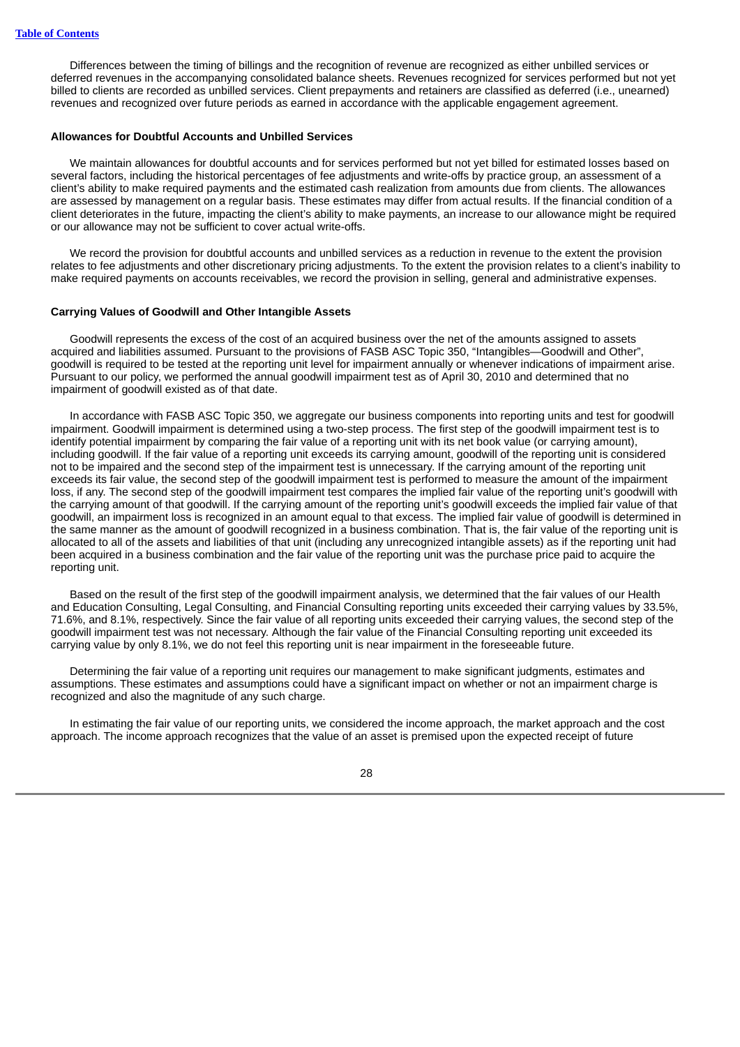Differences between the timing of billings and the recognition of revenue are recognized as either unbilled services or deferred revenues in the accompanying consolidated balance sheets. Revenues recognized for services performed but not yet billed to clients are recorded as unbilled services. Client prepayments and retainers are classified as deferred (i.e., unearned) revenues and recognized over future periods as earned in accordance with the applicable engagement agreement.

#### **Allowances for Doubtful Accounts and Unbilled Services**

We maintain allowances for doubtful accounts and for services performed but not yet billed for estimated losses based on several factors, including the historical percentages of fee adjustments and write-offs by practice group, an assessment of a client's ability to make required payments and the estimated cash realization from amounts due from clients. The allowances are assessed by management on a regular basis. These estimates may differ from actual results. If the financial condition of a client deteriorates in the future, impacting the client's ability to make payments, an increase to our allowance might be required or our allowance may not be sufficient to cover actual write-offs.

We record the provision for doubtful accounts and unbilled services as a reduction in revenue to the extent the provision relates to fee adjustments and other discretionary pricing adjustments. To the extent the provision relates to a client's inability to make required payments on accounts receivables, we record the provision in selling, general and administrative expenses.

#### **Carrying Values of Goodwill and Other Intangible Assets**

Goodwill represents the excess of the cost of an acquired business over the net of the amounts assigned to assets acquired and liabilities assumed. Pursuant to the provisions of FASB ASC Topic 350, "Intangibles—Goodwill and Other", goodwill is required to be tested at the reporting unit level for impairment annually or whenever indications of impairment arise. Pursuant to our policy, we performed the annual goodwill impairment test as of April 30, 2010 and determined that no impairment of goodwill existed as of that date.

In accordance with FASB ASC Topic 350, we aggregate our business components into reporting units and test for goodwill impairment. Goodwill impairment is determined using a two-step process. The first step of the goodwill impairment test is to identify potential impairment by comparing the fair value of a reporting unit with its net book value (or carrying amount), including goodwill. If the fair value of a reporting unit exceeds its carrying amount, goodwill of the reporting unit is considered not to be impaired and the second step of the impairment test is unnecessary. If the carrying amount of the reporting unit exceeds its fair value, the second step of the goodwill impairment test is performed to measure the amount of the impairment loss, if any. The second step of the goodwill impairment test compares the implied fair value of the reporting unit's goodwill with the carrying amount of that goodwill. If the carrying amount of the reporting unit's goodwill exceeds the implied fair value of that goodwill, an impairment loss is recognized in an amount equal to that excess. The implied fair value of goodwill is determined in the same manner as the amount of goodwill recognized in a business combination. That is, the fair value of the reporting unit is allocated to all of the assets and liabilities of that unit (including any unrecognized intangible assets) as if the reporting unit had been acquired in a business combination and the fair value of the reporting unit was the purchase price paid to acquire the reporting unit.

Based on the result of the first step of the goodwill impairment analysis, we determined that the fair values of our Health and Education Consulting, Legal Consulting, and Financial Consulting reporting units exceeded their carrying values by 33.5%, 71.6%, and 8.1%, respectively. Since the fair value of all reporting units exceeded their carrying values, the second step of the goodwill impairment test was not necessary. Although the fair value of the Financial Consulting reporting unit exceeded its carrying value by only 8.1%, we do not feel this reporting unit is near impairment in the foreseeable future.

Determining the fair value of a reporting unit requires our management to make significant judgments, estimates and assumptions. These estimates and assumptions could have a significant impact on whether or not an impairment charge is recognized and also the magnitude of any such charge.

In estimating the fair value of our reporting units, we considered the income approach, the market approach and the cost approach. The income approach recognizes that the value of an asset is premised upon the expected receipt of future

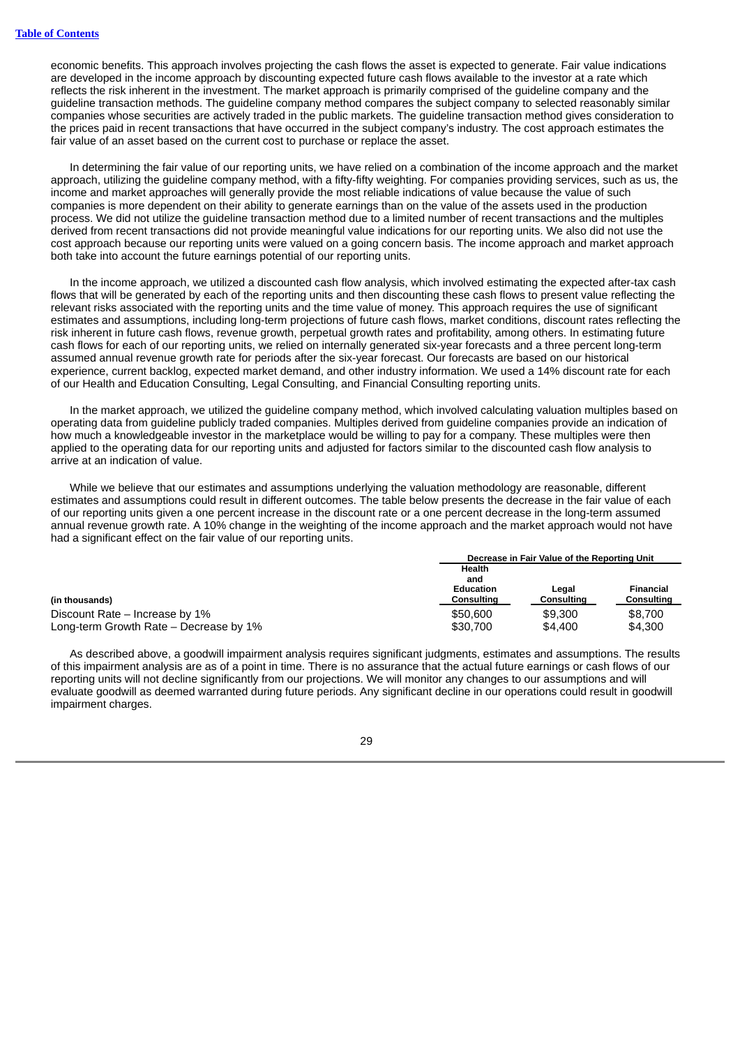economic benefits. This approach involves projecting the cash flows the asset is expected to generate. Fair value indications are developed in the income approach by discounting expected future cash flows available to the investor at a rate which reflects the risk inherent in the investment. The market approach is primarily comprised of the guideline company and the guideline transaction methods. The guideline company method compares the subject company to selected reasonably similar companies whose securities are actively traded in the public markets. The guideline transaction method gives consideration to the prices paid in recent transactions that have occurred in the subject company's industry. The cost approach estimates the fair value of an asset based on the current cost to purchase or replace the asset.

In determining the fair value of our reporting units, we have relied on a combination of the income approach and the market approach, utilizing the guideline company method, with a fifty-fifty weighting. For companies providing services, such as us, the income and market approaches will generally provide the most reliable indications of value because the value of such companies is more dependent on their ability to generate earnings than on the value of the assets used in the production process. We did not utilize the guideline transaction method due to a limited number of recent transactions and the multiples derived from recent transactions did not provide meaningful value indications for our reporting units. We also did not use the cost approach because our reporting units were valued on a going concern basis. The income approach and market approach both take into account the future earnings potential of our reporting units.

In the income approach, we utilized a discounted cash flow analysis, which involved estimating the expected after-tax cash flows that will be generated by each of the reporting units and then discounting these cash flows to present value reflecting the relevant risks associated with the reporting units and the time value of money. This approach requires the use of significant estimates and assumptions, including long-term projections of future cash flows, market conditions, discount rates reflecting the risk inherent in future cash flows, revenue growth, perpetual growth rates and profitability, among others. In estimating future cash flows for each of our reporting units, we relied on internally generated six-year forecasts and a three percent long-term assumed annual revenue growth rate for periods after the six-year forecast. Our forecasts are based on our historical experience, current backlog, expected market demand, and other industry information. We used a 14% discount rate for each of our Health and Education Consulting, Legal Consulting, and Financial Consulting reporting units.

In the market approach, we utilized the guideline company method, which involved calculating valuation multiples based on operating data from guideline publicly traded companies. Multiples derived from guideline companies provide an indication of how much a knowledgeable investor in the marketplace would be willing to pay for a company. These multiples were then applied to the operating data for our reporting units and adjusted for factors similar to the discounted cash flow analysis to arrive at an indication of value.

While we believe that our estimates and assumptions underlying the valuation methodology are reasonable, different estimates and assumptions could result in different outcomes. The table below presents the decrease in the fair value of each of our reporting units given a one percent increase in the discount rate or a one percent decrease in the long-term assumed annual revenue growth rate. A 10% change in the weighting of the income approach and the market approach would not have had a significant effect on the fair value of our reporting units.

|                                          |                  | Decrease in Fair Value of the Reporting Unit |            |  |  |
|------------------------------------------|------------------|----------------------------------------------|------------|--|--|
|                                          | Health           |                                              |            |  |  |
|                                          | and              |                                              |            |  |  |
|                                          | <b>Education</b> | Leɑal                                        | Financial  |  |  |
| (in thousands)                           | Consultina       | Consultina                                   | Consultina |  |  |
| Discount Rate $-$ Increase by 1%         | \$50,600         | \$9,300                                      | \$8.700    |  |  |
| Long-term Growth Rate $-$ Decrease by 1% | \$30,700         | \$4,400                                      | \$4,300    |  |  |

As described above, a goodwill impairment analysis requires significant judgments, estimates and assumptions. The results of this impairment analysis are as of a point in time. There is no assurance that the actual future earnings or cash flows of our reporting units will not decline significantly from our projections. We will monitor any changes to our assumptions and will evaluate goodwill as deemed warranted during future periods. Any significant decline in our operations could result in goodwill impairment charges.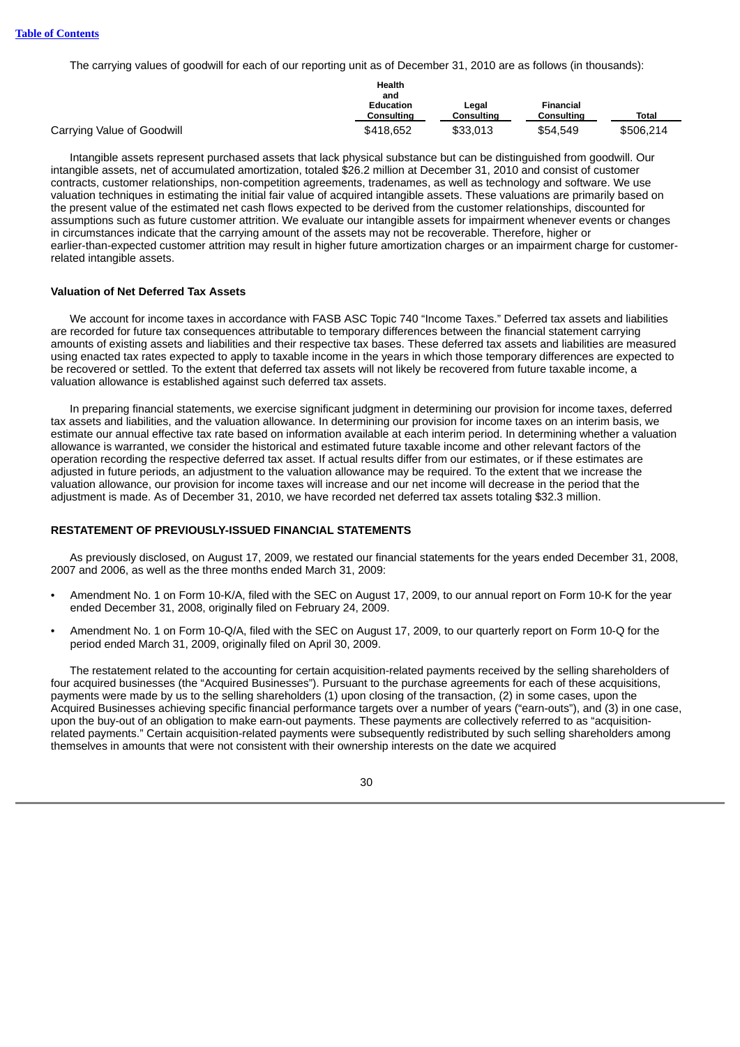The carrying values of goodwill for each of our reporting unit as of December 31, 2010 are as follows (in thousands):

|                            | <b>Health</b>    |            |                  |           |
|----------------------------|------------------|------------|------------------|-----------|
|                            | and              |            |                  |           |
|                            | <b>Education</b> | Legal      | <b>Financial</b> |           |
|                            | Consultina       | Consultina | Consultina       | Total     |
| Carrying Value of Goodwill | \$418.652        | \$33,013   | \$54.549         | \$506.214 |

Intangible assets represent purchased assets that lack physical substance but can be distinguished from goodwill. Our intangible assets, net of accumulated amortization, totaled \$26.2 million at December 31, 2010 and consist of customer contracts, customer relationships, non-competition agreements, tradenames, as well as technology and software. We use valuation techniques in estimating the initial fair value of acquired intangible assets. These valuations are primarily based on the present value of the estimated net cash flows expected to be derived from the customer relationships, discounted for assumptions such as future customer attrition. We evaluate our intangible assets for impairment whenever events or changes in circumstances indicate that the carrying amount of the assets may not be recoverable. Therefore, higher or earlier-than-expected customer attrition may result in higher future amortization charges or an impairment charge for customerrelated intangible assets.

#### **Valuation of Net Deferred Tax Assets**

We account for income taxes in accordance with FASB ASC Topic 740 "Income Taxes." Deferred tax assets and liabilities are recorded for future tax consequences attributable to temporary differences between the financial statement carrying amounts of existing assets and liabilities and their respective tax bases. These deferred tax assets and liabilities are measured using enacted tax rates expected to apply to taxable income in the years in which those temporary differences are expected to be recovered or settled. To the extent that deferred tax assets will not likely be recovered from future taxable income, a valuation allowance is established against such deferred tax assets.

In preparing financial statements, we exercise significant judgment in determining our provision for income taxes, deferred tax assets and liabilities, and the valuation allowance. In determining our provision for income taxes on an interim basis, we estimate our annual effective tax rate based on information available at each interim period. In determining whether a valuation allowance is warranted, we consider the historical and estimated future taxable income and other relevant factors of the operation recording the respective deferred tax asset. If actual results differ from our estimates, or if these estimates are adjusted in future periods, an adjustment to the valuation allowance may be required. To the extent that we increase the valuation allowance, our provision for income taxes will increase and our net income will decrease in the period that the adjustment is made. As of December 31, 2010, we have recorded net deferred tax assets totaling \$32.3 million.

## **RESTATEMENT OF PREVIOUSLY-ISSUED FINANCIAL STATEMENTS**

As previously disclosed, on August 17, 2009, we restated our financial statements for the years ended December 31, 2008, 2007 and 2006, as well as the three months ended March 31, 2009:

- Amendment No. 1 on Form 10-K/A, filed with the SEC on August 17, 2009, to our annual report on Form 10-K for the year ended December 31, 2008, originally filed on February 24, 2009.
- Amendment No. 1 on Form 10-Q/A, filed with the SEC on August 17, 2009, to our quarterly report on Form 10-Q for the period ended March 31, 2009, originally filed on April 30, 2009.

The restatement related to the accounting for certain acquisition-related payments received by the selling shareholders of four acquired businesses (the "Acquired Businesses"). Pursuant to the purchase agreements for each of these acquisitions, payments were made by us to the selling shareholders (1) upon closing of the transaction, (2) in some cases, upon the Acquired Businesses achieving specific financial performance targets over a number of years ("earn-outs"), and (3) in one case, upon the buy-out of an obligation to make earn-out payments. These payments are collectively referred to as "acquisitionrelated payments." Certain acquisition-related payments were subsequently redistributed by such selling shareholders among themselves in amounts that were not consistent with their ownership interests on the date we acquired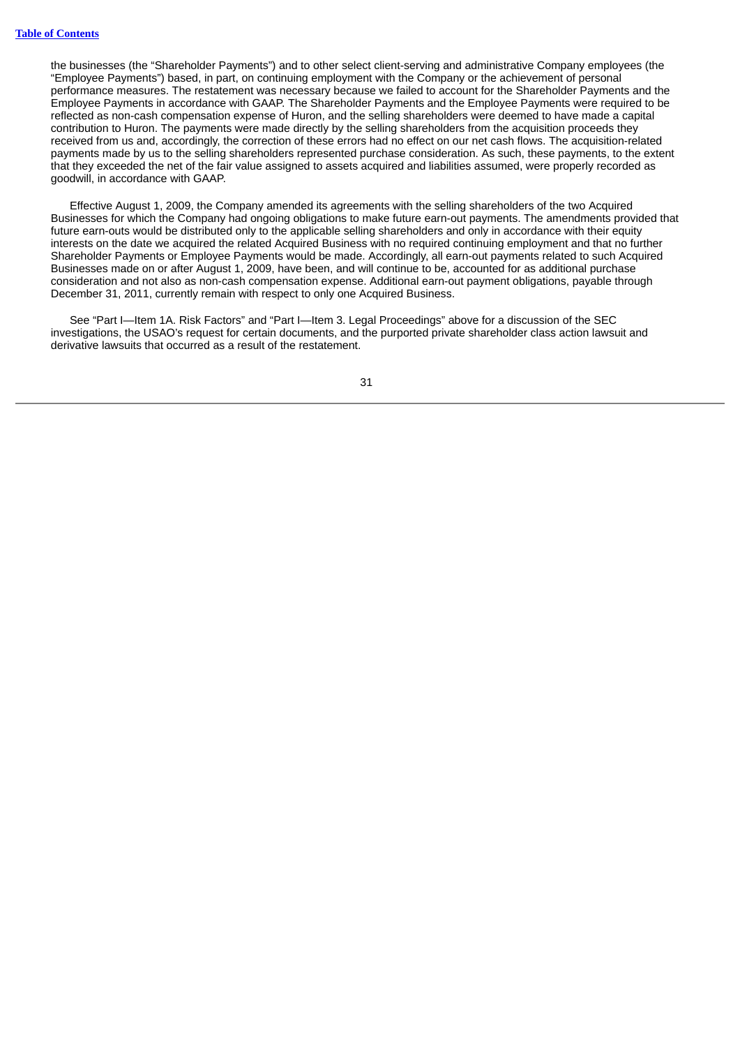the businesses (the "Shareholder Payments") and to other select client-serving and administrative Company employees (the "Employee Payments") based, in part, on continuing employment with the Company or the achievement of personal performance measures. The restatement was necessary because we failed to account for the Shareholder Payments and the Employee Payments in accordance with GAAP. The Shareholder Payments and the Employee Payments were required to be reflected as non-cash compensation expense of Huron, and the selling shareholders were deemed to have made a capital contribution to Huron. The payments were made directly by the selling shareholders from the acquisition proceeds they received from us and, accordingly, the correction of these errors had no effect on our net cash flows. The acquisition-related payments made by us to the selling shareholders represented purchase consideration. As such, these payments, to the extent that they exceeded the net of the fair value assigned to assets acquired and liabilities assumed, were properly recorded as goodwill, in accordance with GAAP.

Effective August 1, 2009, the Company amended its agreements with the selling shareholders of the two Acquired Businesses for which the Company had ongoing obligations to make future earn-out payments. The amendments provided that future earn-outs would be distributed only to the applicable selling shareholders and only in accordance with their equity interests on the date we acquired the related Acquired Business with no required continuing employment and that no further Shareholder Payments or Employee Payments would be made. Accordingly, all earn-out payments related to such Acquired Businesses made on or after August 1, 2009, have been, and will continue to be, accounted for as additional purchase consideration and not also as non-cash compensation expense. Additional earn-out payment obligations, payable through December 31, 2011, currently remain with respect to only one Acquired Business.

See "Part I—Item 1A. Risk Factors" and "Part I—Item 3. Legal Proceedings" above for a discussion of the SEC investigations, the USAO's request for certain documents, and the purported private shareholder class action lawsuit and derivative lawsuits that occurred as a result of the restatement.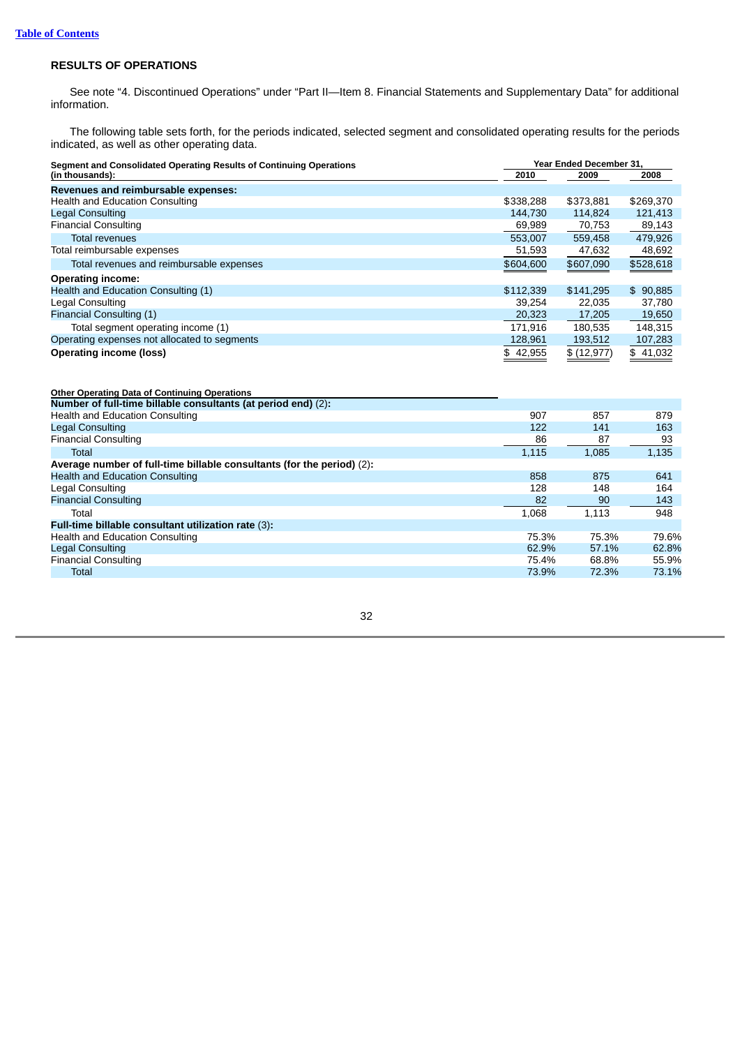# **RESULTS OF OPERATIONS**

See note "4. Discontinued Operations" under "Part II—Item 8. Financial Statements and Supplementary Data" for additional information.

The following table sets forth, for the periods indicated, selected segment and consolidated operating results for the periods indicated, as well as other operating data.

| Segment and Consolidated Operating Results of Continuing Operations    |           | <b>Year Ended December 31.</b> |           |  |
|------------------------------------------------------------------------|-----------|--------------------------------|-----------|--|
| (in thousands):                                                        | 2010      | 2009                           | 2008      |  |
| Revenues and reimbursable expenses:                                    |           |                                |           |  |
| <b>Health and Education Consulting</b>                                 | \$338,288 | \$373,881                      | \$269,370 |  |
| <b>Legal Consulting</b>                                                | 144,730   | 114,824                        | 121,413   |  |
| <b>Financial Consulting</b>                                            | 69,989    | 70,753                         | 89,143    |  |
| <b>Total revenues</b>                                                  | 553,007   | 559,458                        | 479,926   |  |
| Total reimbursable expenses                                            | 51,593    | 47,632                         | 48,692    |  |
| Total revenues and reimbursable expenses                               | \$604,600 | \$607,090                      | \$528,618 |  |
| <b>Operating income:</b>                                               |           |                                |           |  |
| Health and Education Consulting (1)                                    | \$112,339 | \$141,295                      | \$90,885  |  |
| Legal Consulting                                                       | 39,254    | 22,035                         | 37,780    |  |
| Financial Consulting (1)                                               | 20,323    | 17,205                         | 19,650    |  |
| Total segment operating income (1)                                     | 171.916   | 180,535                        | 148,315   |  |
| Operating expenses not allocated to segments                           | 128,961   | 193,512                        | 107,283   |  |
| <b>Operating income (loss)</b>                                         | \$42,955  | \$ (12, 977)                   | \$41,032  |  |
| <b>Other Operating Data of Continuing Operations</b>                   |           |                                |           |  |
| Number of full-time billable consultants (at period end) (2):          |           |                                |           |  |
| <b>Health and Education Consulting</b>                                 | 907       | 857                            | 879       |  |
| <b>Legal Consulting</b>                                                | 122       | 141                            | 163       |  |
| <b>Financial Consulting</b>                                            | 86        | 87                             | 93        |  |
| Total                                                                  | 1,115     | 1,085                          | 1,135     |  |
| Average number of full-time billable consultants (for the period) (2): |           |                                |           |  |
| <b>Health and Education Consulting</b>                                 | 858       | 875                            | 641       |  |
| Legal Consulting                                                       | 128       | 148                            | 164       |  |
| <b>Financial Consulting</b>                                            | 82        | 90                             | 143       |  |
| Total                                                                  | 1,068     | 1,113                          | 948       |  |
| Full-time billable consultant utilization rate (3):                    |           |                                |           |  |
| <b>Health and Education Consulting</b>                                 | 75.3%     | 75.3%                          | 79.6%     |  |
| <b>Legal Consulting</b>                                                | 62.9%     | 57.1%                          | 62.8%     |  |

32

Financial Consulting 75.4% 68.8% 55.9% Total  $73.9\%$   $72.3\%$   $73.1\%$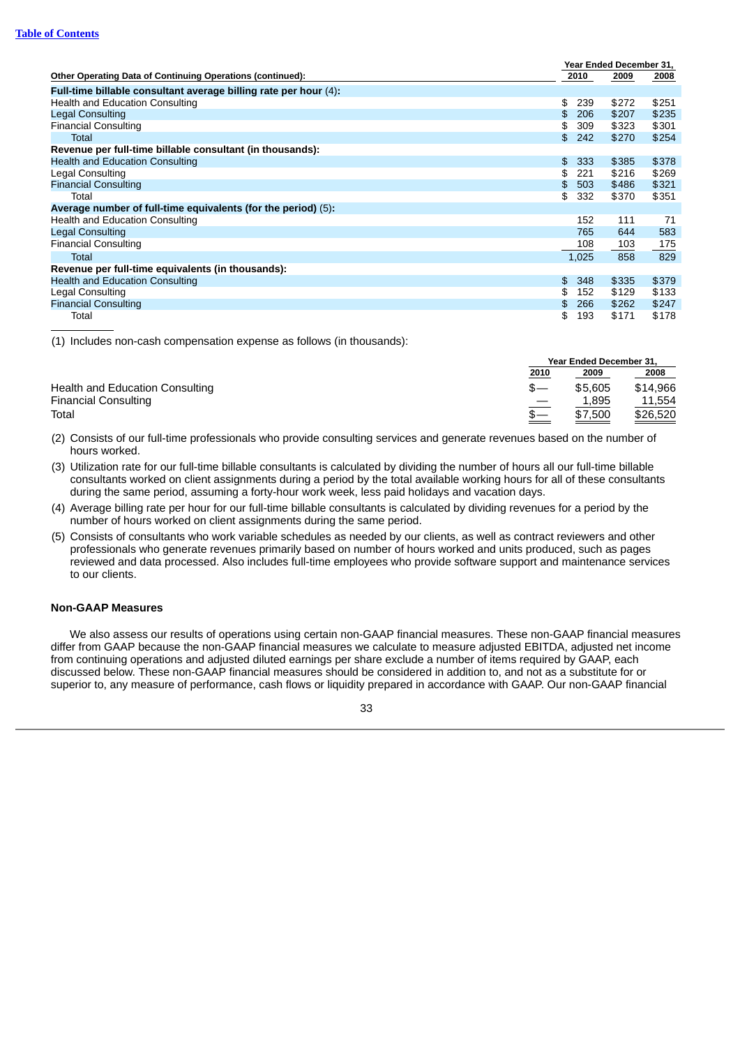|                                                                  |      | Year Ended December 31, |       |
|------------------------------------------------------------------|------|-------------------------|-------|
| Other Operating Data of Continuing Operations (continued):       | 2010 | 2009                    | 2008  |
| Full-time billable consultant average billing rate per hour (4): |      |                         |       |
| Health and Education Consulting                                  | \$   | 239<br>\$272            | \$251 |
| Legal Consulting                                                 | \$.  | \$207<br>206            | \$235 |
| <b>Financial Consulting</b>                                      | \$   | 309<br>\$323            | \$301 |
| <b>Total</b>                                                     | \$   | 242<br>\$270            | \$254 |
| Revenue per full-time billable consultant (in thousands):        |      |                         |       |
| <b>Health and Education Consulting</b>                           | \$   | 333<br>\$385            | \$378 |
| Legal Consulting                                                 | \$   | 221<br>\$216            | \$269 |
| <b>Financial Consulting</b>                                      | \$   | 503<br>\$486            | \$321 |
| Total                                                            | \$   | 332<br>\$370            | \$351 |
| Average number of full-time equivalents (for the period) (5):    |      |                         |       |
| <b>Health and Education Consulting</b>                           |      | 152<br>111              | 71    |
| <b>Legal Consulting</b>                                          |      | 765<br>644              | 583   |
| <b>Financial Consulting</b>                                      |      | 103<br>108              | 175   |
| Total                                                            |      | 1,025<br>858            | 829   |
| Revenue per full-time equivalents (in thousands):                |      |                         |       |
| <b>Health and Education Consulting</b>                           | \$   | \$335<br>348            | \$379 |
| Legal Consulting                                                 | \$   | 152<br>\$129            | \$133 |
| <b>Financial Consulting</b>                                      | \$.  | \$262<br>266            | \$247 |
| Total                                                            | \$   | 193<br>\$171            | \$178 |

(1) Includes non-cash compensation expense as follows (in thousands):

|                                 |          | Year Ended December 31. |          |  |
|---------------------------------|----------|-------------------------|----------|--|
|                                 | 2010     | 2009                    | 2008     |  |
| Health and Education Consulting | $s-$     | \$5.605                 | \$14.966 |  |
| <b>Financial Consulting</b>     | $\equiv$ | 1,895                   | 11,554   |  |
| Total                           | $s-$     | \$7.500                 | \$26,520 |  |

(2) Consists of our full-time professionals who provide consulting services and generate revenues based on the number of hours worked.

(3) Utilization rate for our full-time billable consultants is calculated by dividing the number of hours all our full-time billable consultants worked on client assignments during a period by the total available working hours for all of these consultants during the same period, assuming a forty-hour work week, less paid holidays and vacation days.

(4) Average billing rate per hour for our full-time billable consultants is calculated by dividing revenues for a period by the number of hours worked on client assignments during the same period.

(5) Consists of consultants who work variable schedules as needed by our clients, as well as contract reviewers and other professionals who generate revenues primarily based on number of hours worked and units produced, such as pages reviewed and data processed. Also includes full-time employees who provide software support and maintenance services to our clients.

# **Non-GAAP Measures**

We also assess our results of operations using certain non-GAAP financial measures. These non-GAAP financial measures differ from GAAP because the non-GAAP financial measures we calculate to measure adjusted EBITDA, adjusted net income from continuing operations and adjusted diluted earnings per share exclude a number of items required by GAAP, each discussed below. These non-GAAP financial measures should be considered in addition to, and not as a substitute for or superior to, any measure of performance, cash flows or liquidity prepared in accordance with GAAP. Our non-GAAP financial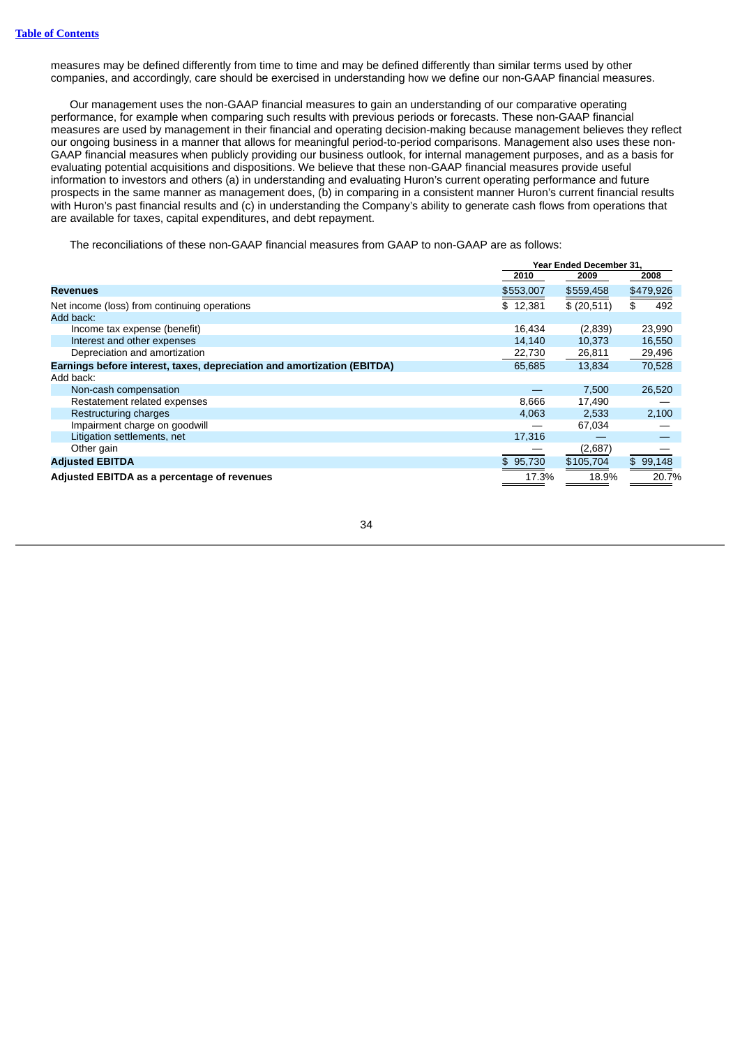measures may be defined differently from time to time and may be defined differently than similar terms used by other companies, and accordingly, care should be exercised in understanding how we define our non-GAAP financial measures.

Our management uses the non-GAAP financial measures to gain an understanding of our comparative operating performance, for example when comparing such results with previous periods or forecasts. These non-GAAP financial measures are used by management in their financial and operating decision-making because management believes they reflect our ongoing business in a manner that allows for meaningful period-to-period comparisons. Management also uses these non-GAAP financial measures when publicly providing our business outlook, for internal management purposes, and as a basis for evaluating potential acquisitions and dispositions. We believe that these non-GAAP financial measures provide useful information to investors and others (a) in understanding and evaluating Huron's current operating performance and future prospects in the same manner as management does, (b) in comparing in a consistent manner Huron's current financial results with Huron's past financial results and (c) in understanding the Company's ability to generate cash flows from operations that are available for taxes, capital expenditures, and debt repayment.

The reconciliations of these non-GAAP financial measures from GAAP to non-GAAP are as follows:

|                                                                         | <b>Year Ended December 31.</b> |             |           |  |  |
|-------------------------------------------------------------------------|--------------------------------|-------------|-----------|--|--|
|                                                                         | 2010                           | 2009        | 2008      |  |  |
| <b>Revenues</b>                                                         | \$553,007                      | \$559,458   | \$479,926 |  |  |
| Net income (loss) from continuing operations                            | \$12,381                       | \$ (20,511) | 492<br>\$ |  |  |
| Add back:                                                               |                                |             |           |  |  |
| Income tax expense (benefit)                                            | 16.434                         | (2,839)     | 23,990    |  |  |
| Interest and other expenses                                             | 14,140                         | 10,373      | 16,550    |  |  |
| Depreciation and amortization                                           | 22,730                         | 26,811      | 29,496    |  |  |
| Earnings before interest, taxes, depreciation and amortization (EBITDA) | 65.685                         | 13.834      | 70,528    |  |  |
| Add back:                                                               |                                |             |           |  |  |
| Non-cash compensation                                                   |                                | 7.500       | 26,520    |  |  |
| Restatement related expenses                                            | 8,666                          | 17,490      |           |  |  |
| Restructuring charges                                                   | 4,063                          | 2,533       | 2,100     |  |  |
| Impairment charge on goodwill                                           |                                | 67,034      |           |  |  |
| Litigation settlements, net                                             | 17,316                         |             |           |  |  |
| Other gain                                                              |                                | (2,687)     |           |  |  |
| <b>Adjusted EBITDA</b>                                                  | \$95,730                       | \$105,704   | \$99,148  |  |  |
| Adjusted EBITDA as a percentage of revenues                             | 17.3%                          | 18.9%       | 20.7%     |  |  |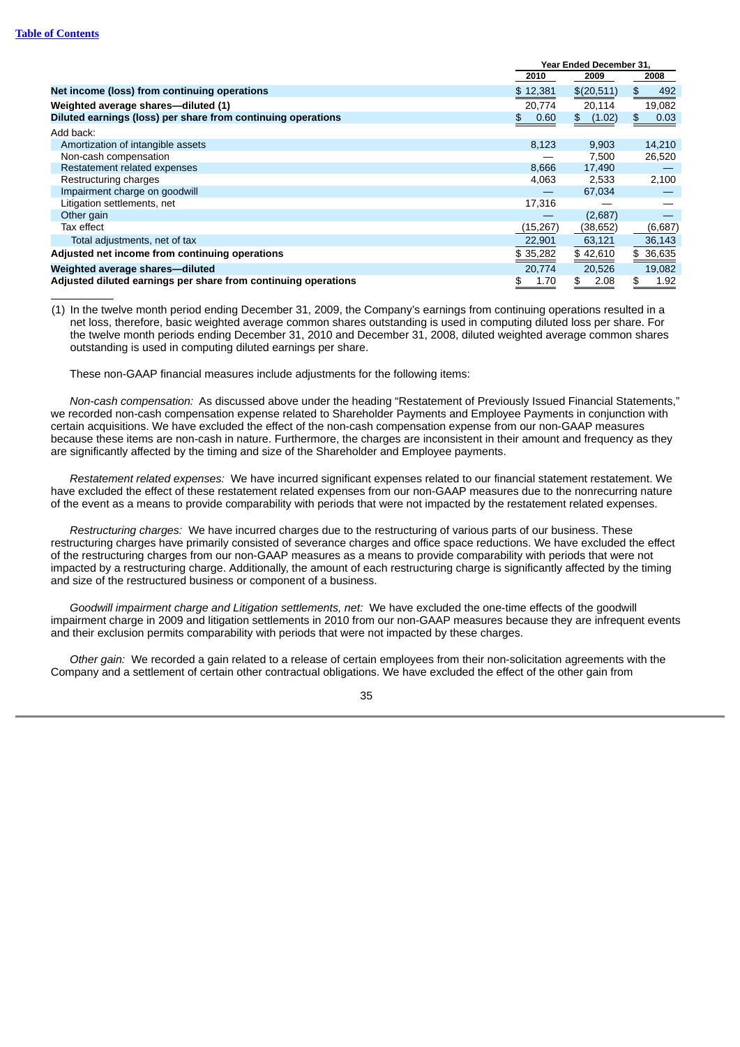|                                                                |            | <b>Year Ended December 31.</b> |              |  |  |  |
|----------------------------------------------------------------|------------|--------------------------------|--------------|--|--|--|
|                                                                | 2010       | 2009                           | 2008         |  |  |  |
| Net income (loss) from continuing operations                   | \$12,381   | \$(20,511)                     | 492<br>\$    |  |  |  |
| Weighted average shares—diluted (1)                            | 20,774     | 20,114                         | 19,082       |  |  |  |
| Diluted earnings (loss) per share from continuing operations   | 0.60<br>\$ | \$<br>(1.02)                   | \$<br>0.03   |  |  |  |
| Add back:                                                      |            |                                |              |  |  |  |
| Amortization of intangible assets                              | 8,123      | 9,903                          | 14,210       |  |  |  |
| Non-cash compensation                                          |            | 7,500                          | 26,520       |  |  |  |
| Restatement related expenses                                   | 8.666      | 17,490                         |              |  |  |  |
| Restructuring charges                                          | 4,063      | 2,533                          | 2,100        |  |  |  |
| Impairment charge on goodwill                                  |            | 67,034                         |              |  |  |  |
| Litigation settlements, net                                    | 17,316     |                                |              |  |  |  |
| Other gain                                                     |            | (2,687)                        |              |  |  |  |
| Tax effect                                                     | (15, 267)  | (38, 652)                      | (6,687)      |  |  |  |
| Total adjustments, net of tax                                  | 22,901     | 63,121                         | 36,143       |  |  |  |
| Adjusted net income from continuing operations                 | \$35,282   | \$42,610                       | 36,635<br>\$ |  |  |  |
| Weighted average shares-diluted                                | 20,774     | 20,526                         | 19,082       |  |  |  |
| Adjusted diluted earnings per share from continuing operations | \$<br>1.70 | \$<br>2.08                     | \$<br>1.92   |  |  |  |

(1) In the twelve month period ending December 31, 2009, the Company's earnings from continuing operations resulted in a net loss, therefore, basic weighted average common shares outstanding is used in computing diluted loss per share. For the twelve month periods ending December 31, 2010 and December 31, 2008, diluted weighted average common shares outstanding is used in computing diluted earnings per share.

These non-GAAP financial measures include adjustments for the following items:

*Non-cash compensation:* As discussed above under the heading "Restatement of Previously Issued Financial Statements," we recorded non-cash compensation expense related to Shareholder Payments and Employee Payments in conjunction with certain acquisitions. We have excluded the effect of the non-cash compensation expense from our non-GAAP measures because these items are non-cash in nature. Furthermore, the charges are inconsistent in their amount and frequency as they are significantly affected by the timing and size of the Shareholder and Employee payments.

*Restatement related expenses:* We have incurred significant expenses related to our financial statement restatement. We have excluded the effect of these restatement related expenses from our non-GAAP measures due to the nonrecurring nature of the event as a means to provide comparability with periods that were not impacted by the restatement related expenses.

*Restructuring charges:* We have incurred charges due to the restructuring of various parts of our business. These restructuring charges have primarily consisted of severance charges and office space reductions. We have excluded the effect of the restructuring charges from our non-GAAP measures as a means to provide comparability with periods that were not impacted by a restructuring charge. Additionally, the amount of each restructuring charge is significantly affected by the timing and size of the restructured business or component of a business.

*Goodwill impairment charge and Litigation settlements, net:* We have excluded the one-time effects of the goodwill impairment charge in 2009 and litigation settlements in 2010 from our non-GAAP measures because they are infrequent events and their exclusion permits comparability with periods that were not impacted by these charges.

*Other gain:* We recorded a gain related to a release of certain employees from their non-solicitation agreements with the Company and a settlement of certain other contractual obligations. We have excluded the effect of the other gain from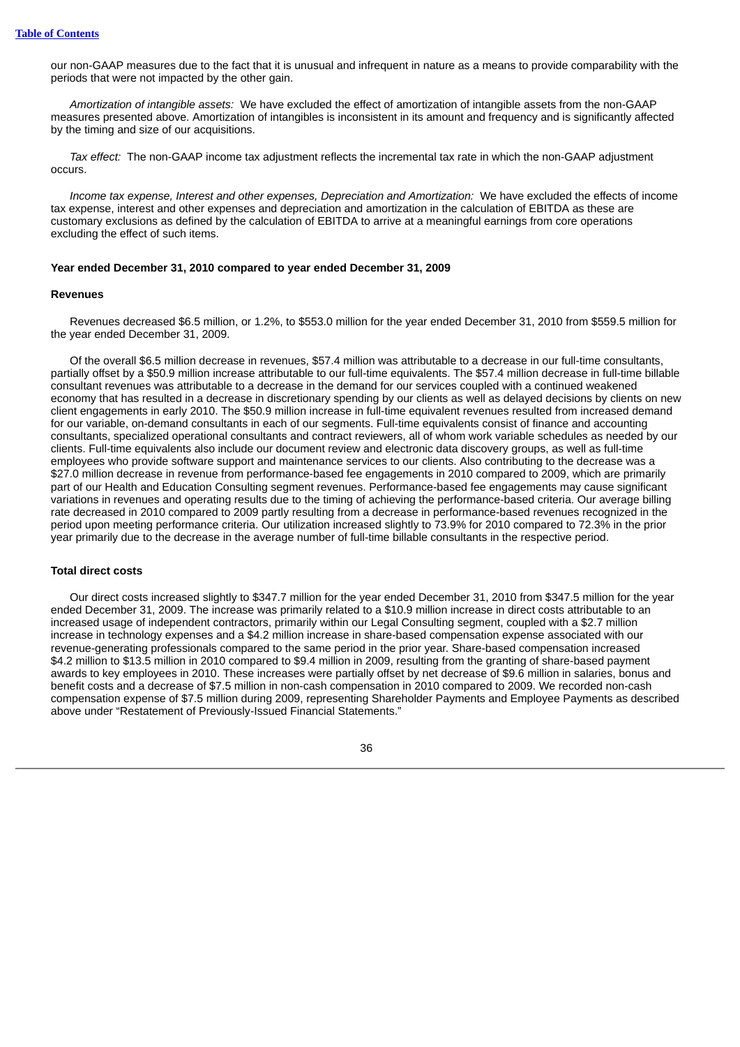our non-GAAP measures due to the fact that it is unusual and infrequent in nature as a means to provide comparability with the periods that were not impacted by the other gain.

*Amortization of intangible assets:* We have excluded the effect of amortization of intangible assets from the non-GAAP measures presented above. Amortization of intangibles is inconsistent in its amount and frequency and is significantly affected by the timing and size of our acquisitions.

*Tax effect:* The non-GAAP income tax adjustment reflects the incremental tax rate in which the non-GAAP adjustment occurs.

*Income tax expense, Interest and other expenses, Depreciation and Amortization:* We have excluded the effects of income tax expense, interest and other expenses and depreciation and amortization in the calculation of EBITDA as these are customary exclusions as defined by the calculation of EBITDA to arrive at a meaningful earnings from core operations excluding the effect of such items.

#### **Year ended December 31, 2010 compared to year ended December 31, 2009**

## **Revenues**

Revenues decreased \$6.5 million, or 1.2%, to \$553.0 million for the year ended December 31, 2010 from \$559.5 million for the year ended December 31, 2009.

Of the overall \$6.5 million decrease in revenues, \$57.4 million was attributable to a decrease in our full-time consultants, partially offset by a \$50.9 million increase attributable to our full-time equivalents. The \$57.4 million decrease in full-time billable consultant revenues was attributable to a decrease in the demand for our services coupled with a continued weakened economy that has resulted in a decrease in discretionary spending by our clients as well as delayed decisions by clients on new client engagements in early 2010. The \$50.9 million increase in full-time equivalent revenues resulted from increased demand for our variable, on-demand consultants in each of our segments. Full-time equivalents consist of finance and accounting consultants, specialized operational consultants and contract reviewers, all of whom work variable schedules as needed by our clients. Full-time equivalents also include our document review and electronic data discovery groups, as well as full-time employees who provide software support and maintenance services to our clients. Also contributing to the decrease was a \$27.0 million decrease in revenue from performance-based fee engagements in 2010 compared to 2009, which are primarily part of our Health and Education Consulting segment revenues. Performance-based fee engagements may cause significant variations in revenues and operating results due to the timing of achieving the performance-based criteria. Our average billing rate decreased in 2010 compared to 2009 partly resulting from a decrease in performance-based revenues recognized in the period upon meeting performance criteria. Our utilization increased slightly to 73.9% for 2010 compared to 72.3% in the prior year primarily due to the decrease in the average number of full-time billable consultants in the respective period.

#### **Total direct costs**

Our direct costs increased slightly to \$347.7 million for the year ended December 31, 2010 from \$347.5 million for the year ended December 31, 2009. The increase was primarily related to a \$10.9 million increase in direct costs attributable to an increased usage of independent contractors, primarily within our Legal Consulting segment, coupled with a \$2.7 million increase in technology expenses and a \$4.2 million increase in share-based compensation expense associated with our revenue-generating professionals compared to the same period in the prior year. Share-based compensation increased \$4.2 million to \$13.5 million in 2010 compared to \$9.4 million in 2009, resulting from the granting of share-based payment awards to key employees in 2010. These increases were partially offset by net decrease of \$9.6 million in salaries, bonus and benefit costs and a decrease of \$7.5 million in non-cash compensation in 2010 compared to 2009. We recorded non-cash compensation expense of \$7.5 million during 2009, representing Shareholder Payments and Employee Payments as described above under "Restatement of Previously-Issued Financial Statements."

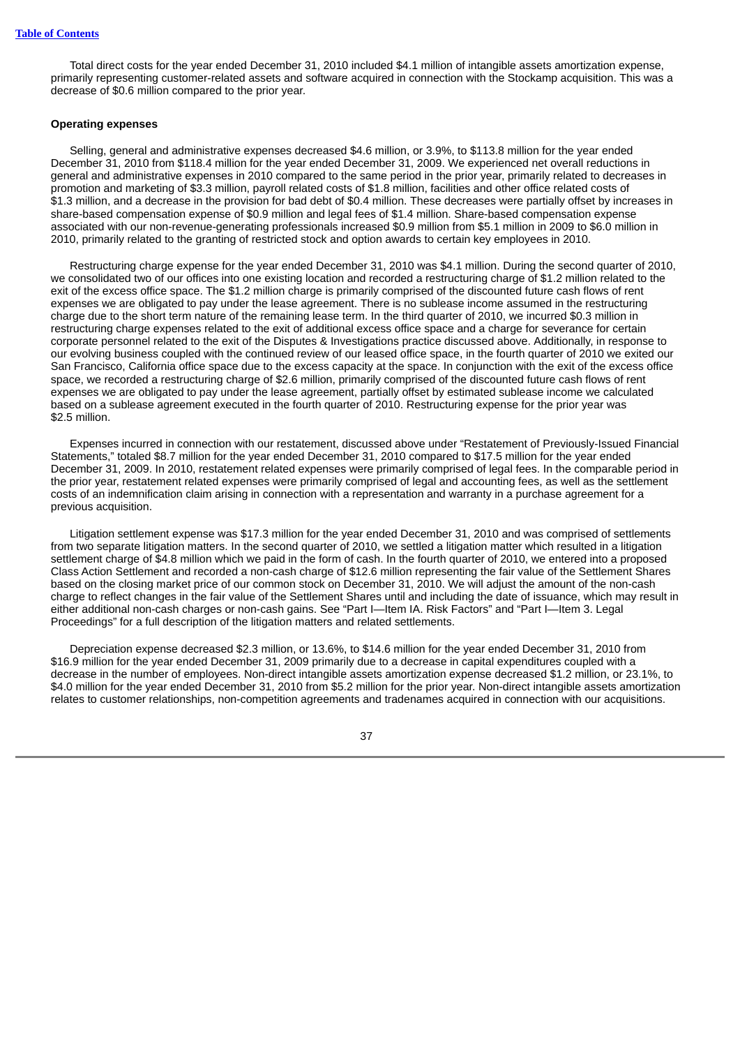Total direct costs for the year ended December 31, 2010 included \$4.1 million of intangible assets amortization expense, primarily representing customer-related assets and software acquired in connection with the Stockamp acquisition. This was a decrease of \$0.6 million compared to the prior year.

#### **Operating expenses**

Selling, general and administrative expenses decreased \$4.6 million, or 3.9%, to \$113.8 million for the year ended December 31, 2010 from \$118.4 million for the year ended December 31, 2009. We experienced net overall reductions in general and administrative expenses in 2010 compared to the same period in the prior year, primarily related to decreases in promotion and marketing of \$3.3 million, payroll related costs of \$1.8 million, facilities and other office related costs of \$1.3 million, and a decrease in the provision for bad debt of \$0.4 million. These decreases were partially offset by increases in share-based compensation expense of \$0.9 million and legal fees of \$1.4 million. Share-based compensation expense associated with our non-revenue-generating professionals increased \$0.9 million from \$5.1 million in 2009 to \$6.0 million in 2010, primarily related to the granting of restricted stock and option awards to certain key employees in 2010.

Restructuring charge expense for the year ended December 31, 2010 was \$4.1 million. During the second quarter of 2010, we consolidated two of our offices into one existing location and recorded a restructuring charge of \$1.2 million related to the exit of the excess office space. The \$1.2 million charge is primarily comprised of the discounted future cash flows of rent expenses we are obligated to pay under the lease agreement. There is no sublease income assumed in the restructuring charge due to the short term nature of the remaining lease term. In the third quarter of 2010, we incurred \$0.3 million in restructuring charge expenses related to the exit of additional excess office space and a charge for severance for certain corporate personnel related to the exit of the Disputes & Investigations practice discussed above. Additionally, in response to our evolving business coupled with the continued review of our leased office space, in the fourth quarter of 2010 we exited our San Francisco, California office space due to the excess capacity at the space. In conjunction with the exit of the excess office space, we recorded a restructuring charge of \$2.6 million, primarily comprised of the discounted future cash flows of rent expenses we are obligated to pay under the lease agreement, partially offset by estimated sublease income we calculated based on a sublease agreement executed in the fourth quarter of 2010. Restructuring expense for the prior year was \$2.5 million.

Expenses incurred in connection with our restatement, discussed above under "Restatement of Previously-Issued Financial Statements," totaled \$8.7 million for the year ended December 31, 2010 compared to \$17.5 million for the year ended December 31, 2009. In 2010, restatement related expenses were primarily comprised of legal fees. In the comparable period in the prior year, restatement related expenses were primarily comprised of legal and accounting fees, as well as the settlement costs of an indemnification claim arising in connection with a representation and warranty in a purchase agreement for a previous acquisition.

Litigation settlement expense was \$17.3 million for the year ended December 31, 2010 and was comprised of settlements from two separate litigation matters. In the second quarter of 2010, we settled a litigation matter which resulted in a litigation settlement charge of \$4.8 million which we paid in the form of cash. In the fourth quarter of 2010, we entered into a proposed Class Action Settlement and recorded a non-cash charge of \$12.6 million representing the fair value of the Settlement Shares based on the closing market price of our common stock on December 31, 2010. We will adjust the amount of the non-cash charge to reflect changes in the fair value of the Settlement Shares until and including the date of issuance, which may result in either additional non-cash charges or non-cash gains. See "Part I—Item IA. Risk Factors" and "Part I—Item 3. Legal Proceedings" for a full description of the litigation matters and related settlements.

Depreciation expense decreased \$2.3 million, or 13.6%, to \$14.6 million for the year ended December 31, 2010 from \$16.9 million for the year ended December 31, 2009 primarily due to a decrease in capital expenditures coupled with a decrease in the number of employees. Non-direct intangible assets amortization expense decreased \$1.2 million, or 23.1%, to \$4.0 million for the year ended December 31, 2010 from \$5.2 million for the prior year. Non-direct intangible assets amortization relates to customer relationships, non-competition agreements and tradenames acquired in connection with our acquisitions.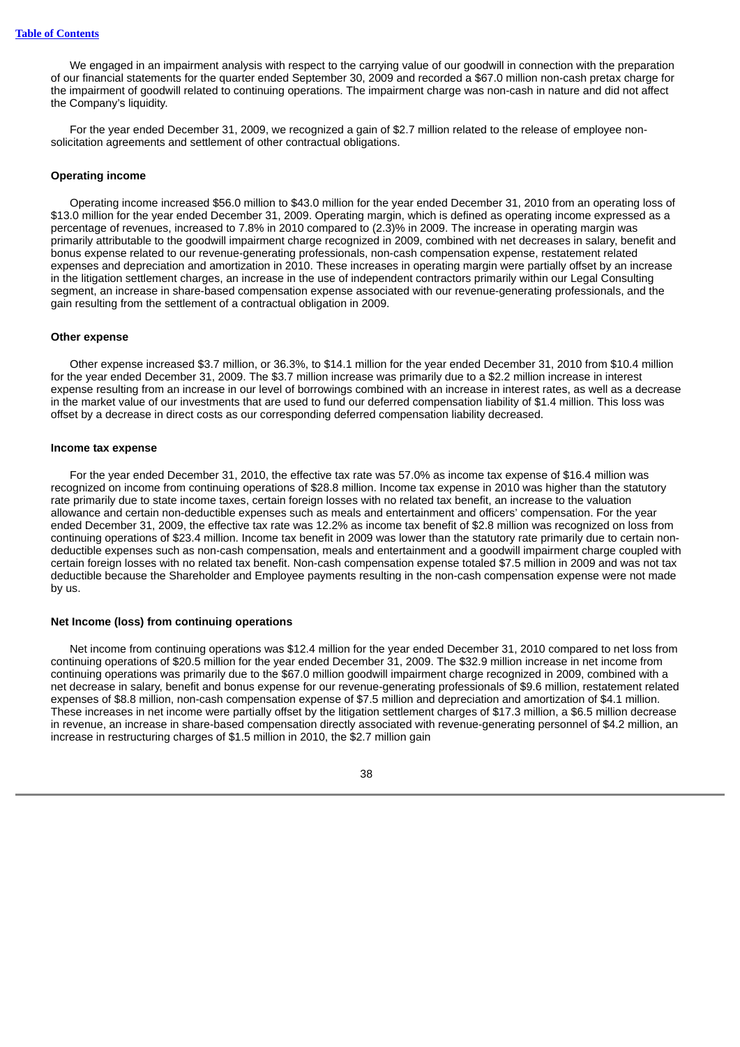We engaged in an impairment analysis with respect to the carrying value of our goodwill in connection with the preparation of our financial statements for the quarter ended September 30, 2009 and recorded a \$67.0 million non-cash pretax charge for the impairment of goodwill related to continuing operations. The impairment charge was non-cash in nature and did not affect the Company's liquidity.

For the year ended December 31, 2009, we recognized a gain of \$2.7 million related to the release of employee nonsolicitation agreements and settlement of other contractual obligations.

#### **Operating income**

Operating income increased \$56.0 million to \$43.0 million for the year ended December 31, 2010 from an operating loss of \$13.0 million for the year ended December 31, 2009. Operating margin, which is defined as operating income expressed as a percentage of revenues, increased to 7.8% in 2010 compared to (2.3)% in 2009. The increase in operating margin was primarily attributable to the goodwill impairment charge recognized in 2009, combined with net decreases in salary, benefit and bonus expense related to our revenue-generating professionals, non-cash compensation expense, restatement related expenses and depreciation and amortization in 2010. These increases in operating margin were partially offset by an increase in the litigation settlement charges, an increase in the use of independent contractors primarily within our Legal Consulting segment, an increase in share-based compensation expense associated with our revenue-generating professionals, and the gain resulting from the settlement of a contractual obligation in 2009.

#### **Other expense**

Other expense increased \$3.7 million, or 36.3%, to \$14.1 million for the year ended December 31, 2010 from \$10.4 million for the year ended December 31, 2009. The \$3.7 million increase was primarily due to a \$2.2 million increase in interest expense resulting from an increase in our level of borrowings combined with an increase in interest rates, as well as a decrease in the market value of our investments that are used to fund our deferred compensation liability of \$1.4 million. This loss was offset by a decrease in direct costs as our corresponding deferred compensation liability decreased.

#### **Income tax expense**

For the year ended December 31, 2010, the effective tax rate was 57.0% as income tax expense of \$16.4 million was recognized on income from continuing operations of \$28.8 million. Income tax expense in 2010 was higher than the statutory rate primarily due to state income taxes, certain foreign losses with no related tax benefit, an increase to the valuation allowance and certain non-deductible expenses such as meals and entertainment and officers' compensation. For the year ended December 31, 2009, the effective tax rate was 12.2% as income tax benefit of \$2.8 million was recognized on loss from continuing operations of \$23.4 million. Income tax benefit in 2009 was lower than the statutory rate primarily due to certain nondeductible expenses such as non-cash compensation, meals and entertainment and a goodwill impairment charge coupled with certain foreign losses with no related tax benefit. Non-cash compensation expense totaled \$7.5 million in 2009 and was not tax deductible because the Shareholder and Employee payments resulting in the non-cash compensation expense were not made by us.

#### **Net Income (loss) from continuing operations**

Net income from continuing operations was \$12.4 million for the year ended December 31, 2010 compared to net loss from continuing operations of \$20.5 million for the year ended December 31, 2009. The \$32.9 million increase in net income from continuing operations was primarily due to the \$67.0 million goodwill impairment charge recognized in 2009, combined with a net decrease in salary, benefit and bonus expense for our revenue-generating professionals of \$9.6 million, restatement related expenses of \$8.8 million, non-cash compensation expense of \$7.5 million and depreciation and amortization of \$4.1 million. These increases in net income were partially offset by the litigation settlement charges of \$17.3 million, a \$6.5 million decrease in revenue, an increase in share-based compensation directly associated with revenue-generating personnel of \$4.2 million, an increase in restructuring charges of \$1.5 million in 2010, the \$2.7 million gain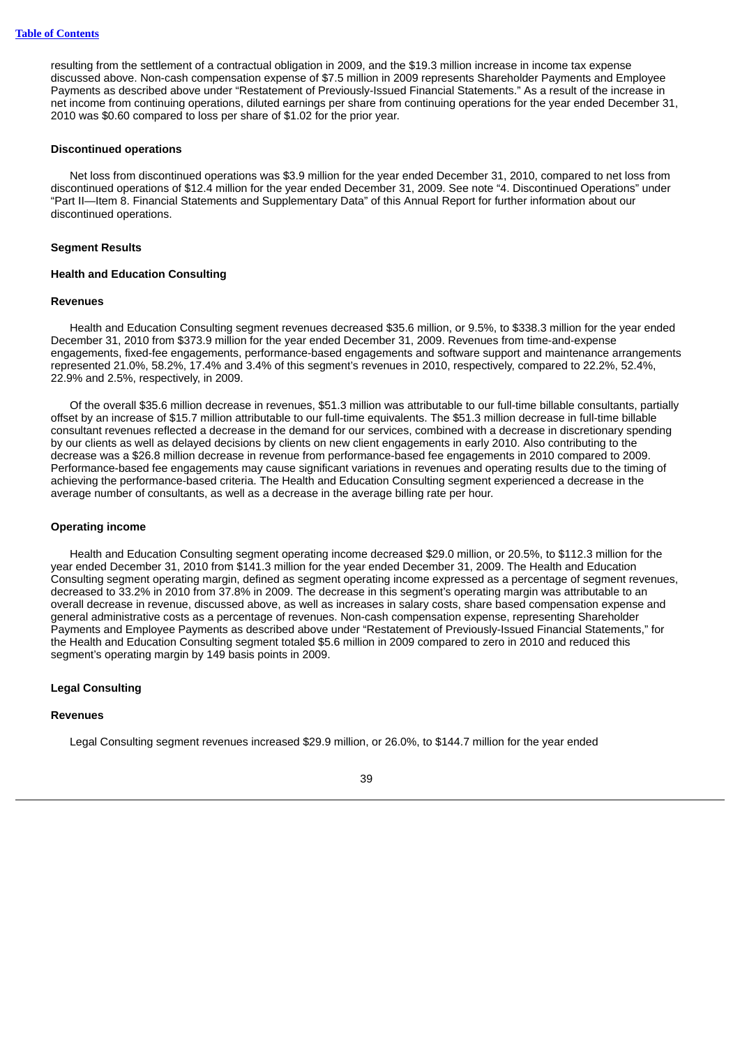resulting from the settlement of a contractual obligation in 2009, and the \$19.3 million increase in income tax expense discussed above. Non-cash compensation expense of \$7.5 million in 2009 represents Shareholder Payments and Employee Payments as described above under "Restatement of Previously-Issued Financial Statements." As a result of the increase in net income from continuing operations, diluted earnings per share from continuing operations for the year ended December 31, 2010 was \$0.60 compared to loss per share of \$1.02 for the prior year.

#### **Discontinued operations**

Net loss from discontinued operations was \$3.9 million for the year ended December 31, 2010, compared to net loss from discontinued operations of \$12.4 million for the year ended December 31, 2009. See note "4. Discontinued Operations" under "Part II—Item 8. Financial Statements and Supplementary Data" of this Annual Report for further information about our discontinued operations.

#### **Segment Results**

#### **Health and Education Consulting**

#### **Revenues**

Health and Education Consulting segment revenues decreased \$35.6 million, or 9.5%, to \$338.3 million for the year ended December 31, 2010 from \$373.9 million for the year ended December 31, 2009. Revenues from time-and-expense engagements, fixed-fee engagements, performance-based engagements and software support and maintenance arrangements represented 21.0%, 58.2%, 17.4% and 3.4% of this segment's revenues in 2010, respectively, compared to 22.2%, 52.4%, 22.9% and 2.5%, respectively, in 2009.

Of the overall \$35.6 million decrease in revenues, \$51.3 million was attributable to our full-time billable consultants, partially offset by an increase of \$15.7 million attributable to our full-time equivalents. The \$51.3 million decrease in full-time billable consultant revenues reflected a decrease in the demand for our services, combined with a decrease in discretionary spending by our clients as well as delayed decisions by clients on new client engagements in early 2010. Also contributing to the decrease was a \$26.8 million decrease in revenue from performance-based fee engagements in 2010 compared to 2009. Performance-based fee engagements may cause significant variations in revenues and operating results due to the timing of achieving the performance-based criteria. The Health and Education Consulting segment experienced a decrease in the average number of consultants, as well as a decrease in the average billing rate per hour.

#### **Operating income**

Health and Education Consulting segment operating income decreased \$29.0 million, or 20.5%, to \$112.3 million for the year ended December 31, 2010 from \$141.3 million for the year ended December 31, 2009. The Health and Education Consulting segment operating margin, defined as segment operating income expressed as a percentage of segment revenues, decreased to 33.2% in 2010 from 37.8% in 2009. The decrease in this segment's operating margin was attributable to an overall decrease in revenue, discussed above, as well as increases in salary costs, share based compensation expense and general administrative costs as a percentage of revenues. Non-cash compensation expense, representing Shareholder Payments and Employee Payments as described above under "Restatement of Previously-Issued Financial Statements," for the Health and Education Consulting segment totaled \$5.6 million in 2009 compared to zero in 2010 and reduced this segment's operating margin by 149 basis points in 2009.

## **Legal Consulting**

## **Revenues**

Legal Consulting segment revenues increased \$29.9 million, or 26.0%, to \$144.7 million for the year ended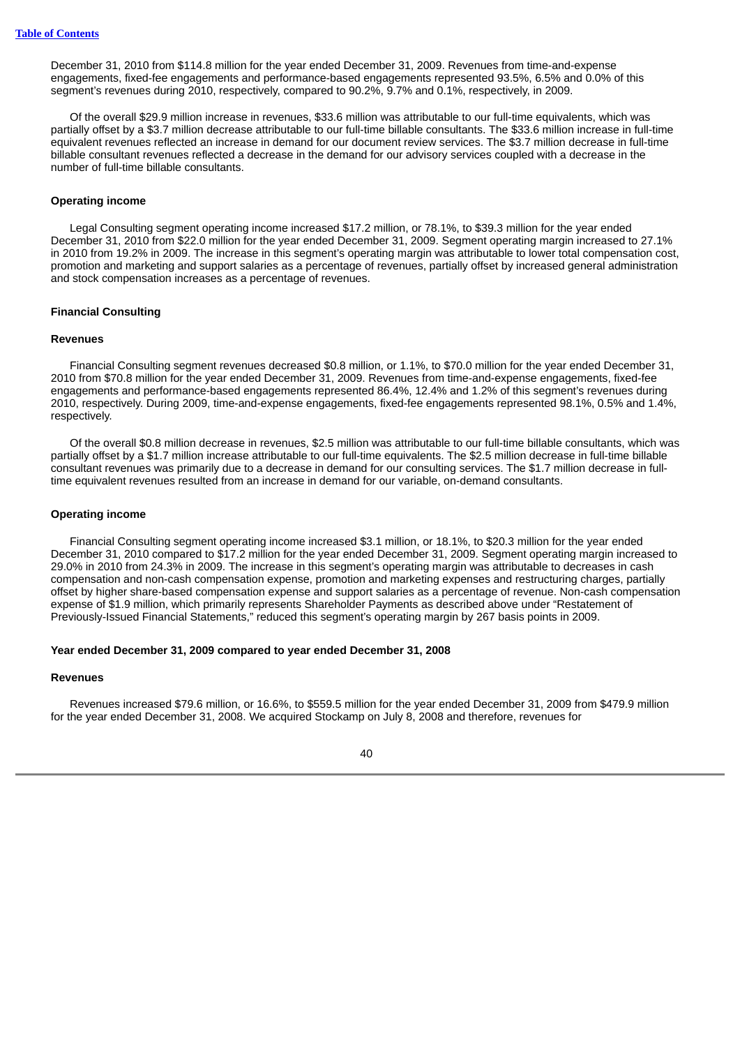December 31, 2010 from \$114.8 million for the year ended December 31, 2009. Revenues from time-and-expense engagements, fixed-fee engagements and performance-based engagements represented 93.5%, 6.5% and 0.0% of this segment's revenues during 2010, respectively, compared to 90.2%, 9.7% and 0.1%, respectively, in 2009.

Of the overall \$29.9 million increase in revenues, \$33.6 million was attributable to our full-time equivalents, which was partially offset by a \$3.7 million decrease attributable to our full-time billable consultants. The \$33.6 million increase in full-time equivalent revenues reflected an increase in demand for our document review services. The \$3.7 million decrease in full-time billable consultant revenues reflected a decrease in the demand for our advisory services coupled with a decrease in the number of full-time billable consultants.

## **Operating income**

Legal Consulting segment operating income increased \$17.2 million, or 78.1%, to \$39.3 million for the year ended December 31, 2010 from \$22.0 million for the year ended December 31, 2009. Segment operating margin increased to 27.1% in 2010 from 19.2% in 2009. The increase in this segment's operating margin was attributable to lower total compensation cost, promotion and marketing and support salaries as a percentage of revenues, partially offset by increased general administration and stock compensation increases as a percentage of revenues.

### **Financial Consulting**

#### **Revenues**

Financial Consulting segment revenues decreased \$0.8 million, or 1.1%, to \$70.0 million for the year ended December 31, 2010 from \$70.8 million for the year ended December 31, 2009. Revenues from time-and-expense engagements, fixed-fee engagements and performance-based engagements represented 86.4%, 12.4% and 1.2% of this segment's revenues during 2010, respectively. During 2009, time-and-expense engagements, fixed-fee engagements represented 98.1%, 0.5% and 1.4%, respectively.

Of the overall \$0.8 million decrease in revenues, \$2.5 million was attributable to our full-time billable consultants, which was partially offset by a \$1.7 million increase attributable to our full-time equivalents. The \$2.5 million decrease in full-time billable consultant revenues was primarily due to a decrease in demand for our consulting services. The \$1.7 million decrease in fulltime equivalent revenues resulted from an increase in demand for our variable, on-demand consultants.

#### **Operating income**

Financial Consulting segment operating income increased \$3.1 million, or 18.1%, to \$20.3 million for the year ended December 31, 2010 compared to \$17.2 million for the year ended December 31, 2009. Segment operating margin increased to 29.0% in 2010 from 24.3% in 2009. The increase in this segment's operating margin was attributable to decreases in cash compensation and non-cash compensation expense, promotion and marketing expenses and restructuring charges, partially offset by higher share-based compensation expense and support salaries as a percentage of revenue. Non-cash compensation expense of \$1.9 million, which primarily represents Shareholder Payments as described above under "Restatement of Previously-Issued Financial Statements," reduced this segment's operating margin by 267 basis points in 2009.

#### **Year ended December 31, 2009 compared to year ended December 31, 2008**

## **Revenues**

Revenues increased \$79.6 million, or 16.6%, to \$559.5 million for the year ended December 31, 2009 from \$479.9 million for the year ended December 31, 2008. We acquired Stockamp on July 8, 2008 and therefore, revenues for

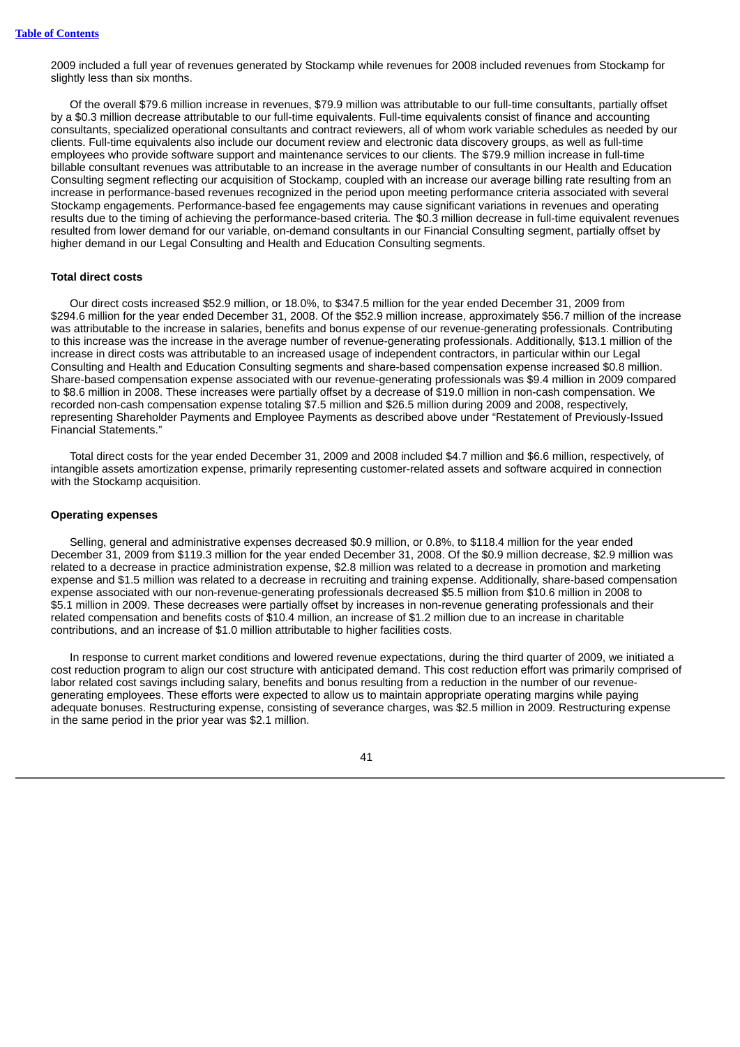2009 included a full year of revenues generated by Stockamp while revenues for 2008 included revenues from Stockamp for slightly less than six months.

Of the overall \$79.6 million increase in revenues, \$79.9 million was attributable to our full-time consultants, partially offset by a \$0.3 million decrease attributable to our full-time equivalents. Full-time equivalents consist of finance and accounting consultants, specialized operational consultants and contract reviewers, all of whom work variable schedules as needed by our clients. Full-time equivalents also include our document review and electronic data discovery groups, as well as full-time employees who provide software support and maintenance services to our clients. The \$79.9 million increase in full-time billable consultant revenues was attributable to an increase in the average number of consultants in our Health and Education Consulting segment reflecting our acquisition of Stockamp, coupled with an increase our average billing rate resulting from an increase in performance-based revenues recognized in the period upon meeting performance criteria associated with several Stockamp engagements. Performance-based fee engagements may cause significant variations in revenues and operating results due to the timing of achieving the performance-based criteria. The \$0.3 million decrease in full-time equivalent revenues resulted from lower demand for our variable, on-demand consultants in our Financial Consulting segment, partially offset by higher demand in our Legal Consulting and Health and Education Consulting segments.

#### **Total direct costs**

Our direct costs increased \$52.9 million, or 18.0%, to \$347.5 million for the year ended December 31, 2009 from \$294.6 million for the year ended December 31, 2008. Of the \$52.9 million increase, approximately \$56.7 million of the increase was attributable to the increase in salaries, benefits and bonus expense of our revenue-generating professionals. Contributing to this increase was the increase in the average number of revenue-generating professionals. Additionally, \$13.1 million of the increase in direct costs was attributable to an increased usage of independent contractors, in particular within our Legal Consulting and Health and Education Consulting segments and share-based compensation expense increased \$0.8 million. Share-based compensation expense associated with our revenue-generating professionals was \$9.4 million in 2009 compared to \$8.6 million in 2008. These increases were partially offset by a decrease of \$19.0 million in non-cash compensation. We recorded non-cash compensation expense totaling \$7.5 million and \$26.5 million during 2009 and 2008, respectively, representing Shareholder Payments and Employee Payments as described above under "Restatement of Previously-Issued Financial Statements."

Total direct costs for the year ended December 31, 2009 and 2008 included \$4.7 million and \$6.6 million, respectively, of intangible assets amortization expense, primarily representing customer-related assets and software acquired in connection with the Stockamp acquisition.

### **Operating expenses**

Selling, general and administrative expenses decreased \$0.9 million, or 0.8%, to \$118.4 million for the year ended December 31, 2009 from \$119.3 million for the year ended December 31, 2008. Of the \$0.9 million decrease, \$2.9 million was related to a decrease in practice administration expense, \$2.8 million was related to a decrease in promotion and marketing expense and \$1.5 million was related to a decrease in recruiting and training expense. Additionally, share-based compensation expense associated with our non-revenue-generating professionals decreased \$5.5 million from \$10.6 million in 2008 to \$5.1 million in 2009. These decreases were partially offset by increases in non-revenue generating professionals and their related compensation and benefits costs of \$10.4 million, an increase of \$1.2 million due to an increase in charitable contributions, and an increase of \$1.0 million attributable to higher facilities costs.

In response to current market conditions and lowered revenue expectations, during the third quarter of 2009, we initiated a cost reduction program to align our cost structure with anticipated demand. This cost reduction effort was primarily comprised of labor related cost savings including salary, benefits and bonus resulting from a reduction in the number of our revenuegenerating employees. These efforts were expected to allow us to maintain appropriate operating margins while paying adequate bonuses. Restructuring expense, consisting of severance charges, was \$2.5 million in 2009. Restructuring expense in the same period in the prior year was \$2.1 million.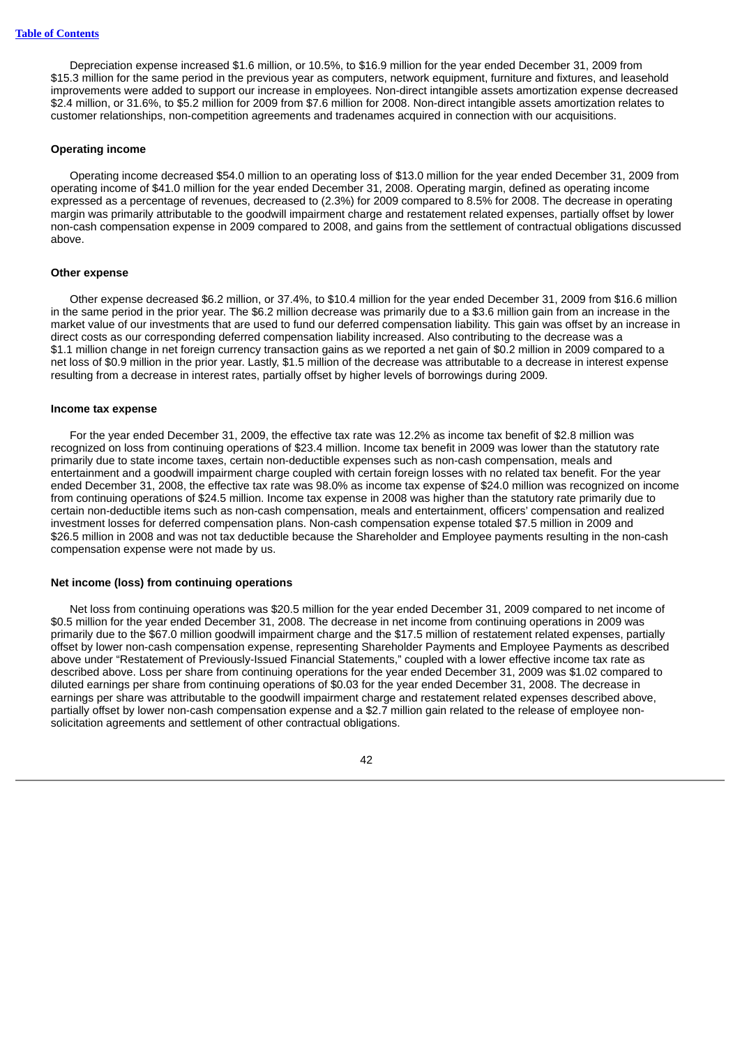Depreciation expense increased \$1.6 million, or 10.5%, to \$16.9 million for the year ended December 31, 2009 from \$15.3 million for the same period in the previous year as computers, network equipment, furniture and fixtures, and leasehold improvements were added to support our increase in employees. Non-direct intangible assets amortization expense decreased \$2.4 million, or 31.6%, to \$5.2 million for 2009 from \$7.6 million for 2008. Non-direct intangible assets amortization relates to customer relationships, non-competition agreements and tradenames acquired in connection with our acquisitions.

#### **Operating income**

Operating income decreased \$54.0 million to an operating loss of \$13.0 million for the year ended December 31, 2009 from operating income of \$41.0 million for the year ended December 31, 2008. Operating margin, defined as operating income expressed as a percentage of revenues, decreased to (2.3%) for 2009 compared to 8.5% for 2008. The decrease in operating margin was primarily attributable to the goodwill impairment charge and restatement related expenses, partially offset by lower non-cash compensation expense in 2009 compared to 2008, and gains from the settlement of contractual obligations discussed above.

#### **Other expense**

Other expense decreased \$6.2 million, or 37.4%, to \$10.4 million for the year ended December 31, 2009 from \$16.6 million in the same period in the prior year. The \$6.2 million decrease was primarily due to a \$3.6 million gain from an increase in the market value of our investments that are used to fund our deferred compensation liability. This gain was offset by an increase in direct costs as our corresponding deferred compensation liability increased. Also contributing to the decrease was a \$1.1 million change in net foreign currency transaction gains as we reported a net gain of \$0.2 million in 2009 compared to a net loss of \$0.9 million in the prior year. Lastly, \$1.5 million of the decrease was attributable to a decrease in interest expense resulting from a decrease in interest rates, partially offset by higher levels of borrowings during 2009.

#### **Income tax expense**

For the year ended December 31, 2009, the effective tax rate was 12.2% as income tax benefit of \$2.8 million was recognized on loss from continuing operations of \$23.4 million. Income tax benefit in 2009 was lower than the statutory rate primarily due to state income taxes, certain non-deductible expenses such as non-cash compensation, meals and entertainment and a goodwill impairment charge coupled with certain foreign losses with no related tax benefit. For the year ended December 31, 2008, the effective tax rate was 98.0% as income tax expense of \$24.0 million was recognized on income from continuing operations of \$24.5 million. Income tax expense in 2008 was higher than the statutory rate primarily due to certain non-deductible items such as non-cash compensation, meals and entertainment, officers' compensation and realized investment losses for deferred compensation plans. Non-cash compensation expense totaled \$7.5 million in 2009 and \$26.5 million in 2008 and was not tax deductible because the Shareholder and Employee payments resulting in the non-cash compensation expense were not made by us.

#### **Net income (loss) from continuing operations**

Net loss from continuing operations was \$20.5 million for the year ended December 31, 2009 compared to net income of \$0.5 million for the year ended December 31, 2008. The decrease in net income from continuing operations in 2009 was primarily due to the \$67.0 million goodwill impairment charge and the \$17.5 million of restatement related expenses, partially offset by lower non-cash compensation expense, representing Shareholder Payments and Employee Payments as described above under "Restatement of Previously-Issued Financial Statements," coupled with a lower effective income tax rate as described above. Loss per share from continuing operations for the year ended December 31, 2009 was \$1.02 compared to diluted earnings per share from continuing operations of \$0.03 for the year ended December 31, 2008. The decrease in earnings per share was attributable to the goodwill impairment charge and restatement related expenses described above, partially offset by lower non-cash compensation expense and a \$2.7 million gain related to the release of employee nonsolicitation agreements and settlement of other contractual obligations.

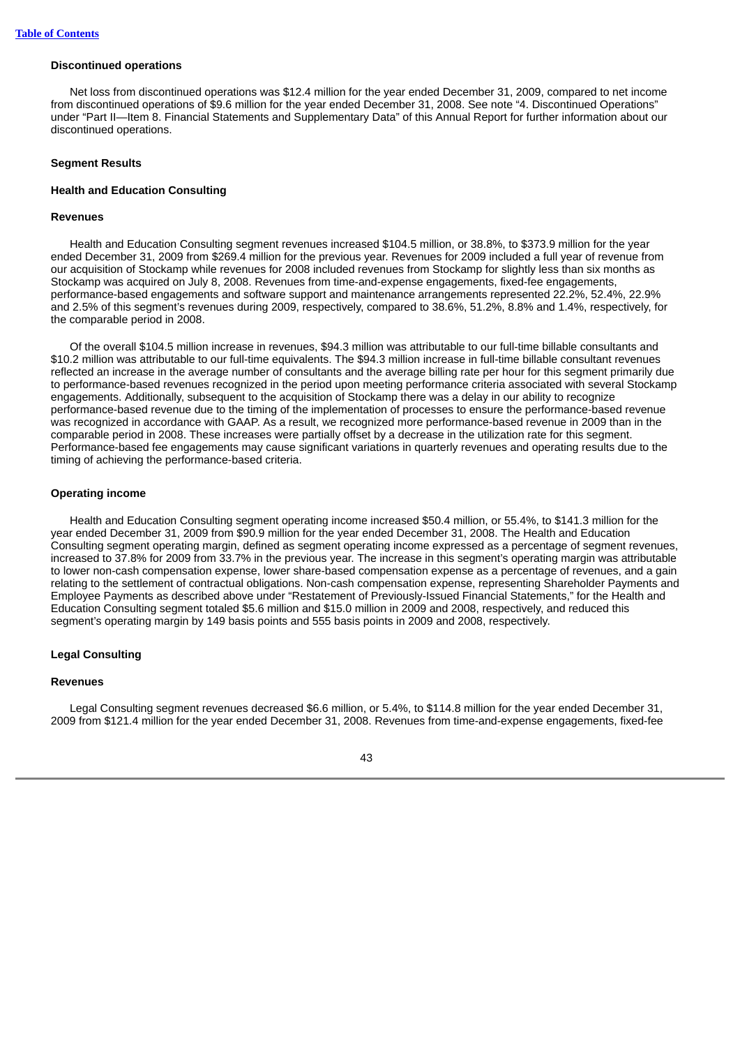## **Discontinued operations**

Net loss from discontinued operations was \$12.4 million for the year ended December 31, 2009, compared to net income from discontinued operations of \$9.6 million for the year ended December 31, 2008. See note "4. Discontinued Operations" under "Part II—Item 8. Financial Statements and Supplementary Data" of this Annual Report for further information about our discontinued operations.

## **Segment Results**

## **Health and Education Consulting**

#### **Revenues**

Health and Education Consulting segment revenues increased \$104.5 million, or 38.8%, to \$373.9 million for the year ended December 31, 2009 from \$269.4 million for the previous year. Revenues for 2009 included a full year of revenue from our acquisition of Stockamp while revenues for 2008 included revenues from Stockamp for slightly less than six months as Stockamp was acquired on July 8, 2008. Revenues from time-and-expense engagements, fixed-fee engagements, performance-based engagements and software support and maintenance arrangements represented 22.2%, 52.4%, 22.9% and 2.5% of this segment's revenues during 2009, respectively, compared to 38.6%, 51.2%, 8.8% and 1.4%, respectively, for the comparable period in 2008.

Of the overall \$104.5 million increase in revenues, \$94.3 million was attributable to our full-time billable consultants and \$10.2 million was attributable to our full-time equivalents. The \$94.3 million increase in full-time billable consultant revenues reflected an increase in the average number of consultants and the average billing rate per hour for this segment primarily due to performance-based revenues recognized in the period upon meeting performance criteria associated with several Stockamp engagements. Additionally, subsequent to the acquisition of Stockamp there was a delay in our ability to recognize performance-based revenue due to the timing of the implementation of processes to ensure the performance-based revenue was recognized in accordance with GAAP. As a result, we recognized more performance-based revenue in 2009 than in the comparable period in 2008. These increases were partially offset by a decrease in the utilization rate for this segment. Performance-based fee engagements may cause significant variations in quarterly revenues and operating results due to the timing of achieving the performance-based criteria.

## **Operating income**

Health and Education Consulting segment operating income increased \$50.4 million, or 55.4%, to \$141.3 million for the year ended December 31, 2009 from \$90.9 million for the year ended December 31, 2008. The Health and Education Consulting segment operating margin, defined as segment operating income expressed as a percentage of segment revenues, increased to 37.8% for 2009 from 33.7% in the previous year. The increase in this segment's operating margin was attributable to lower non-cash compensation expense, lower share-based compensation expense as a percentage of revenues, and a gain relating to the settlement of contractual obligations. Non-cash compensation expense, representing Shareholder Payments and Employee Payments as described above under "Restatement of Previously-Issued Financial Statements," for the Health and Education Consulting segment totaled \$5.6 million and \$15.0 million in 2009 and 2008, respectively, and reduced this segment's operating margin by 149 basis points and 555 basis points in 2009 and 2008, respectively.

## **Legal Consulting**

#### **Revenues**

Legal Consulting segment revenues decreased \$6.6 million, or 5.4%, to \$114.8 million for the year ended December 31, 2009 from \$121.4 million for the year ended December 31, 2008. Revenues from time-and-expense engagements, fixed-fee

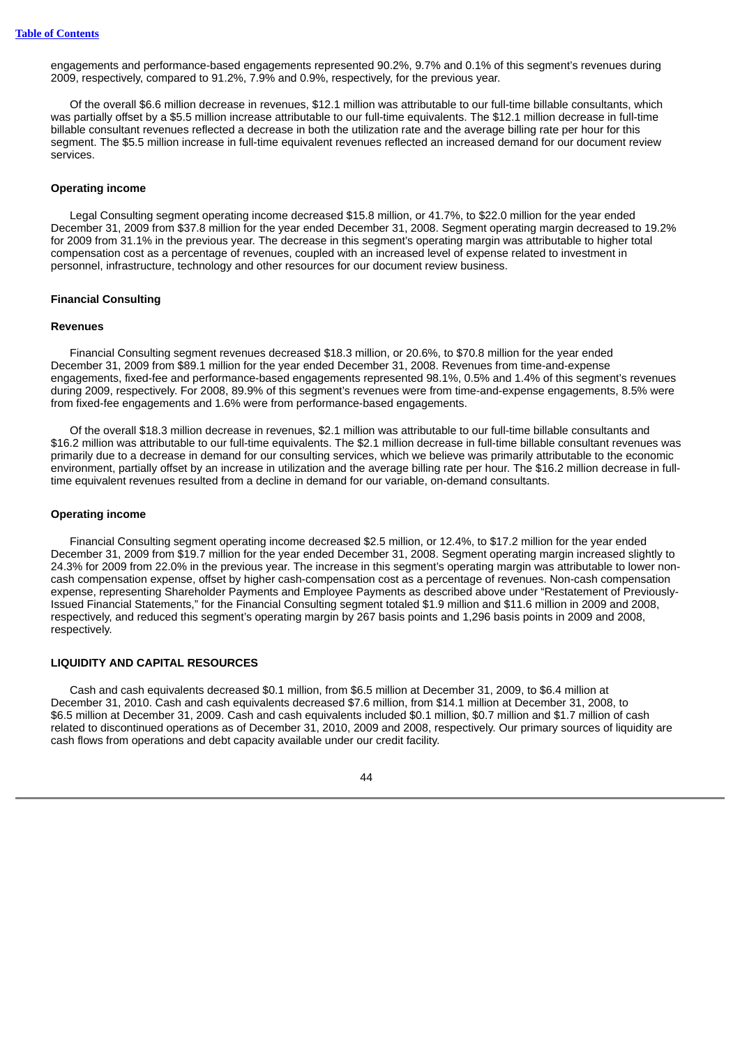engagements and performance-based engagements represented 90.2%, 9.7% and 0.1% of this segment's revenues during 2009, respectively, compared to 91.2%, 7.9% and 0.9%, respectively, for the previous year.

Of the overall \$6.6 million decrease in revenues, \$12.1 million was attributable to our full-time billable consultants, which was partially offset by a \$5.5 million increase attributable to our full-time equivalents. The \$12.1 million decrease in full-time billable consultant revenues reflected a decrease in both the utilization rate and the average billing rate per hour for this segment. The \$5.5 million increase in full-time equivalent revenues reflected an increased demand for our document review services.

#### **Operating income**

Legal Consulting segment operating income decreased \$15.8 million, or 41.7%, to \$22.0 million for the year ended December 31, 2009 from \$37.8 million for the year ended December 31, 2008. Segment operating margin decreased to 19.2% for 2009 from 31.1% in the previous year. The decrease in this segment's operating margin was attributable to higher total compensation cost as a percentage of revenues, coupled with an increased level of expense related to investment in personnel, infrastructure, technology and other resources for our document review business.

#### **Financial Consulting**

#### **Revenues**

Financial Consulting segment revenues decreased \$18.3 million, or 20.6%, to \$70.8 million for the year ended December 31, 2009 from \$89.1 million for the year ended December 31, 2008. Revenues from time-and-expense engagements, fixed-fee and performance-based engagements represented 98.1%, 0.5% and 1.4% of this segment's revenues during 2009, respectively. For 2008, 89.9% of this segment's revenues were from time-and-expense engagements, 8.5% were from fixed-fee engagements and 1.6% were from performance-based engagements.

Of the overall \$18.3 million decrease in revenues, \$2.1 million was attributable to our full-time billable consultants and \$16.2 million was attributable to our full-time equivalents. The \$2.1 million decrease in full-time billable consultant revenues was primarily due to a decrease in demand for our consulting services, which we believe was primarily attributable to the economic environment, partially offset by an increase in utilization and the average billing rate per hour. The \$16.2 million decrease in fulltime equivalent revenues resulted from a decline in demand for our variable, on-demand consultants.

#### **Operating income**

Financial Consulting segment operating income decreased \$2.5 million, or 12.4%, to \$17.2 million for the year ended December 31, 2009 from \$19.7 million for the year ended December 31, 2008. Segment operating margin increased slightly to 24.3% for 2009 from 22.0% in the previous year. The increase in this segment's operating margin was attributable to lower noncash compensation expense, offset by higher cash-compensation cost as a percentage of revenues. Non-cash compensation expense, representing Shareholder Payments and Employee Payments as described above under "Restatement of Previously-Issued Financial Statements," for the Financial Consulting segment totaled \$1.9 million and \$11.6 million in 2009 and 2008, respectively, and reduced this segment's operating margin by 267 basis points and 1,296 basis points in 2009 and 2008, respectively.

#### **LIQUIDITY AND CAPITAL RESOURCES**

Cash and cash equivalents decreased \$0.1 million, from \$6.5 million at December 31, 2009, to \$6.4 million at December 31, 2010. Cash and cash equivalents decreased \$7.6 million, from \$14.1 million at December 31, 2008, to \$6.5 million at December 31, 2009. Cash and cash equivalents included \$0.1 million, \$0.7 million and \$1.7 million of cash related to discontinued operations as of December 31, 2010, 2009 and 2008, respectively. Our primary sources of liquidity are cash flows from operations and debt capacity available under our credit facility.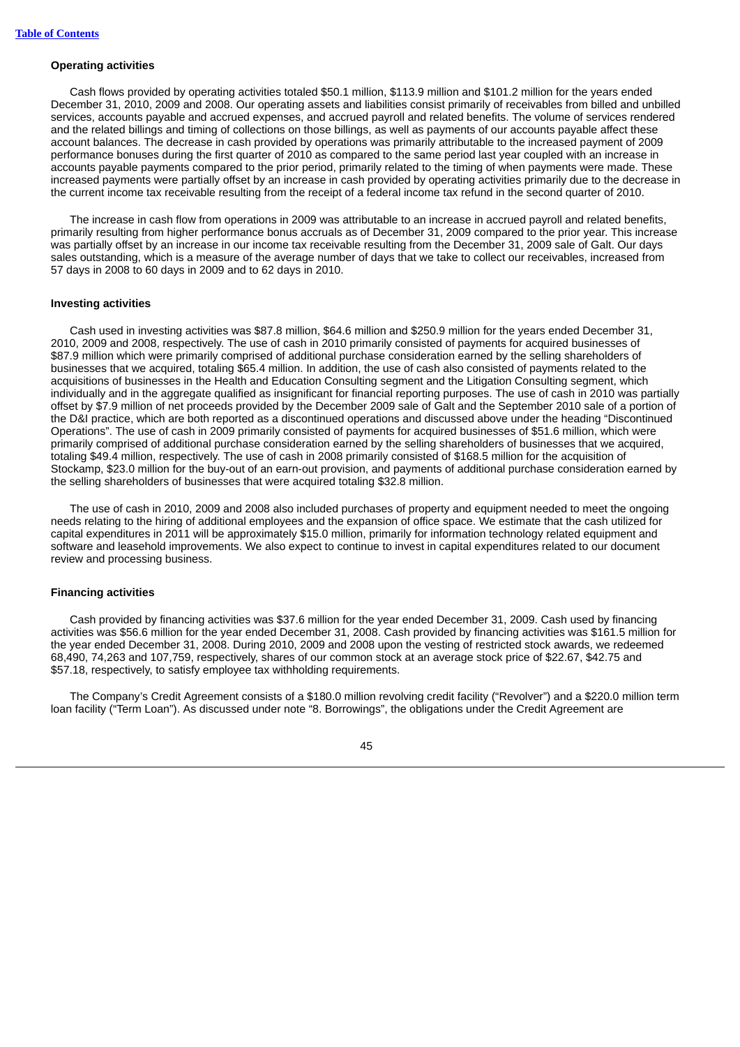## **Operating activities**

Cash flows provided by operating activities totaled \$50.1 million, \$113.9 million and \$101.2 million for the years ended December 31, 2010, 2009 and 2008. Our operating assets and liabilities consist primarily of receivables from billed and unbilled services, accounts payable and accrued expenses, and accrued payroll and related benefits. The volume of services rendered and the related billings and timing of collections on those billings, as well as payments of our accounts payable affect these account balances. The decrease in cash provided by operations was primarily attributable to the increased payment of 2009 performance bonuses during the first quarter of 2010 as compared to the same period last year coupled with an increase in accounts payable payments compared to the prior period, primarily related to the timing of when payments were made. These increased payments were partially offset by an increase in cash provided by operating activities primarily due to the decrease in the current income tax receivable resulting from the receipt of a federal income tax refund in the second quarter of 2010.

The increase in cash flow from operations in 2009 was attributable to an increase in accrued payroll and related benefits, primarily resulting from higher performance bonus accruals as of December 31, 2009 compared to the prior year. This increase was partially offset by an increase in our income tax receivable resulting from the December 31, 2009 sale of Galt. Our days sales outstanding, which is a measure of the average number of days that we take to collect our receivables, increased from 57 days in 2008 to 60 days in 2009 and to 62 days in 2010.

#### **Investing activities**

Cash used in investing activities was \$87.8 million, \$64.6 million and \$250.9 million for the years ended December 31, 2010, 2009 and 2008, respectively. The use of cash in 2010 primarily consisted of payments for acquired businesses of \$87.9 million which were primarily comprised of additional purchase consideration earned by the selling shareholders of businesses that we acquired, totaling \$65.4 million. In addition, the use of cash also consisted of payments related to the acquisitions of businesses in the Health and Education Consulting segment and the Litigation Consulting segment, which individually and in the aggregate qualified as insignificant for financial reporting purposes. The use of cash in 2010 was partially offset by \$7.9 million of net proceeds provided by the December 2009 sale of Galt and the September 2010 sale of a portion of the D&I practice, which are both reported as a discontinued operations and discussed above under the heading "Discontinued Operations". The use of cash in 2009 primarily consisted of payments for acquired businesses of \$51.6 million, which were primarily comprised of additional purchase consideration earned by the selling shareholders of businesses that we acquired, totaling \$49.4 million, respectively. The use of cash in 2008 primarily consisted of \$168.5 million for the acquisition of Stockamp, \$23.0 million for the buy-out of an earn-out provision, and payments of additional purchase consideration earned by the selling shareholders of businesses that were acquired totaling \$32.8 million.

The use of cash in 2010, 2009 and 2008 also included purchases of property and equipment needed to meet the ongoing needs relating to the hiring of additional employees and the expansion of office space. We estimate that the cash utilized for capital expenditures in 2011 will be approximately \$15.0 million, primarily for information technology related equipment and software and leasehold improvements. We also expect to continue to invest in capital expenditures related to our document review and processing business.

## **Financing activities**

Cash provided by financing activities was \$37.6 million for the year ended December 31, 2009. Cash used by financing activities was \$56.6 million for the year ended December 31, 2008. Cash provided by financing activities was \$161.5 million for the year ended December 31, 2008. During 2010, 2009 and 2008 upon the vesting of restricted stock awards, we redeemed 68,490, 74,263 and 107,759, respectively, shares of our common stock at an average stock price of \$22.67, \$42.75 and \$57.18, respectively, to satisfy employee tax withholding requirements.

The Company's Credit Agreement consists of a \$180.0 million revolving credit facility ("Revolver") and a \$220.0 million term loan facility ("Term Loan"). As discussed under note "8. Borrowings", the obligations under the Credit Agreement are

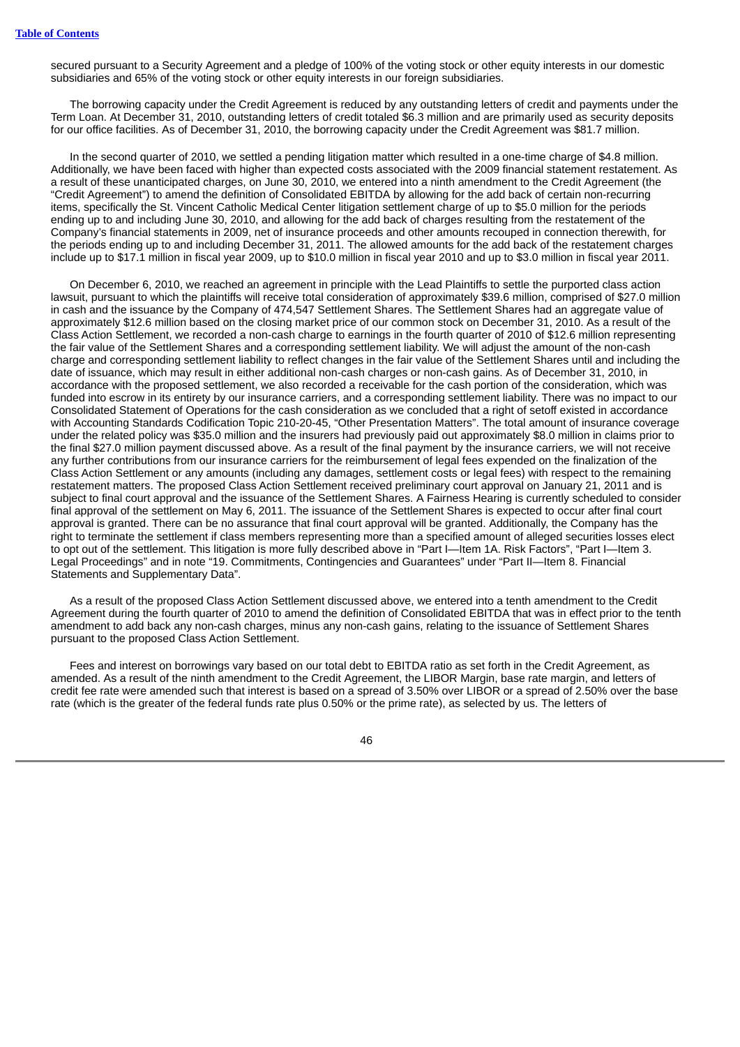secured pursuant to a Security Agreement and a pledge of 100% of the voting stock or other equity interests in our domestic subsidiaries and 65% of the voting stock or other equity interests in our foreign subsidiaries.

The borrowing capacity under the Credit Agreement is reduced by any outstanding letters of credit and payments under the Term Loan. At December 31, 2010, outstanding letters of credit totaled \$6.3 million and are primarily used as security deposits for our office facilities. As of December 31, 2010, the borrowing capacity under the Credit Agreement was \$81.7 million.

In the second quarter of 2010, we settled a pending litigation matter which resulted in a one-time charge of \$4.8 million. Additionally, we have been faced with higher than expected costs associated with the 2009 financial statement restatement. As a result of these unanticipated charges, on June 30, 2010, we entered into a ninth amendment to the Credit Agreement (the "Credit Agreement") to amend the definition of Consolidated EBITDA by allowing for the add back of certain non-recurring items, specifically the St. Vincent Catholic Medical Center litigation settlement charge of up to \$5.0 million for the periods ending up to and including June 30, 2010, and allowing for the add back of charges resulting from the restatement of the Company's financial statements in 2009, net of insurance proceeds and other amounts recouped in connection therewith, for the periods ending up to and including December 31, 2011. The allowed amounts for the add back of the restatement charges include up to \$17.1 million in fiscal year 2009, up to \$10.0 million in fiscal year 2010 and up to \$3.0 million in fiscal year 2011.

On December 6, 2010, we reached an agreement in principle with the Lead Plaintiffs to settle the purported class action lawsuit, pursuant to which the plaintiffs will receive total consideration of approximately \$39.6 million, comprised of \$27.0 million in cash and the issuance by the Company of 474,547 Settlement Shares. The Settlement Shares had an aggregate value of approximately \$12.6 million based on the closing market price of our common stock on December 31, 2010. As a result of the Class Action Settlement, we recorded a non-cash charge to earnings in the fourth quarter of 2010 of \$12.6 million representing the fair value of the Settlement Shares and a corresponding settlement liability. We will adjust the amount of the non-cash charge and corresponding settlement liability to reflect changes in the fair value of the Settlement Shares until and including the date of issuance, which may result in either additional non-cash charges or non-cash gains. As of December 31, 2010, in accordance with the proposed settlement, we also recorded a receivable for the cash portion of the consideration, which was funded into escrow in its entirety by our insurance carriers, and a corresponding settlement liability. There was no impact to our Consolidated Statement of Operations for the cash consideration as we concluded that a right of setoff existed in accordance with Accounting Standards Codification Topic 210-20-45, "Other Presentation Matters". The total amount of insurance coverage under the related policy was \$35.0 million and the insurers had previously paid out approximately \$8.0 million in claims prior to the final \$27.0 million payment discussed above. As a result of the final payment by the insurance carriers, we will not receive any further contributions from our insurance carriers for the reimbursement of legal fees expended on the finalization of the Class Action Settlement or any amounts (including any damages, settlement costs or legal fees) with respect to the remaining restatement matters. The proposed Class Action Settlement received preliminary court approval on January 21, 2011 and is subject to final court approval and the issuance of the Settlement Shares. A Fairness Hearing is currently scheduled to consider final approval of the settlement on May 6, 2011. The issuance of the Settlement Shares is expected to occur after final court approval is granted. There can be no assurance that final court approval will be granted. Additionally, the Company has the right to terminate the settlement if class members representing more than a specified amount of alleged securities losses elect to opt out of the settlement. This litigation is more fully described above in "Part I—Item 1A. Risk Factors", "Part I—Item 3. Legal Proceedings" and in note "19. Commitments, Contingencies and Guarantees" under "Part II—Item 8. Financial Statements and Supplementary Data".

As a result of the proposed Class Action Settlement discussed above, we entered into a tenth amendment to the Credit Agreement during the fourth quarter of 2010 to amend the definition of Consolidated EBITDA that was in effect prior to the tenth amendment to add back any non-cash charges, minus any non-cash gains, relating to the issuance of Settlement Shares pursuant to the proposed Class Action Settlement.

Fees and interest on borrowings vary based on our total debt to EBITDA ratio as set forth in the Credit Agreement, as amended. As a result of the ninth amendment to the Credit Agreement, the LIBOR Margin, base rate margin, and letters of credit fee rate were amended such that interest is based on a spread of 3.50% over LIBOR or a spread of 2.50% over the base rate (which is the greater of the federal funds rate plus 0.50% or the prime rate), as selected by us. The letters of

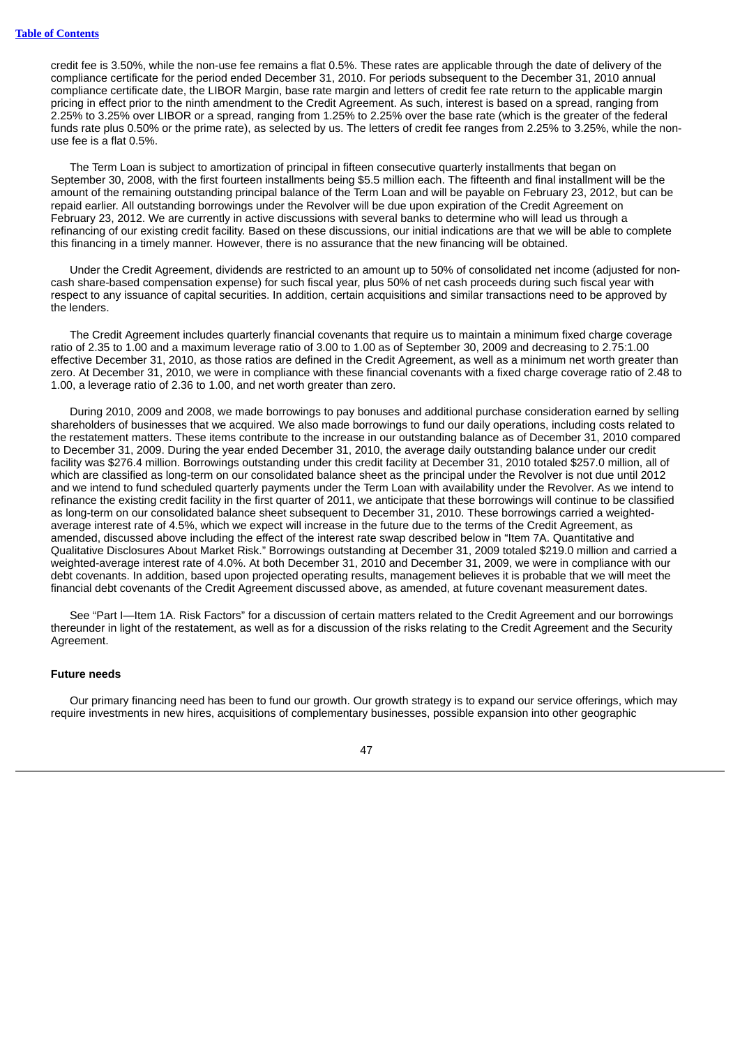credit fee is 3.50%, while the non-use fee remains a flat 0.5%. These rates are applicable through the date of delivery of the compliance certificate for the period ended December 31, 2010. For periods subsequent to the December 31, 2010 annual compliance certificate date, the LIBOR Margin, base rate margin and letters of credit fee rate return to the applicable margin pricing in effect prior to the ninth amendment to the Credit Agreement. As such, interest is based on a spread, ranging from 2.25% to 3.25% over LIBOR or a spread, ranging from 1.25% to 2.25% over the base rate (which is the greater of the federal funds rate plus 0.50% or the prime rate), as selected by us. The letters of credit fee ranges from 2.25% to 3.25%, while the nonuse fee is a flat 0.5%.

The Term Loan is subject to amortization of principal in fifteen consecutive quarterly installments that began on September 30, 2008, with the first fourteen installments being \$5.5 million each. The fifteenth and final installment will be the amount of the remaining outstanding principal balance of the Term Loan and will be payable on February 23, 2012, but can be repaid earlier. All outstanding borrowings under the Revolver will be due upon expiration of the Credit Agreement on February 23, 2012. We are currently in active discussions with several banks to determine who will lead us through a refinancing of our existing credit facility. Based on these discussions, our initial indications are that we will be able to complete this financing in a timely manner. However, there is no assurance that the new financing will be obtained.

Under the Credit Agreement, dividends are restricted to an amount up to 50% of consolidated net income (adjusted for noncash share-based compensation expense) for such fiscal year, plus 50% of net cash proceeds during such fiscal year with respect to any issuance of capital securities. In addition, certain acquisitions and similar transactions need to be approved by the lenders.

The Credit Agreement includes quarterly financial covenants that require us to maintain a minimum fixed charge coverage ratio of 2.35 to 1.00 and a maximum leverage ratio of 3.00 to 1.00 as of September 30, 2009 and decreasing to 2.75:1.00 effective December 31, 2010, as those ratios are defined in the Credit Agreement, as well as a minimum net worth greater than zero. At December 31, 2010, we were in compliance with these financial covenants with a fixed charge coverage ratio of 2.48 to 1.00, a leverage ratio of 2.36 to 1.00, and net worth greater than zero.

During 2010, 2009 and 2008, we made borrowings to pay bonuses and additional purchase consideration earned by selling shareholders of businesses that we acquired. We also made borrowings to fund our daily operations, including costs related to the restatement matters. These items contribute to the increase in our outstanding balance as of December 31, 2010 compared to December 31, 2009. During the year ended December 31, 2010, the average daily outstanding balance under our credit facility was \$276.4 million. Borrowings outstanding under this credit facility at December 31, 2010 totaled \$257.0 million, all of which are classified as long-term on our consolidated balance sheet as the principal under the Revolver is not due until 2012 and we intend to fund scheduled quarterly payments under the Term Loan with availability under the Revolver. As we intend to refinance the existing credit facility in the first quarter of 2011, we anticipate that these borrowings will continue to be classified as long-term on our consolidated balance sheet subsequent to December 31, 2010. These borrowings carried a weightedaverage interest rate of 4.5%, which we expect will increase in the future due to the terms of the Credit Agreement, as amended, discussed above including the effect of the interest rate swap described below in "Item 7A. Quantitative and Qualitative Disclosures About Market Risk." Borrowings outstanding at December 31, 2009 totaled \$219.0 million and carried a weighted-average interest rate of 4.0%. At both December 31, 2010 and December 31, 2009, we were in compliance with our debt covenants. In addition, based upon projected operating results, management believes it is probable that we will meet the financial debt covenants of the Credit Agreement discussed above, as amended, at future covenant measurement dates.

See "Part I—Item 1A. Risk Factors" for a discussion of certain matters related to the Credit Agreement and our borrowings thereunder in light of the restatement, as well as for a discussion of the risks relating to the Credit Agreement and the Security Agreement.

## **Future needs**

Our primary financing need has been to fund our growth. Our growth strategy is to expand our service offerings, which may require investments in new hires, acquisitions of complementary businesses, possible expansion into other geographic

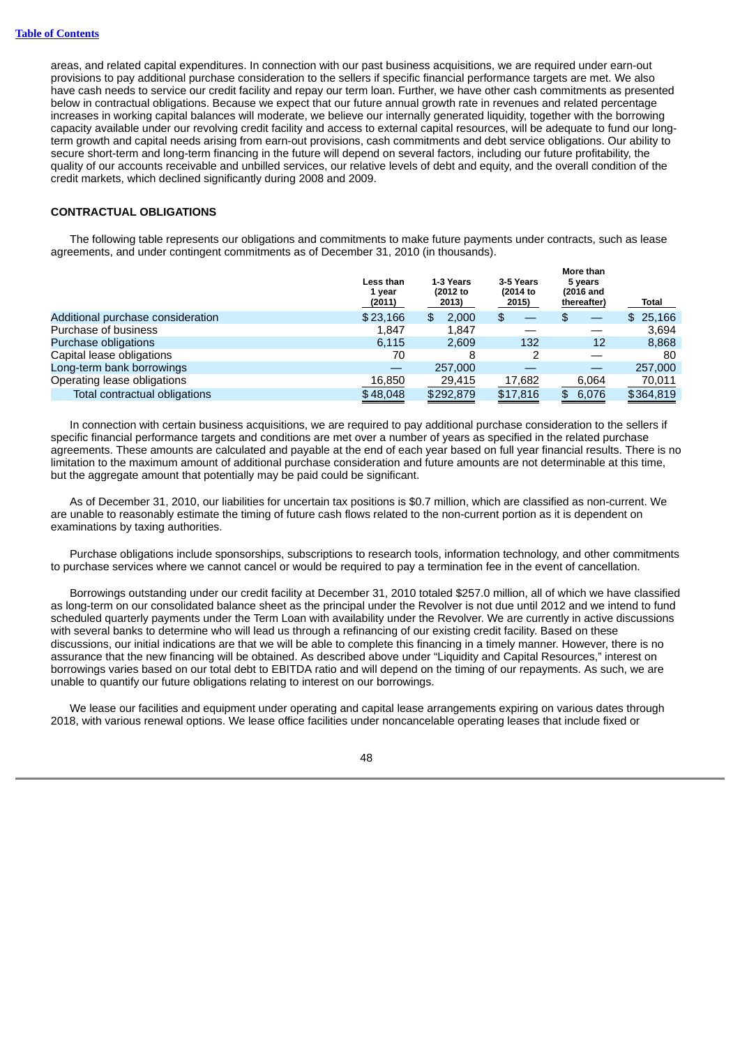areas, and related capital expenditures. In connection with our past business acquisitions, we are required under earn-out provisions to pay additional purchase consideration to the sellers if specific financial performance targets are met. We also have cash needs to service our credit facility and repay our term loan. Further, we have other cash commitments as presented below in contractual obligations. Because we expect that our future annual growth rate in revenues and related percentage increases in working capital balances will moderate, we believe our internally generated liquidity, together with the borrowing capacity available under our revolving credit facility and access to external capital resources, will be adequate to fund our longterm growth and capital needs arising from earn-out provisions, cash commitments and debt service obligations. Our ability to secure short-term and long-term financing in the future will depend on several factors, including our future profitability, the quality of our accounts receivable and unbilled services, our relative levels of debt and equity, and the overall condition of the credit markets, which declined significantly during 2008 and 2009.

## **CONTRACTUAL OBLIGATIONS**

The following table represents our obligations and commitments to make future payments under contracts, such as lease agreements, and under contingent commitments as of December 31, 2010 (in thousands).

| Less than<br>1 year<br>(2011) | 1-3 Years<br>(2012 to<br>2013) | 3-5 Years<br>(2014 to<br>2015) | More than<br>5 years<br>(2016 and<br>thereafter) | Total     |
|-------------------------------|--------------------------------|--------------------------------|--------------------------------------------------|-----------|
| \$23.166                      | 2,000<br>\$                    | \$                             |                                                  | \$25,166  |
| 1,847                         | 1,847                          |                                |                                                  | 3.694     |
| 6.115                         | 2.609                          | 132                            | 12                                               | 8.868     |
| 70                            | 8                              |                                |                                                  | 80        |
|                               | 257,000                        |                                |                                                  | 257,000   |
| 16,850                        | 29,415                         | 17,682                         | 6,064                                            | 70,011    |
| \$48,048                      | \$292,879                      | \$17,816                       | 6,076<br>\$                                      | \$364,819 |
|                               |                                |                                |                                                  |           |

In connection with certain business acquisitions, we are required to pay additional purchase consideration to the sellers if specific financial performance targets and conditions are met over a number of years as specified in the related purchase agreements. These amounts are calculated and payable at the end of each year based on full year financial results. There is no limitation to the maximum amount of additional purchase consideration and future amounts are not determinable at this time, but the aggregate amount that potentially may be paid could be significant.

As of December 31, 2010, our liabilities for uncertain tax positions is \$0.7 million, which are classified as non-current. We are unable to reasonably estimate the timing of future cash flows related to the non-current portion as it is dependent on examinations by taxing authorities.

Purchase obligations include sponsorships, subscriptions to research tools, information technology, and other commitments to purchase services where we cannot cancel or would be required to pay a termination fee in the event of cancellation.

Borrowings outstanding under our credit facility at December 31, 2010 totaled \$257.0 million, all of which we have classified as long-term on our consolidated balance sheet as the principal under the Revolver is not due until 2012 and we intend to fund scheduled quarterly payments under the Term Loan with availability under the Revolver. We are currently in active discussions with several banks to determine who will lead us through a refinancing of our existing credit facility. Based on these discussions, our initial indications are that we will be able to complete this financing in a timely manner. However, there is no assurance that the new financing will be obtained. As described above under "Liquidity and Capital Resources," interest on borrowings varies based on our total debt to EBITDA ratio and will depend on the timing of our repayments. As such, we are unable to quantify our future obligations relating to interest on our borrowings.

We lease our facilities and equipment under operating and capital lease arrangements expiring on various dates through 2018, with various renewal options. We lease office facilities under noncancelable operating leases that include fixed or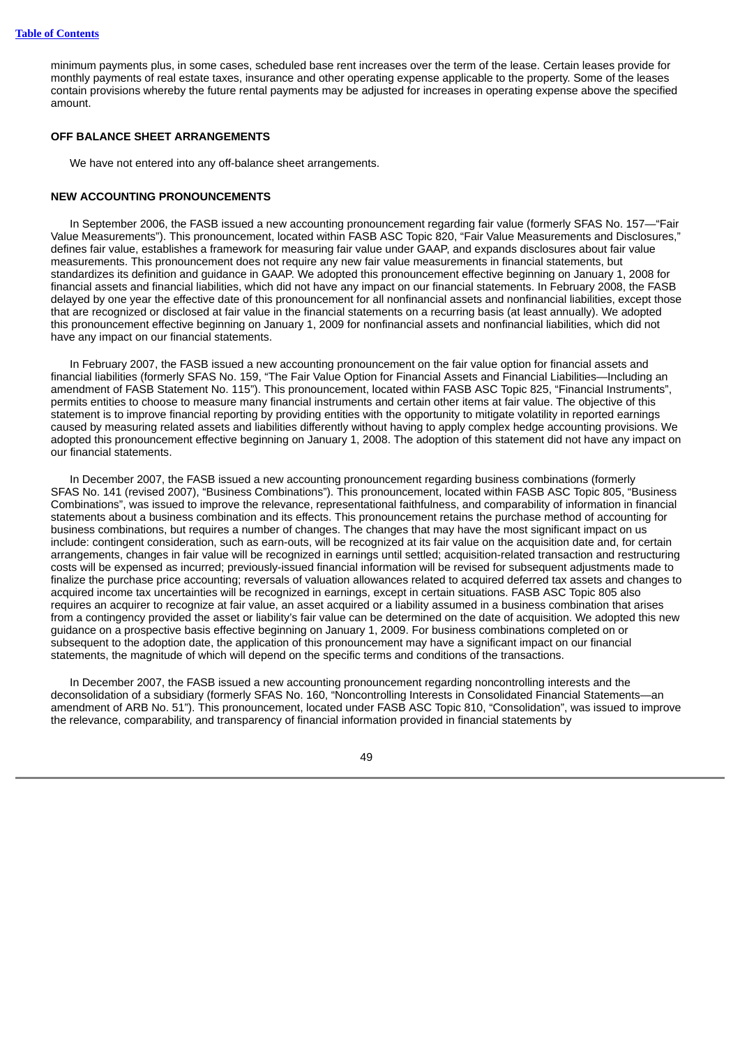minimum payments plus, in some cases, scheduled base rent increases over the term of the lease. Certain leases provide for monthly payments of real estate taxes, insurance and other operating expense applicable to the property. Some of the leases contain provisions whereby the future rental payments may be adjusted for increases in operating expense above the specified amount.

#### **OFF BALANCE SHEET ARRANGEMENTS**

We have not entered into any off-balance sheet arrangements.

## **NEW ACCOUNTING PRONOUNCEMENTS**

In September 2006, the FASB issued a new accounting pronouncement regarding fair value (formerly SFAS No. 157—"Fair Value Measurements"). This pronouncement, located within FASB ASC Topic 820, "Fair Value Measurements and Disclosures," defines fair value, establishes a framework for measuring fair value under GAAP, and expands disclosures about fair value measurements. This pronouncement does not require any new fair value measurements in financial statements, but standardizes its definition and guidance in GAAP. We adopted this pronouncement effective beginning on January 1, 2008 for financial assets and financial liabilities, which did not have any impact on our financial statements. In February 2008, the FASB delayed by one year the effective date of this pronouncement for all nonfinancial assets and nonfinancial liabilities, except those that are recognized or disclosed at fair value in the financial statements on a recurring basis (at least annually). We adopted this pronouncement effective beginning on January 1, 2009 for nonfinancial assets and nonfinancial liabilities, which did not have any impact on our financial statements.

In February 2007, the FASB issued a new accounting pronouncement on the fair value option for financial assets and financial liabilities (formerly SFAS No. 159, "The Fair Value Option for Financial Assets and Financial Liabilities—Including an amendment of FASB Statement No. 115"). This pronouncement, located within FASB ASC Topic 825, "Financial Instruments", permits entities to choose to measure many financial instruments and certain other items at fair value. The objective of this statement is to improve financial reporting by providing entities with the opportunity to mitigate volatility in reported earnings caused by measuring related assets and liabilities differently without having to apply complex hedge accounting provisions. We adopted this pronouncement effective beginning on January 1, 2008. The adoption of this statement did not have any impact on our financial statements.

In December 2007, the FASB issued a new accounting pronouncement regarding business combinations (formerly SFAS No. 141 (revised 2007), "Business Combinations"). This pronouncement, located within FASB ASC Topic 805, "Business Combinations", was issued to improve the relevance, representational faithfulness, and comparability of information in financial statements about a business combination and its effects. This pronouncement retains the purchase method of accounting for business combinations, but requires a number of changes. The changes that may have the most significant impact on us include: contingent consideration, such as earn-outs, will be recognized at its fair value on the acquisition date and, for certain arrangements, changes in fair value will be recognized in earnings until settled; acquisition-related transaction and restructuring costs will be expensed as incurred; previously-issued financial information will be revised for subsequent adjustments made to finalize the purchase price accounting; reversals of valuation allowances related to acquired deferred tax assets and changes to acquired income tax uncertainties will be recognized in earnings, except in certain situations. FASB ASC Topic 805 also requires an acquirer to recognize at fair value, an asset acquired or a liability assumed in a business combination that arises from a contingency provided the asset or liability's fair value can be determined on the date of acquisition. We adopted this new guidance on a prospective basis effective beginning on January 1, 2009. For business combinations completed on or subsequent to the adoption date, the application of this pronouncement may have a significant impact on our financial statements, the magnitude of which will depend on the specific terms and conditions of the transactions.

In December 2007, the FASB issued a new accounting pronouncement regarding noncontrolling interests and the deconsolidation of a subsidiary (formerly SFAS No. 160, "Noncontrolling Interests in Consolidated Financial Statements—an amendment of ARB No. 51"). This pronouncement, located under FASB ASC Topic 810, "Consolidation", was issued to improve the relevance, comparability, and transparency of financial information provided in financial statements by

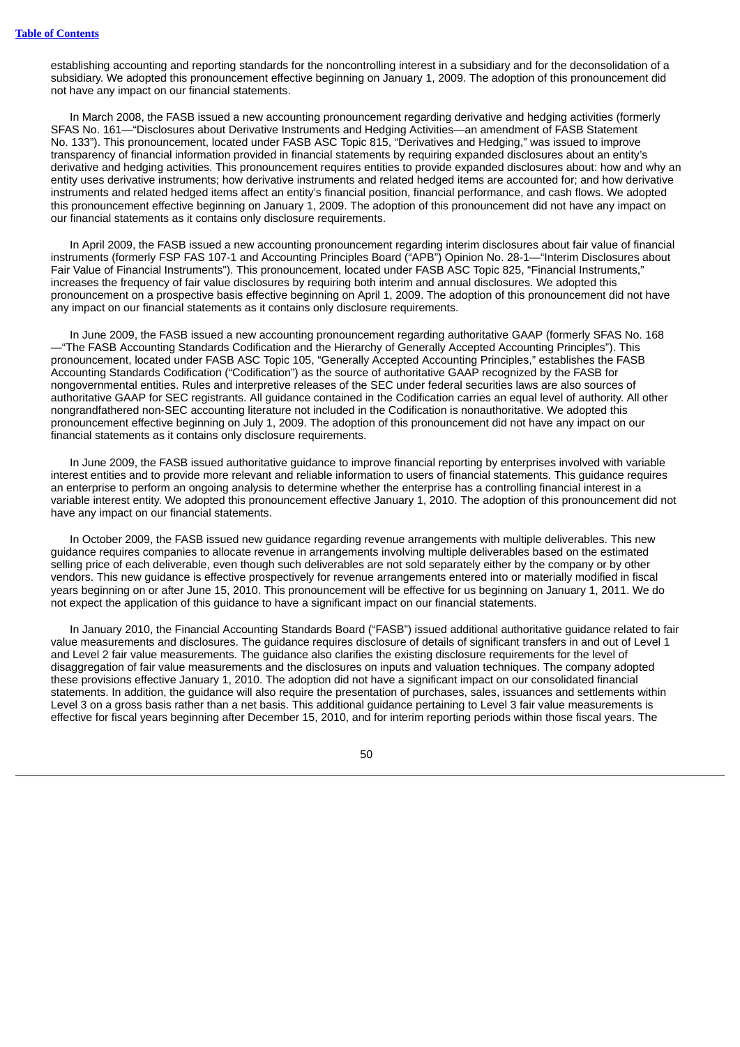establishing accounting and reporting standards for the noncontrolling interest in a subsidiary and for the deconsolidation of a subsidiary. We adopted this pronouncement effective beginning on January 1, 2009. The adoption of this pronouncement did not have any impact on our financial statements.

In March 2008, the FASB issued a new accounting pronouncement regarding derivative and hedging activities (formerly SFAS No. 161—"Disclosures about Derivative Instruments and Hedging Activities—an amendment of FASB Statement No. 133"). This pronouncement, located under FASB ASC Topic 815, "Derivatives and Hedging," was issued to improve transparency of financial information provided in financial statements by requiring expanded disclosures about an entity's derivative and hedging activities. This pronouncement requires entities to provide expanded disclosures about: how and why an entity uses derivative instruments; how derivative instruments and related hedged items are accounted for; and how derivative instruments and related hedged items affect an entity's financial position, financial performance, and cash flows. We adopted this pronouncement effective beginning on January 1, 2009. The adoption of this pronouncement did not have any impact on our financial statements as it contains only disclosure requirements.

In April 2009, the FASB issued a new accounting pronouncement regarding interim disclosures about fair value of financial instruments (formerly FSP FAS 107-1 and Accounting Principles Board ("APB") Opinion No. 28-1—"Interim Disclosures about Fair Value of Financial Instruments"). This pronouncement, located under FASB ASC Topic 825, "Financial Instruments," increases the frequency of fair value disclosures by requiring both interim and annual disclosures. We adopted this pronouncement on a prospective basis effective beginning on April 1, 2009. The adoption of this pronouncement did not have any impact on our financial statements as it contains only disclosure requirements.

In June 2009, the FASB issued a new accounting pronouncement regarding authoritative GAAP (formerly SFAS No. 168 —"The FASB Accounting Standards Codification and the Hierarchy of Generally Accepted Accounting Principles"). This pronouncement, located under FASB ASC Topic 105, "Generally Accepted Accounting Principles," establishes the FASB Accounting Standards Codification ("Codification") as the source of authoritative GAAP recognized by the FASB for nongovernmental entities. Rules and interpretive releases of the SEC under federal securities laws are also sources of authoritative GAAP for SEC registrants. All guidance contained in the Codification carries an equal level of authority. All other nongrandfathered non-SEC accounting literature not included in the Codification is nonauthoritative. We adopted this pronouncement effective beginning on July 1, 2009. The adoption of this pronouncement did not have any impact on our financial statements as it contains only disclosure requirements.

In June 2009, the FASB issued authoritative guidance to improve financial reporting by enterprises involved with variable interest entities and to provide more relevant and reliable information to users of financial statements. This guidance requires an enterprise to perform an ongoing analysis to determine whether the enterprise has a controlling financial interest in a variable interest entity. We adopted this pronouncement effective January 1, 2010. The adoption of this pronouncement did not have any impact on our financial statements.

In October 2009, the FASB issued new guidance regarding revenue arrangements with multiple deliverables. This new guidance requires companies to allocate revenue in arrangements involving multiple deliverables based on the estimated selling price of each deliverable, even though such deliverables are not sold separately either by the company or by other vendors. This new guidance is effective prospectively for revenue arrangements entered into or materially modified in fiscal years beginning on or after June 15, 2010. This pronouncement will be effective for us beginning on January 1, 2011. We do not expect the application of this guidance to have a significant impact on our financial statements.

In January 2010, the Financial Accounting Standards Board ("FASB") issued additional authoritative guidance related to fair value measurements and disclosures. The guidance requires disclosure of details of significant transfers in and out of Level 1 and Level 2 fair value measurements. The guidance also clarifies the existing disclosure requirements for the level of disaggregation of fair value measurements and the disclosures on inputs and valuation techniques. The company adopted these provisions effective January 1, 2010. The adoption did not have a significant impact on our consolidated financial statements. In addition, the guidance will also require the presentation of purchases, sales, issuances and settlements within Level 3 on a gross basis rather than a net basis. This additional guidance pertaining to Level 3 fair value measurements is effective for fiscal years beginning after December 15, 2010, and for interim reporting periods within those fiscal years. The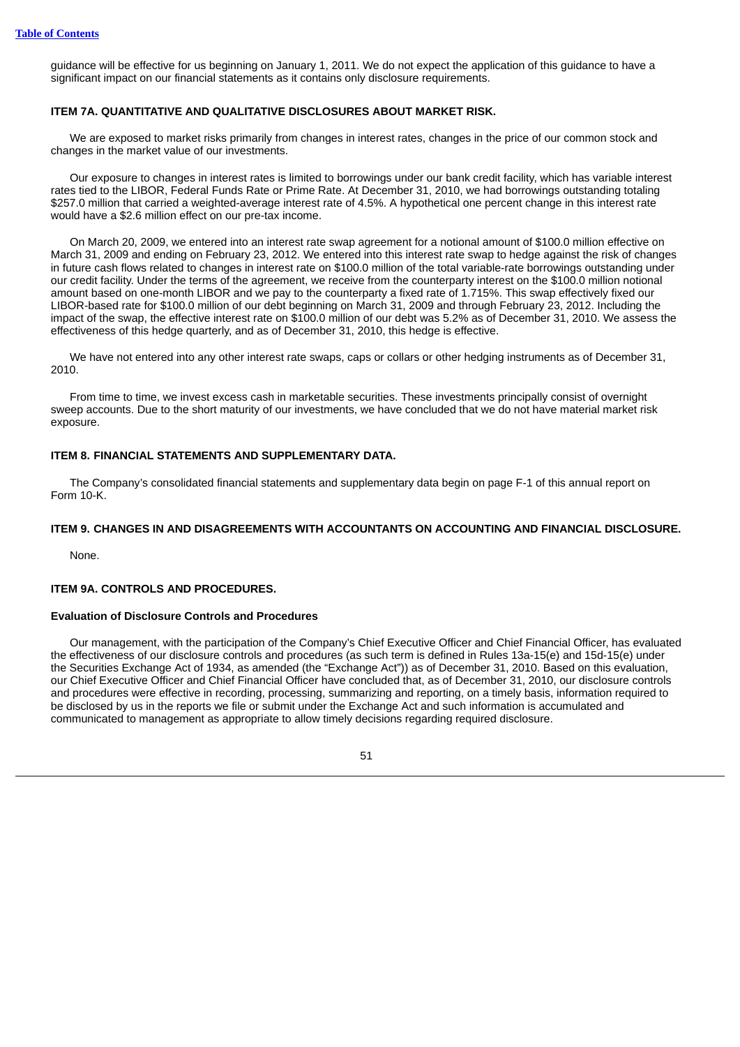guidance will be effective for us beginning on January 1, 2011. We do not expect the application of this guidance to have a significant impact on our financial statements as it contains only disclosure requirements.

## **ITEM 7A. QUANTITATIVE AND QUALITATIVE DISCLOSURES ABOUT MARKET RISK.**

We are exposed to market risks primarily from changes in interest rates, changes in the price of our common stock and changes in the market value of our investments.

Our exposure to changes in interest rates is limited to borrowings under our bank credit facility, which has variable interest rates tied to the LIBOR, Federal Funds Rate or Prime Rate. At December 31, 2010, we had borrowings outstanding totaling \$257.0 million that carried a weighted-average interest rate of 4.5%. A hypothetical one percent change in this interest rate would have a \$2.6 million effect on our pre-tax income.

On March 20, 2009, we entered into an interest rate swap agreement for a notional amount of \$100.0 million effective on March 31, 2009 and ending on February 23, 2012. We entered into this interest rate swap to hedge against the risk of changes in future cash flows related to changes in interest rate on \$100.0 million of the total variable-rate borrowings outstanding under our credit facility. Under the terms of the agreement, we receive from the counterparty interest on the \$100.0 million notional amount based on one-month LIBOR and we pay to the counterparty a fixed rate of 1.715%. This swap effectively fixed our LIBOR-based rate for \$100.0 million of our debt beginning on March 31, 2009 and through February 23, 2012. Including the impact of the swap, the effective interest rate on \$100.0 million of our debt was 5.2% as of December 31, 2010. We assess the effectiveness of this hedge quarterly, and as of December 31, 2010, this hedge is effective.

We have not entered into any other interest rate swaps, caps or collars or other hedging instruments as of December 31, 2010.

From time to time, we invest excess cash in marketable securities. These investments principally consist of overnight sweep accounts. Due to the short maturity of our investments, we have concluded that we do not have material market risk exposure.

## **ITEM 8. FINANCIAL STATEMENTS AND SUPPLEMENTARY DATA.**

The Company's consolidated financial statements and supplementary data begin on page F-1 of this annual report on Form 10-K.

# **ITEM 9. CHANGES IN AND DISAGREEMENTS WITH ACCOUNTANTS ON ACCOUNTING AND FINANCIAL DISCLOSURE.**

None.

#### **ITEM 9A. CONTROLS AND PROCEDURES.**

#### **Evaluation of Disclosure Controls and Procedures**

Our management, with the participation of the Company's Chief Executive Officer and Chief Financial Officer, has evaluated the effectiveness of our disclosure controls and procedures (as such term is defined in Rules 13a-15(e) and 15d-15(e) under the Securities Exchange Act of 1934, as amended (the "Exchange Act")) as of December 31, 2010. Based on this evaluation, our Chief Executive Officer and Chief Financial Officer have concluded that, as of December 31, 2010, our disclosure controls and procedures were effective in recording, processing, summarizing and reporting, on a timely basis, information required to be disclosed by us in the reports we file or submit under the Exchange Act and such information is accumulated and communicated to management as appropriate to allow timely decisions regarding required disclosure.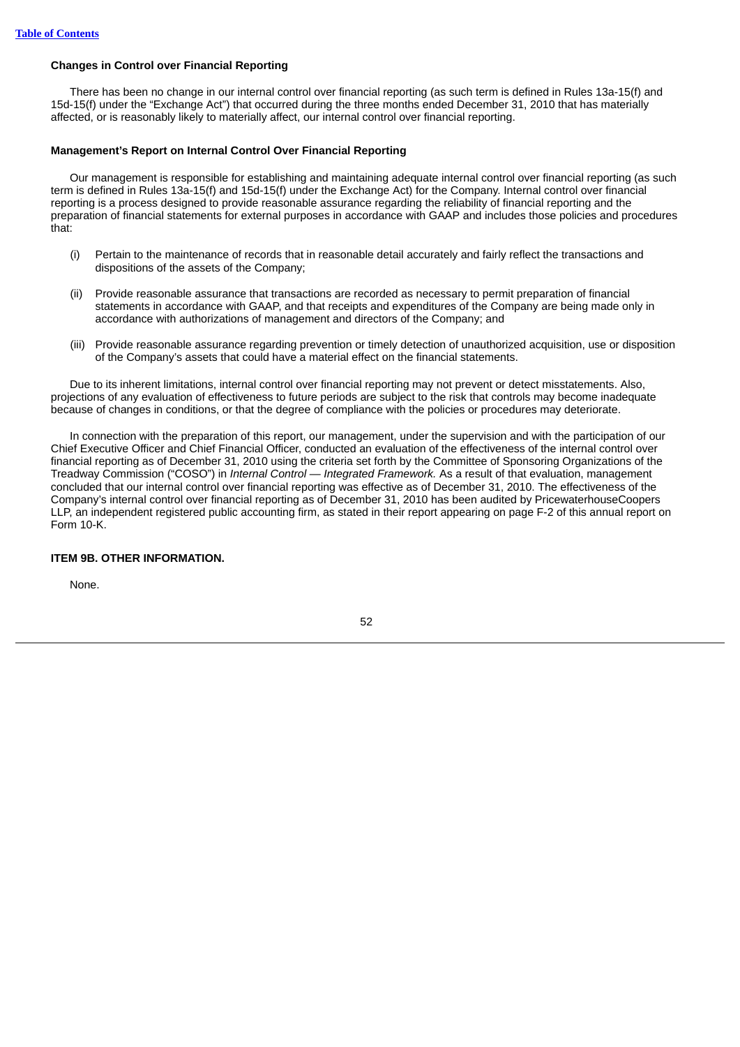## **Changes in Control over Financial Reporting**

There has been no change in our internal control over financial reporting (as such term is defined in Rules 13a-15(f) and 15d-15(f) under the "Exchange Act") that occurred during the three months ended December 31, 2010 that has materially affected, or is reasonably likely to materially affect, our internal control over financial reporting.

#### **Management's Report on Internal Control Over Financial Reporting**

Our management is responsible for establishing and maintaining adequate internal control over financial reporting (as such term is defined in Rules 13a-15(f) and 15d-15(f) under the Exchange Act) for the Company. Internal control over financial reporting is a process designed to provide reasonable assurance regarding the reliability of financial reporting and the preparation of financial statements for external purposes in accordance with GAAP and includes those policies and procedures that:

- (i) Pertain to the maintenance of records that in reasonable detail accurately and fairly reflect the transactions and dispositions of the assets of the Company;
- (ii) Provide reasonable assurance that transactions are recorded as necessary to permit preparation of financial statements in accordance with GAAP, and that receipts and expenditures of the Company are being made only in accordance with authorizations of management and directors of the Company; and
- (iii) Provide reasonable assurance regarding prevention or timely detection of unauthorized acquisition, use or disposition of the Company's assets that could have a material effect on the financial statements.

Due to its inherent limitations, internal control over financial reporting may not prevent or detect misstatements. Also, projections of any evaluation of effectiveness to future periods are subject to the risk that controls may become inadequate because of changes in conditions, or that the degree of compliance with the policies or procedures may deteriorate.

In connection with the preparation of this report, our management, under the supervision and with the participation of our Chief Executive Officer and Chief Financial Officer, conducted an evaluation of the effectiveness of the internal control over financial reporting as of December 31, 2010 using the criteria set forth by the Committee of Sponsoring Organizations of the Treadway Commission ("COSO") in *Internal Control — Integrated Framework.* As a result of that evaluation, management concluded that our internal control over financial reporting was effective as of December 31, 2010. The effectiveness of the Company's internal control over financial reporting as of December 31, 2010 has been audited by PricewaterhouseCoopers LLP, an independent registered public accounting firm, as stated in their report appearing on page F-2 of this annual report on Form 10-K.

#### **ITEM 9B. OTHER INFORMATION.**

None.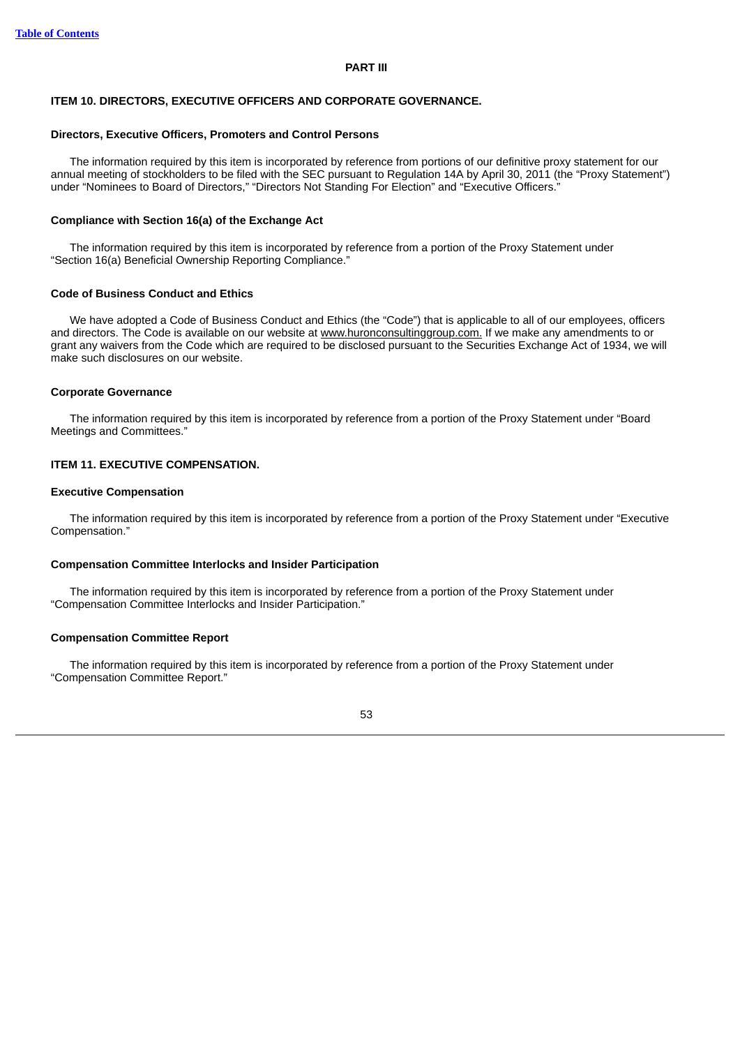### **PART III**

## **ITEM 10. DIRECTORS, EXECUTIVE OFFICERS AND CORPORATE GOVERNANCE.**

#### **Directors, Executive Officers, Promoters and Control Persons**

The information required by this item is incorporated by reference from portions of our definitive proxy statement for our annual meeting of stockholders to be filed with the SEC pursuant to Regulation 14A by April 30, 2011 (the "Proxy Statement") under "Nominees to Board of Directors," "Directors Not Standing For Election" and "Executive Officers."

#### **Compliance with Section 16(a) of the Exchange Act**

The information required by this item is incorporated by reference from a portion of the Proxy Statement under "Section 16(a) Beneficial Ownership Reporting Compliance."

## **Code of Business Conduct and Ethics**

We have adopted a Code of Business Conduct and Ethics (the "Code") that is applicable to all of our employees, officers and directors. The Code is available on our website at www.huronconsultinggroup.com. If we make any amendments to or grant any waivers from the Code which are required to be disclosed pursuant to the Securities Exchange Act of 1934, we will make such disclosures on our website.

# **Corporate Governance**

The information required by this item is incorporated by reference from a portion of the Proxy Statement under "Board Meetings and Committees."

## **ITEM 11. EXECUTIVE COMPENSATION.**

#### **Executive Compensation**

The information required by this item is incorporated by reference from a portion of the Proxy Statement under "Executive Compensation."

#### **Compensation Committee Interlocks and Insider Participation**

The information required by this item is incorporated by reference from a portion of the Proxy Statement under "Compensation Committee Interlocks and Insider Participation."

#### **Compensation Committee Report**

The information required by this item is incorporated by reference from a portion of the Proxy Statement under "Compensation Committee Report."

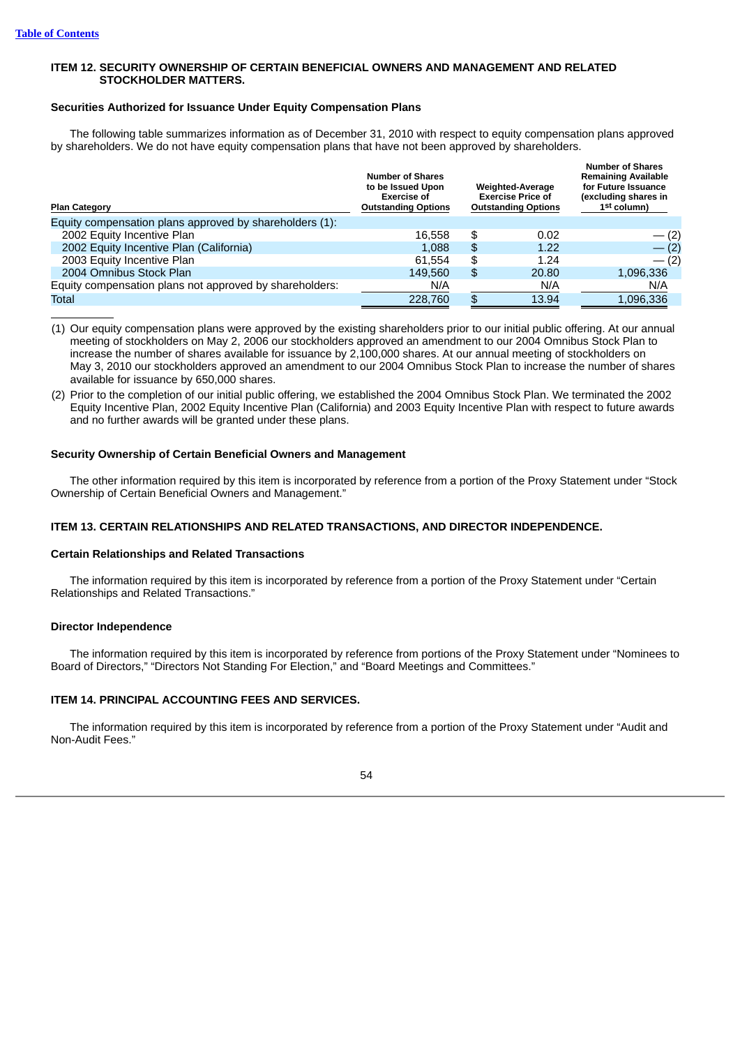## **ITEM 12. SECURITY OWNERSHIP OF CERTAIN BENEFICIAL OWNERS AND MANAGEMENT AND RELATED STOCKHOLDER MATTERS.**

## **Securities Authorized for Issuance Under Equity Compensation Plans**

The following table summarizes information as of December 31, 2010 with respect to equity compensation plans approved by shareholders. We do not have equity compensation plans that have not been approved by shareholders.

| <b>Plan Category</b>                                    | <b>Number of Shares</b><br>to be Issued Upon<br><b>Exercise of</b><br><b>Outstanding Options</b> | <b>Weighted-Average</b><br><b>Exercise Price of</b><br><b>Outstanding Options</b> | <b>Number of Shares</b><br><b>Remaining Available</b><br>for Future Issuance<br>(excluding shares in<br>1 <sup>st</sup> column) |
|---------------------------------------------------------|--------------------------------------------------------------------------------------------------|-----------------------------------------------------------------------------------|---------------------------------------------------------------------------------------------------------------------------------|
| Equity compensation plans approved by shareholders (1): |                                                                                                  |                                                                                   |                                                                                                                                 |
| 2002 Equity Incentive Plan                              | 16.558                                                                                           | \$<br>0.02                                                                        | $- (2)$                                                                                                                         |
| 2002 Equity Incentive Plan (California)                 | 1.088                                                                                            | \$<br>1.22                                                                        | $- (2)$                                                                                                                         |
| 2003 Equity Incentive Plan                              | 61.554                                                                                           | \$<br>1.24                                                                        | $- (2)$                                                                                                                         |
| 2004 Omnibus Stock Plan                                 | 149.560                                                                                          | \$<br>20.80                                                                       | 1,096,336                                                                                                                       |
| Equity compensation plans not approved by shareholders: | N/A                                                                                              | N/A                                                                               | N/A                                                                                                                             |
| <b>Total</b>                                            | 228,760                                                                                          | \$<br>13.94                                                                       | 1.096.336                                                                                                                       |

(1) Our equity compensation plans were approved by the existing shareholders prior to our initial public offering. At our annual meeting of stockholders on May 2, 2006 our stockholders approved an amendment to our 2004 Omnibus Stock Plan to increase the number of shares available for issuance by 2,100,000 shares. At our annual meeting of stockholders on May 3, 2010 our stockholders approved an amendment to our 2004 Omnibus Stock Plan to increase the number of shares available for issuance by 650,000 shares.

(2) Prior to the completion of our initial public offering, we established the 2004 Omnibus Stock Plan. We terminated the 2002 Equity Incentive Plan, 2002 Equity Incentive Plan (California) and 2003 Equity Incentive Plan with respect to future awards and no further awards will be granted under these plans.

## **Security Ownership of Certain Beneficial Owners and Management**

The other information required by this item is incorporated by reference from a portion of the Proxy Statement under "Stock Ownership of Certain Beneficial Owners and Management."

## **ITEM 13. CERTAIN RELATIONSHIPS AND RELATED TRANSACTIONS, AND DIRECTOR INDEPENDENCE.**

#### **Certain Relationships and Related Transactions**

The information required by this item is incorporated by reference from a portion of the Proxy Statement under "Certain Relationships and Related Transactions."

#### **Director Independence**

The information required by this item is incorporated by reference from portions of the Proxy Statement under "Nominees to Board of Directors," "Directors Not Standing For Election," and "Board Meetings and Committees."

## **ITEM 14. PRINCIPAL ACCOUNTING FEES AND SERVICES.**

The information required by this item is incorporated by reference from a portion of the Proxy Statement under "Audit and Non-Audit Fees."

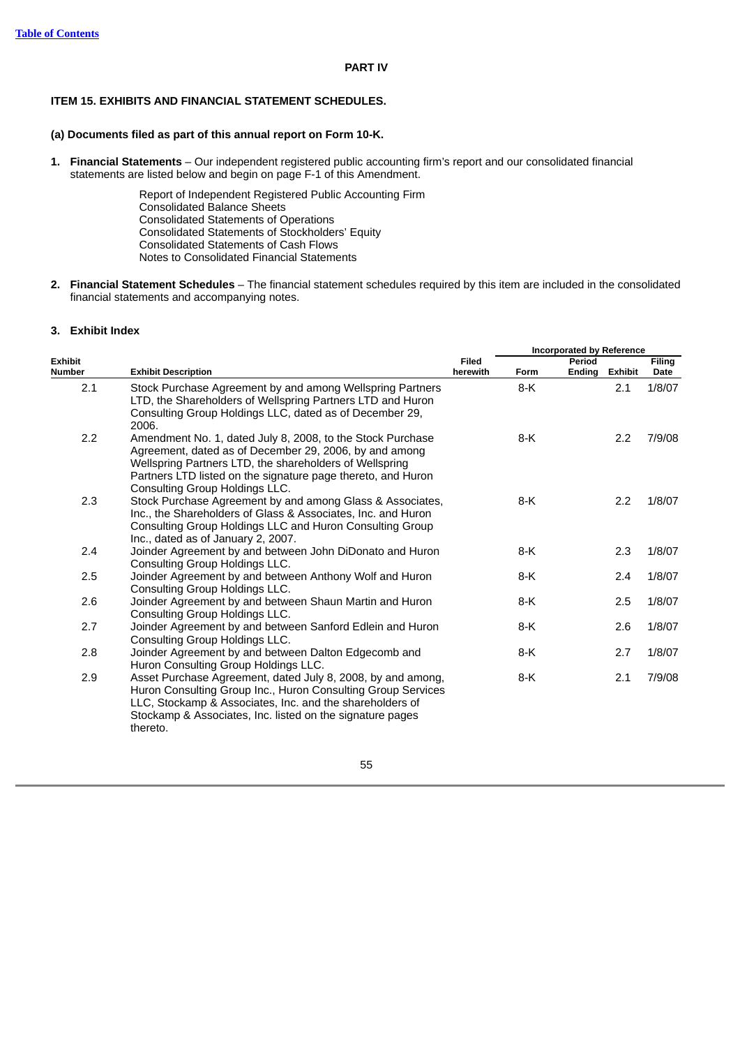# **PART IV**

## **ITEM 15. EXHIBITS AND FINANCIAL STATEMENT SCHEDULES.**

## **(a) Documents filed as part of this annual report on Form 10-K.**

**1. Financial Statements** – Our independent registered public accounting firm's report and our consolidated financial statements are listed below and begin on page F-1 of this Amendment.

> Report of Independent Registered Public Accounting Firm Consolidated Balance Sheets Consolidated Statements of Operations Consolidated Statements of Stockholders' Equity Consolidated Statements of Cash Flows Notes to Consolidated Financial Statements

**2. Financial Statement Schedules** – The financial statement schedules required by this item are included in the consolidated financial statements and accompanying notes.

# **3. Exhibit Index**

|                                 |                                                                                                                                                                                                                                                                                   |                   | Incorporated by Reference |                         |                |                |  |  |
|---------------------------------|-----------------------------------------------------------------------------------------------------------------------------------------------------------------------------------------------------------------------------------------------------------------------------------|-------------------|---------------------------|-------------------------|----------------|----------------|--|--|
| <b>Exhibit</b><br><b>Number</b> | <b>Exhibit Description</b>                                                                                                                                                                                                                                                        | Filed<br>herewith | Form                      | <b>Period</b><br>Ending | <b>Exhibit</b> | Filing<br>Date |  |  |
| 2.1                             | Stock Purchase Agreement by and among Wellspring Partners<br>LTD, the Shareholders of Wellspring Partners LTD and Huron<br>Consulting Group Holdings LLC, dated as of December 29,<br>2006.                                                                                       |                   | $8-K$                     |                         | 2.1            | 1/8/07         |  |  |
| 2.2                             | Amendment No. 1, dated July 8, 2008, to the Stock Purchase<br>Agreement, dated as of December 29, 2006, by and among<br>Wellspring Partners LTD, the shareholders of Wellspring<br>Partners LTD listed on the signature page thereto, and Huron<br>Consulting Group Holdings LLC. |                   | $8-K$                     |                         | 2.2            | 7/9/08         |  |  |
| 2.3                             | Stock Purchase Agreement by and among Glass & Associates,<br>Inc., the Shareholders of Glass & Associates, Inc. and Huron<br>Consulting Group Holdings LLC and Huron Consulting Group<br>Inc., dated as of January 2, 2007.                                                       |                   | $8-K$                     |                         | 2.2            | 1/8/07         |  |  |
| 2.4                             | Joinder Agreement by and between John DiDonato and Huron<br>Consulting Group Holdings LLC.                                                                                                                                                                                        |                   | $8-K$                     |                         | 2.3            | 1/8/07         |  |  |
| 2.5                             | Joinder Agreement by and between Anthony Wolf and Huron<br>Consulting Group Holdings LLC.                                                                                                                                                                                         |                   | $8-K$                     |                         | 2.4            | 1/8/07         |  |  |
| 2.6                             | Joinder Agreement by and between Shaun Martin and Huron<br>Consulting Group Holdings LLC.                                                                                                                                                                                         |                   | $8-K$                     |                         | 2.5            | 1/8/07         |  |  |
| 2.7                             | Joinder Agreement by and between Sanford Edlein and Huron<br>Consulting Group Holdings LLC.                                                                                                                                                                                       |                   | $8-K$                     |                         | 2.6            | 1/8/07         |  |  |
| 2.8                             | Joinder Agreement by and between Dalton Edgecomb and<br>Huron Consulting Group Holdings LLC.                                                                                                                                                                                      |                   | $8-K$                     |                         | 2.7            | 1/8/07         |  |  |
| 2.9                             | Asset Purchase Agreement, dated July 8, 2008, by and among,<br>Huron Consulting Group Inc., Huron Consulting Group Services<br>LLC, Stockamp & Associates, Inc. and the shareholders of<br>Stockamp & Associates, Inc. listed on the signature pages<br>thereto.                  |                   | $8-K$                     |                         | 2.1            | 7/9/08         |  |  |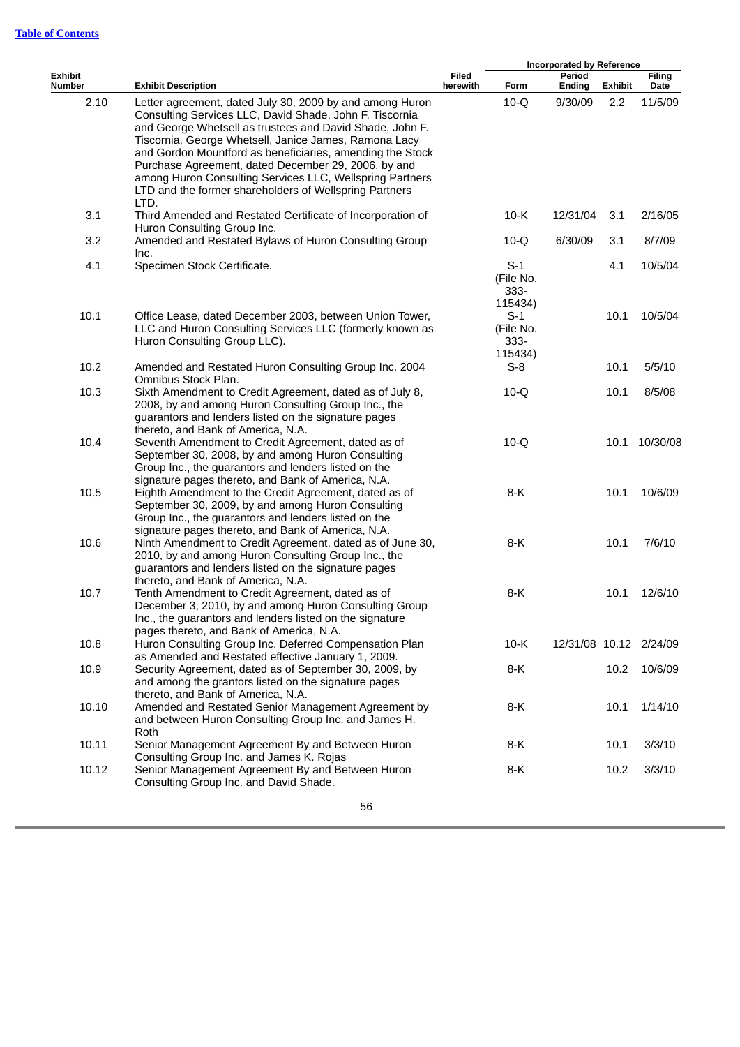# **Table of [Contents](#page-2-0)**

|                   |                                                                                                                                                                                                                                                                                                                                                                                                                                                                                            |                   |                                       |                        | Incorporated by Reference |                |  |  |  |  |
|-------------------|--------------------------------------------------------------------------------------------------------------------------------------------------------------------------------------------------------------------------------------------------------------------------------------------------------------------------------------------------------------------------------------------------------------------------------------------------------------------------------------------|-------------------|---------------------------------------|------------------------|---------------------------|----------------|--|--|--|--|
| Exhibit<br>Number | <b>Exhibit Description</b>                                                                                                                                                                                                                                                                                                                                                                                                                                                                 | Filed<br>herewith | Form                                  | Period<br>Ending       | Exhibit                   | Filing<br>Date |  |  |  |  |
| 2.10              | Letter agreement, dated July 30, 2009 by and among Huron<br>Consulting Services LLC, David Shade, John F. Tiscornia<br>and George Whetsell as trustees and David Shade, John F.<br>Tiscornia, George Whetsell, Janice James, Ramona Lacy<br>and Gordon Mountford as beneficiaries, amending the Stock<br>Purchase Agreement, dated December 29, 2006, by and<br>among Huron Consulting Services LLC, Wellspring Partners<br>LTD and the former shareholders of Wellspring Partners<br>LTD. |                   | $10-Q$                                | 9/30/09                | 2.2                       | 11/5/09        |  |  |  |  |
| 3.1               | Third Amended and Restated Certificate of Incorporation of<br>Huron Consulting Group Inc.                                                                                                                                                                                                                                                                                                                                                                                                  |                   | $10-K$                                | 12/31/04               | 3.1                       | 2/16/05        |  |  |  |  |
| 3.2               | Amended and Restated Bylaws of Huron Consulting Group<br>Inc.                                                                                                                                                                                                                                                                                                                                                                                                                              |                   | $10-Q$                                | 6/30/09                | 3.1                       | 8/7/09         |  |  |  |  |
| 4.1               | Specimen Stock Certificate.                                                                                                                                                                                                                                                                                                                                                                                                                                                                |                   | $S-1$<br>(File No.<br>333-<br>115434) |                        | 4.1                       | 10/5/04        |  |  |  |  |
| 10.1              | Office Lease, dated December 2003, between Union Tower,<br>LLC and Huron Consulting Services LLC (formerly known as<br>Huron Consulting Group LLC).                                                                                                                                                                                                                                                                                                                                        |                   | $S-1$<br>(File No.<br>333-<br>115434) |                        | 10.1                      | 10/5/04        |  |  |  |  |
| 10.2              | Amended and Restated Huron Consulting Group Inc. 2004<br>Omnibus Stock Plan.                                                                                                                                                                                                                                                                                                                                                                                                               |                   | $S-8$                                 |                        | 10.1                      | 5/5/10         |  |  |  |  |
| 10.3              | Sixth Amendment to Credit Agreement, dated as of July 8,<br>2008, by and among Huron Consulting Group Inc., the<br>guarantors and lenders listed on the signature pages<br>thereto, and Bank of America, N.A.                                                                                                                                                                                                                                                                              |                   | $10-Q$                                |                        | 10.1                      | 8/5/08         |  |  |  |  |
| 10.4              | Seventh Amendment to Credit Agreement, dated as of<br>September 30, 2008, by and among Huron Consulting<br>Group Inc., the guarantors and lenders listed on the<br>signature pages thereto, and Bank of America, N.A.                                                                                                                                                                                                                                                                      |                   | $10-Q$                                |                        |                           | 10.1 10/30/08  |  |  |  |  |
| 10.5              | Eighth Amendment to the Credit Agreement, dated as of<br>September 30, 2009, by and among Huron Consulting<br>Group Inc., the guarantors and lenders listed on the<br>signature pages thereto, and Bank of America, N.A.                                                                                                                                                                                                                                                                   |                   | $8-K$                                 |                        | 10.1                      | 10/6/09        |  |  |  |  |
| 10.6              | Ninth Amendment to Credit Agreement, dated as of June 30,<br>2010, by and among Huron Consulting Group Inc., the<br>guarantors and lenders listed on the signature pages<br>thereto, and Bank of America, N.A.                                                                                                                                                                                                                                                                             |                   | $8-K$                                 |                        | 10.1                      | 7/6/10         |  |  |  |  |
| 10.7              | Tenth Amendment to Credit Agreement, dated as of<br>December 3, 2010, by and among Huron Consulting Group<br>Inc., the guarantors and lenders listed on the signature<br>pages thereto, and Bank of America, N.A.                                                                                                                                                                                                                                                                          |                   | $8-K$                                 |                        | 10.1                      | 12/6/10        |  |  |  |  |
| 10.8              | Huron Consulting Group Inc. Deferred Compensation Plan<br>as Amended and Restated effective January 1, 2009.                                                                                                                                                                                                                                                                                                                                                                               |                   | $10-K$                                | 12/31/08 10.12 2/24/09 |                           |                |  |  |  |  |
| 10.9              | Security Agreement, dated as of September 30, 2009, by<br>and among the grantors listed on the signature pages<br>thereto, and Bank of America, N.A.                                                                                                                                                                                                                                                                                                                                       |                   | $8-K$                                 |                        | 10.2                      | 10/6/09        |  |  |  |  |
| 10.10             | Amended and Restated Senior Management Agreement by<br>and between Huron Consulting Group Inc. and James H.<br>Roth                                                                                                                                                                                                                                                                                                                                                                        |                   | 8-K                                   |                        | 10.1                      | 1/14/10        |  |  |  |  |
| 10.11             | Senior Management Agreement By and Between Huron<br>Consulting Group Inc. and James K. Rojas                                                                                                                                                                                                                                                                                                                                                                                               |                   | $8-K$                                 |                        | 10.1                      | 3/3/10         |  |  |  |  |
| 10.12             | Senior Management Agreement By and Between Huron<br>Consulting Group Inc. and David Shade.                                                                                                                                                                                                                                                                                                                                                                                                 |                   | $8-K$                                 |                        | 10.2                      | 3/3/10         |  |  |  |  |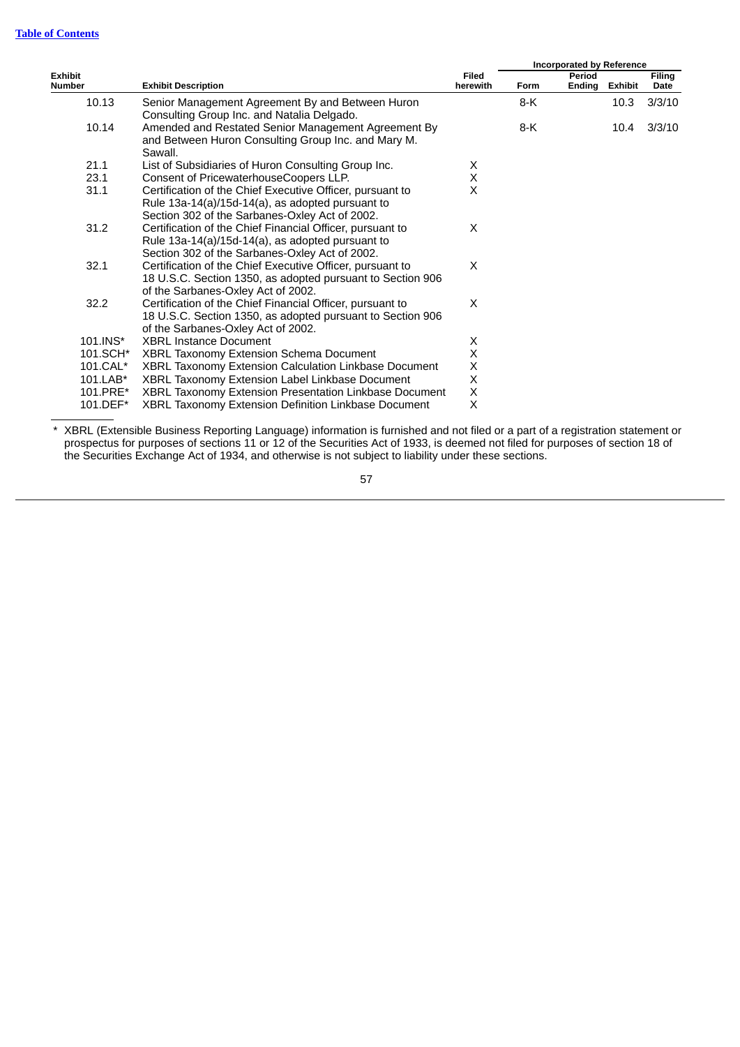|                                 |                                                                                                                                                                    |                   | <b>Incorporated by Reference</b> |                         |                |                |  |  |  |
|---------------------------------|--------------------------------------------------------------------------------------------------------------------------------------------------------------------|-------------------|----------------------------------|-------------------------|----------------|----------------|--|--|--|
| <b>Exhibit</b><br><b>Number</b> | <b>Exhibit Description</b>                                                                                                                                         | Filed<br>herewith | Form                             | <b>Period</b><br>Ending | <b>Exhibit</b> | Filing<br>Date |  |  |  |
| 10.13                           | Senior Management Agreement By and Between Huron<br>Consulting Group Inc. and Natalia Delgado.                                                                     |                   | 8-K                              |                         | 10.3           | 3/3/10         |  |  |  |
| 10.14                           | Amended and Restated Senior Management Agreement By<br>and Between Huron Consulting Group Inc. and Mary M.<br>Sawall.                                              |                   | 8-K                              |                         | 10.4           | 3/3/10         |  |  |  |
| 21.1                            | List of Subsidiaries of Huron Consulting Group Inc.                                                                                                                | X                 |                                  |                         |                |                |  |  |  |
| 23.1                            | Consent of PricewaterhouseCoopers LLP.                                                                                                                             | X                 |                                  |                         |                |                |  |  |  |
| 31.1                            | Certification of the Chief Executive Officer, pursuant to<br>Rule $13a-14(a)/15d-14(a)$ , as adopted pursuant to<br>Section 302 of the Sarbanes-Oxley Act of 2002. | X                 |                                  |                         |                |                |  |  |  |
| 31.2                            | Certification of the Chief Financial Officer, pursuant to<br>Rule $13a-14(a)/15d-14(a)$ , as adopted pursuant to<br>Section 302 of the Sarbanes-Oxley Act of 2002. | X                 |                                  |                         |                |                |  |  |  |
| 32.1                            | Certification of the Chief Executive Officer, pursuant to<br>18 U.S.C. Section 1350, as adopted pursuant to Section 906<br>of the Sarbanes-Oxley Act of 2002.      | X                 |                                  |                         |                |                |  |  |  |
| 32.2                            | Certification of the Chief Financial Officer, pursuant to<br>18 U.S.C. Section 1350, as adopted pursuant to Section 906<br>of the Sarbanes-Oxley Act of 2002.      | X                 |                                  |                         |                |                |  |  |  |
| 101.INS*                        | <b>XBRL Instance Document</b>                                                                                                                                      | X                 |                                  |                         |                |                |  |  |  |
| 101.SCH*                        | XBRL Taxonomy Extension Schema Document                                                                                                                            | X                 |                                  |                         |                |                |  |  |  |
| 101.CAL*                        | XBRL Taxonomy Extension Calculation Linkbase Document                                                                                                              | X                 |                                  |                         |                |                |  |  |  |
| $101.LAB*$                      | XBRL Taxonomy Extension Label Linkbase Document                                                                                                                    | X                 |                                  |                         |                |                |  |  |  |
| 101.PRE*                        | XBRL Taxonomy Extension Presentation Linkbase Document                                                                                                             | X                 |                                  |                         |                |                |  |  |  |
| 101.DEF*                        | XBRL Taxonomy Extension Definition Linkbase Document                                                                                                               | X                 |                                  |                         |                |                |  |  |  |

\* XBRL (Extensible Business Reporting Language) information is furnished and not filed or a part of a registration statement or prospectus for purposes of sections 11 or 12 of the Securities Act of 1933, is deemed not filed for purposes of section 18 of the Securities Exchange Act of 1934, and otherwise is not subject to liability under these sections.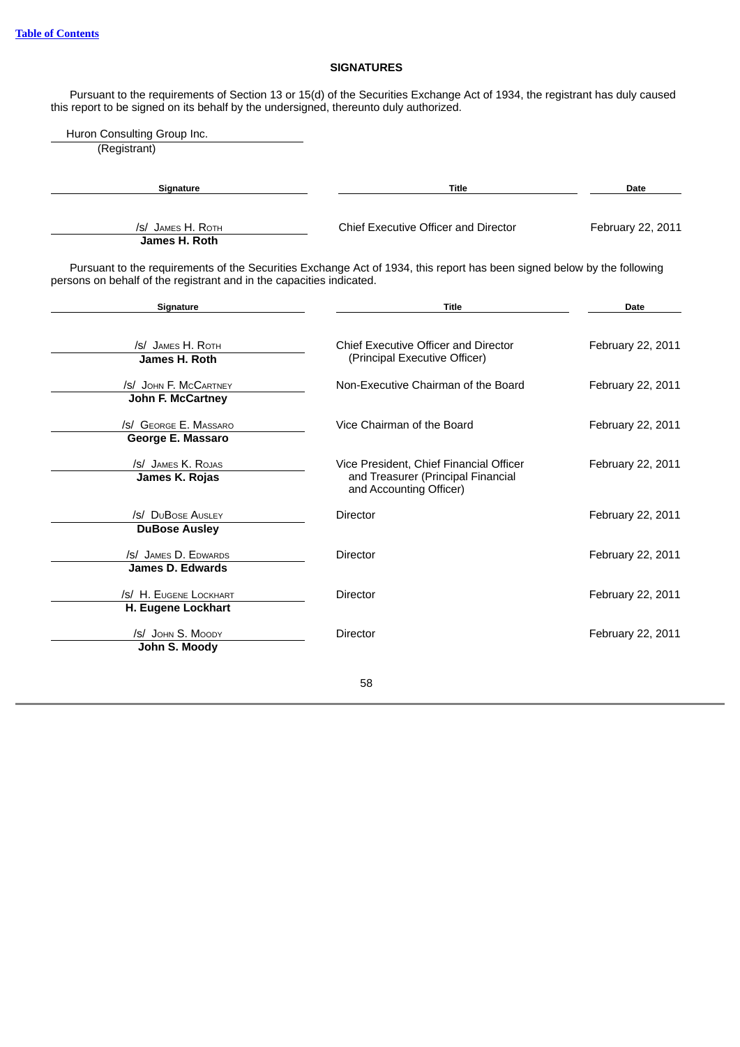# **SIGNATURES**

Pursuant to the requirements of Section 13 or 15(d) of the Securities Exchange Act of 1934, the registrant has duly caused this report to be signed on its behalf by the undersigned, thereunto duly authorized.

Huron Consulting Group Inc. (Registrant) **Signature Title Date** /s/ JAMES H. ROTH **James H. Roth** Chief Executive Officer and Director February 22, 2011 Pursuant to the requirements of the Securities Exchange Act of 1934, this report has been signed below by the following persons on behalf of the registrant and in the capacities indicated. **Signature Title Date** /s/ JAMES H. ROTH **James H. Roth** Chief Executive Officer and Director (Principal Executive Officer) February 22, 2011 /s/ JOHN F. MCCARTNEY **John F. McCartney** Non-Executive Chairman of the Board February 22, 2011 /s/ GEORGE E. MASSARO **George E. Massaro** Vice Chairman of the Board February 22, 2011 /s/ JAMES K. ROJAS **James K. Rojas** Vice President, Chief Financial Officer and Treasurer (Principal Financial and Accounting Officer) February 22, 2011 /s/ DUBOSE AUSLEY **DuBose Ausley** Director February 22, 2011 /s/ JAMES D. EDWARDS **James D. Edwards** Director **February 22, 2011** /s/ H. EUGENE LOCKHART **H. Eugene Lockhart** Director **February 22, 2011** /s/ JOHN S. MOODY **John S. Moody** Director **February 22, 2011**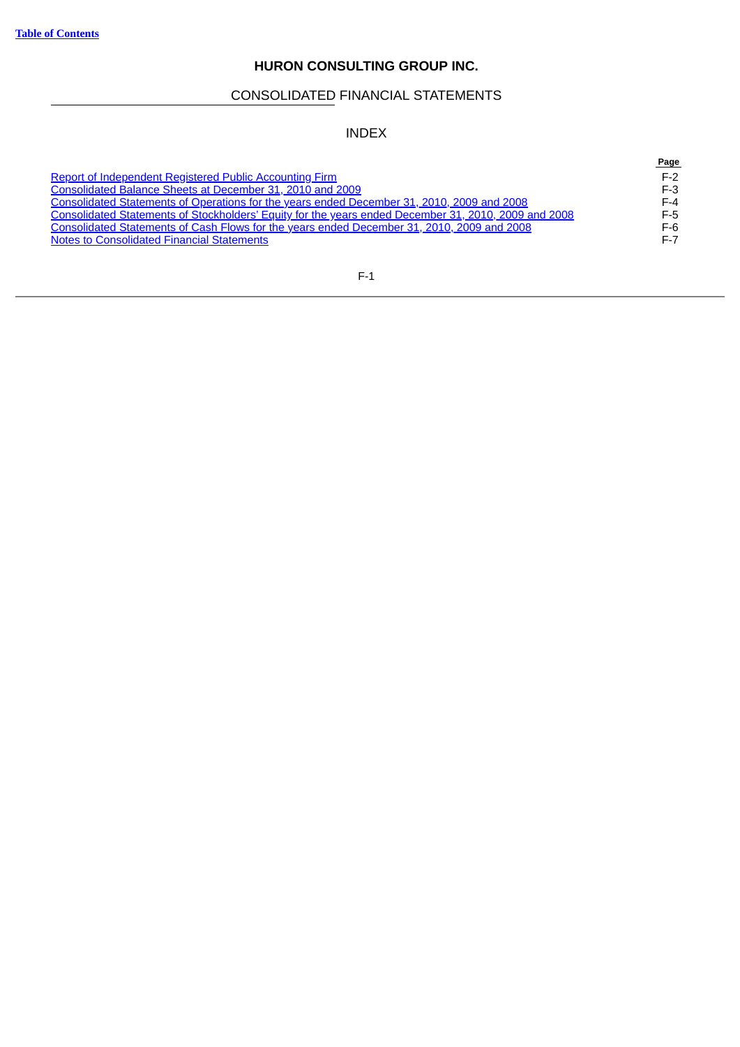# CONSOLIDATED FINANCIAL STATEMENTS

# INDEX

|                                                                                                      | Page  |
|------------------------------------------------------------------------------------------------------|-------|
| <b>Report of Independent Registered Public Accounting Firm</b>                                       | $F-2$ |
| Consolidated Balance Sheets at December 31, 2010 and 2009                                            | $F-3$ |
| Consolidated Statements of Operations for the years ended December 31, 2010, 2009 and 2008           | $F-4$ |
| Consolidated Statements of Stockholders' Equity for the years ended December 31, 2010, 2009 and 2008 | $F-5$ |
| Consolidated Statements of Cash Flows for the years ended December 31, 2010, 2009 and 2008           | $F-6$ |
| <b>Notes to Consolidated Financial Statements</b>                                                    | $F-7$ |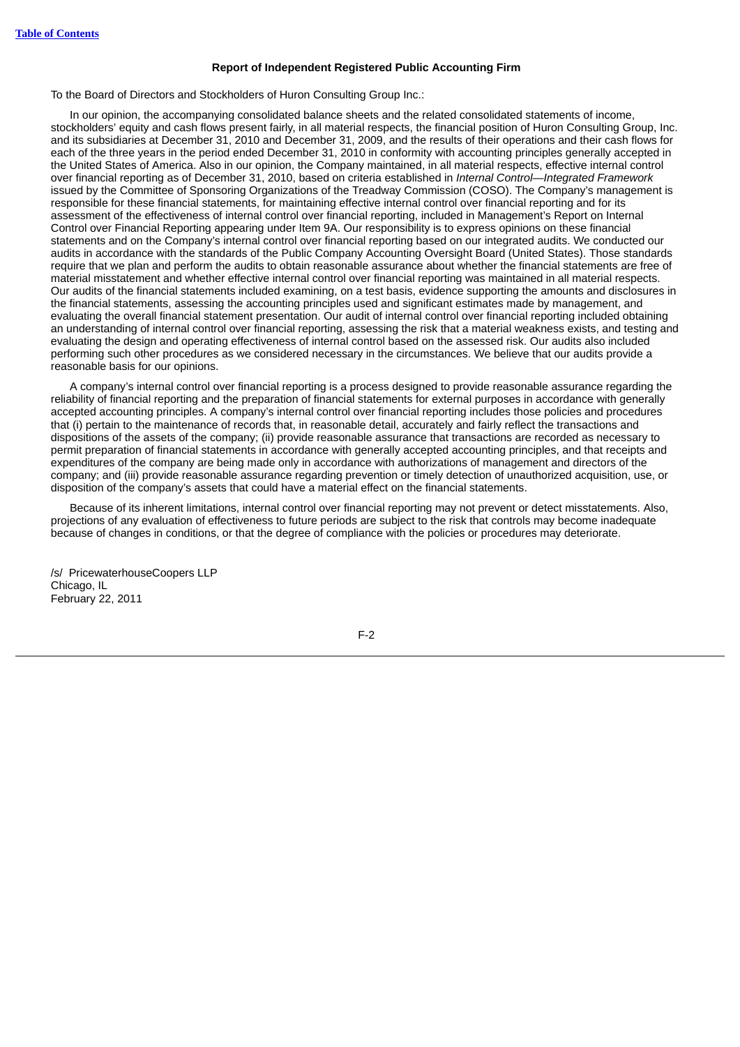#### **Report of Independent Registered Public Accounting Firm**

<span id="page-62-0"></span>To the Board of Directors and Stockholders of Huron Consulting Group Inc.:

In our opinion, the accompanying consolidated balance sheets and the related consolidated statements of income, stockholders' equity and cash flows present fairly, in all material respects, the financial position of Huron Consulting Group, Inc. and its subsidiaries at December 31, 2010 and December 31, 2009, and the results of their operations and their cash flows for each of the three years in the period ended December 31, 2010 in conformity with accounting principles generally accepted in the United States of America. Also in our opinion, the Company maintained, in all material respects, effective internal control over financial reporting as of December 31, 2010, based on criteria established in *Internal Control—Integrated Framework* issued by the Committee of Sponsoring Organizations of the Treadway Commission (COSO). The Company's management is responsible for these financial statements, for maintaining effective internal control over financial reporting and for its assessment of the effectiveness of internal control over financial reporting, included in Management's Report on Internal Control over Financial Reporting appearing under Item 9A. Our responsibility is to express opinions on these financial statements and on the Company's internal control over financial reporting based on our integrated audits. We conducted our audits in accordance with the standards of the Public Company Accounting Oversight Board (United States). Those standards require that we plan and perform the audits to obtain reasonable assurance about whether the financial statements are free of material misstatement and whether effective internal control over financial reporting was maintained in all material respects. Our audits of the financial statements included examining, on a test basis, evidence supporting the amounts and disclosures in the financial statements, assessing the accounting principles used and significant estimates made by management, and evaluating the overall financial statement presentation. Our audit of internal control over financial reporting included obtaining an understanding of internal control over financial reporting, assessing the risk that a material weakness exists, and testing and evaluating the design and operating effectiveness of internal control based on the assessed risk. Our audits also included performing such other procedures as we considered necessary in the circumstances. We believe that our audits provide a reasonable basis for our opinions.

A company's internal control over financial reporting is a process designed to provide reasonable assurance regarding the reliability of financial reporting and the preparation of financial statements for external purposes in accordance with generally accepted accounting principles. A company's internal control over financial reporting includes those policies and procedures that (i) pertain to the maintenance of records that, in reasonable detail, accurately and fairly reflect the transactions and dispositions of the assets of the company; (ii) provide reasonable assurance that transactions are recorded as necessary to permit preparation of financial statements in accordance with generally accepted accounting principles, and that receipts and expenditures of the company are being made only in accordance with authorizations of management and directors of the company; and (iii) provide reasonable assurance regarding prevention or timely detection of unauthorized acquisition, use, or disposition of the company's assets that could have a material effect on the financial statements.

Because of its inherent limitations, internal control over financial reporting may not prevent or detect misstatements. Also, projections of any evaluation of effectiveness to future periods are subject to the risk that controls may become inadequate because of changes in conditions, or that the degree of compliance with the policies or procedures may deteriorate.

/s/ PricewaterhouseCoopers LLP Chicago, IL February 22, 2011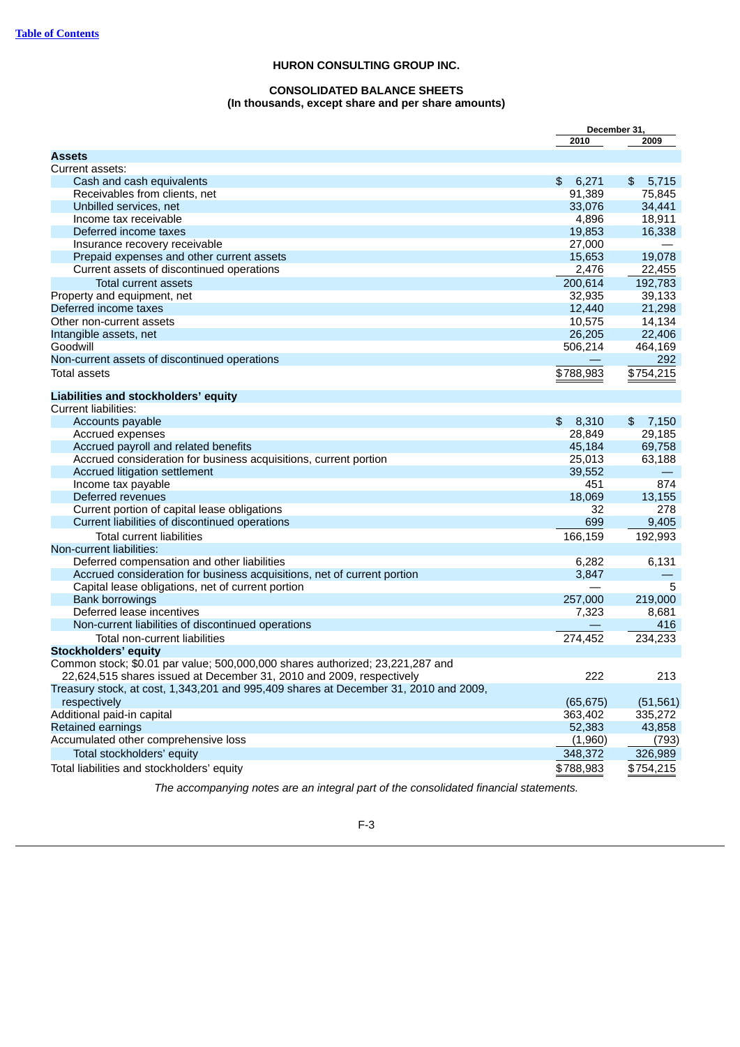# <span id="page-63-0"></span>**CONSOLIDATED BALANCE SHEETS (In thousands, except share and per share amounts)**

|                                                                                      |             | December 31,           |
|--------------------------------------------------------------------------------------|-------------|------------------------|
|                                                                                      | 2010        | 2009                   |
| <b>Assets</b>                                                                        |             |                        |
| Current assets:                                                                      |             |                        |
| Cash and cash equivalents                                                            | \$<br>6,271 | $\frac{1}{2}$<br>5,715 |
| Receivables from clients, net                                                        | 91,389      | 75,845                 |
| Unbilled services, net                                                               | 33,076      | 34,441                 |
| Income tax receivable                                                                | 4,896       | 18,911                 |
| Deferred income taxes                                                                | 19,853      | 16,338                 |
| Insurance recovery receivable                                                        | 27,000      |                        |
| Prepaid expenses and other current assets                                            | 15,653      | 19,078                 |
| Current assets of discontinued operations                                            | 2,476       | 22,455                 |
| <b>Total current assets</b>                                                          | 200,614     | 192,783                |
| Property and equipment, net                                                          | 32,935      | 39,133                 |
| Deferred income taxes                                                                | 12,440      | 21,298                 |
| Other non-current assets                                                             | 10,575      | 14,134                 |
| Intangible assets, net                                                               | 26,205      | 22,406                 |
| Goodwill                                                                             | 506,214     | 464,169                |
| Non-current assets of discontinued operations                                        |             | 292                    |
| Total assets                                                                         | \$788,983   | \$754,215              |
|                                                                                      |             |                        |
| Liabilities and stockholders' equity                                                 |             |                        |
| Current liabilities:                                                                 |             |                        |
| Accounts payable                                                                     | \$8,310     | \$7,150                |
| Accrued expenses                                                                     | 28,849      | 29,185                 |
| Accrued payroll and related benefits                                                 | 45,184      | 69,758                 |
| Accrued consideration for business acquisitions, current portion                     | 25,013      | 63,188                 |
| Accrued litigation settlement                                                        | 39,552      |                        |
| Income tax payable                                                                   | 451         | 874                    |
| Deferred revenues                                                                    | 18,069      | 13,155                 |
| Current portion of capital lease obligations                                         | 32          | 278                    |
| Current liabilities of discontinued operations                                       | 699         | 9,405                  |
| <b>Total current liabilities</b>                                                     | 166,159     | 192,993                |
| Non-current liabilities:                                                             |             |                        |
| Deferred compensation and other liabilities                                          | 6,282       | 6,131                  |
| Accrued consideration for business acquisitions, net of current portion              | 3,847       |                        |
| Capital lease obligations, net of current portion                                    |             | 5                      |
| <b>Bank borrowings</b>                                                               | 257,000     | 219,000                |
| Deferred lease incentives                                                            | 7,323       | 8,681                  |
| Non-current liabilities of discontinued operations                                   |             | 416                    |
| Total non-current liabilities                                                        | 274,452     | 234,233                |
| <b>Stockholders' equity</b>                                                          |             |                        |
| Common stock; \$0.01 par value; 500,000,000 shares authorized; 23,221,287 and        |             |                        |
| 22,624,515 shares issued at December 31, 2010 and 2009, respectively                 | 222         | 213                    |
| Treasury stock, at cost, 1,343,201 and 995,409 shares at December 31, 2010 and 2009, |             |                        |
| respectively                                                                         | (65, 675)   | (51, 561)              |
| Additional paid-in capital                                                           | 363,402     | 335,272                |
| <b>Retained earnings</b>                                                             | 52,383      | 43,858                 |
| Accumulated other comprehensive loss                                                 | (1,960)     | (793)                  |
| Total stockholders' equity                                                           | 348,372     | 326,989                |
| Total liabilities and stockholders' equity                                           | \$788,983   | \$754,215              |
|                                                                                      |             |                        |

*The accompanying notes are an integral part of the consolidated financial statements.*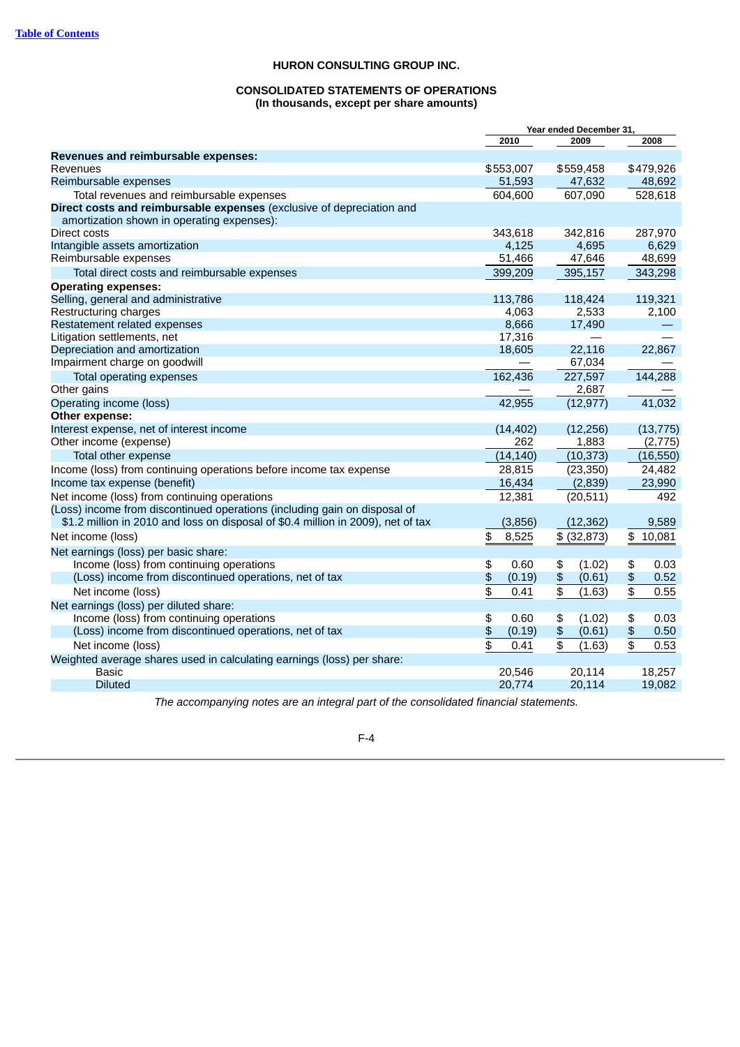# <span id="page-64-0"></span>**CONSOLIDATED STATEMENTS OF OPERATIONS (In thousands, except per share amounts)**

|                                                                                  |                                   | Year ended December 31,   |                                                                              |
|----------------------------------------------------------------------------------|-----------------------------------|---------------------------|------------------------------------------------------------------------------|
|                                                                                  | 2010                              | 2009                      | 2008                                                                         |
| Revenues and reimbursable expenses:                                              |                                   |                           |                                                                              |
| Revenues                                                                         | \$553,007                         | \$559,458                 | \$479,926                                                                    |
| Reimbursable expenses                                                            | 51,593                            | 47,632                    | 48,692                                                                       |
| Total revenues and reimbursable expenses                                         | 604,600                           | 607,090                   | 528,618                                                                      |
| Direct costs and reimbursable expenses (exclusive of depreciation and            |                                   |                           |                                                                              |
| amortization shown in operating expenses):                                       |                                   |                           |                                                                              |
| Direct costs                                                                     | 343,618                           | 342,816                   | 287,970                                                                      |
| Intangible assets amortization                                                   | 4,125                             | 4,695                     | 6,629                                                                        |
| Reimbursable expenses                                                            | 51,466                            | 47,646                    | 48,699                                                                       |
| Total direct costs and reimbursable expenses                                     | 399,209                           | 395,157                   | 343,298                                                                      |
| <b>Operating expenses:</b>                                                       |                                   |                           |                                                                              |
| Selling, general and administrative                                              | 113,786                           | 118,424                   | 119,321                                                                      |
| Restructuring charges                                                            | 4,063                             | 2,533                     | 2,100                                                                        |
| Restatement related expenses                                                     | 8,666                             | 17,490                    |                                                                              |
| Litigation settlements, net                                                      | 17,316                            |                           |                                                                              |
| Depreciation and amortization                                                    | 18,605                            | 22,116                    | 22,867                                                                       |
| Impairment charge on goodwill                                                    |                                   | 67,034                    |                                                                              |
| Total operating expenses                                                         | 162,436                           | 227,597                   | 144,288                                                                      |
| Other gains                                                                      |                                   | 2,687                     |                                                                              |
| Operating income (loss)                                                          | 42,955                            | (12, 977)                 | 41,032                                                                       |
| Other expense:                                                                   |                                   |                           |                                                                              |
| Interest expense, net of interest income                                         | (14, 402)                         | (12, 256)                 | (13, 775)                                                                    |
| Other income (expense)                                                           | 262                               | 1,883                     | (2,775)                                                                      |
| Total other expense                                                              | (14, 140)                         | (10, 373)                 | (16, 550)                                                                    |
| Income (loss) from continuing operations before income tax expense               | 28,815                            | (23, 350)                 | 24,482                                                                       |
| Income tax expense (benefit)                                                     | 16,434                            | (2,839)                   | 23,990                                                                       |
| Net income (loss) from continuing operations                                     | 12,381                            | (20, 511)                 | 492                                                                          |
| (Loss) income from discontinued operations (including gain on disposal of        |                                   |                           |                                                                              |
| \$1.2 million in 2010 and loss on disposal of \$0.4 million in 2009), net of tax | (3,856)                           | (12, 362)                 | 9,589                                                                        |
| Net income (loss)                                                                | \$<br>8,525                       | \$ (32, 873)              | \$<br>10,081                                                                 |
| Net earnings (loss) per basic share:                                             |                                   |                           |                                                                              |
| Income (loss) from continuing operations                                         | \$<br>0.60                        | (1.02)<br>\$              | \$<br>0.03                                                                   |
| (Loss) income from discontinued operations, net of tax                           | \$<br>(0.19)                      | $\frac{1}{2}$<br>(0.61)   | $\pmb{\mathfrak{s}}$<br>0.52                                                 |
| Net income (loss)                                                                | $\overline{\mathfrak{s}}$<br>0.41 | $\overline{\$}$<br>(1.63) | $\overline{\overline{\overline{}}\overline{\overline{\overline{}}}}$<br>0.55 |
| Net earnings (loss) per diluted share:                                           |                                   |                           |                                                                              |
| Income (loss) from continuing operations                                         | \$<br>0.60                        | \$<br>(1.02)              | \$<br>0.03                                                                   |
| (Loss) income from discontinued operations, net of tax                           | $\frac{1}{2}$<br>(0.19)           | $\frac{1}{2}$<br>(0.61)   | $\pmb{\mathfrak{s}}$<br>0.50                                                 |
|                                                                                  | $\overline{\mathfrak{s}}$         | \$                        | $\overline{\mathbf{e}}$                                                      |
| Net income (loss)                                                                | 0.41                              | (1.63)                    | 0.53                                                                         |
| Weighted average shares used in calculating earnings (loss) per share:           |                                   |                           |                                                                              |
| <b>Basic</b>                                                                     | 20,546                            | 20,114                    | 18,257                                                                       |
| <b>Diluted</b>                                                                   | 20,774                            | 20,114                    | 19,082                                                                       |

*The accompanying notes are an integral part of the consolidated financial statements.*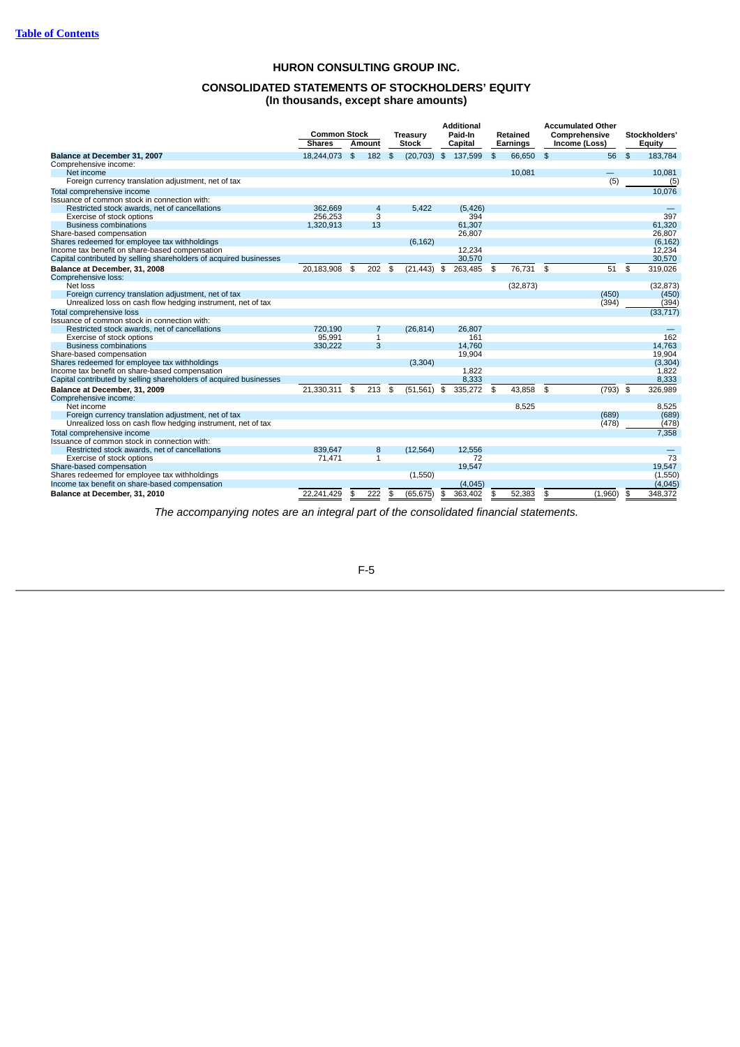#### <span id="page-65-0"></span>**CONSOLIDATED STATEMENTS OF STOCKHOLDERS' EQUITY (In thousands, except share amounts)**

|                                                                    | <b>Common Stock</b> |              | <b>Treasury</b> |    | <b>Additional</b><br>Paid-In |    | Retained                  |      | <b>Accumulated Other</b><br>Comprehensive |    | Stockholders' |               |
|--------------------------------------------------------------------|---------------------|--------------|-----------------|----|------------------------------|----|---------------------------|------|-------------------------------------------|----|---------------|---------------|
|                                                                    | <b>Shares</b>       |              | Amount          |    | <b>Stock</b>                 |    | Capital                   |      | Earnings                                  |    | Income (Loss) | Equity        |
| Balance at December 31, 2007                                       | 18,244,073          | $\mathbf{s}$ | 182 \$          |    |                              |    | $(20, 703)$ \$ 137,599 \$ |      | 66,650 \$                                 |    | 56            | \$<br>183,784 |
| Comprehensive income:                                              |                     |              |                 |    |                              |    |                           |      |                                           |    |               |               |
| Net income                                                         |                     |              |                 |    |                              |    |                           |      | 10,081                                    |    | —             | 10.081        |
| Foreign currency translation adjustment, net of tax                |                     |              |                 |    |                              |    |                           |      |                                           |    | (5)           | (5)           |
| Total comprehensive income                                         |                     |              |                 |    |                              |    |                           |      |                                           |    |               | 10.076        |
| Issuance of common stock in connection with:                       |                     |              |                 |    |                              |    |                           |      |                                           |    |               |               |
| Restricted stock awards, net of cancellations                      | 362,669             |              | 4               |    | 5,422                        |    | (5, 426)                  |      |                                           |    |               |               |
| Exercise of stock options                                          | 256,253             |              | 3               |    |                              |    | 394                       |      |                                           |    |               | 397           |
| <b>Business combinations</b>                                       | 1,320,913           |              | 13              |    |                              |    | 61.307                    |      |                                           |    |               | 61,320        |
| Share-based compensation                                           |                     |              |                 |    |                              |    | 26,807                    |      |                                           |    |               | 26,807        |
| Shares redeemed for employee tax withholdings                      |                     |              |                 |    | (6, 162)                     |    |                           |      |                                           |    |               | (6, 162)      |
| Income tax benefit on share-based compensation                     |                     |              |                 |    |                              |    | 12.234                    |      |                                           |    |               | 12,234        |
| Capital contributed by selling shareholders of acquired businesses |                     |              |                 |    |                              |    | 30,570                    |      |                                           |    |               | 30,570        |
| Balance at December, 31, 2008                                      | 20,183,908          | \$           | $202$ \$        |    | $(21, 443)$ \$               |    | 263,485                   | - \$ | 76,731 \$                                 |    | 51            | \$<br>319,026 |
| Comprehensive loss:                                                |                     |              |                 |    |                              |    |                           |      |                                           |    |               |               |
| Net loss                                                           |                     |              |                 |    |                              |    |                           |      | (32, 873)                                 |    |               | (32, 873)     |
| Foreign currency translation adjustment, net of tax                |                     |              |                 |    |                              |    |                           |      |                                           |    | (450)         | (450)         |
| Unrealized loss on cash flow hedging instrument, net of tax        |                     |              |                 |    |                              |    |                           |      |                                           |    | (394)         | (394)         |
| Total comprehensive loss                                           |                     |              |                 |    |                              |    |                           |      |                                           |    |               | (33, 717)     |
| Issuance of common stock in connection with:                       |                     |              |                 |    |                              |    |                           |      |                                           |    |               |               |
| Restricted stock awards, net of cancellations                      | 720,190             |              | $\overline{7}$  |    | (26, 814)                    |    | 26.807                    |      |                                           |    |               |               |
| Exercise of stock options                                          | 95.991              |              | $\mathbf{1}$    |    |                              |    | 161                       |      |                                           |    |               | 162           |
| <b>Business combinations</b>                                       | 330,222             |              | 3               |    |                              |    | 14.760                    |      |                                           |    |               | 14,763        |
| Share-based compensation                                           |                     |              |                 |    |                              |    | 19.904                    |      |                                           |    |               | 19,904        |
| Shares redeemed for employee tax withholdings                      |                     |              |                 |    | (3,304)                      |    |                           |      |                                           |    |               | (3, 304)      |
| Income tax benefit on share-based compensation                     |                     |              |                 |    |                              |    | 1.822                     |      |                                           |    |               | 1,822         |
| Capital contributed by selling shareholders of acquired businesses |                     |              |                 |    |                              |    | 8,333                     |      |                                           |    |               | 8,333         |
| Balance at December, 31, 2009                                      | 21,330,311          | \$           | 213             | \$ | (51, 561)                    | \$ | 335,272                   | \$   | 43,858                                    | \$ | $(793)$ \$    | 326,989       |
| Comprehensive income:                                              |                     |              |                 |    |                              |    |                           |      |                                           |    |               |               |
| Net income                                                         |                     |              |                 |    |                              |    |                           |      | 8,525                                     |    |               | 8,525         |
| Foreign currency translation adjustment, net of tax                |                     |              |                 |    |                              |    |                           |      |                                           |    | (689)         | (689)         |
| Unrealized loss on cash flow hedging instrument, net of tax        |                     |              |                 |    |                              |    |                           |      |                                           |    | (478)         | (478)         |
| Total comprehensive income                                         |                     |              |                 |    |                              |    |                           |      |                                           |    |               | 7.358         |
| Issuance of common stock in connection with:                       |                     |              |                 |    |                              |    |                           |      |                                           |    |               |               |
| Restricted stock awards, net of cancellations                      | 839.647             |              | 8               |    | (12, 564)                    |    | 12,556                    |      |                                           |    |               |               |
| Exercise of stock options                                          | 71,471              |              | 1               |    |                              |    | 72                        |      |                                           |    |               | 73            |
| Share-based compensation                                           |                     |              |                 |    |                              |    | 19.547                    |      |                                           |    |               | 19,547        |
| Shares redeemed for employee tax withholdings                      |                     |              |                 |    | (1,550)                      |    |                           |      |                                           |    |               | (1,550)       |
| Income tax benefit on share-based compensation                     |                     |              |                 |    |                              |    | (4,045)                   |      |                                           |    |               | (4,045)       |
| Balance at December, 31, 2010                                      | 22.241.429          | \$           | 222             | \$ | (65, 675)                    | \$ | 363.402                   | \$   | 52.383                                    | \$ | (1.960)       | \$<br>348,372 |

*The accompanying notes are an integral part of the consolidated financial statements.*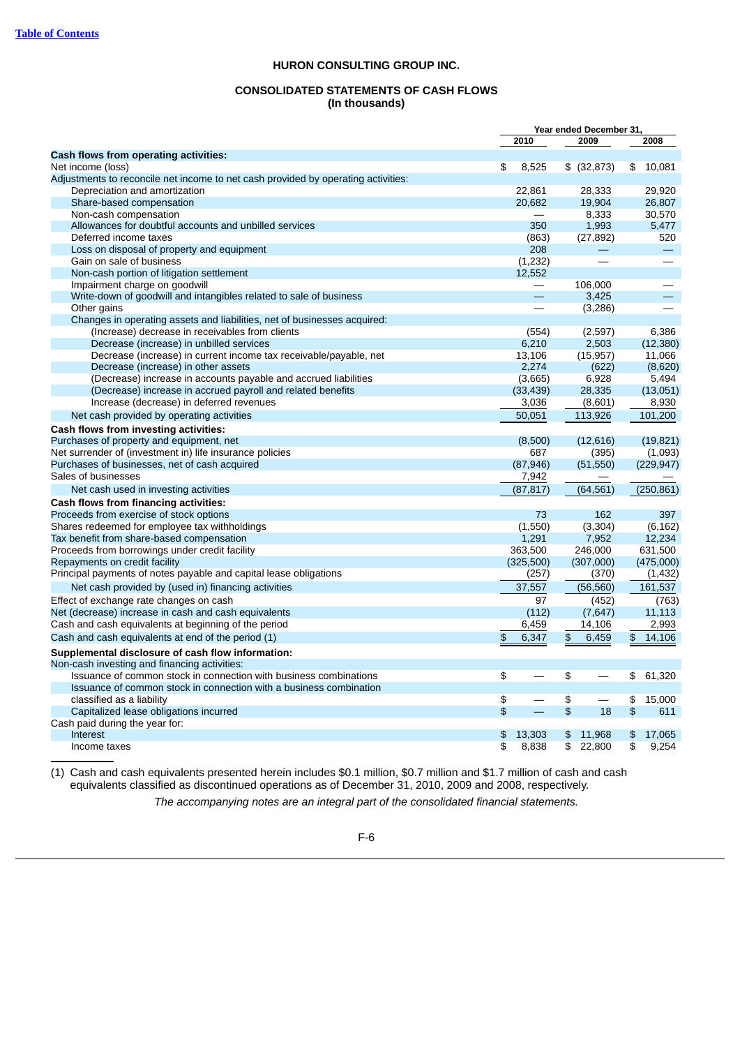# <span id="page-66-0"></span>**CONSOLIDATED STATEMENTS OF CASH FLOWS (In thousands)**

|                                                                                   | Year ended December 31, |                          |              |               |                          |  |
|-----------------------------------------------------------------------------------|-------------------------|--------------------------|--------------|---------------|--------------------------|--|
|                                                                                   |                         | 2010                     | 2009         |               | 2008                     |  |
| Cash flows from operating activities:                                             |                         |                          |              |               |                          |  |
| Net income (loss)                                                                 | \$                      | 8,525                    | \$ (32,873)  | \$            | 10,081                   |  |
| Adjustments to reconcile net income to net cash provided by operating activities: |                         |                          |              |               |                          |  |
| Depreciation and amortization                                                     |                         | 22,861                   | 28,333       |               | 29,920                   |  |
| Share-based compensation                                                          |                         | 20,682                   | 19,904       |               | 26,807                   |  |
| Non-cash compensation                                                             |                         |                          | 8,333        |               | 30,570                   |  |
| Allowances for doubtful accounts and unbilled services                            |                         | 350                      | 1,993        |               | 5,477                    |  |
| Deferred income taxes                                                             |                         | (863)                    | (27, 892)    |               | 520                      |  |
| Loss on disposal of property and equipment                                        |                         | 208                      |              |               |                          |  |
| Gain on sale of business                                                          |                         | (1,232)                  |              |               |                          |  |
| Non-cash portion of litigation settlement                                         |                         | 12,552                   |              |               |                          |  |
| Impairment charge on goodwill                                                     |                         | $\overline{\phantom{0}}$ | 106,000      |               |                          |  |
| Write-down of goodwill and intangibles related to sale of business                |                         |                          | 3,425        |               |                          |  |
| Other gains                                                                       |                         |                          | (3,286)      |               | $\overline{\phantom{0}}$ |  |
| Changes in operating assets and liabilities, net of businesses acquired:          |                         |                          |              |               |                          |  |
| (Increase) decrease in receivables from clients                                   |                         | (554)                    | (2,597)      |               | 6,386                    |  |
| Decrease (increase) in unbilled services                                          |                         | 6,210                    | 2,503        |               | (12, 380)                |  |
| Decrease (increase) in current income tax receivable/payable, net                 |                         | 13,106                   | (15, 957)    |               | 11,066                   |  |
| Decrease (increase) in other assets                                               |                         | 2,274                    | (622)        |               | (8,620)                  |  |
| (Decrease) increase in accounts payable and accrued liabilities                   |                         | (3,665)                  | 6,928        |               | 5,494                    |  |
| (Decrease) increase in accrued payroll and related benefits                       |                         | (33, 439)                | 28,335       |               | (13,051)                 |  |
| Increase (decrease) in deferred revenues                                          |                         | 3,036                    | (8,601)      |               | 8,930                    |  |
| Net cash provided by operating activities                                         |                         | 50,051                   | 113,926      |               | 101,200                  |  |
| Cash flows from investing activities:                                             |                         |                          |              |               |                          |  |
| Purchases of property and equipment, net                                          |                         | (8,500)                  | (12,616)     |               | (19, 821)                |  |
| Net surrender of (investment in) life insurance policies                          |                         | 687                      | (395)        |               | (1,093)                  |  |
| Purchases of businesses, net of cash acquired                                     |                         | (87, 946)                | (51, 550)    |               | (229, 947)               |  |
| Sales of businesses                                                               |                         | 7,942                    |              |               |                          |  |
|                                                                                   |                         |                          |              |               |                          |  |
| Net cash used in investing activities                                             |                         | (87, 817)                | (64, 561)    |               | (250, 861)               |  |
| Cash flows from financing activities:                                             |                         |                          |              |               |                          |  |
| Proceeds from exercise of stock options                                           |                         | 73                       | 162          |               | 397                      |  |
| Shares redeemed for employee tax withholdings                                     |                         | (1,550)                  | (3,304)      |               | (6, 162)                 |  |
| Tax benefit from share-based compensation                                         |                         | 1,291                    | 7,952        |               | 12,234                   |  |
| Proceeds from borrowings under credit facility                                    |                         | 363,500                  | 246,000      |               | 631,500                  |  |
| Repayments on credit facility                                                     |                         | (325,500)                | (307,000)    |               | (475,000)                |  |
| Principal payments of notes payable and capital lease obligations                 |                         | (257)                    | (370)        |               | (1, 432)                 |  |
| Net cash provided by (used in) financing activities                               |                         | 37,557                   | (56, 560)    |               | 161,537                  |  |
| Effect of exchange rate changes on cash                                           |                         | 97                       | (452)        |               | (763)                    |  |
| Net (decrease) increase in cash and cash equivalents                              |                         | (112)                    | (7, 647)     |               | 11,113                   |  |
| Cash and cash equivalents at beginning of the period                              |                         | 6,459                    | 14,106       |               | 2,993                    |  |
| Cash and cash equivalents at end of the period (1)                                | \$                      | 6,347                    | \$<br>6,459  | $\frac{2}{3}$ | 14,106                   |  |
| Supplemental disclosure of cash flow information:                                 |                         |                          |              |               |                          |  |
| Non-cash investing and financing activities:                                      |                         |                          |              |               |                          |  |
| Issuance of common stock in connection with business combinations                 | \$                      | $\equiv$                 | \$           | \$            | 61,320                   |  |
| Issuance of common stock in connection with a business combination                |                         |                          |              |               |                          |  |
| classified as a liability                                                         | \$                      |                          | \$           | \$            | 15,000                   |  |
| Capitalized lease obligations incurred                                            | \$                      |                          | \$<br>18     | \$            | 611                      |  |
| Cash paid during the year for:                                                    |                         |                          |              |               |                          |  |
| Interest                                                                          | \$                      | 13.303                   | 11.968<br>\$ | \$            | 17.065                   |  |
| Income taxes                                                                      | \$                      | 8,838                    | \$<br>22,800 | \$            | 9,254                    |  |
|                                                                                   |                         |                          |              |               |                          |  |

(1) Cash and cash equivalents presented herein includes \$0.1 million, \$0.7 million and \$1.7 million of cash and cash equivalents classified as discontinued operations as of December 31, 2010, 2009 and 2008, respectively.

*The accompanying notes are an integral part of the consolidated financial statements.*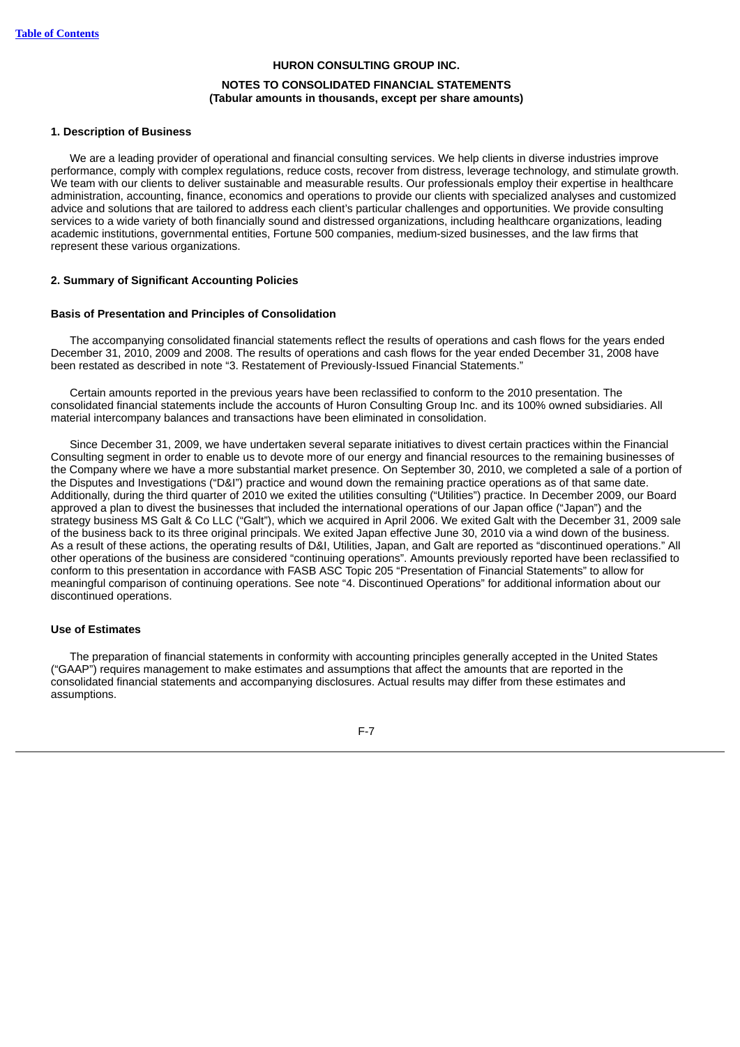#### <span id="page-67-0"></span>**NOTES TO CONSOLIDATED FINANCIAL STATEMENTS (Tabular amounts in thousands, except per share amounts)**

#### **1. Description of Business**

We are a leading provider of operational and financial consulting services. We help clients in diverse industries improve performance, comply with complex regulations, reduce costs, recover from distress, leverage technology, and stimulate growth. We team with our clients to deliver sustainable and measurable results. Our professionals employ their expertise in healthcare administration, accounting, finance, economics and operations to provide our clients with specialized analyses and customized advice and solutions that are tailored to address each client's particular challenges and opportunities. We provide consulting services to a wide variety of both financially sound and distressed organizations, including healthcare organizations, leading academic institutions, governmental entities, Fortune 500 companies, medium-sized businesses, and the law firms that represent these various organizations.

## **2. Summary of Significant Accounting Policies**

#### **Basis of Presentation and Principles of Consolidation**

The accompanying consolidated financial statements reflect the results of operations and cash flows for the years ended December 31, 2010, 2009 and 2008. The results of operations and cash flows for the year ended December 31, 2008 have been restated as described in note "3. Restatement of Previously-Issued Financial Statements."

Certain amounts reported in the previous years have been reclassified to conform to the 2010 presentation. The consolidated financial statements include the accounts of Huron Consulting Group Inc. and its 100% owned subsidiaries. All material intercompany balances and transactions have been eliminated in consolidation.

Since December 31, 2009, we have undertaken several separate initiatives to divest certain practices within the Financial Consulting segment in order to enable us to devote more of our energy and financial resources to the remaining businesses of the Company where we have a more substantial market presence. On September 30, 2010, we completed a sale of a portion of the Disputes and Investigations ("D&I") practice and wound down the remaining practice operations as of that same date. Additionally, during the third quarter of 2010 we exited the utilities consulting ("Utilities") practice. In December 2009, our Board approved a plan to divest the businesses that included the international operations of our Japan office ("Japan") and the strategy business MS Galt & Co LLC ("Galt"), which we acquired in April 2006. We exited Galt with the December 31, 2009 sale of the business back to its three original principals. We exited Japan effective June 30, 2010 via a wind down of the business. As a result of these actions, the operating results of D&I, Utilities, Japan, and Galt are reported as "discontinued operations." All other operations of the business are considered "continuing operations". Amounts previously reported have been reclassified to conform to this presentation in accordance with FASB ASC Topic 205 "Presentation of Financial Statements" to allow for meaningful comparison of continuing operations. See note "4. Discontinued Operations" for additional information about our discontinued operations.

### **Use of Estimates**

The preparation of financial statements in conformity with accounting principles generally accepted in the United States ("GAAP") requires management to make estimates and assumptions that affect the amounts that are reported in the consolidated financial statements and accompanying disclosures. Actual results may differ from these estimates and assumptions.

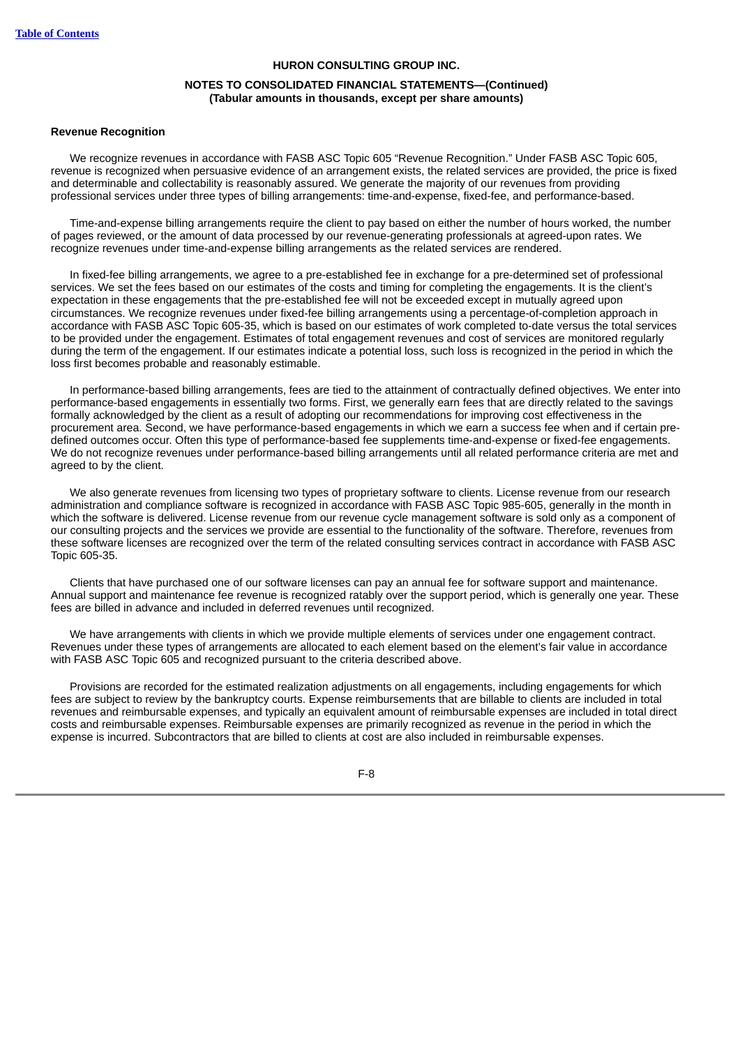#### **NOTES TO CONSOLIDATED FINANCIAL STATEMENTS—(Continued) (Tabular amounts in thousands, except per share amounts)**

## **Revenue Recognition**

We recognize revenues in accordance with FASB ASC Topic 605 "Revenue Recognition." Under FASB ASC Topic 605, revenue is recognized when persuasive evidence of an arrangement exists, the related services are provided, the price is fixed and determinable and collectability is reasonably assured. We generate the majority of our revenues from providing professional services under three types of billing arrangements: time-and-expense, fixed-fee, and performance-based.

Time-and-expense billing arrangements require the client to pay based on either the number of hours worked, the number of pages reviewed, or the amount of data processed by our revenue-generating professionals at agreed-upon rates. We recognize revenues under time-and-expense billing arrangements as the related services are rendered.

In fixed-fee billing arrangements, we agree to a pre-established fee in exchange for a pre-determined set of professional services. We set the fees based on our estimates of the costs and timing for completing the engagements. It is the client's expectation in these engagements that the pre-established fee will not be exceeded except in mutually agreed upon circumstances. We recognize revenues under fixed-fee billing arrangements using a percentage-of-completion approach in accordance with FASB ASC Topic 605-35, which is based on our estimates of work completed to-date versus the total services to be provided under the engagement. Estimates of total engagement revenues and cost of services are monitored regularly during the term of the engagement. If our estimates indicate a potential loss, such loss is recognized in the period in which the loss first becomes probable and reasonably estimable.

In performance-based billing arrangements, fees are tied to the attainment of contractually defined objectives. We enter into performance-based engagements in essentially two forms. First, we generally earn fees that are directly related to the savings formally acknowledged by the client as a result of adopting our recommendations for improving cost effectiveness in the procurement area. Second, we have performance-based engagements in which we earn a success fee when and if certain predefined outcomes occur. Often this type of performance-based fee supplements time-and-expense or fixed-fee engagements. We do not recognize revenues under performance-based billing arrangements until all related performance criteria are met and agreed to by the client.

We also generate revenues from licensing two types of proprietary software to clients. License revenue from our research administration and compliance software is recognized in accordance with FASB ASC Topic 985-605, generally in the month in which the software is delivered. License revenue from our revenue cycle management software is sold only as a component of our consulting projects and the services we provide are essential to the functionality of the software. Therefore, revenues from these software licenses are recognized over the term of the related consulting services contract in accordance with FASB ASC Topic 605-35.

Clients that have purchased one of our software licenses can pay an annual fee for software support and maintenance. Annual support and maintenance fee revenue is recognized ratably over the support period, which is generally one year. These fees are billed in advance and included in deferred revenues until recognized.

We have arrangements with clients in which we provide multiple elements of services under one engagement contract. Revenues under these types of arrangements are allocated to each element based on the element's fair value in accordance with FASB ASC Topic 605 and recognized pursuant to the criteria described above.

Provisions are recorded for the estimated realization adjustments on all engagements, including engagements for which fees are subject to review by the bankruptcy courts. Expense reimbursements that are billable to clients are included in total revenues and reimbursable expenses, and typically an equivalent amount of reimbursable expenses are included in total direct costs and reimbursable expenses. Reimbursable expenses are primarily recognized as revenue in the period in which the expense is incurred. Subcontractors that are billed to clients at cost are also included in reimbursable expenses.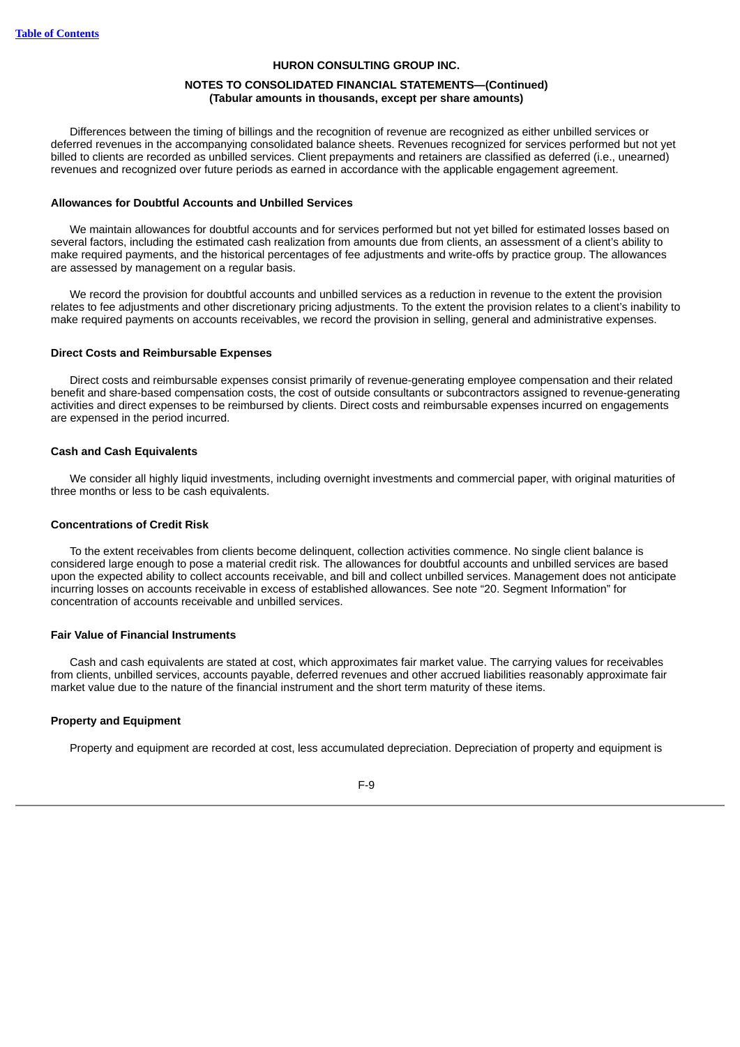#### **NOTES TO CONSOLIDATED FINANCIAL STATEMENTS—(Continued) (Tabular amounts in thousands, except per share amounts)**

Differences between the timing of billings and the recognition of revenue are recognized as either unbilled services or deferred revenues in the accompanying consolidated balance sheets. Revenues recognized for services performed but not yet billed to clients are recorded as unbilled services. Client prepayments and retainers are classified as deferred (i.e., unearned) revenues and recognized over future periods as earned in accordance with the applicable engagement agreement.

#### **Allowances for Doubtful Accounts and Unbilled Services**

We maintain allowances for doubtful accounts and for services performed but not yet billed for estimated losses based on several factors, including the estimated cash realization from amounts due from clients, an assessment of a client's ability to make required payments, and the historical percentages of fee adjustments and write-offs by practice group. The allowances are assessed by management on a regular basis.

We record the provision for doubtful accounts and unbilled services as a reduction in revenue to the extent the provision relates to fee adjustments and other discretionary pricing adjustments. To the extent the provision relates to a client's inability to make required payments on accounts receivables, we record the provision in selling, general and administrative expenses.

#### **Direct Costs and Reimbursable Expenses**

Direct costs and reimbursable expenses consist primarily of revenue-generating employee compensation and their related benefit and share-based compensation costs, the cost of outside consultants or subcontractors assigned to revenue-generating activities and direct expenses to be reimbursed by clients. Direct costs and reimbursable expenses incurred on engagements are expensed in the period incurred.

#### **Cash and Cash Equivalents**

We consider all highly liquid investments, including overnight investments and commercial paper, with original maturities of three months or less to be cash equivalents.

## **Concentrations of Credit Risk**

To the extent receivables from clients become delinquent, collection activities commence. No single client balance is considered large enough to pose a material credit risk. The allowances for doubtful accounts and unbilled services are based upon the expected ability to collect accounts receivable, and bill and collect unbilled services. Management does not anticipate incurring losses on accounts receivable in excess of established allowances. See note "20. Segment Information" for concentration of accounts receivable and unbilled services.

## **Fair Value of Financial Instruments**

Cash and cash equivalents are stated at cost, which approximates fair market value. The carrying values for receivables from clients, unbilled services, accounts payable, deferred revenues and other accrued liabilities reasonably approximate fair market value due to the nature of the financial instrument and the short term maturity of these items.

#### **Property and Equipment**

Property and equipment are recorded at cost, less accumulated depreciation. Depreciation of property and equipment is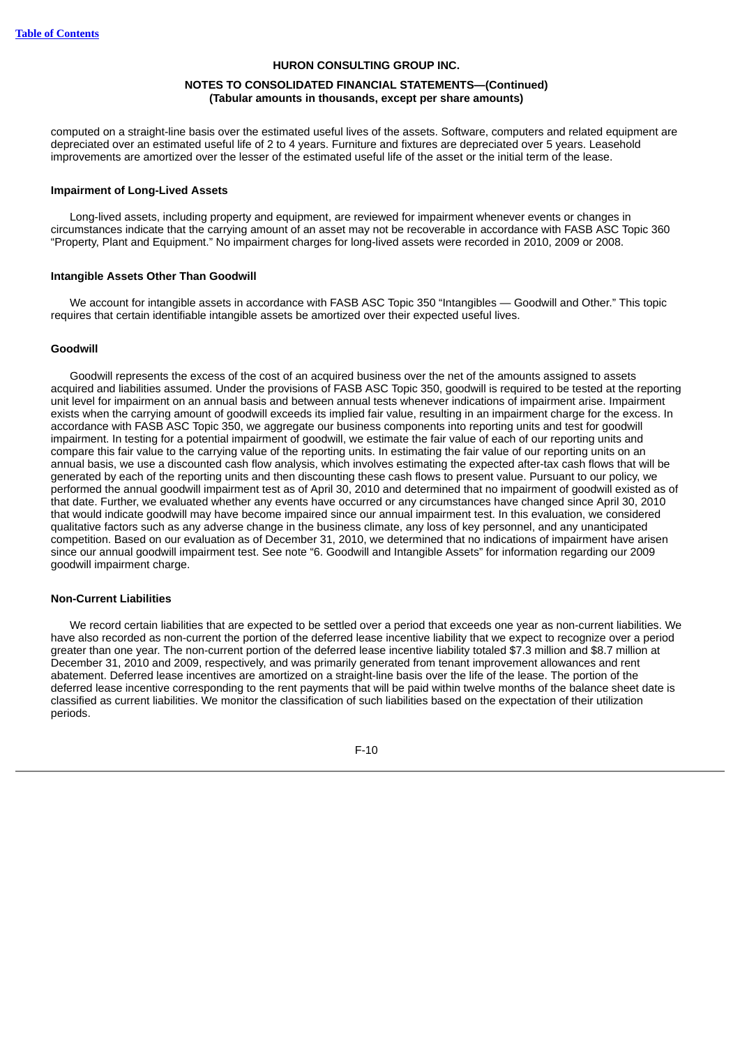#### **NOTES TO CONSOLIDATED FINANCIAL STATEMENTS—(Continued) (Tabular amounts in thousands, except per share amounts)**

computed on a straight-line basis over the estimated useful lives of the assets. Software, computers and related equipment are depreciated over an estimated useful life of 2 to 4 years. Furniture and fixtures are depreciated over 5 years. Leasehold improvements are amortized over the lesser of the estimated useful life of the asset or the initial term of the lease.

#### **Impairment of Long-Lived Assets**

Long-lived assets, including property and equipment, are reviewed for impairment whenever events or changes in circumstances indicate that the carrying amount of an asset may not be recoverable in accordance with FASB ASC Topic 360 "Property, Plant and Equipment." No impairment charges for long-lived assets were recorded in 2010, 2009 or 2008.

#### **Intangible Assets Other Than Goodwill**

We account for intangible assets in accordance with FASB ASC Topic 350 "Intangibles — Goodwill and Other." This topic requires that certain identifiable intangible assets be amortized over their expected useful lives.

## **Goodwill**

Goodwill represents the excess of the cost of an acquired business over the net of the amounts assigned to assets acquired and liabilities assumed. Under the provisions of FASB ASC Topic 350, goodwill is required to be tested at the reporting unit level for impairment on an annual basis and between annual tests whenever indications of impairment arise. Impairment exists when the carrying amount of goodwill exceeds its implied fair value, resulting in an impairment charge for the excess. In accordance with FASB ASC Topic 350, we aggregate our business components into reporting units and test for goodwill impairment. In testing for a potential impairment of goodwill, we estimate the fair value of each of our reporting units and compare this fair value to the carrying value of the reporting units. In estimating the fair value of our reporting units on an annual basis, we use a discounted cash flow analysis, which involves estimating the expected after-tax cash flows that will be generated by each of the reporting units and then discounting these cash flows to present value. Pursuant to our policy, we performed the annual goodwill impairment test as of April 30, 2010 and determined that no impairment of goodwill existed as of that date. Further, we evaluated whether any events have occurred or any circumstances have changed since April 30, 2010 that would indicate goodwill may have become impaired since our annual impairment test. In this evaluation, we considered qualitative factors such as any adverse change in the business climate, any loss of key personnel, and any unanticipated competition. Based on our evaluation as of December 31, 2010, we determined that no indications of impairment have arisen since our annual goodwill impairment test. See note "6. Goodwill and Intangible Assets" for information regarding our 2009 goodwill impairment charge.

## **Non-Current Liabilities**

We record certain liabilities that are expected to be settled over a period that exceeds one year as non-current liabilities. We have also recorded as non-current the portion of the deferred lease incentive liability that we expect to recognize over a period greater than one year. The non-current portion of the deferred lease incentive liability totaled \$7.3 million and \$8.7 million at December 31, 2010 and 2009, respectively, and was primarily generated from tenant improvement allowances and rent abatement. Deferred lease incentives are amortized on a straight-line basis over the life of the lease. The portion of the deferred lease incentive corresponding to the rent payments that will be paid within twelve months of the balance sheet date is classified as current liabilities. We monitor the classification of such liabilities based on the expectation of their utilization periods.

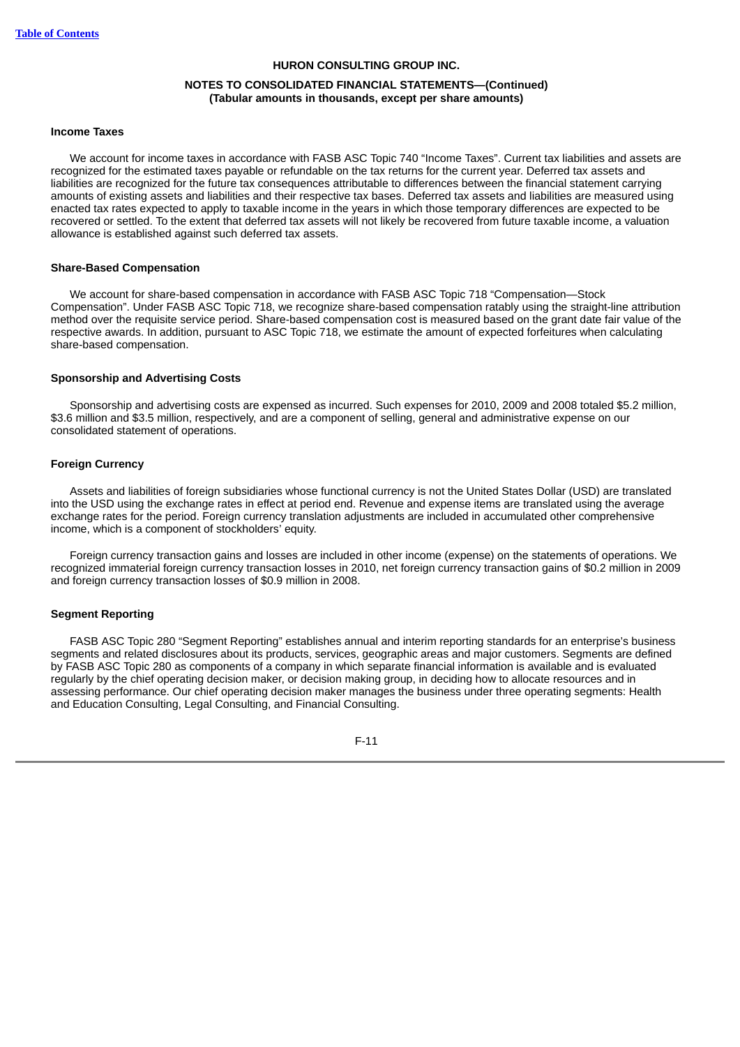#### **NOTES TO CONSOLIDATED FINANCIAL STATEMENTS—(Continued) (Tabular amounts in thousands, except per share amounts)**

#### **Income Taxes**

We account for income taxes in accordance with FASB ASC Topic 740 "Income Taxes". Current tax liabilities and assets are recognized for the estimated taxes payable or refundable on the tax returns for the current year. Deferred tax assets and liabilities are recognized for the future tax consequences attributable to differences between the financial statement carrying amounts of existing assets and liabilities and their respective tax bases. Deferred tax assets and liabilities are measured using enacted tax rates expected to apply to taxable income in the years in which those temporary differences are expected to be recovered or settled. To the extent that deferred tax assets will not likely be recovered from future taxable income, a valuation allowance is established against such deferred tax assets.

## **Share-Based Compensation**

We account for share-based compensation in accordance with FASB ASC Topic 718 "Compensation—Stock Compensation". Under FASB ASC Topic 718, we recognize share-based compensation ratably using the straight-line attribution method over the requisite service period. Share-based compensation cost is measured based on the grant date fair value of the respective awards. In addition, pursuant to ASC Topic 718, we estimate the amount of expected forfeitures when calculating share-based compensation.

#### **Sponsorship and Advertising Costs**

Sponsorship and advertising costs are expensed as incurred. Such expenses for 2010, 2009 and 2008 totaled \$5.2 million, \$3.6 million and \$3.5 million, respectively, and are a component of selling, general and administrative expense on our consolidated statement of operations.

#### **Foreign Currency**

Assets and liabilities of foreign subsidiaries whose functional currency is not the United States Dollar (USD) are translated into the USD using the exchange rates in effect at period end. Revenue and expense items are translated using the average exchange rates for the period. Foreign currency translation adjustments are included in accumulated other comprehensive income, which is a component of stockholders' equity.

Foreign currency transaction gains and losses are included in other income (expense) on the statements of operations. We recognized immaterial foreign currency transaction losses in 2010, net foreign currency transaction gains of \$0.2 million in 2009 and foreign currency transaction losses of \$0.9 million in 2008.

## **Segment Reporting**

FASB ASC Topic 280 "Segment Reporting" establishes annual and interim reporting standards for an enterprise's business segments and related disclosures about its products, services, geographic areas and major customers. Segments are defined by FASB ASC Topic 280 as components of a company in which separate financial information is available and is evaluated regularly by the chief operating decision maker, or decision making group, in deciding how to allocate resources and in assessing performance. Our chief operating decision maker manages the business under three operating segments: Health and Education Consulting, Legal Consulting, and Financial Consulting.

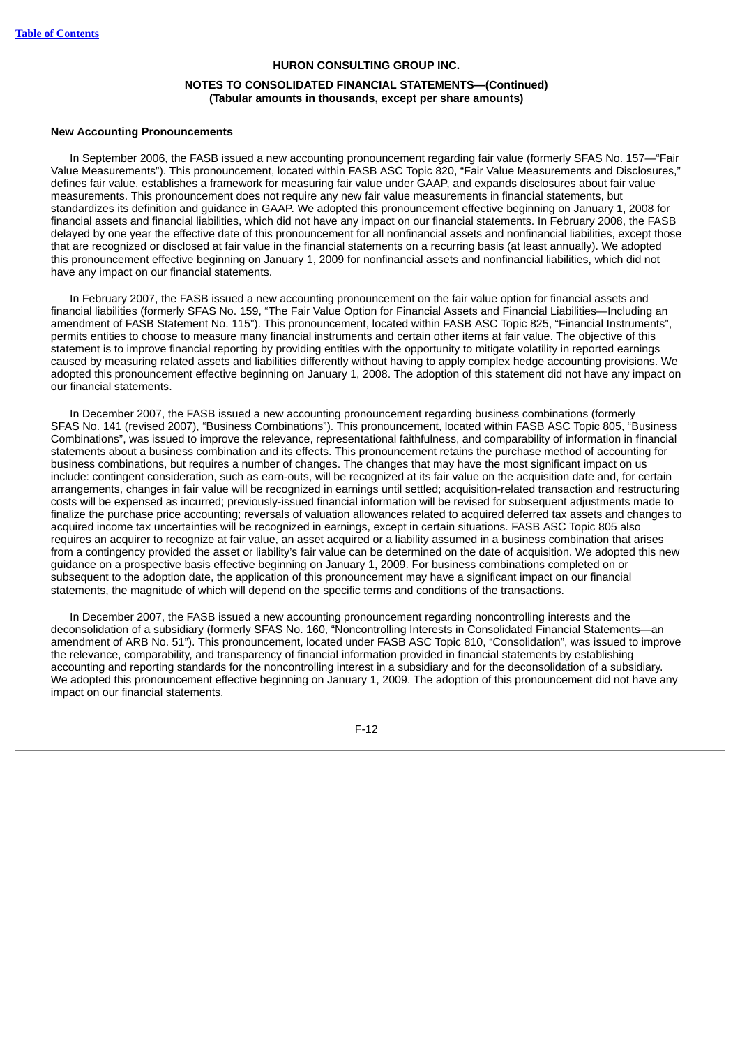## **NOTES TO CONSOLIDATED FINANCIAL STATEMENTS—(Continued) (Tabular amounts in thousands, except per share amounts)**

## **New Accounting Pronouncements**

In September 2006, the FASB issued a new accounting pronouncement regarding fair value (formerly SFAS No. 157—"Fair Value Measurements"). This pronouncement, located within FASB ASC Topic 820, "Fair Value Measurements and Disclosures," defines fair value, establishes a framework for measuring fair value under GAAP, and expands disclosures about fair value measurements. This pronouncement does not require any new fair value measurements in financial statements, but standardizes its definition and guidance in GAAP. We adopted this pronouncement effective beginning on January 1, 2008 for financial assets and financial liabilities, which did not have any impact on our financial statements. In February 2008, the FASB delayed by one year the effective date of this pronouncement for all nonfinancial assets and nonfinancial liabilities, except those that are recognized or disclosed at fair value in the financial statements on a recurring basis (at least annually). We adopted this pronouncement effective beginning on January 1, 2009 for nonfinancial assets and nonfinancial liabilities, which did not have any impact on our financial statements.

In February 2007, the FASB issued a new accounting pronouncement on the fair value option for financial assets and financial liabilities (formerly SFAS No. 159, "The Fair Value Option for Financial Assets and Financial Liabilities—Including an amendment of FASB Statement No. 115"). This pronouncement, located within FASB ASC Topic 825, "Financial Instruments", permits entities to choose to measure many financial instruments and certain other items at fair value. The objective of this statement is to improve financial reporting by providing entities with the opportunity to mitigate volatility in reported earnings caused by measuring related assets and liabilities differently without having to apply complex hedge accounting provisions. We adopted this pronouncement effective beginning on January 1, 2008. The adoption of this statement did not have any impact on our financial statements.

In December 2007, the FASB issued a new accounting pronouncement regarding business combinations (formerly SFAS No. 141 (revised 2007), "Business Combinations"). This pronouncement, located within FASB ASC Topic 805, "Business Combinations", was issued to improve the relevance, representational faithfulness, and comparability of information in financial statements about a business combination and its effects. This pronouncement retains the purchase method of accounting for business combinations, but requires a number of changes. The changes that may have the most significant impact on us include: contingent consideration, such as earn-outs, will be recognized at its fair value on the acquisition date and, for certain arrangements, changes in fair value will be recognized in earnings until settled; acquisition-related transaction and restructuring costs will be expensed as incurred; previously-issued financial information will be revised for subsequent adjustments made to finalize the purchase price accounting; reversals of valuation allowances related to acquired deferred tax assets and changes to acquired income tax uncertainties will be recognized in earnings, except in certain situations. FASB ASC Topic 805 also requires an acquirer to recognize at fair value, an asset acquired or a liability assumed in a business combination that arises from a contingency provided the asset or liability's fair value can be determined on the date of acquisition. We adopted this new guidance on a prospective basis effective beginning on January 1, 2009. For business combinations completed on or subsequent to the adoption date, the application of this pronouncement may have a significant impact on our financial statements, the magnitude of which will depend on the specific terms and conditions of the transactions.

In December 2007, the FASB issued a new accounting pronouncement regarding noncontrolling interests and the deconsolidation of a subsidiary (formerly SFAS No. 160, "Noncontrolling Interests in Consolidated Financial Statements—an amendment of ARB No. 51"). This pronouncement, located under FASB ASC Topic 810, "Consolidation", was issued to improve the relevance, comparability, and transparency of financial information provided in financial statements by establishing accounting and reporting standards for the noncontrolling interest in a subsidiary and for the deconsolidation of a subsidiary. We adopted this pronouncement effective beginning on January 1, 2009. The adoption of this pronouncement did not have any impact on our financial statements.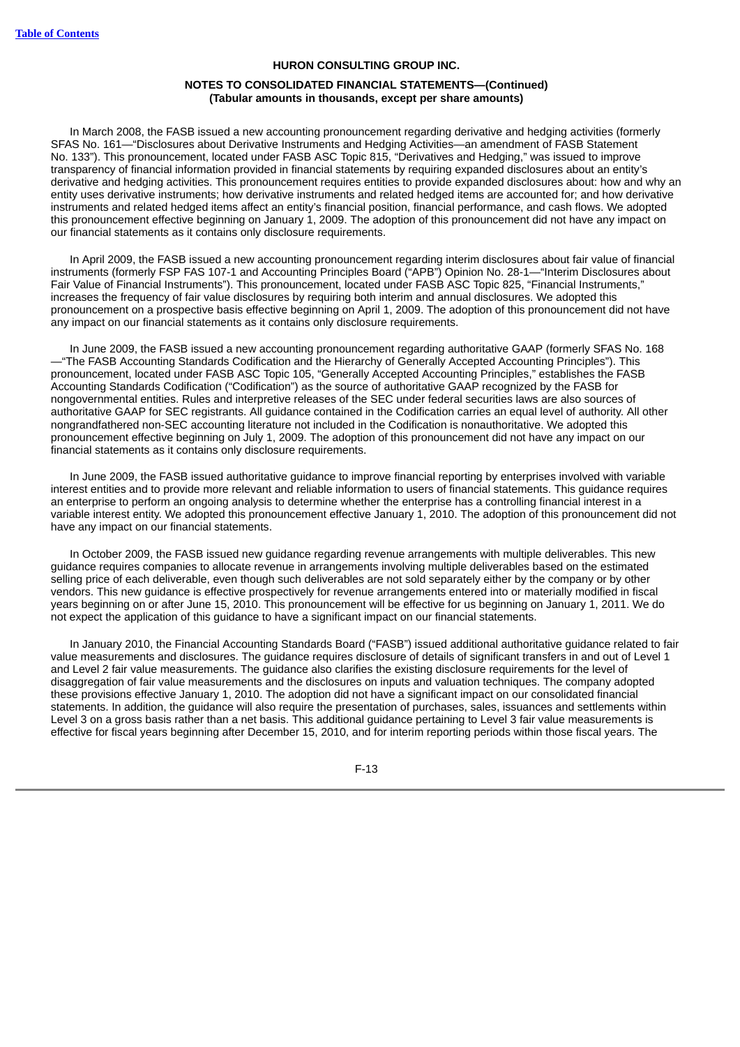#### **NOTES TO CONSOLIDATED FINANCIAL STATEMENTS—(Continued) (Tabular amounts in thousands, except per share amounts)**

In March 2008, the FASB issued a new accounting pronouncement regarding derivative and hedging activities (formerly SFAS No. 161—"Disclosures about Derivative Instruments and Hedging Activities—an amendment of FASB Statement No. 133"). This pronouncement, located under FASB ASC Topic 815, "Derivatives and Hedging," was issued to improve transparency of financial information provided in financial statements by requiring expanded disclosures about an entity's derivative and hedging activities. This pronouncement requires entities to provide expanded disclosures about: how and why an entity uses derivative instruments; how derivative instruments and related hedged items are accounted for; and how derivative instruments and related hedged items affect an entity's financial position, financial performance, and cash flows. We adopted this pronouncement effective beginning on January 1, 2009. The adoption of this pronouncement did not have any impact on our financial statements as it contains only disclosure requirements.

In April 2009, the FASB issued a new accounting pronouncement regarding interim disclosures about fair value of financial instruments (formerly FSP FAS 107-1 and Accounting Principles Board ("APB") Opinion No. 28-1—"Interim Disclosures about Fair Value of Financial Instruments"). This pronouncement, located under FASB ASC Topic 825, "Financial Instruments," increases the frequency of fair value disclosures by requiring both interim and annual disclosures. We adopted this pronouncement on a prospective basis effective beginning on April 1, 2009. The adoption of this pronouncement did not have any impact on our financial statements as it contains only disclosure requirements.

In June 2009, the FASB issued a new accounting pronouncement regarding authoritative GAAP (formerly SFAS No. 168 —"The FASB Accounting Standards Codification and the Hierarchy of Generally Accepted Accounting Principles"). This pronouncement, located under FASB ASC Topic 105, "Generally Accepted Accounting Principles," establishes the FASB Accounting Standards Codification ("Codification") as the source of authoritative GAAP recognized by the FASB for nongovernmental entities. Rules and interpretive releases of the SEC under federal securities laws are also sources of authoritative GAAP for SEC registrants. All guidance contained in the Codification carries an equal level of authority. All other nongrandfathered non-SEC accounting literature not included in the Codification is nonauthoritative. We adopted this pronouncement effective beginning on July 1, 2009. The adoption of this pronouncement did not have any impact on our financial statements as it contains only disclosure requirements.

In June 2009, the FASB issued authoritative guidance to improve financial reporting by enterprises involved with variable interest entities and to provide more relevant and reliable information to users of financial statements. This guidance requires an enterprise to perform an ongoing analysis to determine whether the enterprise has a controlling financial interest in a variable interest entity. We adopted this pronouncement effective January 1, 2010. The adoption of this pronouncement did not have any impact on our financial statements.

In October 2009, the FASB issued new guidance regarding revenue arrangements with multiple deliverables. This new guidance requires companies to allocate revenue in arrangements involving multiple deliverables based on the estimated selling price of each deliverable, even though such deliverables are not sold separately either by the company or by other vendors. This new guidance is effective prospectively for revenue arrangements entered into or materially modified in fiscal years beginning on or after June 15, 2010. This pronouncement will be effective for us beginning on January 1, 2011. We do not expect the application of this guidance to have a significant impact on our financial statements.

In January 2010, the Financial Accounting Standards Board ("FASB") issued additional authoritative guidance related to fair value measurements and disclosures. The guidance requires disclosure of details of significant transfers in and out of Level 1 and Level 2 fair value measurements. The guidance also clarifies the existing disclosure requirements for the level of disaggregation of fair value measurements and the disclosures on inputs and valuation techniques. The company adopted these provisions effective January 1, 2010. The adoption did not have a significant impact on our consolidated financial statements. In addition, the guidance will also require the presentation of purchases, sales, issuances and settlements within Level 3 on a gross basis rather than a net basis. This additional guidance pertaining to Level 3 fair value measurements is effective for fiscal years beginning after December 15, 2010, and for interim reporting periods within those fiscal years. The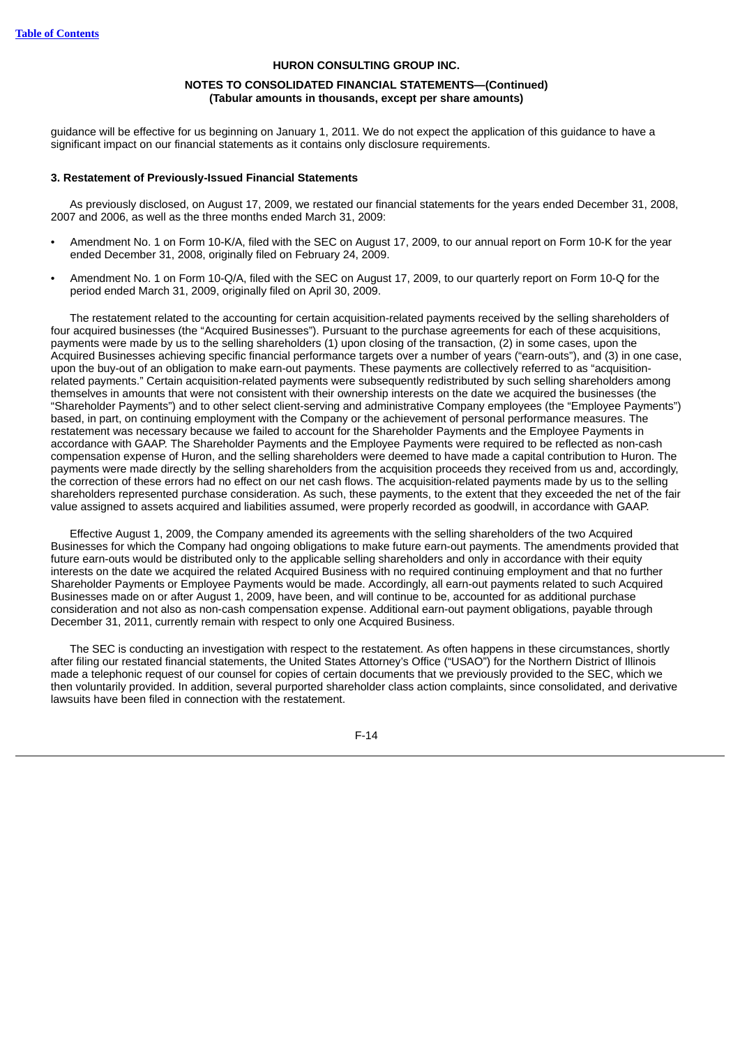## **NOTES TO CONSOLIDATED FINANCIAL STATEMENTS—(Continued) (Tabular amounts in thousands, except per share amounts)**

guidance will be effective for us beginning on January 1, 2011. We do not expect the application of this guidance to have a significant impact on our financial statements as it contains only disclosure requirements.

#### **3. Restatement of Previously-Issued Financial Statements**

As previously disclosed, on August 17, 2009, we restated our financial statements for the years ended December 31, 2008, 2007 and 2006, as well as the three months ended March 31, 2009:

- Amendment No. 1 on Form 10-K/A, filed with the SEC on August 17, 2009, to our annual report on Form 10-K for the year ended December 31, 2008, originally filed on February 24, 2009.
- Amendment No. 1 on Form 10-Q/A, filed with the SEC on August 17, 2009, to our quarterly report on Form 10-Q for the period ended March 31, 2009, originally filed on April 30, 2009.

The restatement related to the accounting for certain acquisition-related payments received by the selling shareholders of four acquired businesses (the "Acquired Businesses"). Pursuant to the purchase agreements for each of these acquisitions, payments were made by us to the selling shareholders (1) upon closing of the transaction, (2) in some cases, upon the Acquired Businesses achieving specific financial performance targets over a number of years ("earn-outs"), and (3) in one case, upon the buy-out of an obligation to make earn-out payments. These payments are collectively referred to as "acquisitionrelated payments." Certain acquisition-related payments were subsequently redistributed by such selling shareholders among themselves in amounts that were not consistent with their ownership interests on the date we acquired the businesses (the "Shareholder Payments") and to other select client-serving and administrative Company employees (the "Employee Payments") based, in part, on continuing employment with the Company or the achievement of personal performance measures. The restatement was necessary because we failed to account for the Shareholder Payments and the Employee Payments in accordance with GAAP. The Shareholder Payments and the Employee Payments were required to be reflected as non-cash compensation expense of Huron, and the selling shareholders were deemed to have made a capital contribution to Huron. The payments were made directly by the selling shareholders from the acquisition proceeds they received from us and, accordingly, the correction of these errors had no effect on our net cash flows. The acquisition-related payments made by us to the selling shareholders represented purchase consideration. As such, these payments, to the extent that they exceeded the net of the fair value assigned to assets acquired and liabilities assumed, were properly recorded as goodwill, in accordance with GAAP.

Effective August 1, 2009, the Company amended its agreements with the selling shareholders of the two Acquired Businesses for which the Company had ongoing obligations to make future earn-out payments. The amendments provided that future earn-outs would be distributed only to the applicable selling shareholders and only in accordance with their equity interests on the date we acquired the related Acquired Business with no required continuing employment and that no further Shareholder Payments or Employee Payments would be made. Accordingly, all earn-out payments related to such Acquired Businesses made on or after August 1, 2009, have been, and will continue to be, accounted for as additional purchase consideration and not also as non-cash compensation expense. Additional earn-out payment obligations, payable through December 31, 2011, currently remain with respect to only one Acquired Business.

The SEC is conducting an investigation with respect to the restatement. As often happens in these circumstances, shortly after filing our restated financial statements, the United States Attorney's Office ("USAO") for the Northern District of Illinois made a telephonic request of our counsel for copies of certain documents that we previously provided to the SEC, which we then voluntarily provided. In addition, several purported shareholder class action complaints, since consolidated, and derivative lawsuits have been filed in connection with the restatement.

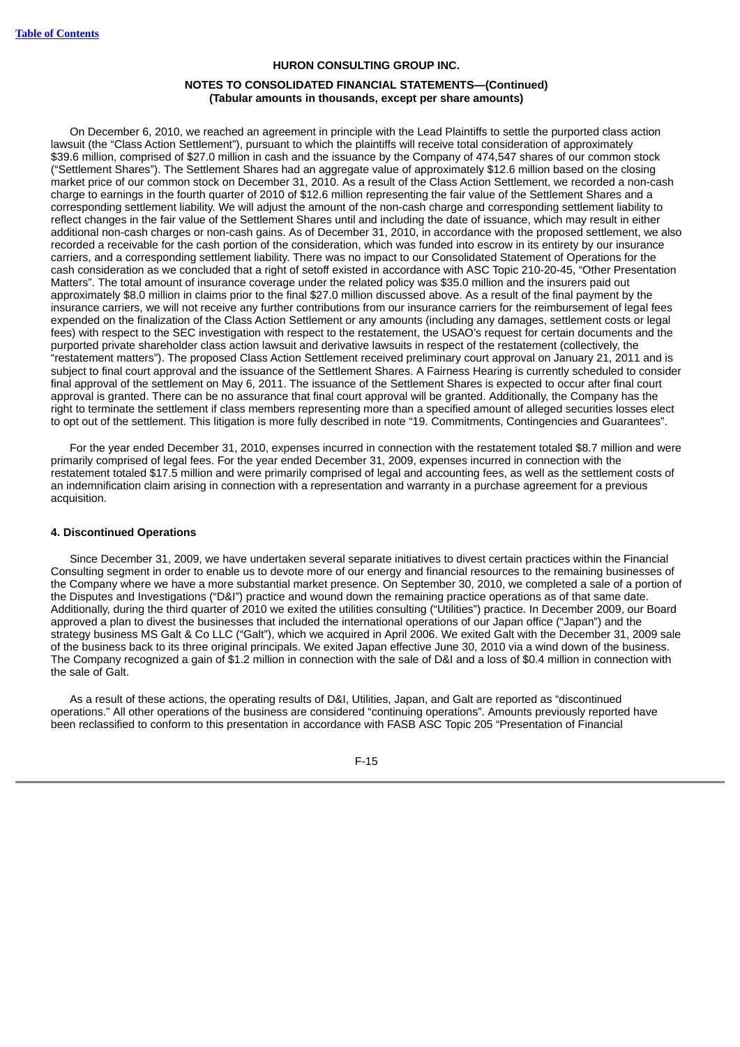#### **NOTES TO CONSOLIDATED FINANCIAL STATEMENTS—(Continued) (Tabular amounts in thousands, except per share amounts)**

On December 6, 2010, we reached an agreement in principle with the Lead Plaintiffs to settle the purported class action lawsuit (the "Class Action Settlement"), pursuant to which the plaintiffs will receive total consideration of approximately \$39.6 million, comprised of \$27.0 million in cash and the issuance by the Company of 474,547 shares of our common stock ("Settlement Shares"). The Settlement Shares had an aggregate value of approximately \$12.6 million based on the closing market price of our common stock on December 31, 2010. As a result of the Class Action Settlement, we recorded a non-cash charge to earnings in the fourth quarter of 2010 of \$12.6 million representing the fair value of the Settlement Shares and a corresponding settlement liability. We will adjust the amount of the non-cash charge and corresponding settlement liability to reflect changes in the fair value of the Settlement Shares until and including the date of issuance, which may result in either additional non-cash charges or non-cash gains. As of December 31, 2010, in accordance with the proposed settlement, we also recorded a receivable for the cash portion of the consideration, which was funded into escrow in its entirety by our insurance carriers, and a corresponding settlement liability. There was no impact to our Consolidated Statement of Operations for the cash consideration as we concluded that a right of setoff existed in accordance with ASC Topic 210-20-45, "Other Presentation Matters". The total amount of insurance coverage under the related policy was \$35.0 million and the insurers paid out approximately \$8.0 million in claims prior to the final \$27.0 million discussed above. As a result of the final payment by the insurance carriers, we will not receive any further contributions from our insurance carriers for the reimbursement of legal fees expended on the finalization of the Class Action Settlement or any amounts (including any damages, settlement costs or legal fees) with respect to the SEC investigation with respect to the restatement, the USAO's request for certain documents and the purported private shareholder class action lawsuit and derivative lawsuits in respect of the restatement (collectively, the "restatement matters"). The proposed Class Action Settlement received preliminary court approval on January 21, 2011 and is subject to final court approval and the issuance of the Settlement Shares. A Fairness Hearing is currently scheduled to consider final approval of the settlement on May 6, 2011. The issuance of the Settlement Shares is expected to occur after final court approval is granted. There can be no assurance that final court approval will be granted. Additionally, the Company has the right to terminate the settlement if class members representing more than a specified amount of alleged securities losses elect to opt out of the settlement. This litigation is more fully described in note "19. Commitments, Contingencies and Guarantees".

For the year ended December 31, 2010, expenses incurred in connection with the restatement totaled \$8.7 million and were primarily comprised of legal fees. For the year ended December 31, 2009, expenses incurred in connection with the restatement totaled \$17.5 million and were primarily comprised of legal and accounting fees, as well as the settlement costs of an indemnification claim arising in connection with a representation and warranty in a purchase agreement for a previous acquisition.

#### **4. Discontinued Operations**

Since December 31, 2009, we have undertaken several separate initiatives to divest certain practices within the Financial Consulting segment in order to enable us to devote more of our energy and financial resources to the remaining businesses of the Company where we have a more substantial market presence. On September 30, 2010, we completed a sale of a portion of the Disputes and Investigations ("D&I") practice and wound down the remaining practice operations as of that same date. Additionally, during the third quarter of 2010 we exited the utilities consulting ("Utilities") practice. In December 2009, our Board approved a plan to divest the businesses that included the international operations of our Japan office ("Japan") and the strategy business MS Galt & Co LLC ("Galt"), which we acquired in April 2006. We exited Galt with the December 31, 2009 sale of the business back to its three original principals. We exited Japan effective June 30, 2010 via a wind down of the business. The Company recognized a gain of \$1.2 million in connection with the sale of D&I and a loss of \$0.4 million in connection with the sale of Galt.

As a result of these actions, the operating results of D&I, Utilities, Japan, and Galt are reported as "discontinued operations." All other operations of the business are considered "continuing operations". Amounts previously reported have been reclassified to conform to this presentation in accordance with FASB ASC Topic 205 "Presentation of Financial

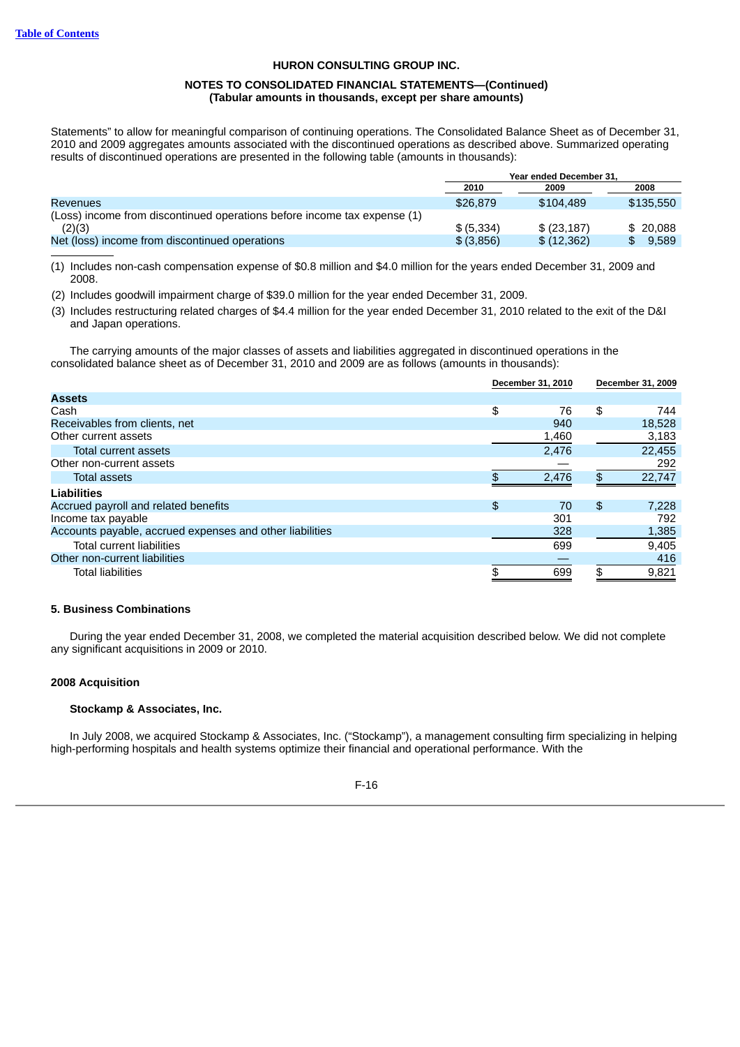### **NOTES TO CONSOLIDATED FINANCIAL STATEMENTS—(Continued) (Tabular amounts in thousands, except per share amounts)**

Statements" to allow for meaningful comparison of continuing operations. The Consolidated Balance Sheet as of December 31, 2010 and 2009 aggregates amounts associated with the discontinued operations as described above. Summarized operating results of discontinued operations are presented in the following table (amounts in thousands):

|                                                                          | Year ended December 31. |              |           |  |  |  |
|--------------------------------------------------------------------------|-------------------------|--------------|-----------|--|--|--|
|                                                                          | 2010                    | 2009         | 2008      |  |  |  |
| <b>Revenues</b>                                                          | \$26,879                | \$104.489    | \$135,550 |  |  |  |
| (Loss) income from discontinued operations before income tax expense (1) |                         |              |           |  |  |  |
| (2)(3)                                                                   | \$ (5,334)              | \$ (23, 187) | \$20.088  |  |  |  |
| Net (loss) income from discontinued operations                           | \$ (3,856)              | \$ (12.362)  | 9.589     |  |  |  |

(1) Includes non-cash compensation expense of \$0.8 million and \$4.0 million for the years ended December 31, 2009 and 2008.

- (2) Includes goodwill impairment charge of \$39.0 million for the year ended December 31, 2009.
- (3) Includes restructuring related charges of \$4.4 million for the year ended December 31, 2010 related to the exit of the D&I and Japan operations.

The carrying amounts of the major classes of assets and liabilities aggregated in discontinued operations in the consolidated balance sheet as of December 31, 2010 and 2009 are as follows (amounts in thousands):

|                                                          | December 31, 2010 |       |     | December 31, 2009 |
|----------------------------------------------------------|-------------------|-------|-----|-------------------|
| <b>Assets</b>                                            |                   |       |     |                   |
| Cash                                                     | \$                | 76    | \$  | 744               |
| Receivables from clients, net                            |                   | 940   |     | 18,528            |
| Other current assets                                     |                   | 1,460 |     | 3,183             |
| Total current assets                                     |                   | 2,476 |     | 22,455            |
| Other non-current assets                                 |                   |       |     | 292               |
| <b>Total assets</b>                                      |                   | 2,476 |     | 22,747            |
| Liabilities                                              |                   |       |     |                   |
| Accrued payroll and related benefits                     | \$                | 70    | \$  | 7,228             |
| Income tax payable                                       |                   | 301   |     | 792               |
| Accounts payable, accrued expenses and other liabilities |                   | 328   |     | 1,385             |
| <b>Total current liabilities</b>                         |                   | 699   |     | 9,405             |
| Other non-current liabilities                            |                   |       |     | 416               |
| <b>Total liabilities</b>                                 | \$                | 699   | \$. | 9,821             |

## **5. Business Combinations**

During the year ended December 31, 2008, we completed the material acquisition described below. We did not complete any significant acquisitions in 2009 or 2010.

## **2008 Acquisition**

## **Stockamp & Associates, Inc.**

In July 2008, we acquired Stockamp & Associates, Inc. ("Stockamp"), a management consulting firm specializing in helping high-performing hospitals and health systems optimize their financial and operational performance. With the

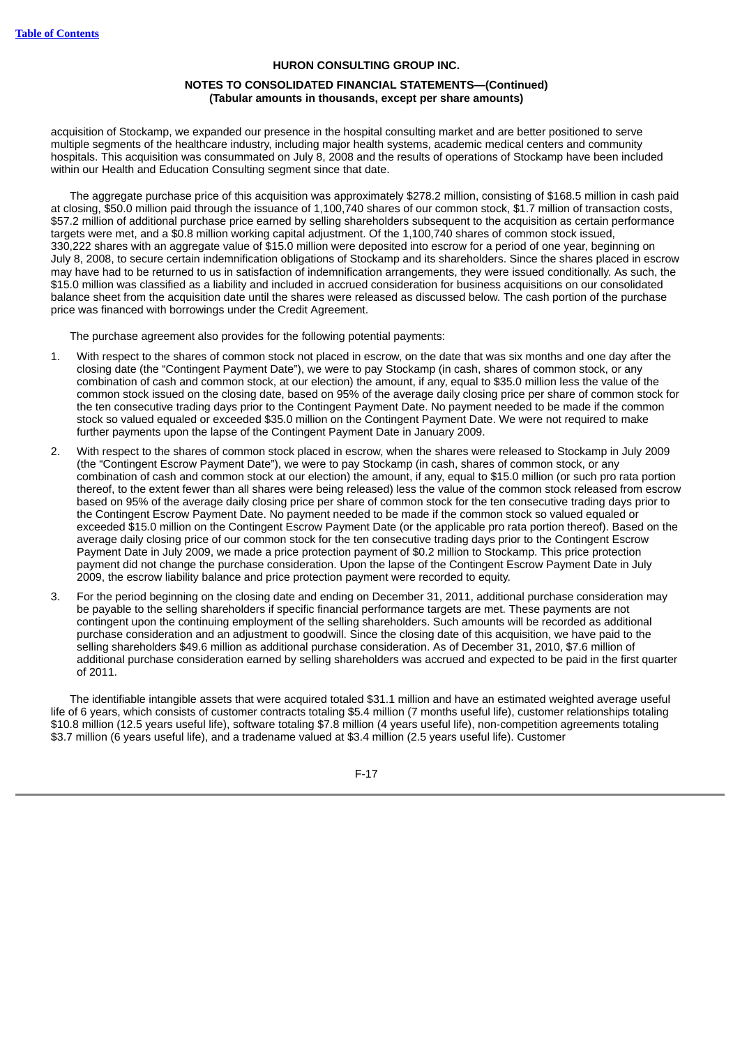## **NOTES TO CONSOLIDATED FINANCIAL STATEMENTS—(Continued) (Tabular amounts in thousands, except per share amounts)**

acquisition of Stockamp, we expanded our presence in the hospital consulting market and are better positioned to serve multiple segments of the healthcare industry, including major health systems, academic medical centers and community hospitals. This acquisition was consummated on July 8, 2008 and the results of operations of Stockamp have been included within our Health and Education Consulting segment since that date.

The aggregate purchase price of this acquisition was approximately \$278.2 million, consisting of \$168.5 million in cash paid at closing, \$50.0 million paid through the issuance of 1,100,740 shares of our common stock, \$1.7 million of transaction costs, \$57.2 million of additional purchase price earned by selling shareholders subsequent to the acquisition as certain performance targets were met, and a \$0.8 million working capital adjustment. Of the 1,100,740 shares of common stock issued, 330,222 shares with an aggregate value of \$15.0 million were deposited into escrow for a period of one year, beginning on July 8, 2008, to secure certain indemnification obligations of Stockamp and its shareholders. Since the shares placed in escrow may have had to be returned to us in satisfaction of indemnification arrangements, they were issued conditionally. As such, the \$15.0 million was classified as a liability and included in accrued consideration for business acquisitions on our consolidated balance sheet from the acquisition date until the shares were released as discussed below. The cash portion of the purchase price was financed with borrowings under the Credit Agreement.

The purchase agreement also provides for the following potential payments:

- 1. With respect to the shares of common stock not placed in escrow, on the date that was six months and one day after the closing date (the "Contingent Payment Date"), we were to pay Stockamp (in cash, shares of common stock, or any combination of cash and common stock, at our election) the amount, if any, equal to \$35.0 million less the value of the common stock issued on the closing date, based on 95% of the average daily closing price per share of common stock for the ten consecutive trading days prior to the Contingent Payment Date. No payment needed to be made if the common stock so valued equaled or exceeded \$35.0 million on the Contingent Payment Date. We were not required to make further payments upon the lapse of the Contingent Payment Date in January 2009.
- 2. With respect to the shares of common stock placed in escrow, when the shares were released to Stockamp in July 2009 (the "Contingent Escrow Payment Date"), we were to pay Stockamp (in cash, shares of common stock, or any combination of cash and common stock at our election) the amount, if any, equal to \$15.0 million (or such pro rata portion thereof, to the extent fewer than all shares were being released) less the value of the common stock released from escrow based on 95% of the average daily closing price per share of common stock for the ten consecutive trading days prior to the Contingent Escrow Payment Date. No payment needed to be made if the common stock so valued equaled or exceeded \$15.0 million on the Contingent Escrow Payment Date (or the applicable pro rata portion thereof). Based on the average daily closing price of our common stock for the ten consecutive trading days prior to the Contingent Escrow Payment Date in July 2009, we made a price protection payment of \$0.2 million to Stockamp. This price protection payment did not change the purchase consideration. Upon the lapse of the Contingent Escrow Payment Date in July 2009, the escrow liability balance and price protection payment were recorded to equity.
- 3. For the period beginning on the closing date and ending on December 31, 2011, additional purchase consideration may be payable to the selling shareholders if specific financial performance targets are met. These payments are not contingent upon the continuing employment of the selling shareholders. Such amounts will be recorded as additional purchase consideration and an adjustment to goodwill. Since the closing date of this acquisition, we have paid to the selling shareholders \$49.6 million as additional purchase consideration. As of December 31, 2010, \$7.6 million of additional purchase consideration earned by selling shareholders was accrued and expected to be paid in the first quarter of 2011.

The identifiable intangible assets that were acquired totaled \$31.1 million and have an estimated weighted average useful life of 6 years, which consists of customer contracts totaling \$5.4 million (7 months useful life), customer relationships totaling \$10.8 million (12.5 years useful life), software totaling \$7.8 million (4 years useful life), non-competition agreements totaling \$3.7 million (6 years useful life), and a tradename valued at \$3.4 million (2.5 years useful life). Customer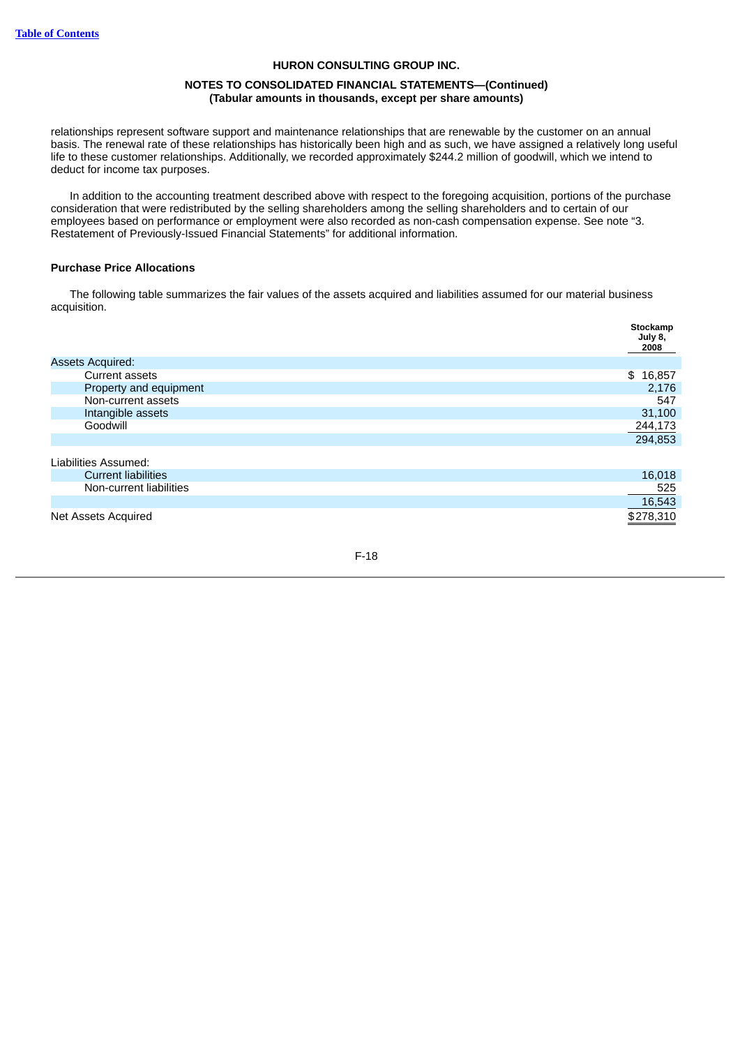### **NOTES TO CONSOLIDATED FINANCIAL STATEMENTS—(Continued) (Tabular amounts in thousands, except per share amounts)**

relationships represent software support and maintenance relationships that are renewable by the customer on an annual basis. The renewal rate of these relationships has historically been high and as such, we have assigned a relatively long useful life to these customer relationships. Additionally, we recorded approximately \$244.2 million of goodwill, which we intend to deduct for income tax purposes.

In addition to the accounting treatment described above with respect to the foregoing acquisition, portions of the purchase consideration that were redistributed by the selling shareholders among the selling shareholders and to certain of our employees based on performance or employment were also recorded as non-cash compensation expense. See note "3. Restatement of Previously-Issued Financial Statements" for additional information.

# **Purchase Price Allocations**

The following table summarizes the fair values of the assets acquired and liabilities assumed for our material business acquisition.

|                            | Stockamp<br>July 8,<br>2008 |
|----------------------------|-----------------------------|
| <b>Assets Acquired:</b>    |                             |
| <b>Current assets</b>      | \$16,857                    |
| Property and equipment     | 2,176                       |
| Non-current assets         | 547                         |
| Intangible assets          | 31,100                      |
| Goodwill                   | 244,173                     |
|                            | 294,853                     |
| Liabilities Assumed:       |                             |
| <b>Current liabilities</b> | 16,018                      |
| Non-current liabilities    | 525                         |
|                            | 16,543                      |
| Net Assets Acquired        | \$278,310                   |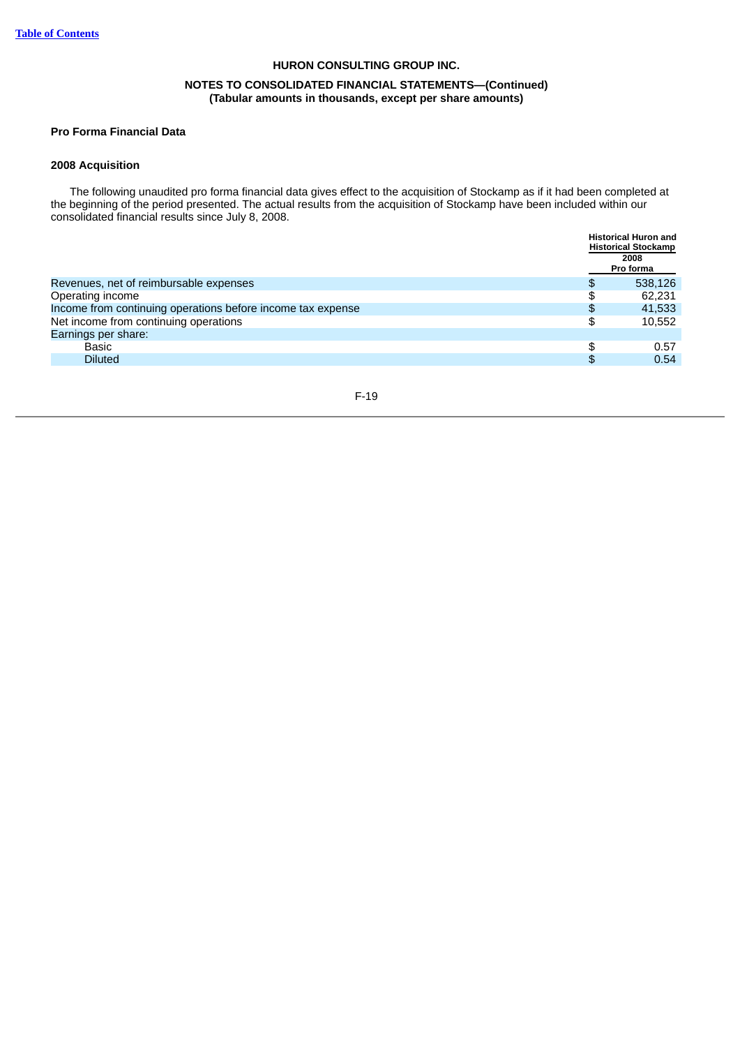# **NOTES TO CONSOLIDATED FINANCIAL STATEMENTS—(Continued) (Tabular amounts in thousands, except per share amounts)**

# **Pro Forma Financial Data**

# **2008 Acquisition**

The following unaudited pro forma financial data gives effect to the acquisition of Stockamp as if it had been completed at the beginning of the period presented. The actual results from the acquisition of Stockamp have been included within our consolidated financial results since July 8, 2008.

|                                                             | <b>Historical Huron and</b><br><b>Historical Stockamp</b><br>2008<br>Pro forma |
|-------------------------------------------------------------|--------------------------------------------------------------------------------|
| Revenues, net of reimbursable expenses                      | \$<br>538,126                                                                  |
| Operating income                                            | \$<br>62.231                                                                   |
| Income from continuing operations before income tax expense | \$<br>41.533                                                                   |
| Net income from continuing operations                       | \$<br>10,552                                                                   |
| Earnings per share:                                         |                                                                                |
| Basic                                                       | \$<br>0.57                                                                     |
| <b>Diluted</b>                                              | \$<br>0.54                                                                     |
|                                                             |                                                                                |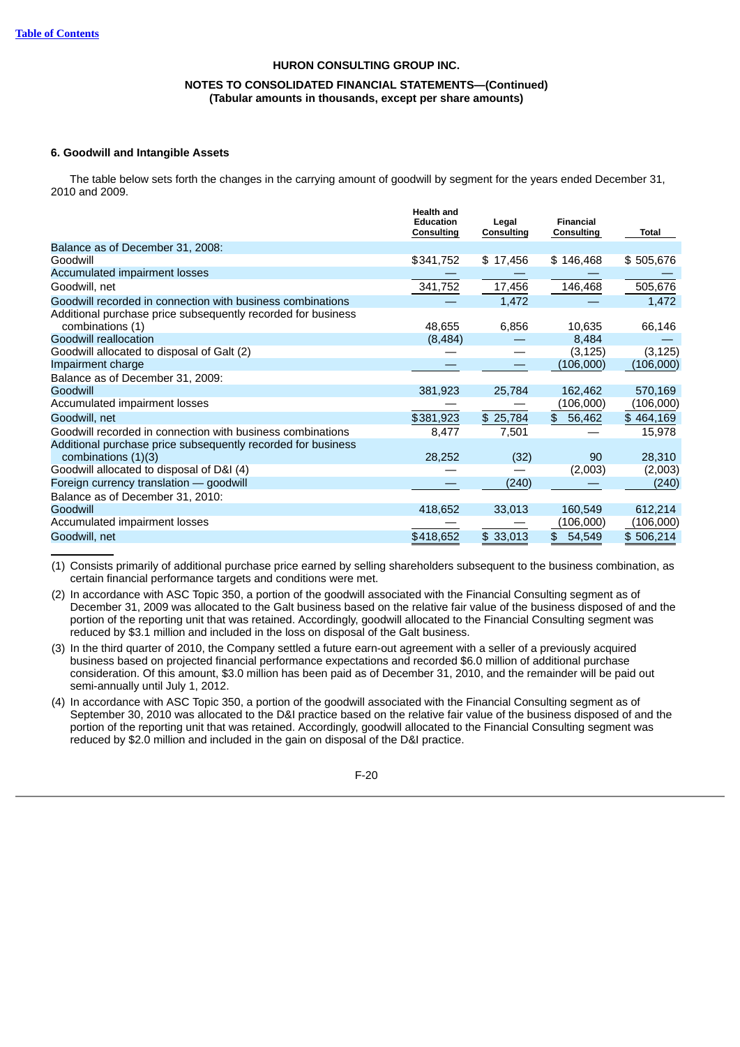# **NOTES TO CONSOLIDATED FINANCIAL STATEMENTS—(Continued) (Tabular amounts in thousands, except per share amounts)**

## **6. Goodwill and Intangible Assets**

The table below sets forth the changes in the carrying amount of goodwill by segment for the years ended December 31, 2010 and 2009.

|                                                                                  | <b>Health and</b><br><b>Education</b><br>Consulting | Legal<br>Consulting | Financial<br>Consulting  | <b>Total</b> |
|----------------------------------------------------------------------------------|-----------------------------------------------------|---------------------|--------------------------|--------------|
| Balance as of December 31, 2008:                                                 |                                                     |                     |                          |              |
| Goodwill                                                                         | \$341,752                                           | \$17,456            | \$146,468                | \$505,676    |
| Accumulated impairment losses                                                    |                                                     |                     |                          |              |
| Goodwill, net                                                                    | 341,752                                             | 17,456              | 146,468                  | 505,676      |
| Goodwill recorded in connection with business combinations                       |                                                     | 1,472               |                          | 1,472        |
| Additional purchase price subsequently recorded for business<br>combinations (1) | 48,655                                              | 6,856               | 10,635                   | 66,146       |
| Goodwill reallocation                                                            | (8,484)                                             |                     | 8,484                    |              |
| Goodwill allocated to disposal of Galt (2)                                       |                                                     |                     | (3, 125)                 | (3, 125)     |
| Impairment charge                                                                |                                                     |                     | (106,000)                | (106,000)    |
| Balance as of December 31, 2009:                                                 |                                                     |                     |                          |              |
| Goodwill                                                                         | 381,923                                             | 25,784              | 162,462                  | 570,169      |
| Accumulated impairment losses                                                    |                                                     |                     | (106,000)                | (106,000)    |
| Goodwill, net                                                                    | \$381,923                                           | \$25,784            | $\mathfrak{L}$<br>56,462 | \$464,169    |
| Goodwill recorded in connection with business combinations                       | 8,477                                               | 7,501               |                          | 15,978       |
| Additional purchase price subsequently recorded for business                     |                                                     |                     |                          |              |
| combinations $(1)(3)$                                                            | 28,252                                              | (32)                | 90                       | 28,310       |
| Goodwill allocated to disposal of D&I (4)                                        |                                                     |                     | (2,003)                  | (2,003)      |
| Foreign currency translation - goodwill                                          |                                                     | (240)               |                          | (240)        |
| Balance as of December 31, 2010:                                                 |                                                     |                     |                          |              |
| Goodwill                                                                         | 418,652                                             | 33,013              | 160,549                  | 612,214      |
| Accumulated impairment losses                                                    |                                                     |                     | (106,000)                | (106,000)    |
| Goodwill, net                                                                    | \$418,652                                           | \$33,013            | 54,549<br>\$             | \$506,214    |
|                                                                                  |                                                     |                     |                          |              |

(1) Consists primarily of additional purchase price earned by selling shareholders subsequent to the business combination, as certain financial performance targets and conditions were met.

- (2) In accordance with ASC Topic 350, a portion of the goodwill associated with the Financial Consulting segment as of December 31, 2009 was allocated to the Galt business based on the relative fair value of the business disposed of and the portion of the reporting unit that was retained. Accordingly, goodwill allocated to the Financial Consulting segment was reduced by \$3.1 million and included in the loss on disposal of the Galt business.
- (3) In the third quarter of 2010, the Company settled a future earn-out agreement with a seller of a previously acquired business based on projected financial performance expectations and recorded \$6.0 million of additional purchase consideration. Of this amount, \$3.0 million has been paid as of December 31, 2010, and the remainder will be paid out semi-annually until July 1, 2012.
- (4) In accordance with ASC Topic 350, a portion of the goodwill associated with the Financial Consulting segment as of September 30, 2010 was allocated to the D&I practice based on the relative fair value of the business disposed of and the portion of the reporting unit that was retained. Accordingly, goodwill allocated to the Financial Consulting segment was reduced by \$2.0 million and included in the gain on disposal of the D&I practice.

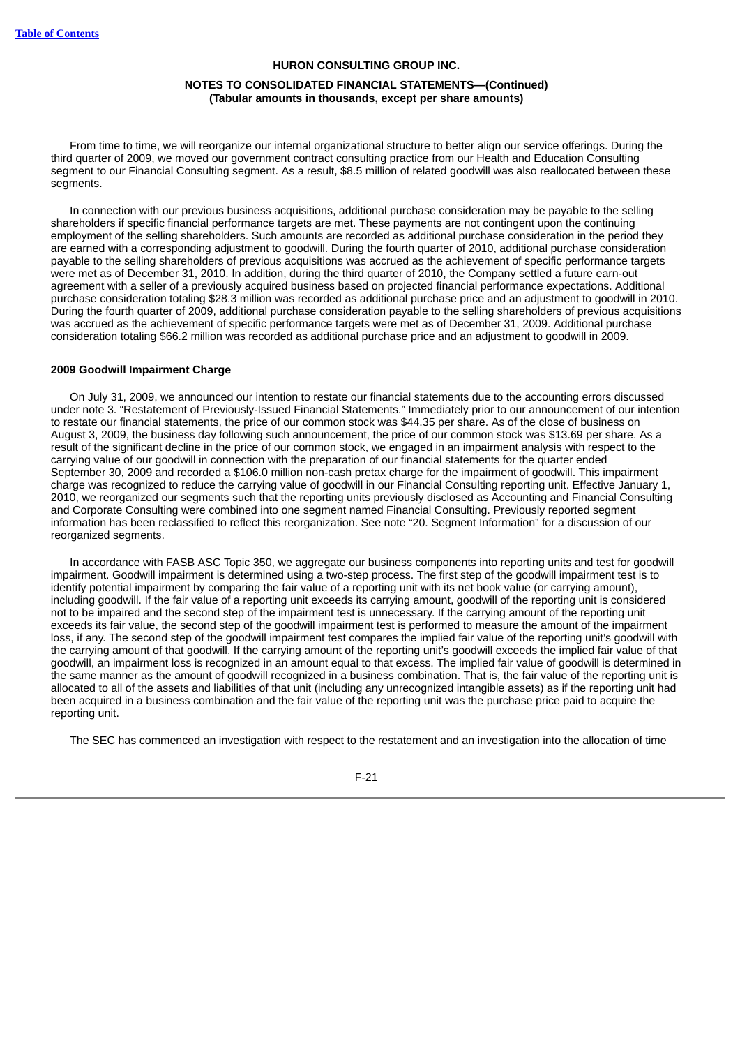## **NOTES TO CONSOLIDATED FINANCIAL STATEMENTS—(Continued) (Tabular amounts in thousands, except per share amounts)**

From time to time, we will reorganize our internal organizational structure to better align our service offerings. During the third quarter of 2009, we moved our government contract consulting practice from our Health and Education Consulting segment to our Financial Consulting segment. As a result, \$8.5 million of related goodwill was also reallocated between these segments.

In connection with our previous business acquisitions, additional purchase consideration may be payable to the selling shareholders if specific financial performance targets are met. These payments are not contingent upon the continuing employment of the selling shareholders. Such amounts are recorded as additional purchase consideration in the period they are earned with a corresponding adjustment to goodwill. During the fourth quarter of 2010, additional purchase consideration payable to the selling shareholders of previous acquisitions was accrued as the achievement of specific performance targets were met as of December 31, 2010. In addition, during the third quarter of 2010, the Company settled a future earn-out agreement with a seller of a previously acquired business based on projected financial performance expectations. Additional purchase consideration totaling \$28.3 million was recorded as additional purchase price and an adjustment to goodwill in 2010. During the fourth quarter of 2009, additional purchase consideration payable to the selling shareholders of previous acquisitions was accrued as the achievement of specific performance targets were met as of December 31, 2009. Additional purchase consideration totaling \$66.2 million was recorded as additional purchase price and an adjustment to goodwill in 2009.

#### **2009 Goodwill Impairment Charge**

On July 31, 2009, we announced our intention to restate our financial statements due to the accounting errors discussed under note 3. "Restatement of Previously-Issued Financial Statements." Immediately prior to our announcement of our intention to restate our financial statements, the price of our common stock was \$44.35 per share. As of the close of business on August 3, 2009, the business day following such announcement, the price of our common stock was \$13.69 per share. As a result of the significant decline in the price of our common stock, we engaged in an impairment analysis with respect to the carrying value of our goodwill in connection with the preparation of our financial statements for the quarter ended September 30, 2009 and recorded a \$106.0 million non-cash pretax charge for the impairment of goodwill. This impairment charge was recognized to reduce the carrying value of goodwill in our Financial Consulting reporting unit. Effective January 1, 2010, we reorganized our segments such that the reporting units previously disclosed as Accounting and Financial Consulting and Corporate Consulting were combined into one segment named Financial Consulting. Previously reported segment information has been reclassified to reflect this reorganization. See note "20. Segment Information" for a discussion of our reorganized segments.

In accordance with FASB ASC Topic 350, we aggregate our business components into reporting units and test for goodwill impairment. Goodwill impairment is determined using a two-step process. The first step of the goodwill impairment test is to identify potential impairment by comparing the fair value of a reporting unit with its net book value (or carrying amount), including goodwill. If the fair value of a reporting unit exceeds its carrying amount, goodwill of the reporting unit is considered not to be impaired and the second step of the impairment test is unnecessary. If the carrying amount of the reporting unit exceeds its fair value, the second step of the goodwill impairment test is performed to measure the amount of the impairment loss, if any. The second step of the goodwill impairment test compares the implied fair value of the reporting unit's goodwill with the carrying amount of that goodwill. If the carrying amount of the reporting unit's goodwill exceeds the implied fair value of that goodwill, an impairment loss is recognized in an amount equal to that excess. The implied fair value of goodwill is determined in the same manner as the amount of goodwill recognized in a business combination. That is, the fair value of the reporting unit is allocated to all of the assets and liabilities of that unit (including any unrecognized intangible assets) as if the reporting unit had been acquired in a business combination and the fair value of the reporting unit was the purchase price paid to acquire the reporting unit.

The SEC has commenced an investigation with respect to the restatement and an investigation into the allocation of time

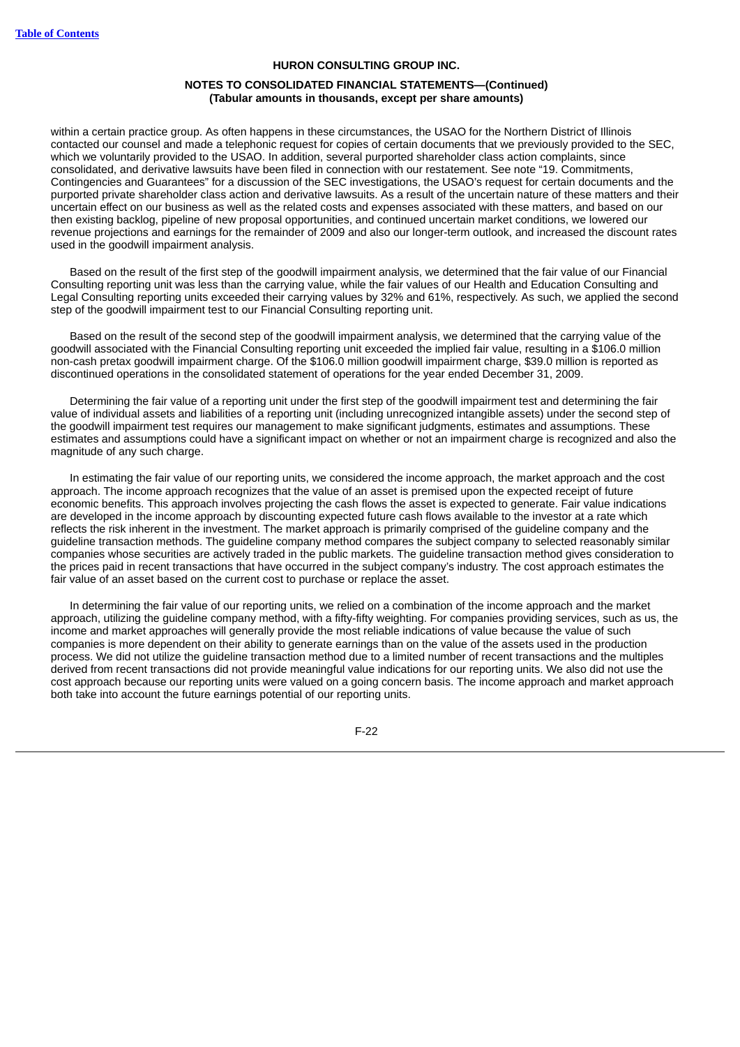### **NOTES TO CONSOLIDATED FINANCIAL STATEMENTS—(Continued) (Tabular amounts in thousands, except per share amounts)**

within a certain practice group. As often happens in these circumstances, the USAO for the Northern District of Illinois contacted our counsel and made a telephonic request for copies of certain documents that we previously provided to the SEC, which we voluntarily provided to the USAO. In addition, several purported shareholder class action complaints, since consolidated, and derivative lawsuits have been filed in connection with our restatement. See note "19. Commitments, Contingencies and Guarantees" for a discussion of the SEC investigations, the USAO's request for certain documents and the purported private shareholder class action and derivative lawsuits. As a result of the uncertain nature of these matters and their uncertain effect on our business as well as the related costs and expenses associated with these matters, and based on our then existing backlog, pipeline of new proposal opportunities, and continued uncertain market conditions, we lowered our revenue projections and earnings for the remainder of 2009 and also our longer-term outlook, and increased the discount rates used in the goodwill impairment analysis.

Based on the result of the first step of the goodwill impairment analysis, we determined that the fair value of our Financial Consulting reporting unit was less than the carrying value, while the fair values of our Health and Education Consulting and Legal Consulting reporting units exceeded their carrying values by 32% and 61%, respectively. As such, we applied the second step of the goodwill impairment test to our Financial Consulting reporting unit.

Based on the result of the second step of the goodwill impairment analysis, we determined that the carrying value of the goodwill associated with the Financial Consulting reporting unit exceeded the implied fair value, resulting in a \$106.0 million non-cash pretax goodwill impairment charge. Of the \$106.0 million goodwill impairment charge, \$39.0 million is reported as discontinued operations in the consolidated statement of operations for the year ended December 31, 2009.

Determining the fair value of a reporting unit under the first step of the goodwill impairment test and determining the fair value of individual assets and liabilities of a reporting unit (including unrecognized intangible assets) under the second step of the goodwill impairment test requires our management to make significant judgments, estimates and assumptions. These estimates and assumptions could have a significant impact on whether or not an impairment charge is recognized and also the magnitude of any such charge.

In estimating the fair value of our reporting units, we considered the income approach, the market approach and the cost approach. The income approach recognizes that the value of an asset is premised upon the expected receipt of future economic benefits. This approach involves projecting the cash flows the asset is expected to generate. Fair value indications are developed in the income approach by discounting expected future cash flows available to the investor at a rate which reflects the risk inherent in the investment. The market approach is primarily comprised of the guideline company and the guideline transaction methods. The guideline company method compares the subject company to selected reasonably similar companies whose securities are actively traded in the public markets. The guideline transaction method gives consideration to the prices paid in recent transactions that have occurred in the subject company's industry. The cost approach estimates the fair value of an asset based on the current cost to purchase or replace the asset.

In determining the fair value of our reporting units, we relied on a combination of the income approach and the market approach, utilizing the guideline company method, with a fifty-fifty weighting. For companies providing services, such as us, the income and market approaches will generally provide the most reliable indications of value because the value of such companies is more dependent on their ability to generate earnings than on the value of the assets used in the production process. We did not utilize the guideline transaction method due to a limited number of recent transactions and the multiples derived from recent transactions did not provide meaningful value indications for our reporting units. We also did not use the cost approach because our reporting units were valued on a going concern basis. The income approach and market approach both take into account the future earnings potential of our reporting units.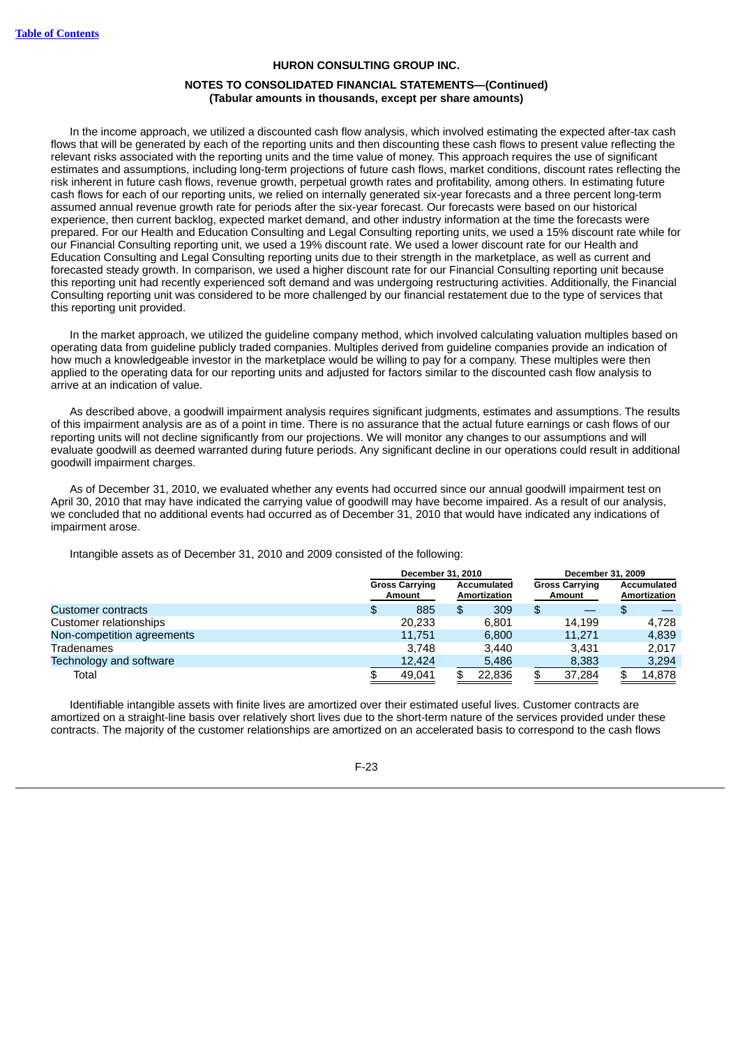#### **NOTES TO CONSOLIDATED FINANCIAL STATEMENTS—(Continued) (Tabular amounts in thousands, except per share amounts)**

In the income approach, we utilized a discounted cash flow analysis, which involved estimating the expected after-tax cash flows that will be generated by each of the reporting units and then discounting these cash flows to present value reflecting the relevant risks associated with the reporting units and the time value of money. This approach requires the use of significant estimates and assumptions, including long-term projections of future cash flows, market conditions, discount rates reflecting the risk inherent in future cash flows, revenue growth, perpetual growth rates and profitability, among others. In estimating future cash flows for each of our reporting units, we relied on internally generated six-year forecasts and a three percent long-term assumed annual revenue growth rate for periods after the six-year forecast. Our forecasts were based on our historical experience, then current backlog, expected market demand, and other industry information at the time the forecasts were prepared. For our Health and Education Consulting and Legal Consulting reporting units, we used a 15% discount rate while for our Financial Consulting reporting unit, we used a 19% discount rate. We used a lower discount rate for our Health and Education Consulting and Legal Consulting reporting units due to their strength in the marketplace, as well as current and forecasted steady growth. In comparison, we used a higher discount rate for our Financial Consulting reporting unit because this reporting unit had recently experienced soft demand and was undergoing restructuring activities. Additionally, the Financial Consulting reporting unit was considered to be more challenged by our financial restatement due to the type of services that this reporting unit provided.

In the market approach, we utilized the guideline company method, which involved calculating valuation multiples based on operating data from guideline publicly traded companies. Multiples derived from guideline companies provide an indication of how much a knowledgeable investor in the marketplace would be willing to pay for a company. These multiples were then applied to the operating data for our reporting units and adjusted for factors similar to the discounted cash flow analysis to arrive at an indication of value.

As described above, a goodwill impairment analysis requires significant judgments, estimates and assumptions. The results of this impairment analysis are as of a point in time. There is no assurance that the actual future earnings or cash flows of our reporting units will not decline significantly from our projections. We will monitor any changes to our assumptions and will evaluate goodwill as deemed warranted during future periods. Any significant decline in our operations could result in additional goodwill impairment charges.

As of December 31, 2010, we evaluated whether any events had occurred since our annual goodwill impairment test on April 30, 2010 that may have indicated the carrying value of goodwill may have become impaired. As a result of our analysis, we concluded that no additional events had occurred as of December 31, 2010 that would have indicated any indications of impairment arose.

Intangible assets as of December 31, 2010 and 2009 consisted of the following:

|                            | December 31, 2010               |    |                                    | December 31, 2009 |                                 |                                    |        |  |  |
|----------------------------|---------------------------------|----|------------------------------------|-------------------|---------------------------------|------------------------------------|--------|--|--|
|                            | <b>Gross Carrying</b><br>Amount |    | <b>Accumulated</b><br>Amortization |                   | <b>Gross Carrying</b><br>Amount | <b>Accumulated</b><br>Amortization |        |  |  |
| Customer contracts         | \$<br>885                       | \$ | 309                                | \$                |                                 |                                    |        |  |  |
| Customer relationships     | 20.233                          |    | 6.801                              |                   | 14.199                          |                                    | 4,728  |  |  |
| Non-competition agreements | 11.751                          |    | 6,800                              |                   | 11.271                          |                                    | 4,839  |  |  |
| Tradenames                 | 3.748                           |    | 3.440                              |                   | 3.431                           |                                    | 2.017  |  |  |
| Technology and software    | 12,424                          |    | 5,486                              |                   | 8,383                           |                                    | 3,294  |  |  |
| Total                      | 49,041                          | .ፍ | 22,836                             | \$                | 37,284                          |                                    | 14,878 |  |  |

Identifiable intangible assets with finite lives are amortized over their estimated useful lives. Customer contracts are amortized on a straight-line basis over relatively short lives due to the short-term nature of the services provided under these contracts. The majority of the customer relationships are amortized on an accelerated basis to correspond to the cash flows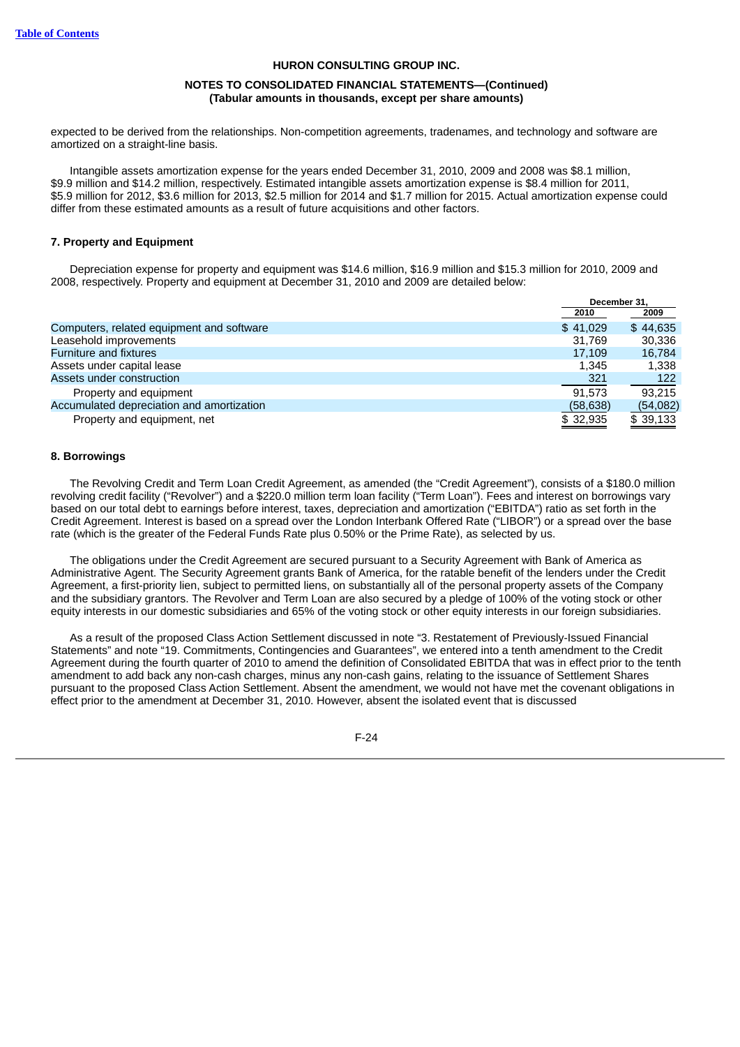#### **NOTES TO CONSOLIDATED FINANCIAL STATEMENTS—(Continued) (Tabular amounts in thousands, except per share amounts)**

expected to be derived from the relationships. Non-competition agreements, tradenames, and technology and software are amortized on a straight-line basis.

Intangible assets amortization expense for the years ended December 31, 2010, 2009 and 2008 was \$8.1 million, \$9.9 million and \$14.2 million, respectively. Estimated intangible assets amortization expense is \$8.4 million for 2011, \$5.9 million for 2012, \$3.6 million for 2013, \$2.5 million for 2014 and \$1.7 million for 2015. Actual amortization expense could differ from these estimated amounts as a result of future acquisitions and other factors.

# **7. Property and Equipment**

Depreciation expense for property and equipment was \$14.6 million, \$16.9 million and \$15.3 million for 2010, 2009 and 2008, respectively. Property and equipment at December 31, 2010 and 2009 are detailed below:

|                                           |              | December 31. |
|-------------------------------------------|--------------|--------------|
|                                           | <u> 2010</u> | 2009         |
| Computers, related equipment and software | \$41.029     | \$44,635     |
| Leasehold improvements                    | 31.769       | 30.336       |
| <b>Furniture and fixtures</b>             | 17.109       | 16.784       |
| Assets under capital lease                | 1,345        | 1,338        |
| Assets under construction                 | 321          | 122          |
| Property and equipment                    | 91.573       | 93.215       |
| Accumulated depreciation and amortization | (58, 638)    | (54,082)     |
| Property and equipment, net               | \$32,935     | \$39,133     |

## **8. Borrowings**

The Revolving Credit and Term Loan Credit Agreement, as amended (the "Credit Agreement"), consists of a \$180.0 million revolving credit facility ("Revolver") and a \$220.0 million term loan facility ("Term Loan"). Fees and interest on borrowings vary based on our total debt to earnings before interest, taxes, depreciation and amortization ("EBITDA") ratio as set forth in the Credit Agreement. Interest is based on a spread over the London Interbank Offered Rate ("LIBOR") or a spread over the base rate (which is the greater of the Federal Funds Rate plus 0.50% or the Prime Rate), as selected by us.

The obligations under the Credit Agreement are secured pursuant to a Security Agreement with Bank of America as Administrative Agent. The Security Agreement grants Bank of America, for the ratable benefit of the lenders under the Credit Agreement, a first-priority lien, subject to permitted liens, on substantially all of the personal property assets of the Company and the subsidiary grantors. The Revolver and Term Loan are also secured by a pledge of 100% of the voting stock or other equity interests in our domestic subsidiaries and 65% of the voting stock or other equity interests in our foreign subsidiaries.

As a result of the proposed Class Action Settlement discussed in note "3. Restatement of Previously-Issued Financial Statements" and note "19. Commitments, Contingencies and Guarantees", we entered into a tenth amendment to the Credit Agreement during the fourth quarter of 2010 to amend the definition of Consolidated EBITDA that was in effect prior to the tenth amendment to add back any non-cash charges, minus any non-cash gains, relating to the issuance of Settlement Shares pursuant to the proposed Class Action Settlement. Absent the amendment, we would not have met the covenant obligations in effect prior to the amendment at December 31, 2010. However, absent the isolated event that is discussed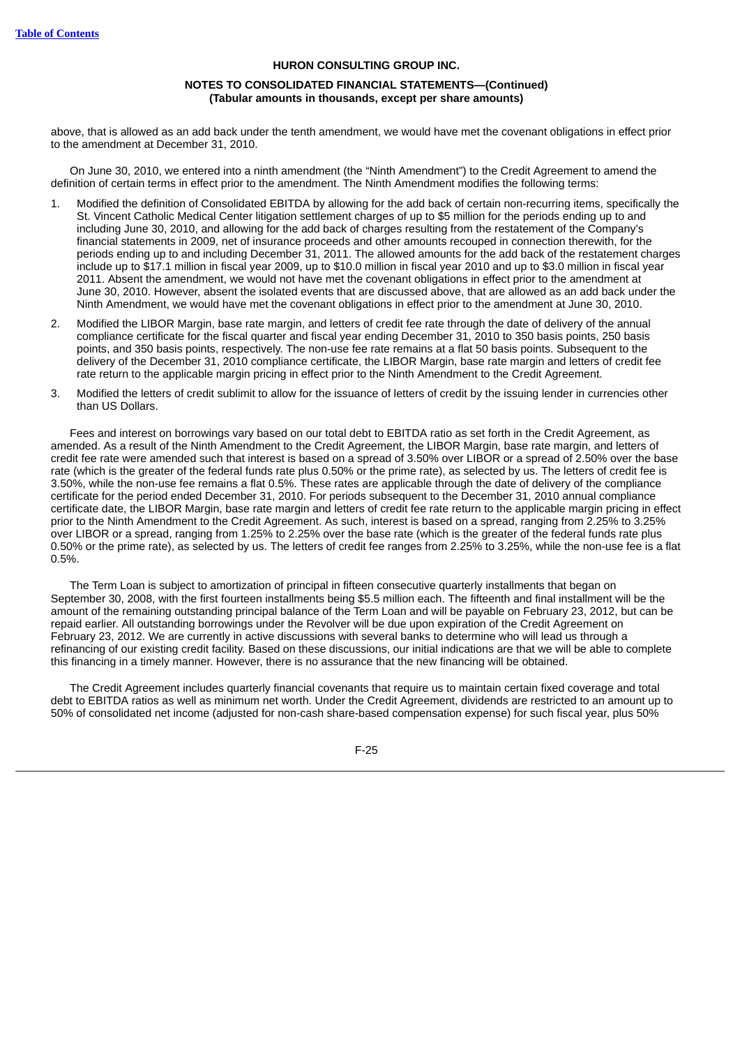## **NOTES TO CONSOLIDATED FINANCIAL STATEMENTS—(Continued) (Tabular amounts in thousands, except per share amounts)**

above, that is allowed as an add back under the tenth amendment, we would have met the covenant obligations in effect prior to the amendment at December 31, 2010.

On June 30, 2010, we entered into a ninth amendment (the "Ninth Amendment") to the Credit Agreement to amend the definition of certain terms in effect prior to the amendment. The Ninth Amendment modifies the following terms:

- 1. Modified the definition of Consolidated EBITDA by allowing for the add back of certain non-recurring items, specifically the St. Vincent Catholic Medical Center litigation settlement charges of up to \$5 million for the periods ending up to and including June 30, 2010, and allowing for the add back of charges resulting from the restatement of the Company's financial statements in 2009, net of insurance proceeds and other amounts recouped in connection therewith, for the periods ending up to and including December 31, 2011. The allowed amounts for the add back of the restatement charges include up to \$17.1 million in fiscal year 2009, up to \$10.0 million in fiscal year 2010 and up to \$3.0 million in fiscal year 2011. Absent the amendment, we would not have met the covenant obligations in effect prior to the amendment at June 30, 2010. However, absent the isolated events that are discussed above, that are allowed as an add back under the Ninth Amendment, we would have met the covenant obligations in effect prior to the amendment at June 30, 2010.
- 2. Modified the LIBOR Margin, base rate margin, and letters of credit fee rate through the date of delivery of the annual compliance certificate for the fiscal quarter and fiscal year ending December 31, 2010 to 350 basis points, 250 basis points, and 350 basis points, respectively. The non-use fee rate remains at a flat 50 basis points. Subsequent to the delivery of the December 31, 2010 compliance certificate, the LIBOR Margin, base rate margin and letters of credit fee rate return to the applicable margin pricing in effect prior to the Ninth Amendment to the Credit Agreement.
- 3. Modified the letters of credit sublimit to allow for the issuance of letters of credit by the issuing lender in currencies other than US Dollars.

Fees and interest on borrowings vary based on our total debt to EBITDA ratio as set forth in the Credit Agreement, as amended. As a result of the Ninth Amendment to the Credit Agreement, the LIBOR Margin, base rate margin, and letters of credit fee rate were amended such that interest is based on a spread of 3.50% over LIBOR or a spread of 2.50% over the base rate (which is the greater of the federal funds rate plus 0.50% or the prime rate), as selected by us. The letters of credit fee is 3.50%, while the non-use fee remains a flat 0.5%. These rates are applicable through the date of delivery of the compliance certificate for the period ended December 31, 2010. For periods subsequent to the December 31, 2010 annual compliance certificate date, the LIBOR Margin, base rate margin and letters of credit fee rate return to the applicable margin pricing in effect prior to the Ninth Amendment to the Credit Agreement. As such, interest is based on a spread, ranging from 2.25% to 3.25% over LIBOR or a spread, ranging from 1.25% to 2.25% over the base rate (which is the greater of the federal funds rate plus 0.50% or the prime rate), as selected by us. The letters of credit fee ranges from 2.25% to 3.25%, while the non-use fee is a flat 0.5%.

The Term Loan is subject to amortization of principal in fifteen consecutive quarterly installments that began on September 30, 2008, with the first fourteen installments being \$5.5 million each. The fifteenth and final installment will be the amount of the remaining outstanding principal balance of the Term Loan and will be payable on February 23, 2012, but can be repaid earlier. All outstanding borrowings under the Revolver will be due upon expiration of the Credit Agreement on February 23, 2012. We are currently in active discussions with several banks to determine who will lead us through a refinancing of our existing credit facility. Based on these discussions, our initial indications are that we will be able to complete this financing in a timely manner. However, there is no assurance that the new financing will be obtained.

The Credit Agreement includes quarterly financial covenants that require us to maintain certain fixed coverage and total debt to EBITDA ratios as well as minimum net worth. Under the Credit Agreement, dividends are restricted to an amount up to 50% of consolidated net income (adjusted for non-cash share-based compensation expense) for such fiscal year, plus 50%

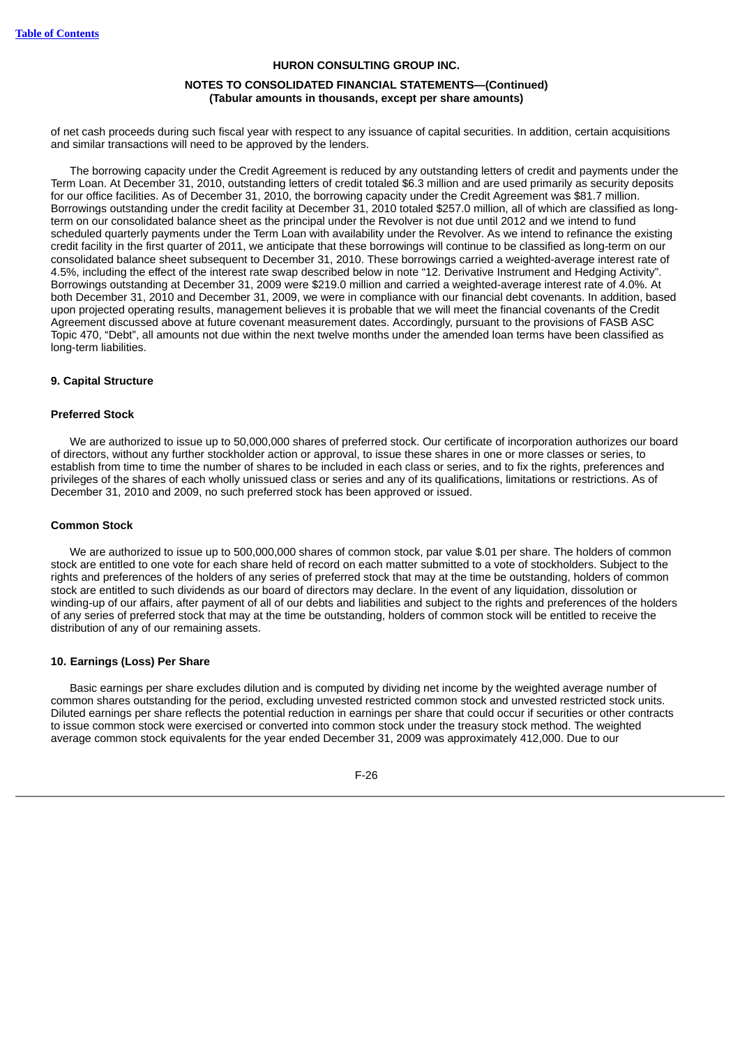## **NOTES TO CONSOLIDATED FINANCIAL STATEMENTS—(Continued) (Tabular amounts in thousands, except per share amounts)**

of net cash proceeds during such fiscal year with respect to any issuance of capital securities. In addition, certain acquisitions and similar transactions will need to be approved by the lenders.

The borrowing capacity under the Credit Agreement is reduced by any outstanding letters of credit and payments under the Term Loan. At December 31, 2010, outstanding letters of credit totaled \$6.3 million and are used primarily as security deposits for our office facilities. As of December 31, 2010, the borrowing capacity under the Credit Agreement was \$81.7 million. Borrowings outstanding under the credit facility at December 31, 2010 totaled \$257.0 million, all of which are classified as longterm on our consolidated balance sheet as the principal under the Revolver is not due until 2012 and we intend to fund scheduled quarterly payments under the Term Loan with availability under the Revolver. As we intend to refinance the existing credit facility in the first quarter of 2011, we anticipate that these borrowings will continue to be classified as long-term on our consolidated balance sheet subsequent to December 31, 2010. These borrowings carried a weighted-average interest rate of 4.5%, including the effect of the interest rate swap described below in note "12. Derivative Instrument and Hedging Activity". Borrowings outstanding at December 31, 2009 were \$219.0 million and carried a weighted-average interest rate of 4.0%. At both December 31, 2010 and December 31, 2009, we were in compliance with our financial debt covenants. In addition, based upon projected operating results, management believes it is probable that we will meet the financial covenants of the Credit Agreement discussed above at future covenant measurement dates. Accordingly, pursuant to the provisions of FASB ASC Topic 470, "Debt", all amounts not due within the next twelve months under the amended loan terms have been classified as long-term liabilities.

## **9. Capital Structure**

## **Preferred Stock**

We are authorized to issue up to 50,000,000 shares of preferred stock. Our certificate of incorporation authorizes our board of directors, without any further stockholder action or approval, to issue these shares in one or more classes or series, to establish from time to time the number of shares to be included in each class or series, and to fix the rights, preferences and privileges of the shares of each wholly unissued class or series and any of its qualifications, limitations or restrictions. As of December 31, 2010 and 2009, no such preferred stock has been approved or issued.

#### **Common Stock**

We are authorized to issue up to 500,000,000 shares of common stock, par value \$.01 per share. The holders of common stock are entitled to one vote for each share held of record on each matter submitted to a vote of stockholders. Subject to the rights and preferences of the holders of any series of preferred stock that may at the time be outstanding, holders of common stock are entitled to such dividends as our board of directors may declare. In the event of any liquidation, dissolution or winding-up of our affairs, after payment of all of our debts and liabilities and subject to the rights and preferences of the holders of any series of preferred stock that may at the time be outstanding, holders of common stock will be entitled to receive the distribution of any of our remaining assets.

## **10. Earnings (Loss) Per Share**

Basic earnings per share excludes dilution and is computed by dividing net income by the weighted average number of common shares outstanding for the period, excluding unvested restricted common stock and unvested restricted stock units. Diluted earnings per share reflects the potential reduction in earnings per share that could occur if securities or other contracts to issue common stock were exercised or converted into common stock under the treasury stock method. The weighted average common stock equivalents for the year ended December 31, 2009 was approximately 412,000. Due to our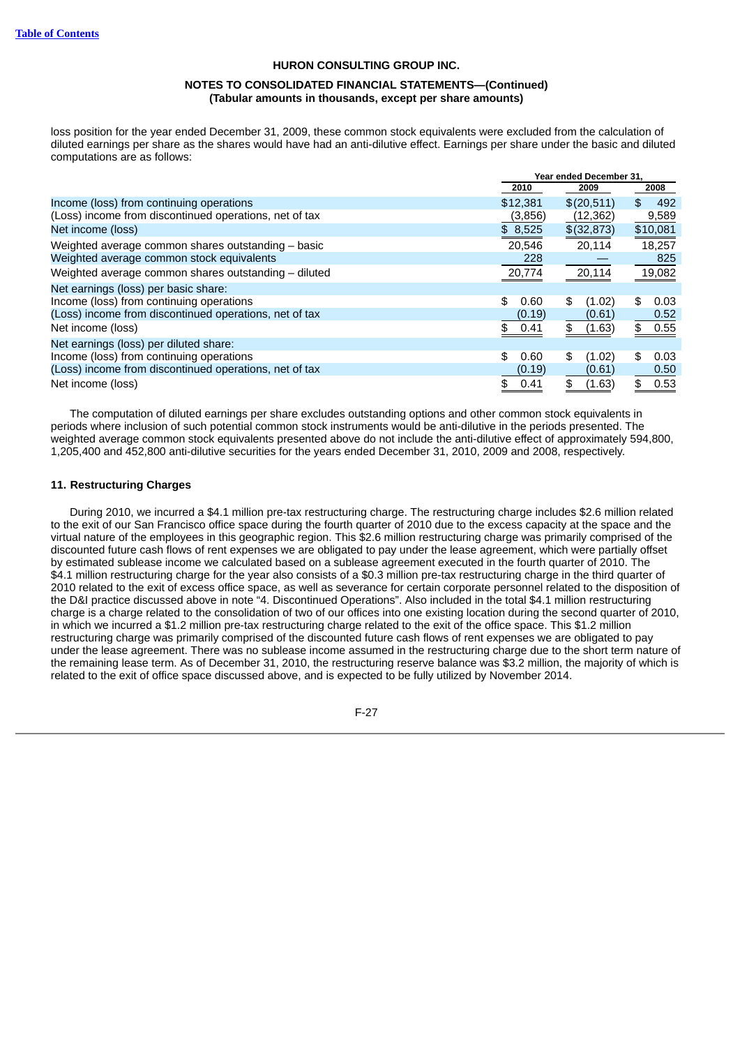### **NOTES TO CONSOLIDATED FINANCIAL STATEMENTS—(Continued) (Tabular amounts in thousands, except per share amounts)**

loss position for the year ended December 31, 2009, these common stock equivalents were excluded from the calculation of diluted earnings per share as the shares would have had an anti-dilutive effect. Earnings per share under the basic and diluted computations are as follows:

|                                                        | Year ended December 31. |              |            |  |  |  |
|--------------------------------------------------------|-------------------------|--------------|------------|--|--|--|
|                                                        | 2010                    | 2009         | 2008       |  |  |  |
| Income (loss) from continuing operations               | \$12,381                | \$(20,511)   | 492<br>\$. |  |  |  |
| (Loss) income from discontinued operations, net of tax | (3,856)                 | (12, 362)    | 9,589      |  |  |  |
| Net income (loss)                                      | \$8,525                 | \$(32,873)   | \$10,081   |  |  |  |
| Weighted average common shares outstanding - basic     | 20.546                  | 20.114       | 18,257     |  |  |  |
| Weighted average common stock equivalents              | 228                     |              | 825        |  |  |  |
| Weighted average common shares outstanding - diluted   | 20,774                  | 20,114       | 19,082     |  |  |  |
| Net earnings (loss) per basic share:                   |                         |              |            |  |  |  |
| Income (loss) from continuing operations               | \$<br>0.60              | (1.02)<br>\$ | 0.03<br>\$ |  |  |  |
| (Loss) income from discontinued operations, net of tax | (0.19)                  | (0.61)       | 0.52       |  |  |  |
| Net income (loss)                                      | 0.41<br>\$              | \$<br>(1.63) | \$0.55     |  |  |  |
| Net earnings (loss) per diluted share:                 |                         |              |            |  |  |  |
| Income (loss) from continuing operations               | 0.60<br>\$              | (1.02)<br>\$ | 0.03<br>\$ |  |  |  |
| (Loss) income from discontinued operations, net of tax | (0.19)                  | (0.61)       | 0.50       |  |  |  |
| Net income (loss)                                      | \$<br>0.41              | \$<br>(1.63) | \$<br>0.53 |  |  |  |

The computation of diluted earnings per share excludes outstanding options and other common stock equivalents in periods where inclusion of such potential common stock instruments would be anti-dilutive in the periods presented. The weighted average common stock equivalents presented above do not include the anti-dilutive effect of approximately 594,800, 1,205,400 and 452,800 anti-dilutive securities for the years ended December 31, 2010, 2009 and 2008, respectively.

# **11. Restructuring Charges**

During 2010, we incurred a \$4.1 million pre-tax restructuring charge. The restructuring charge includes \$2.6 million related to the exit of our San Francisco office space during the fourth quarter of 2010 due to the excess capacity at the space and the virtual nature of the employees in this geographic region. This \$2.6 million restructuring charge was primarily comprised of the discounted future cash flows of rent expenses we are obligated to pay under the lease agreement, which were partially offset by estimated sublease income we calculated based on a sublease agreement executed in the fourth quarter of 2010. The \$4.1 million restructuring charge for the year also consists of a \$0.3 million pre-tax restructuring charge in the third quarter of 2010 related to the exit of excess office space, as well as severance for certain corporate personnel related to the disposition of the D&I practice discussed above in note "4. Discontinued Operations". Also included in the total \$4.1 million restructuring charge is a charge related to the consolidation of two of our offices into one existing location during the second quarter of 2010, in which we incurred a \$1.2 million pre-tax restructuring charge related to the exit of the office space. This \$1.2 million restructuring charge was primarily comprised of the discounted future cash flows of rent expenses we are obligated to pay under the lease agreement. There was no sublease income assumed in the restructuring charge due to the short term nature of the remaining lease term. As of December 31, 2010, the restructuring reserve balance was \$3.2 million, the majority of which is related to the exit of office space discussed above, and is expected to be fully utilized by November 2014.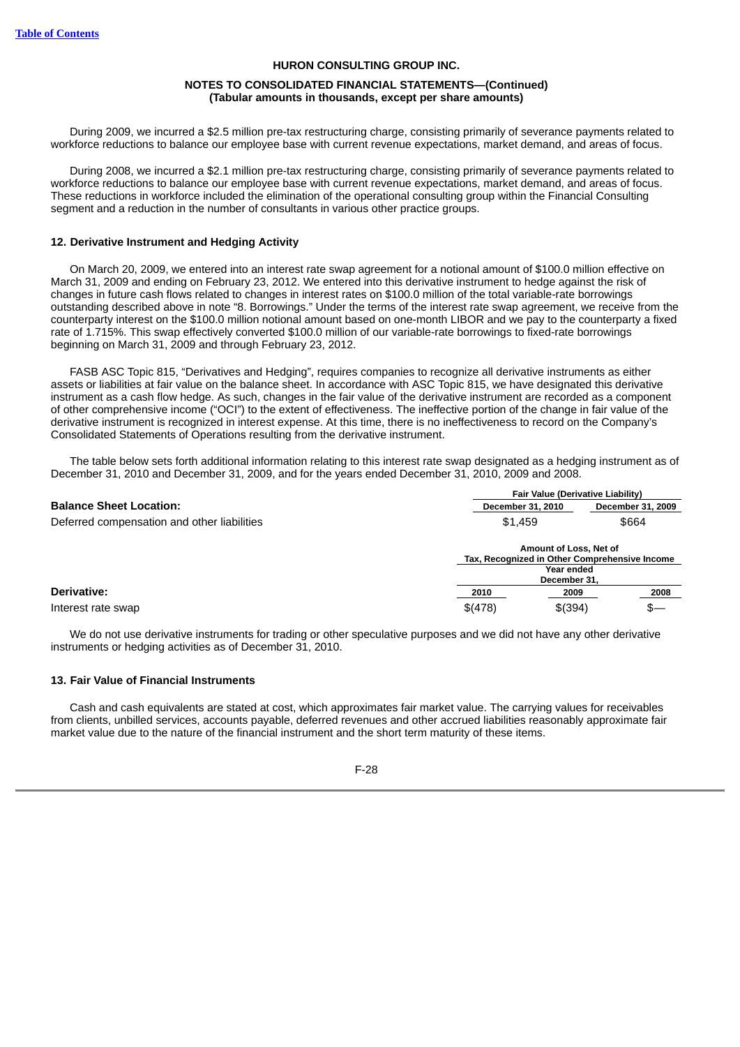## **NOTES TO CONSOLIDATED FINANCIAL STATEMENTS—(Continued) (Tabular amounts in thousands, except per share amounts)**

During 2009, we incurred a \$2.5 million pre-tax restructuring charge, consisting primarily of severance payments related to workforce reductions to balance our employee base with current revenue expectations, market demand, and areas of focus.

During 2008, we incurred a \$2.1 million pre-tax restructuring charge, consisting primarily of severance payments related to workforce reductions to balance our employee base with current revenue expectations, market demand, and areas of focus. These reductions in workforce included the elimination of the operational consulting group within the Financial Consulting segment and a reduction in the number of consultants in various other practice groups.

# **12. Derivative Instrument and Hedging Activity**

On March 20, 2009, we entered into an interest rate swap agreement for a notional amount of \$100.0 million effective on March 31, 2009 and ending on February 23, 2012. We entered into this derivative instrument to hedge against the risk of changes in future cash flows related to changes in interest rates on \$100.0 million of the total variable-rate borrowings outstanding described above in note "8. Borrowings." Under the terms of the interest rate swap agreement, we receive from the counterparty interest on the \$100.0 million notional amount based on one-month LIBOR and we pay to the counterparty a fixed rate of 1.715%. This swap effectively converted \$100.0 million of our variable-rate borrowings to fixed-rate borrowings beginning on March 31, 2009 and through February 23, 2012.

FASB ASC Topic 815, "Derivatives and Hedging", requires companies to recognize all derivative instruments as either assets or liabilities at fair value on the balance sheet. In accordance with ASC Topic 815, we have designated this derivative instrument as a cash flow hedge. As such, changes in the fair value of the derivative instrument are recorded as a component of other comprehensive income ("OCI") to the extent of effectiveness. The ineffective portion of the change in fair value of the derivative instrument is recognized in interest expense. At this time, there is no ineffectiveness to record on the Company's Consolidated Statements of Operations resulting from the derivative instrument.

The table below sets forth additional information relating to this interest rate swap designated as a hedging instrument as of December 31, 2010 and December 31, 2009, and for the years ended December 31, 2010, 2009 and 2008.

|                                             |                                                                         | <b>Fair Value (Derivative Liability)</b> |                   |  |  |  |
|---------------------------------------------|-------------------------------------------------------------------------|------------------------------------------|-------------------|--|--|--|
| <b>Balance Sheet Location:</b>              | December 31, 2010                                                       |                                          | December 31, 2009 |  |  |  |
| Deferred compensation and other liabilities | \$1.459                                                                 |                                          | \$664             |  |  |  |
|                                             | Amount of Loss, Net of<br>Tax, Recognized in Other Comprehensive Income |                                          |                   |  |  |  |
|                                             |                                                                         | Year ended<br>December 31.               |                   |  |  |  |
| Derivative:                                 | 2010                                                                    | 2009                                     | 2008              |  |  |  |
| Interest rate swap                          | \$(478)                                                                 | $$$ (394)                                | s—                |  |  |  |

We do not use derivative instruments for trading or other speculative purposes and we did not have any other derivative instruments or hedging activities as of December 31, 2010.

#### **13. Fair Value of Financial Instruments**

Cash and cash equivalents are stated at cost, which approximates fair market value. The carrying values for receivables from clients, unbilled services, accounts payable, deferred revenues and other accrued liabilities reasonably approximate fair market value due to the nature of the financial instrument and the short term maturity of these items.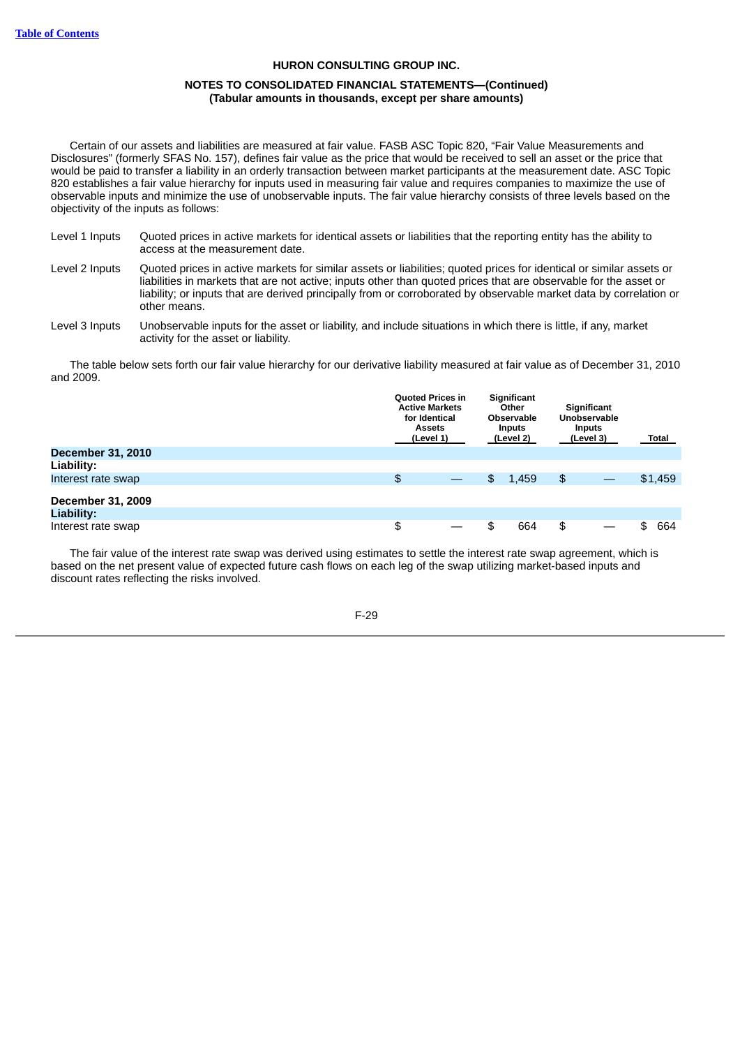### **NOTES TO CONSOLIDATED FINANCIAL STATEMENTS—(Continued) (Tabular amounts in thousands, except per share amounts)**

Certain of our assets and liabilities are measured at fair value. FASB ASC Topic 820, "Fair Value Measurements and Disclosures" (formerly SFAS No. 157), defines fair value as the price that would be received to sell an asset or the price that would be paid to transfer a liability in an orderly transaction between market participants at the measurement date. ASC Topic 820 establishes a fair value hierarchy for inputs used in measuring fair value and requires companies to maximize the use of observable inputs and minimize the use of unobservable inputs. The fair value hierarchy consists of three levels based on the objectivity of the inputs as follows:

- Level 1 Inputs Quoted prices in active markets for identical assets or liabilities that the reporting entity has the ability to access at the measurement date.
- Level 2 Inputs Ouoted prices in active markets for similar assets or liabilities; quoted prices for identical or similar assets or liabilities in markets that are not active; inputs other than quoted prices that are observable for the asset or liability; or inputs that are derived principally from or corroborated by observable market data by correlation or other means.
- Level 3 Inputs Unobservable inputs for the asset or liability, and include situations in which there is little, if any, market activity for the asset or liability.

The table below sets forth our fair value hierarchy for our derivative liability measured at fair value as of December 31, 2010 and 2009.

|                          | <b>Ouoted Prices in</b><br><b>Active Markets</b><br>for Identical<br><b>Assets</b><br>(Level 1) |                          | Significant<br>Other<br><b>Observable</b><br><b>Inputs</b><br>(Level 2) |       | Significant<br><b>Unobservable</b><br><b>Inputs</b><br>(Level 3) |                   | Total |         |
|--------------------------|-------------------------------------------------------------------------------------------------|--------------------------|-------------------------------------------------------------------------|-------|------------------------------------------------------------------|-------------------|-------|---------|
| <b>December 31, 2010</b> |                                                                                                 |                          |                                                                         |       |                                                                  |                   |       |         |
| Liability:               |                                                                                                 |                          |                                                                         |       |                                                                  |                   |       |         |
| Interest rate swap       | \$                                                                                              | $\overline{\phantom{m}}$ | \$                                                                      | 1.459 | \$                                                               | $\hspace{0.05cm}$ |       | \$1,459 |
| <b>December 31, 2009</b> |                                                                                                 |                          |                                                                         |       |                                                                  |                   |       |         |
| Liability:               |                                                                                                 |                          |                                                                         |       |                                                                  |                   |       |         |
| Interest rate swap       | \$                                                                                              |                          | \$                                                                      | 664   | \$                                                               |                   | \$    | 664     |

The fair value of the interest rate swap was derived using estimates to settle the interest rate swap agreement, which is based on the net present value of expected future cash flows on each leg of the swap utilizing market-based inputs and discount rates reflecting the risks involved.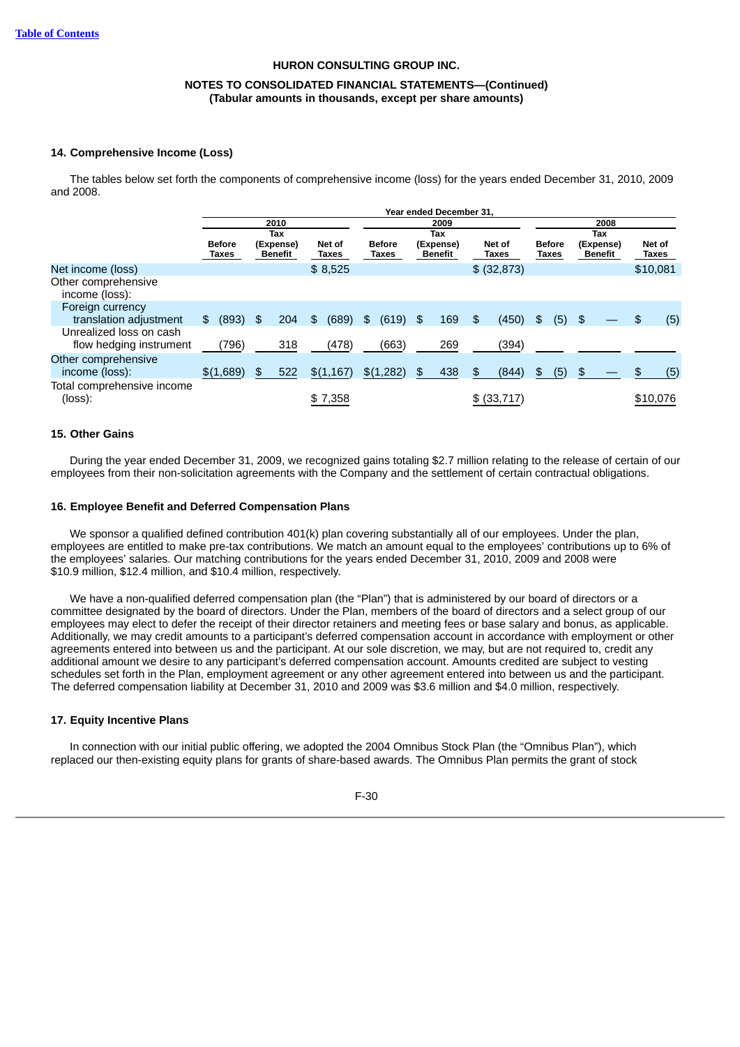# **NOTES TO CONSOLIDATED FINANCIAL STATEMENTS—(Continued) (Tabular amounts in thousands, except per share amounts)**

#### **14. Comprehensive Income (Loss)**

The tables below set forth the components of comprehensive income (loss) for the years ended December 31, 2010, 2009 and 2008.

|                                                    |                        |    |                                                                               |             |                  |    | <b>Year ended December 31.</b>     |                 |              |                        |      |                                           |          |                 |
|----------------------------------------------------|------------------------|----|-------------------------------------------------------------------------------|-------------|------------------|----|------------------------------------|-----------------|--------------|------------------------|------|-------------------------------------------|----------|-----------------|
|                                                    | 2010<br>2009           |    |                                                                               |             |                  |    |                                    |                 |              |                        |      |                                           |          |                 |
|                                                    | <b>Before</b><br>Taxes |    | <b>Tax</b><br>Net of<br><b>Before</b><br>(Expense)<br><b>Benefit</b><br>Taxes |             |                  |    | Tax<br>(Expense)<br><b>Benefit</b> | Net of<br>Taxes |              | <b>Before</b><br>Taxes |      | <b>Tax</b><br>(Expense)<br><b>Benefit</b> |          | Net of<br>Taxes |
| Net income (loss)                                  |                        |    |                                                                               | \$8,525     |                  |    |                                    |                 | \$ (32, 873) |                        |      |                                           | \$10,081 |                 |
| Other comprehensive<br>income (loss):              |                        |    |                                                                               |             |                  |    |                                    |                 |              |                        |      |                                           |          |                 |
| Foreign currency<br>translation adjustment         | $(893)$ \$<br>\$       |    | 204                                                                           | (689)<br>\$ | $(619)$ \$<br>\$ |    | 169                                | \$              | (450)        | \$<br>(5)              | - \$ |                                           | \$       | (5)             |
| Unrealized loss on cash<br>flow hedging instrument | (796)                  |    | 318                                                                           | (478)       | (663)            |    | 269                                |                 | (394)        |                        |      |                                           |          |                 |
| Other comprehensive<br>income (loss):              | \$(1,689)              | \$ | 522                                                                           | \$(1,167)   | \$(1,282)        | \$ | 438                                | \$              | (844)        | \$<br>(5)              | \$   |                                           |          | (5)             |
| Total comprehensive income<br>(loss):              |                        |    |                                                                               | \$7,358     |                  |    |                                    |                 | \$ (33, 717) |                        |      |                                           |          | \$10,076        |

# **15. Other Gains**

During the year ended December 31, 2009, we recognized gains totaling \$2.7 million relating to the release of certain of our employees from their non-solicitation agreements with the Company and the settlement of certain contractual obligations.

## **16. Employee Benefit and Deferred Compensation Plans**

We sponsor a qualified defined contribution 401(k) plan covering substantially all of our employees. Under the plan, employees are entitled to make pre-tax contributions. We match an amount equal to the employees' contributions up to 6% of the employees' salaries. Our matching contributions for the years ended December 31, 2010, 2009 and 2008 were \$10.9 million, \$12.4 million, and \$10.4 million, respectively.

We have a non-qualified deferred compensation plan (the "Plan") that is administered by our board of directors or a committee designated by the board of directors. Under the Plan, members of the board of directors and a select group of our employees may elect to defer the receipt of their director retainers and meeting fees or base salary and bonus, as applicable. Additionally, we may credit amounts to a participant's deferred compensation account in accordance with employment or other agreements entered into between us and the participant. At our sole discretion, we may, but are not required to, credit any additional amount we desire to any participant's deferred compensation account. Amounts credited are subject to vesting schedules set forth in the Plan, employment agreement or any other agreement entered into between us and the participant. The deferred compensation liability at December 31, 2010 and 2009 was \$3.6 million and \$4.0 million, respectively.

## **17. Equity Incentive Plans**

In connection with our initial public offering, we adopted the 2004 Omnibus Stock Plan (the "Omnibus Plan"), which replaced our then-existing equity plans for grants of share-based awards. The Omnibus Plan permits the grant of stock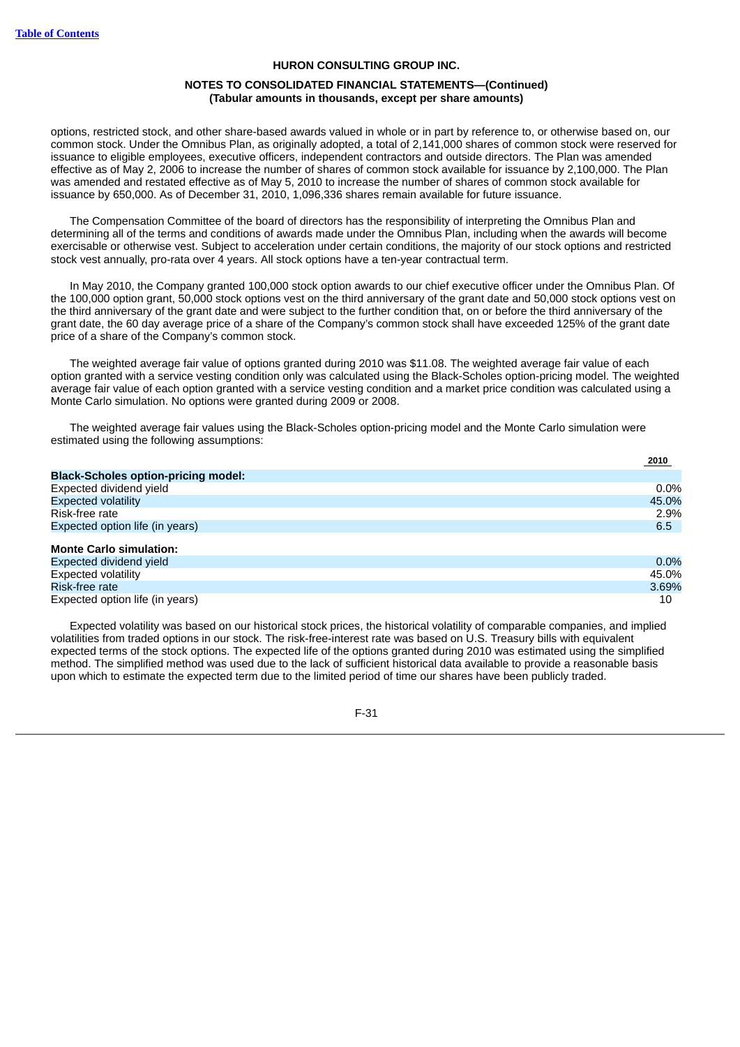#### **NOTES TO CONSOLIDATED FINANCIAL STATEMENTS—(Continued) (Tabular amounts in thousands, except per share amounts)**

options, restricted stock, and other share-based awards valued in whole or in part by reference to, or otherwise based on, our common stock. Under the Omnibus Plan, as originally adopted, a total of 2,141,000 shares of common stock were reserved for issuance to eligible employees, executive officers, independent contractors and outside directors. The Plan was amended effective as of May 2, 2006 to increase the number of shares of common stock available for issuance by 2,100,000. The Plan was amended and restated effective as of May 5, 2010 to increase the number of shares of common stock available for issuance by 650,000. As of December 31, 2010, 1,096,336 shares remain available for future issuance.

The Compensation Committee of the board of directors has the responsibility of interpreting the Omnibus Plan and determining all of the terms and conditions of awards made under the Omnibus Plan, including when the awards will become exercisable or otherwise vest. Subject to acceleration under certain conditions, the majority of our stock options and restricted stock vest annually, pro-rata over 4 years. All stock options have a ten-year contractual term.

In May 2010, the Company granted 100,000 stock option awards to our chief executive officer under the Omnibus Plan. Of the 100,000 option grant, 50,000 stock options vest on the third anniversary of the grant date and 50,000 stock options vest on the third anniversary of the grant date and were subject to the further condition that, on or before the third anniversary of the grant date, the 60 day average price of a share of the Company's common stock shall have exceeded 125% of the grant date price of a share of the Company's common stock.

The weighted average fair value of options granted during 2010 was \$11.08. The weighted average fair value of each option granted with a service vesting condition only was calculated using the Black-Scholes option-pricing model. The weighted average fair value of each option granted with a service vesting condition and a market price condition was calculated using a Monte Carlo simulation. No options were granted during 2009 or 2008.

The weighted average fair values using the Black-Scholes option-pricing model and the Monte Carlo simulation were estimated using the following assumptions:

|                                            | 2010    |
|--------------------------------------------|---------|
| <b>Black-Scholes option-pricing model:</b> |         |
| Expected dividend yield                    | $0.0\%$ |
| <b>Expected volatility</b>                 | 45.0%   |
| Risk-free rate                             | 2.9%    |
| Expected option life (in years)            | 6.5     |
| <b>Monte Carlo simulation:</b>             |         |
| Expected dividend yield                    | 0.0%    |
| <b>Expected volatility</b>                 | 45.0%   |
| Risk-free rate                             | 3.69%   |
| Expected option life (in years)            | 10      |

Expected volatility was based on our historical stock prices, the historical volatility of comparable companies, and implied volatilities from traded options in our stock. The risk-free-interest rate was based on U.S. Treasury bills with equivalent expected terms of the stock options. The expected life of the options granted during 2010 was estimated using the simplified method. The simplified method was used due to the lack of sufficient historical data available to provide a reasonable basis upon which to estimate the expected term due to the limited period of time our shares have been publicly traded.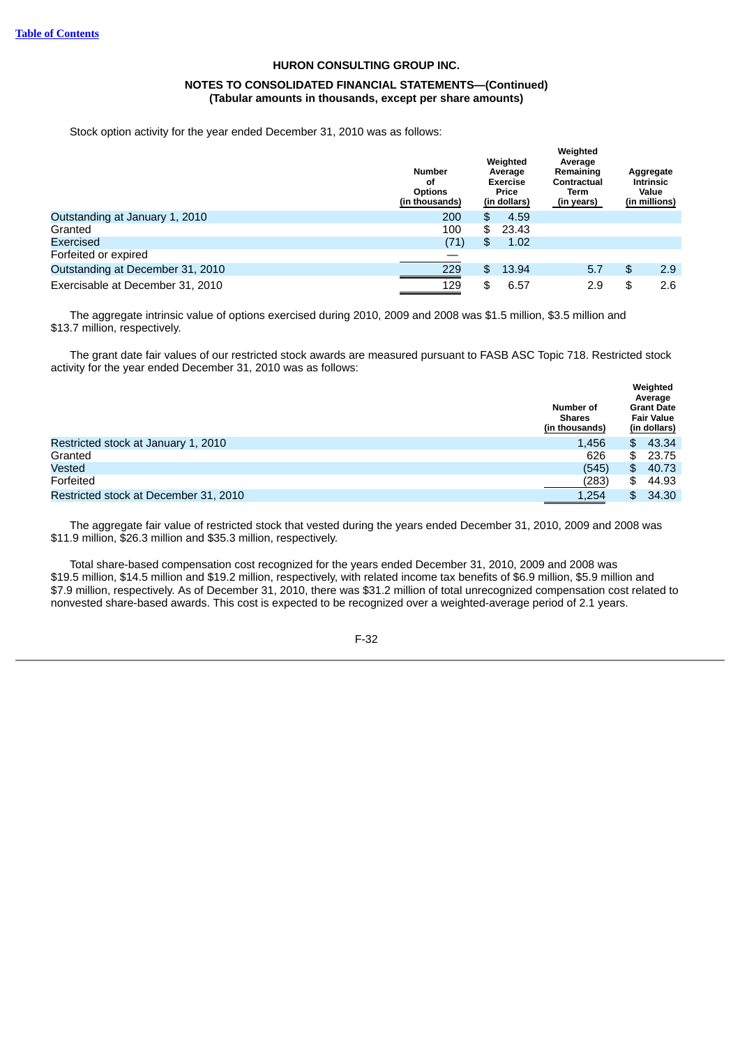## **NOTES TO CONSOLIDATED FINANCIAL STATEMENTS—(Continued) (Tabular amounts in thousands, except per share amounts)**

Stock option activity for the year ended December 31, 2010 was as follows:

|                                  | <b>Number</b><br>οf<br><b>Options</b><br>(in thousands) | Weighted<br>Average<br>Exercise<br>Price<br>(in dollars) | Weighted<br>Average<br>Remaining<br>Contractual<br>Term<br>(in years) | Aggregate<br><b>Intrinsic</b><br>Value<br>(in millions) |     |
|----------------------------------|---------------------------------------------------------|----------------------------------------------------------|-----------------------------------------------------------------------|---------------------------------------------------------|-----|
| Outstanding at January 1, 2010   | 200                                                     | 4.59<br>\$                                               |                                                                       |                                                         |     |
| Granted                          | 100                                                     | 23.43<br>\$.                                             |                                                                       |                                                         |     |
| Exercised                        | (71)                                                    | \$<br>1.02                                               |                                                                       |                                                         |     |
| Forfeited or expired             |                                                         |                                                          |                                                                       |                                                         |     |
| Outstanding at December 31, 2010 | 229                                                     | 13.94<br>\$.                                             | 5.7                                                                   | \$                                                      | 2.9 |
| Exercisable at December 31, 2010 | 129                                                     | 6.57<br>\$                                               | 2.9                                                                   | \$                                                      | 2.6 |
|                                  |                                                         |                                                          |                                                                       |                                                         |     |

The aggregate intrinsic value of options exercised during 2010, 2009 and 2008 was \$1.5 million, \$3.5 million and \$13.7 million, respectively.

The grant date fair values of our restricted stock awards are measured pursuant to FASB ASC Topic 718. Restricted stock activity for the year ended December 31, 2010 was as follows:

|                                       | Number of<br><b>Shares</b><br>(in thousands) |     | Weighted<br>Average<br><b>Grant Date</b><br><b>Fair Value</b><br>(in dollars) |
|---------------------------------------|----------------------------------------------|-----|-------------------------------------------------------------------------------|
| Restricted stock at January 1, 2010   | 1,456                                        | \$. | 43.34                                                                         |
| Granted                               | 626                                          | \$  | 23.75                                                                         |
| Vested                                | (545)                                        | \$  | 40.73                                                                         |
| Forfeited                             | (283)                                        | \$  | 44.93                                                                         |
| Restricted stock at December 31, 2010 | 1,254                                        | \$  | 34.30                                                                         |

The aggregate fair value of restricted stock that vested during the years ended December 31, 2010, 2009 and 2008 was \$11.9 million, \$26.3 million and \$35.3 million, respectively.

Total share-based compensation cost recognized for the years ended December 31, 2010, 2009 and 2008 was \$19.5 million, \$14.5 million and \$19.2 million, respectively, with related income tax benefits of \$6.9 million, \$5.9 million and \$7.9 million, respectively. As of December 31, 2010, there was \$31.2 million of total unrecognized compensation cost related to nonvested share-based awards. This cost is expected to be recognized over a weighted-average period of 2.1 years.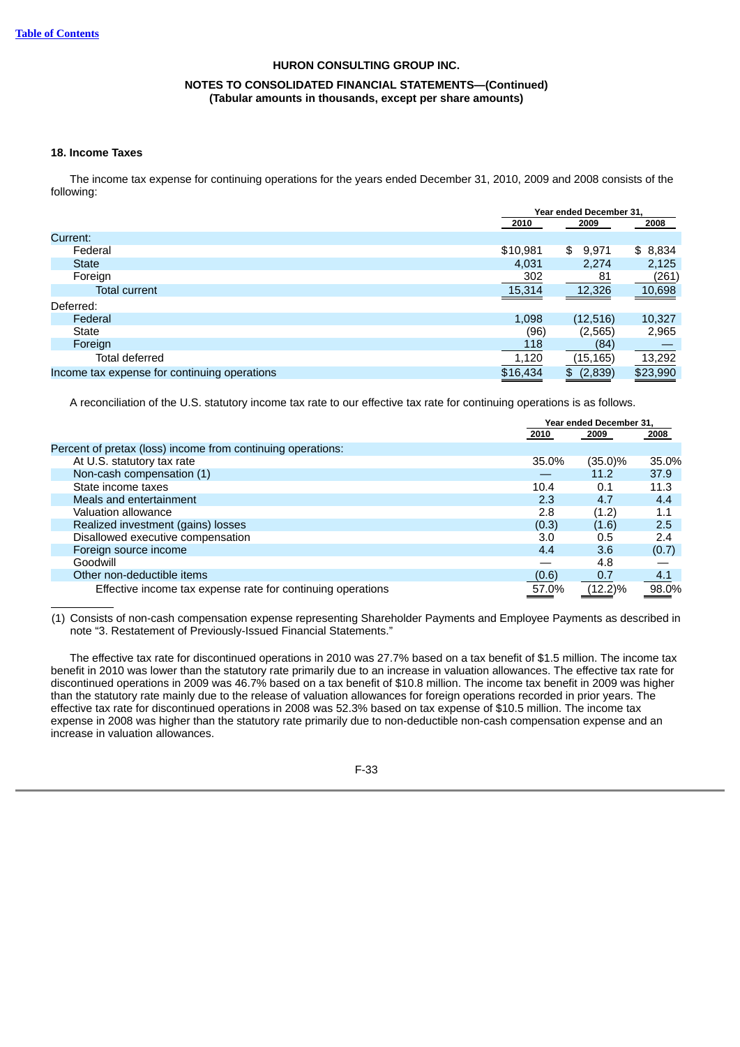## **NOTES TO CONSOLIDATED FINANCIAL STATEMENTS—(Continued) (Tabular amounts in thousands, except per share amounts)**

## **18. Income Taxes**

The income tax expense for continuing operations for the years ended December 31, 2010, 2009 and 2008 consists of the following:

|                                              | Year ended December 31. |               |          |  |  |
|----------------------------------------------|-------------------------|---------------|----------|--|--|
|                                              | 2010                    | 2009          | 2008     |  |  |
| Current:                                     |                         |               |          |  |  |
| Federal                                      | \$10,981                | \$<br>9,971   | \$8,834  |  |  |
| <b>State</b>                                 | 4,031                   | 2,274         | 2,125    |  |  |
| Foreign                                      | 302                     | 81            | (261)    |  |  |
| <b>Total current</b>                         | 15,314                  | 12,326        | 10,698   |  |  |
| Deferred:                                    |                         |               |          |  |  |
| Federal                                      | 1,098                   | (12,516)      | 10,327   |  |  |
| <b>State</b>                                 | (96)                    | (2,565)       | 2,965    |  |  |
| Foreign                                      | 118                     | (84)          |          |  |  |
| <b>Total deferred</b>                        | 1,120                   | (15, 165)     | 13,292   |  |  |
| Income tax expense for continuing operations | \$16,434                | (2,839)<br>\$ | \$23,990 |  |  |

A reconciliation of the U.S. statutory income tax rate to our effective tax rate for continuing operations is as follows.

|                                                             | <b>Year ended December 31.</b> |            |       |
|-------------------------------------------------------------|--------------------------------|------------|-------|
|                                                             | 2010                           | 2009       | 2008  |
| Percent of pretax (loss) income from continuing operations: |                                |            |       |
| At U.S. statutory tax rate                                  | 35.0%                          | $(35.0)\%$ | 35.0% |
| Non-cash compensation (1)                                   |                                | 11.2       | 37.9  |
| State income taxes                                          | 10.4                           | 0.1        | 11.3  |
| Meals and entertainment                                     | 2.3                            | 4.7        | 4.4   |
| Valuation allowance                                         | 2.8                            | (1.2)      | 1.1   |
| Realized investment (gains) losses                          | (0.3)                          | (1.6)      | 2.5   |
| Disallowed executive compensation                           | 3.0                            | 0.5        | 2.4   |
| Foreign source income                                       | 4.4                            | 3.6        | (0.7) |
| Goodwill                                                    |                                | 4.8        |       |
| Other non-deductible items                                  | (0.6)                          | 0.7        | 4.1   |
| Effective income tax expense rate for continuing operations | 57.0%                          | $(12.2)\%$ | 98.0% |

(1) Consists of non-cash compensation expense representing Shareholder Payments and Employee Payments as described in note "3. Restatement of Previously-Issued Financial Statements."

The effective tax rate for discontinued operations in 2010 was 27.7% based on a tax benefit of \$1.5 million. The income tax benefit in 2010 was lower than the statutory rate primarily due to an increase in valuation allowances. The effective tax rate for discontinued operations in 2009 was 46.7% based on a tax benefit of \$10.8 million. The income tax benefit in 2009 was higher than the statutory rate mainly due to the release of valuation allowances for foreign operations recorded in prior years. The effective tax rate for discontinued operations in 2008 was 52.3% based on tax expense of \$10.5 million. The income tax expense in 2008 was higher than the statutory rate primarily due to non-deductible non-cash compensation expense and an increase in valuation allowances.

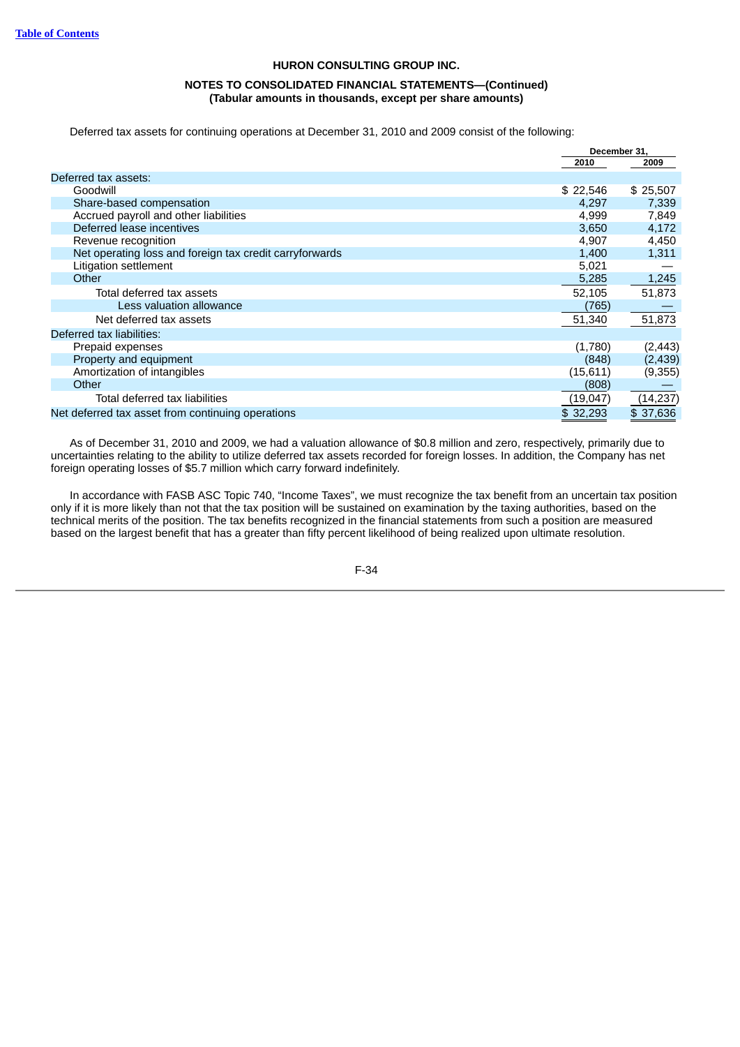#### **NOTES TO CONSOLIDATED FINANCIAL STATEMENTS—(Continued) (Tabular amounts in thousands, except per share amounts)**

Deferred tax assets for continuing operations at December 31, 2010 and 2009 consist of the following:

|                                                         |           | December 31, |
|---------------------------------------------------------|-----------|--------------|
|                                                         | 2010      | 2009         |
| Deferred tax assets:                                    |           |              |
| Goodwill                                                | \$22,546  | \$25,507     |
| Share-based compensation                                | 4,297     | 7,339        |
| Accrued payroll and other liabilities                   | 4,999     | 7,849        |
| Deferred lease incentives                               | 3,650     | 4,172        |
| Revenue recognition                                     | 4,907     | 4,450        |
| Net operating loss and foreign tax credit carryforwards | 1,400     | 1,311        |
| Litigation settlement                                   | 5,021     |              |
| Other                                                   | 5,285     | 1,245        |
| Total deferred tax assets                               | 52,105    | 51,873       |
| Less valuation allowance                                | (765)     |              |
| Net deferred tax assets                                 | 51,340    | 51,873       |
| Deferred tax liabilities:                               |           |              |
| Prepaid expenses                                        | (1,780)   | (2, 443)     |
| Property and equipment                                  | (848)     | (2, 439)     |
| Amortization of intangibles                             | (15, 611) | (9, 355)     |
| Other                                                   | (808)     |              |
| Total deferred tax liabilities                          | (19,047)  | (14, 237)    |
| Net deferred tax asset from continuing operations       | \$32,293  | \$37,636     |

As of December 31, 2010 and 2009, we had a valuation allowance of \$0.8 million and zero, respectively, primarily due to uncertainties relating to the ability to utilize deferred tax assets recorded for foreign losses. In addition, the Company has net foreign operating losses of \$5.7 million which carry forward indefinitely.

In accordance with FASB ASC Topic 740, "Income Taxes", we must recognize the tax benefit from an uncertain tax position only if it is more likely than not that the tax position will be sustained on examination by the taxing authorities, based on the technical merits of the position. The tax benefits recognized in the financial statements from such a position are measured based on the largest benefit that has a greater than fifty percent likelihood of being realized upon ultimate resolution.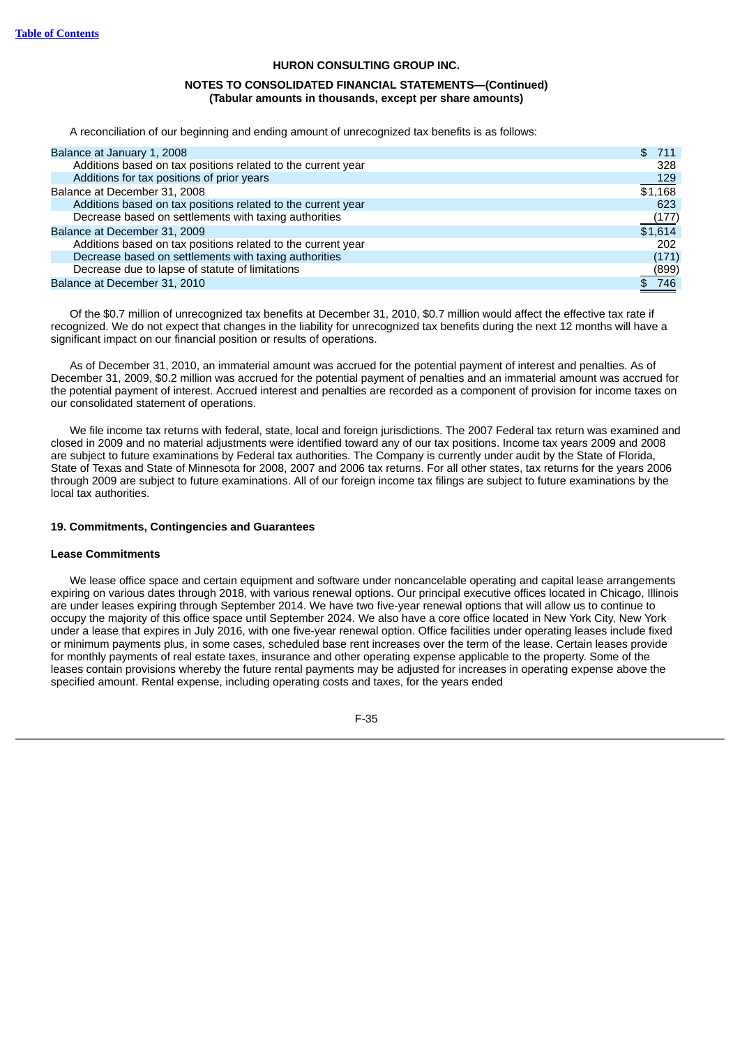#### **NOTES TO CONSOLIDATED FINANCIAL STATEMENTS—(Continued) (Tabular amounts in thousands, except per share amounts)**

A reconciliation of our beginning and ending amount of unrecognized tax benefits is as follows:

| Balance at January 1, 2008                                   | 711<br>\$F          |
|--------------------------------------------------------------|---------------------|
| Additions based on tax positions related to the current year | 328                 |
| Additions for tax positions of prior years                   |                     |
| Balance at December 31, 2008                                 | $\frac{129}{1,168}$ |
| Additions based on tax positions related to the current year | 623                 |
| Decrease based on settlements with taxing authorities        | (177)               |
| Balance at December 31, 2009                                 | \$1.614             |
| Additions based on tax positions related to the current year | 202                 |
| Decrease based on settlements with taxing authorities        | (171)               |
| Decrease due to lapse of statute of limitations              | (899)               |
| Balance at December 31, 2010                                 | 746                 |
|                                                              |                     |

Of the \$0.7 million of unrecognized tax benefits at December 31, 2010, \$0.7 million would affect the effective tax rate if recognized. We do not expect that changes in the liability for unrecognized tax benefits during the next 12 months will have a significant impact on our financial position or results of operations.

As of December 31, 2010, an immaterial amount was accrued for the potential payment of interest and penalties. As of December 31, 2009, \$0.2 million was accrued for the potential payment of penalties and an immaterial amount was accrued for the potential payment of interest. Accrued interest and penalties are recorded as a component of provision for income taxes on our consolidated statement of operations.

We file income tax returns with federal, state, local and foreign jurisdictions. The 2007 Federal tax return was examined and closed in 2009 and no material adjustments were identified toward any of our tax positions. Income tax years 2009 and 2008 are subject to future examinations by Federal tax authorities. The Company is currently under audit by the State of Florida, State of Texas and State of Minnesota for 2008, 2007 and 2006 tax returns. For all other states, tax returns for the years 2006 through 2009 are subject to future examinations. All of our foreign income tax filings are subject to future examinations by the local tax authorities.

# **19. Commitments, Contingencies and Guarantees**

#### **Lease Commitments**

We lease office space and certain equipment and software under noncancelable operating and capital lease arrangements expiring on various dates through 2018, with various renewal options. Our principal executive offices located in Chicago, Illinois are under leases expiring through September 2014. We have two five-year renewal options that will allow us to continue to occupy the majority of this office space until September 2024. We also have a core office located in New York City, New York under a lease that expires in July 2016, with one five-year renewal option. Office facilities under operating leases include fixed or minimum payments plus, in some cases, scheduled base rent increases over the term of the lease. Certain leases provide for monthly payments of real estate taxes, insurance and other operating expense applicable to the property. Some of the leases contain provisions whereby the future rental payments may be adjusted for increases in operating expense above the specified amount. Rental expense, including operating costs and taxes, for the years ended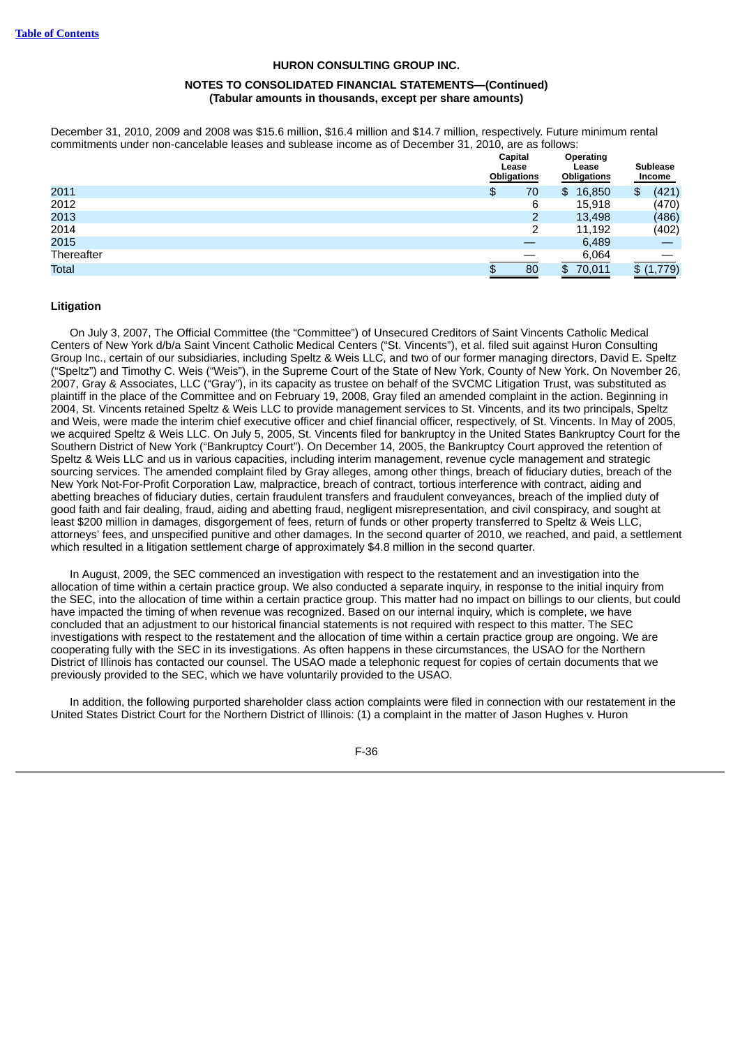#### **NOTES TO CONSOLIDATED FINANCIAL STATEMENTS—(Continued) (Tabular amounts in thousands, except per share amounts)**

December 31, 2010, 2009 and 2008 was \$15.6 million, \$16.4 million and \$14.7 million, respectively. Future minimum rental commitments under non-cancelable leases and sublease income as of December 31, 2010, are as follows:

|              |        | Capital<br>Lease<br>Obligations | Operating<br>Lease<br><b>Obligations</b> | <b>Sublease</b><br>Income |
|--------------|--------|---------------------------------|------------------------------------------|---------------------------|
| 2011         | \$     | 70                              | 16,850<br>\$                             | (421)<br>\$               |
| 2012         |        | 6                               | 15,918                                   | (470)                     |
| 2013         |        | 2                               | 13,498                                   | (486)                     |
| 2014         |        | 2                               | 11,192                                   | (402)                     |
| 2015         |        |                                 | 6,489                                    |                           |
| Thereafter   |        |                                 | 6,064                                    |                           |
| <b>Total</b> | œ<br>Ф | 80                              | 70,011<br>\$                             | \$ (1,779)                |
|              |        |                                 |                                          |                           |

#### **Litigation**

On July 3, 2007, The Official Committee (the "Committee") of Unsecured Creditors of Saint Vincents Catholic Medical Centers of New York d/b/a Saint Vincent Catholic Medical Centers ("St. Vincents"), et al. filed suit against Huron Consulting Group Inc., certain of our subsidiaries, including Speltz & Weis LLC, and two of our former managing directors, David E. Speltz ("Speltz") and Timothy C. Weis ("Weis"), in the Supreme Court of the State of New York, County of New York. On November 26, 2007, Gray & Associates, LLC ("Gray"), in its capacity as trustee on behalf of the SVCMC Litigation Trust, was substituted as plaintiff in the place of the Committee and on February 19, 2008, Gray filed an amended complaint in the action. Beginning in 2004, St. Vincents retained Speltz & Weis LLC to provide management services to St. Vincents, and its two principals, Speltz and Weis, were made the interim chief executive officer and chief financial officer, respectively, of St. Vincents. In May of 2005, we acquired Speltz & Weis LLC. On July 5, 2005, St. Vincents filed for bankruptcy in the United States Bankruptcy Court for the Southern District of New York ("Bankruptcy Court"). On December 14, 2005, the Bankruptcy Court approved the retention of Speltz & Weis LLC and us in various capacities, including interim management, revenue cycle management and strategic sourcing services. The amended complaint filed by Gray alleges, among other things, breach of fiduciary duties, breach of the New York Not-For-Profit Corporation Law, malpractice, breach of contract, tortious interference with contract, aiding and abetting breaches of fiduciary duties, certain fraudulent transfers and fraudulent conveyances, breach of the implied duty of good faith and fair dealing, fraud, aiding and abetting fraud, negligent misrepresentation, and civil conspiracy, and sought at least \$200 million in damages, disgorgement of fees, return of funds or other property transferred to Speltz & Weis LLC, attorneys' fees, and unspecified punitive and other damages. In the second quarter of 2010, we reached, and paid, a settlement which resulted in a litigation settlement charge of approximately \$4.8 million in the second quarter.

In August, 2009, the SEC commenced an investigation with respect to the restatement and an investigation into the allocation of time within a certain practice group. We also conducted a separate inquiry, in response to the initial inquiry from the SEC, into the allocation of time within a certain practice group. This matter had no impact on billings to our clients, but could have impacted the timing of when revenue was recognized. Based on our internal inquiry, which is complete, we have concluded that an adjustment to our historical financial statements is not required with respect to this matter. The SEC investigations with respect to the restatement and the allocation of time within a certain practice group are ongoing. We are cooperating fully with the SEC in its investigations. As often happens in these circumstances, the USAO for the Northern District of Illinois has contacted our counsel. The USAO made a telephonic request for copies of certain documents that we previously provided to the SEC, which we have voluntarily provided to the USAO.

In addition, the following purported shareholder class action complaints were filed in connection with our restatement in the United States District Court for the Northern District of Illinois: (1) a complaint in the matter of Jason Hughes v. Huron

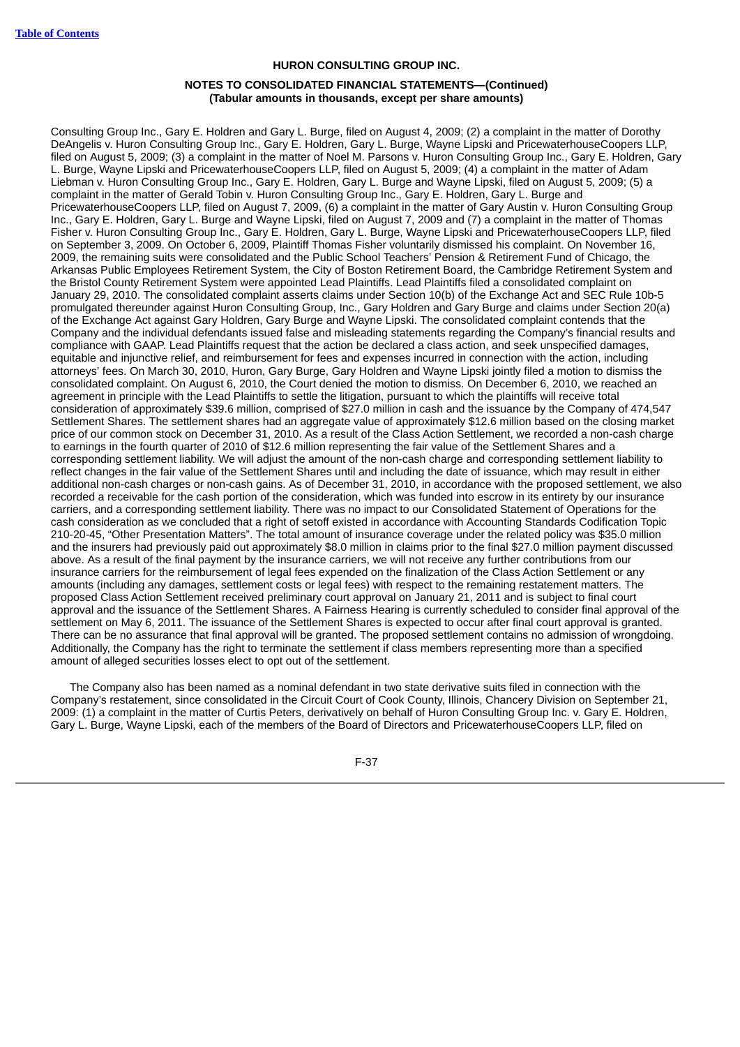#### **NOTES TO CONSOLIDATED FINANCIAL STATEMENTS—(Continued) (Tabular amounts in thousands, except per share amounts)**

Consulting Group Inc., Gary E. Holdren and Gary L. Burge, filed on August 4, 2009; (2) a complaint in the matter of Dorothy DeAngelis v. Huron Consulting Group Inc., Gary E. Holdren, Gary L. Burge, Wayne Lipski and PricewaterhouseCoopers LLP, filed on August 5, 2009; (3) a complaint in the matter of Noel M. Parsons v. Huron Consulting Group Inc., Gary E. Holdren, Gary L. Burge, Wayne Lipski and PricewaterhouseCoopers LLP, filed on August 5, 2009; (4) a complaint in the matter of Adam Liebman v. Huron Consulting Group Inc., Gary E. Holdren, Gary L. Burge and Wayne Lipski, filed on August 5, 2009; (5) a complaint in the matter of Gerald Tobin v. Huron Consulting Group Inc., Gary E. Holdren, Gary L. Burge and PricewaterhouseCoopers LLP, filed on August 7, 2009, (6) a complaint in the matter of Gary Austin v. Huron Consulting Group Inc., Gary E. Holdren, Gary L. Burge and Wayne Lipski, filed on August 7, 2009 and (7) a complaint in the matter of Thomas Fisher v. Huron Consulting Group Inc., Gary E. Holdren, Gary L. Burge, Wayne Lipski and PricewaterhouseCoopers LLP, filed on September 3, 2009. On October 6, 2009, Plaintiff Thomas Fisher voluntarily dismissed his complaint. On November 16, 2009, the remaining suits were consolidated and the Public School Teachers' Pension & Retirement Fund of Chicago, the Arkansas Public Employees Retirement System, the City of Boston Retirement Board, the Cambridge Retirement System and the Bristol County Retirement System were appointed Lead Plaintiffs. Lead Plaintiffs filed a consolidated complaint on January 29, 2010. The consolidated complaint asserts claims under Section 10(b) of the Exchange Act and SEC Rule 10b-5 promulgated thereunder against Huron Consulting Group, Inc., Gary Holdren and Gary Burge and claims under Section 20(a) of the Exchange Act against Gary Holdren, Gary Burge and Wayne Lipski. The consolidated complaint contends that the Company and the individual defendants issued false and misleading statements regarding the Company's financial results and compliance with GAAP. Lead Plaintiffs request that the action be declared a class action, and seek unspecified damages, equitable and injunctive relief, and reimbursement for fees and expenses incurred in connection with the action, including attorneys' fees. On March 30, 2010, Huron, Gary Burge, Gary Holdren and Wayne Lipski jointly filed a motion to dismiss the consolidated complaint. On August 6, 2010, the Court denied the motion to dismiss. On December 6, 2010, we reached an agreement in principle with the Lead Plaintiffs to settle the litigation, pursuant to which the plaintiffs will receive total consideration of approximately \$39.6 million, comprised of \$27.0 million in cash and the issuance by the Company of 474,547 Settlement Shares. The settlement shares had an aggregate value of approximately \$12.6 million based on the closing market price of our common stock on December 31, 2010. As a result of the Class Action Settlement, we recorded a non-cash charge to earnings in the fourth quarter of 2010 of \$12.6 million representing the fair value of the Settlement Shares and a corresponding settlement liability. We will adjust the amount of the non-cash charge and corresponding settlement liability to reflect changes in the fair value of the Settlement Shares until and including the date of issuance, which may result in either additional non-cash charges or non-cash gains. As of December 31, 2010, in accordance with the proposed settlement, we also recorded a receivable for the cash portion of the consideration, which was funded into escrow in its entirety by our insurance carriers, and a corresponding settlement liability. There was no impact to our Consolidated Statement of Operations for the cash consideration as we concluded that a right of setoff existed in accordance with Accounting Standards Codification Topic 210-20-45, "Other Presentation Matters". The total amount of insurance coverage under the related policy was \$35.0 million and the insurers had previously paid out approximately \$8.0 million in claims prior to the final \$27.0 million payment discussed above. As a result of the final payment by the insurance carriers, we will not receive any further contributions from our insurance carriers for the reimbursement of legal fees expended on the finalization of the Class Action Settlement or any amounts (including any damages, settlement costs or legal fees) with respect to the remaining restatement matters. The proposed Class Action Settlement received preliminary court approval on January 21, 2011 and is subject to final court approval and the issuance of the Settlement Shares. A Fairness Hearing is currently scheduled to consider final approval of the settlement on May 6, 2011. The issuance of the Settlement Shares is expected to occur after final court approval is granted. There can be no assurance that final approval will be granted. The proposed settlement contains no admission of wrongdoing. Additionally, the Company has the right to terminate the settlement if class members representing more than a specified amount of alleged securities losses elect to opt out of the settlement.

The Company also has been named as a nominal defendant in two state derivative suits filed in connection with the Company's restatement, since consolidated in the Circuit Court of Cook County, Illinois, Chancery Division on September 21, 2009: (1) a complaint in the matter of Curtis Peters, derivatively on behalf of Huron Consulting Group Inc. v. Gary E. Holdren, Gary L. Burge, Wayne Lipski, each of the members of the Board of Directors and PricewaterhouseCoopers LLP, filed on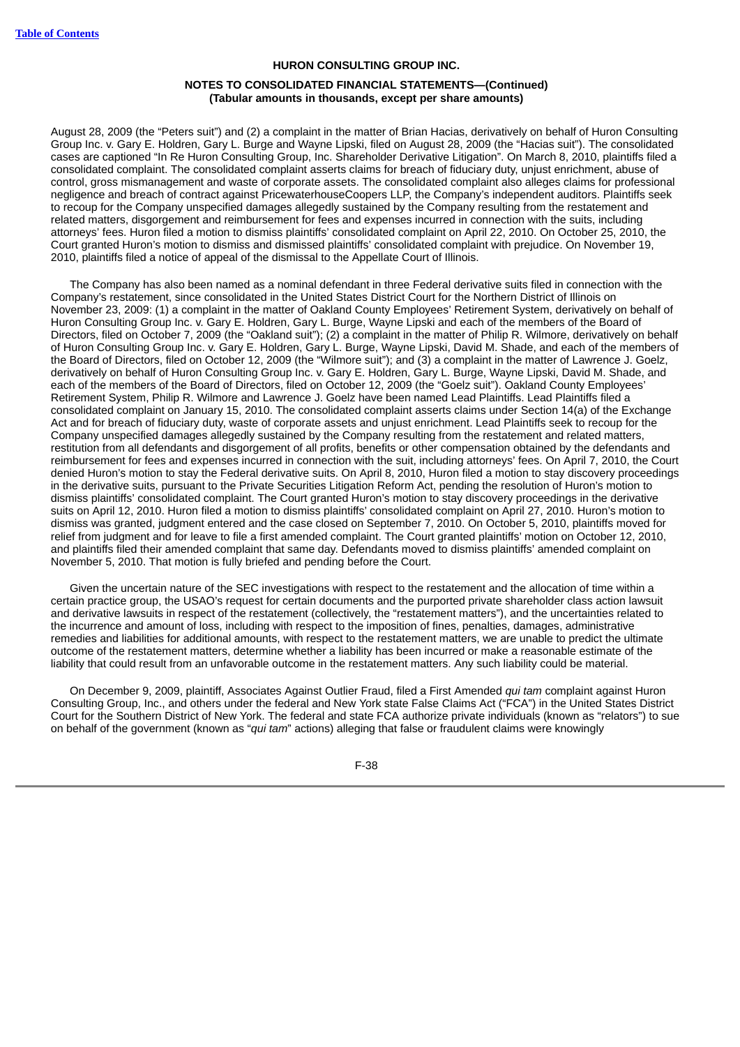#### **NOTES TO CONSOLIDATED FINANCIAL STATEMENTS—(Continued) (Tabular amounts in thousands, except per share amounts)**

August 28, 2009 (the "Peters suit") and (2) a complaint in the matter of Brian Hacias, derivatively on behalf of Huron Consulting Group Inc. v. Gary E. Holdren, Gary L. Burge and Wayne Lipski, filed on August 28, 2009 (the "Hacias suit"). The consolidated cases are captioned "In Re Huron Consulting Group, Inc. Shareholder Derivative Litigation". On March 8, 2010, plaintiffs filed a consolidated complaint. The consolidated complaint asserts claims for breach of fiduciary duty, unjust enrichment, abuse of control, gross mismanagement and waste of corporate assets. The consolidated complaint also alleges claims for professional negligence and breach of contract against PricewaterhouseCoopers LLP, the Company's independent auditors. Plaintiffs seek to recoup for the Company unspecified damages allegedly sustained by the Company resulting from the restatement and related matters, disgorgement and reimbursement for fees and expenses incurred in connection with the suits, including attorneys' fees. Huron filed a motion to dismiss plaintiffs' consolidated complaint on April 22, 2010. On October 25, 2010, the Court granted Huron's motion to dismiss and dismissed plaintiffs' consolidated complaint with prejudice. On November 19, 2010, plaintiffs filed a notice of appeal of the dismissal to the Appellate Court of Illinois.

The Company has also been named as a nominal defendant in three Federal derivative suits filed in connection with the Company's restatement, since consolidated in the United States District Court for the Northern District of Illinois on November 23, 2009: (1) a complaint in the matter of Oakland County Employees' Retirement System, derivatively on behalf of Huron Consulting Group Inc. v. Gary E. Holdren, Gary L. Burge, Wayne Lipski and each of the members of the Board of Directors, filed on October 7, 2009 (the "Oakland suit"); (2) a complaint in the matter of Philip R. Wilmore, derivatively on behalf of Huron Consulting Group Inc. v. Gary E. Holdren, Gary L. Burge, Wayne Lipski, David M. Shade, and each of the members of the Board of Directors, filed on October 12, 2009 (the "Wilmore suit"); and (3) a complaint in the matter of Lawrence J. Goelz, derivatively on behalf of Huron Consulting Group Inc. v. Gary E. Holdren, Gary L. Burge, Wayne Lipski, David M. Shade, and each of the members of the Board of Directors, filed on October 12, 2009 (the "Goelz suit"). Oakland County Employees' Retirement System, Philip R. Wilmore and Lawrence J. Goelz have been named Lead Plaintiffs. Lead Plaintiffs filed a consolidated complaint on January 15, 2010. The consolidated complaint asserts claims under Section 14(a) of the Exchange Act and for breach of fiduciary duty, waste of corporate assets and unjust enrichment. Lead Plaintiffs seek to recoup for the Company unspecified damages allegedly sustained by the Company resulting from the restatement and related matters, restitution from all defendants and disgorgement of all profits, benefits or other compensation obtained by the defendants and reimbursement for fees and expenses incurred in connection with the suit, including attorneys' fees. On April 7, 2010, the Court denied Huron's motion to stay the Federal derivative suits. On April 8, 2010, Huron filed a motion to stay discovery proceedings in the derivative suits, pursuant to the Private Securities Litigation Reform Act, pending the resolution of Huron's motion to dismiss plaintiffs' consolidated complaint. The Court granted Huron's motion to stay discovery proceedings in the derivative suits on April 12, 2010. Huron filed a motion to dismiss plaintiffs' consolidated complaint on April 27, 2010. Huron's motion to dismiss was granted, judgment entered and the case closed on September 7, 2010. On October 5, 2010, plaintiffs moved for relief from judgment and for leave to file a first amended complaint. The Court granted plaintiffs' motion on October 12, 2010, and plaintiffs filed their amended complaint that same day. Defendants moved to dismiss plaintiffs' amended complaint on November 5, 2010. That motion is fully briefed and pending before the Court.

Given the uncertain nature of the SEC investigations with respect to the restatement and the allocation of time within a certain practice group, the USAO's request for certain documents and the purported private shareholder class action lawsuit and derivative lawsuits in respect of the restatement (collectively, the "restatement matters"), and the uncertainties related to the incurrence and amount of loss, including with respect to the imposition of fines, penalties, damages, administrative remedies and liabilities for additional amounts, with respect to the restatement matters, we are unable to predict the ultimate outcome of the restatement matters, determine whether a liability has been incurred or make a reasonable estimate of the liability that could result from an unfavorable outcome in the restatement matters. Any such liability could be material.

On December 9, 2009, plaintiff, Associates Against Outlier Fraud, filed a First Amended *qui tam* complaint against Huron Consulting Group, Inc., and others under the federal and New York state False Claims Act ("FCA") in the United States District Court for the Southern District of New York. The federal and state FCA authorize private individuals (known as "relators") to sue on behalf of the government (known as "*qui tam*" actions) alleging that false or fraudulent claims were knowingly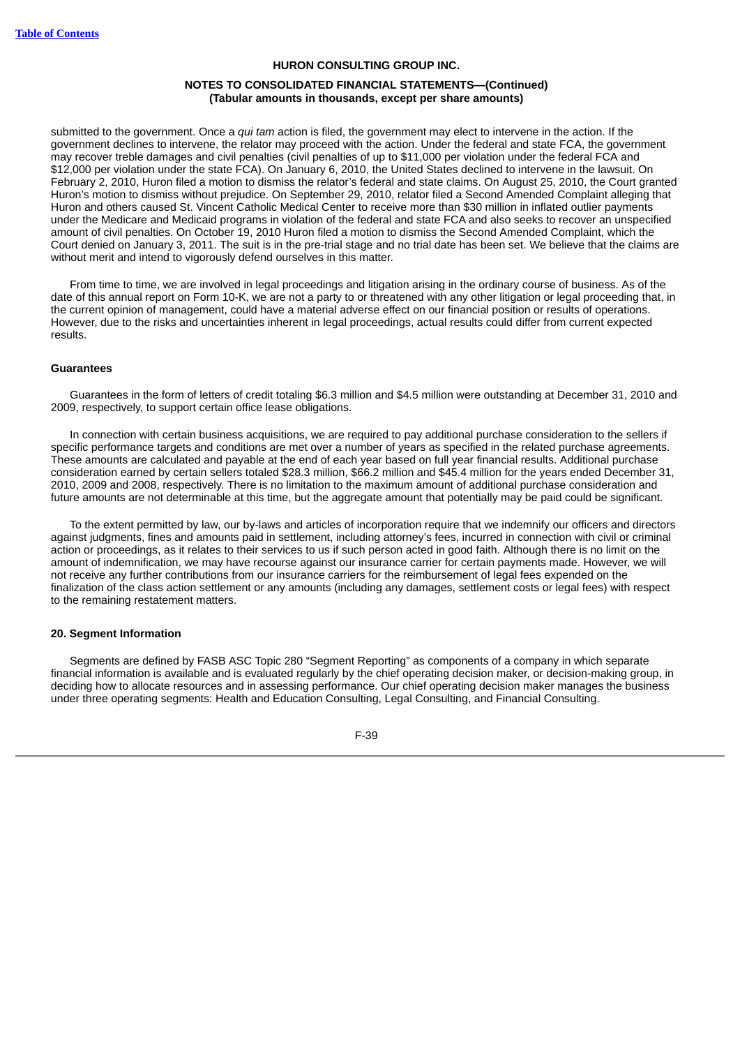#### **NOTES TO CONSOLIDATED FINANCIAL STATEMENTS—(Continued) (Tabular amounts in thousands, except per share amounts)**

submitted to the government. Once a *qui tam* action is filed, the government may elect to intervene in the action. If the government declines to intervene, the relator may proceed with the action. Under the federal and state FCA, the government may recover treble damages and civil penalties (civil penalties of up to \$11,000 per violation under the federal FCA and \$12,000 per violation under the state FCA). On January 6, 2010, the United States declined to intervene in the lawsuit. On February 2, 2010, Huron filed a motion to dismiss the relator's federal and state claims. On August 25, 2010, the Court granted Huron's motion to dismiss without prejudice. On September 29, 2010, relator filed a Second Amended Complaint alleging that Huron and others caused St. Vincent Catholic Medical Center to receive more than \$30 million in inflated outlier payments under the Medicare and Medicaid programs in violation of the federal and state FCA and also seeks to recover an unspecified amount of civil penalties. On October 19, 2010 Huron filed a motion to dismiss the Second Amended Complaint, which the Court denied on January 3, 2011. The suit is in the pre-trial stage and no trial date has been set. We believe that the claims are without merit and intend to vigorously defend ourselves in this matter.

From time to time, we are involved in legal proceedings and litigation arising in the ordinary course of business. As of the date of this annual report on Form 10-K, we are not a party to or threatened with any other litigation or legal proceeding that, in the current opinion of management, could have a material adverse effect on our financial position or results of operations. However, due to the risks and uncertainties inherent in legal proceedings, actual results could differ from current expected results.

## **Guarantees**

Guarantees in the form of letters of credit totaling \$6.3 million and \$4.5 million were outstanding at December 31, 2010 and 2009, respectively, to support certain office lease obligations.

In connection with certain business acquisitions, we are required to pay additional purchase consideration to the sellers if specific performance targets and conditions are met over a number of years as specified in the related purchase agreements. These amounts are calculated and payable at the end of each year based on full year financial results. Additional purchase consideration earned by certain sellers totaled \$28.3 million, \$66.2 million and \$45.4 million for the years ended December 31, 2010, 2009 and 2008, respectively. There is no limitation to the maximum amount of additional purchase consideration and future amounts are not determinable at this time, but the aggregate amount that potentially may be paid could be significant.

To the extent permitted by law, our by-laws and articles of incorporation require that we indemnify our officers and directors against judgments, fines and amounts paid in settlement, including attorney's fees, incurred in connection with civil or criminal action or proceedings, as it relates to their services to us if such person acted in good faith. Although there is no limit on the amount of indemnification, we may have recourse against our insurance carrier for certain payments made. However, we will not receive any further contributions from our insurance carriers for the reimbursement of legal fees expended on the finalization of the class action settlement or any amounts (including any damages, settlement costs or legal fees) with respect to the remaining restatement matters.

## **20. Segment Information**

Segments are defined by FASB ASC Topic 280 "Segment Reporting" as components of a company in which separate financial information is available and is evaluated regularly by the chief operating decision maker, or decision-making group, in deciding how to allocate resources and in assessing performance. Our chief operating decision maker manages the business under three operating segments: Health and Education Consulting, Legal Consulting, and Financial Consulting.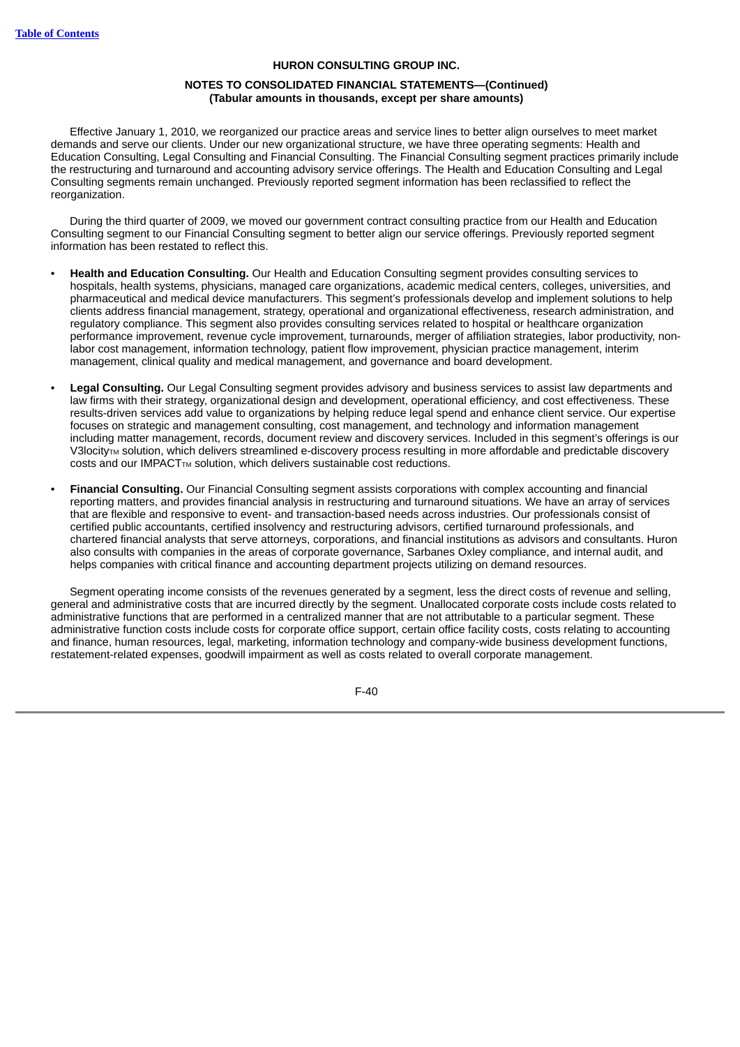## **NOTES TO CONSOLIDATED FINANCIAL STATEMENTS—(Continued) (Tabular amounts in thousands, except per share amounts)**

Effective January 1, 2010, we reorganized our practice areas and service lines to better align ourselves to meet market demands and serve our clients. Under our new organizational structure, we have three operating segments: Health and Education Consulting, Legal Consulting and Financial Consulting. The Financial Consulting segment practices primarily include the restructuring and turnaround and accounting advisory service offerings. The Health and Education Consulting and Legal Consulting segments remain unchanged. Previously reported segment information has been reclassified to reflect the reorganization.

During the third quarter of 2009, we moved our government contract consulting practice from our Health and Education Consulting segment to our Financial Consulting segment to better align our service offerings. Previously reported segment information has been restated to reflect this.

- **Health and Education Consulting.** Our Health and Education Consulting segment provides consulting services to hospitals, health systems, physicians, managed care organizations, academic medical centers, colleges, universities, and pharmaceutical and medical device manufacturers. This segment's professionals develop and implement solutions to help clients address financial management, strategy, operational and organizational effectiveness, research administration, and regulatory compliance. This segment also provides consulting services related to hospital or healthcare organization performance improvement, revenue cycle improvement, turnarounds, merger of affiliation strategies, labor productivity, nonlabor cost management, information technology, patient flow improvement, physician practice management, interim management, clinical quality and medical management, and governance and board development.
- **Legal Consulting.** Our Legal Consulting segment provides advisory and business services to assist law departments and law firms with their strategy, organizational design and development, operational efficiency, and cost effectiveness. These results-driven services add value to organizations by helping reduce legal spend and enhance client service. Our expertise focuses on strategic and management consulting, cost management, and technology and information management including matter management, records, document review and discovery services. Included in this segment's offerings is our V3locity<sub>TM</sub> solution, which delivers streamlined e-discovery process resulting in more affordable and predictable discovery  $costs$  and our IMPACT<sub>TM</sub> solution, which delivers sustainable cost reductions.
- **Financial Consulting.** Our Financial Consulting segment assists corporations with complex accounting and financial reporting matters, and provides financial analysis in restructuring and turnaround situations. We have an array of services that are flexible and responsive to event- and transaction-based needs across industries. Our professionals consist of certified public accountants, certified insolvency and restructuring advisors, certified turnaround professionals, and chartered financial analysts that serve attorneys, corporations, and financial institutions as advisors and consultants. Huron also consults with companies in the areas of corporate governance, Sarbanes Oxley compliance, and internal audit, and helps companies with critical finance and accounting department projects utilizing on demand resources.

Segment operating income consists of the revenues generated by a segment, less the direct costs of revenue and selling, general and administrative costs that are incurred directly by the segment. Unallocated corporate costs include costs related to administrative functions that are performed in a centralized manner that are not attributable to a particular segment. These administrative function costs include costs for corporate office support, certain office facility costs, costs relating to accounting and finance, human resources, legal, marketing, information technology and company-wide business development functions, restatement-related expenses, goodwill impairment as well as costs related to overall corporate management.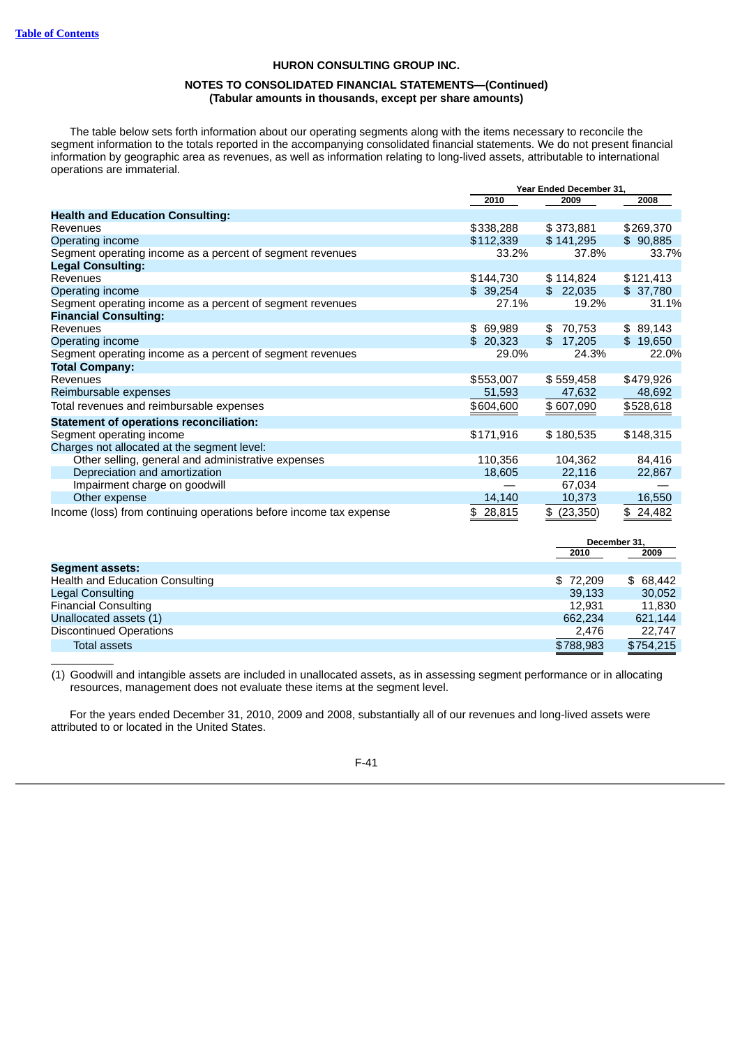# **NOTES TO CONSOLIDATED FINANCIAL STATEMENTS—(Continued) (Tabular amounts in thousands, except per share amounts)**

The table below sets forth information about our operating segments along with the items necessary to reconcile the segment information to the totals reported in the accompanying consolidated financial statements. We do not present financial information by geographic area as revenues, as well as information relating to long-lived assets, attributable to international operations are immaterial.

|                                                                    |              | Year Ended December 31, |           |  |  |  |
|--------------------------------------------------------------------|--------------|-------------------------|-----------|--|--|--|
|                                                                    | 2010         | 2009                    | 2008      |  |  |  |
| <b>Health and Education Consulting:</b>                            |              |                         |           |  |  |  |
| Revenues                                                           | \$338,288    | \$373,881               | \$269,370 |  |  |  |
| Operating income                                                   | \$112,339    | \$141,295               | \$90,885  |  |  |  |
| Segment operating income as a percent of segment revenues          | 33.2%        | 37.8%                   | 33.7%     |  |  |  |
| <b>Legal Consulting:</b>                                           |              |                         |           |  |  |  |
| Revenues                                                           | \$144,730    | \$114,824               | \$121,413 |  |  |  |
| Operating income                                                   | \$39,254     | \$22,035                | \$37,780  |  |  |  |
| Segment operating income as a percent of segment revenues          | 27.1%        | 19.2%                   | 31.1%     |  |  |  |
| <b>Financial Consulting:</b>                                       |              |                         |           |  |  |  |
| Revenues                                                           | 69,989<br>\$ | 70,753<br>\$            | \$89,143  |  |  |  |
| Operating income                                                   | \$20,323     | \$17,205                | \$19,650  |  |  |  |
| Segment operating income as a percent of segment revenues          | 29.0%        | 24.3%                   | 22.0%     |  |  |  |
| <b>Total Company:</b>                                              |              |                         |           |  |  |  |
| Revenues                                                           | \$553,007    | \$559,458               | \$479,926 |  |  |  |
| Reimbursable expenses                                              | 51,593       | 47,632                  | 48,692    |  |  |  |
| Total revenues and reimbursable expenses                           | \$604,600    | \$607,090               | \$528,618 |  |  |  |
| Statement of operations reconciliation:                            |              |                         |           |  |  |  |
| Segment operating income                                           | \$171,916    | \$180,535               | \$148,315 |  |  |  |
| Charges not allocated at the segment level:                        |              |                         |           |  |  |  |
| Other selling, general and administrative expenses                 | 110,356      | 104,362                 | 84,416    |  |  |  |
| Depreciation and amortization                                      | 18,605       | 22,116                  | 22,867    |  |  |  |
| Impairment charge on goodwill                                      |              | 67,034                  |           |  |  |  |
| Other expense                                                      | 14,140       | 10,373                  | 16,550    |  |  |  |
| Income (loss) from continuing operations before income tax expense | 28,815<br>\$ | \$ (23,350)             | \$24,482  |  |  |  |

|                                        |           | December 31. |
|----------------------------------------|-----------|--------------|
|                                        | 2010      | 2009         |
| <b>Segment assets:</b>                 |           |              |
| <b>Health and Education Consulting</b> | \$72.209  | \$68,442     |
| Legal Consulting                       | 39.133    | 30.052       |
| <b>Financial Consulting</b>            | 12.931    | 11.830       |
| Unallocated assets (1)                 | 662.234   | 621.144      |
| <b>Discontinued Operations</b>         | 2,476     | 22,747       |
| <b>Total assets</b>                    | \$788,983 | \$754,215    |
|                                        |           |              |

(1) Goodwill and intangible assets are included in unallocated assets, as in assessing segment performance or in allocating resources, management does not evaluate these items at the segment level.

For the years ended December 31, 2010, 2009 and 2008, substantially all of our revenues and long-lived assets were attributed to or located in the United States.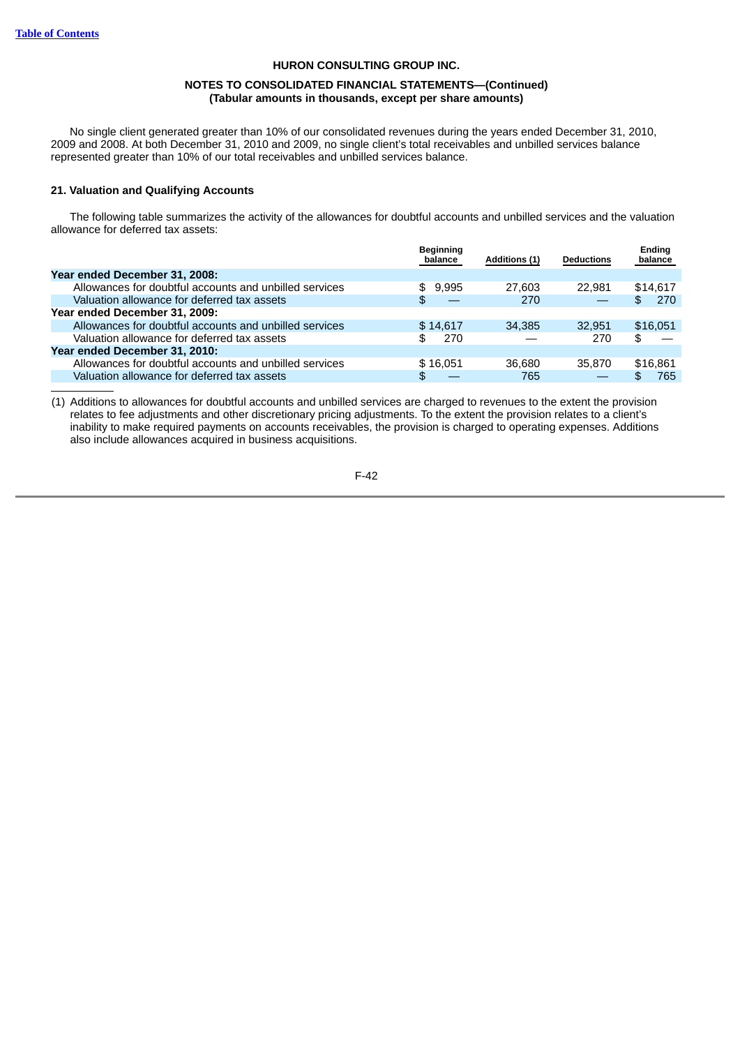### **NOTES TO CONSOLIDATED FINANCIAL STATEMENTS—(Continued) (Tabular amounts in thousands, except per share amounts)**

No single client generated greater than 10% of our consolidated revenues during the years ended December 31, 2010, 2009 and 2008. At both December 31, 2010 and 2009, no single client's total receivables and unbilled services balance represented greater than 10% of our total receivables and unbilled services balance.

#### **21. Valuation and Qualifying Accounts**

The following table summarizes the activity of the allowances for doubtful accounts and unbilled services and the valuation allowance for deferred tax assets:

| <b>Beginning</b><br>balance                                                                                                                                                                                                                                                                                                                                                                                                | <b>Additions (1)</b> | <b>Deductions</b> | Ending<br>balance       |
|----------------------------------------------------------------------------------------------------------------------------------------------------------------------------------------------------------------------------------------------------------------------------------------------------------------------------------------------------------------------------------------------------------------------------|----------------------|-------------------|-------------------------|
|                                                                                                                                                                                                                                                                                                                                                                                                                            |                      |                   |                         |
| \$9.995                                                                                                                                                                                                                                                                                                                                                                                                                    | 27.603               | 22.981            | \$14,617                |
| \$                                                                                                                                                                                                                                                                                                                                                                                                                         | 270                  |                   | - 270<br>$\mathfrak{L}$ |
|                                                                                                                                                                                                                                                                                                                                                                                                                            |                      |                   |                         |
| \$14.617                                                                                                                                                                                                                                                                                                                                                                                                                   | 34.385               | 32.951            | \$16,051                |
| 270<br>\$                                                                                                                                                                                                                                                                                                                                                                                                                  |                      | 270               | \$                      |
|                                                                                                                                                                                                                                                                                                                                                                                                                            |                      |                   |                         |
| \$16.051                                                                                                                                                                                                                                                                                                                                                                                                                   | 36,680               | 35,870            | \$16.861                |
| \$                                                                                                                                                                                                                                                                                                                                                                                                                         | 765                  |                   | 765                     |
| Year ended December 31, 2008:<br>Allowances for doubtful accounts and unbilled services<br>Valuation allowance for deferred tax assets<br>Year ended December 31, 2009:<br>Allowances for doubtful accounts and unbilled services<br>Valuation allowance for deferred tax assets<br>Year ended December 31, 2010:<br>Allowances for doubtful accounts and unbilled services<br>Valuation allowance for deferred tax assets |                      |                   |                         |

(1) Additions to allowances for doubtful accounts and unbilled services are charged to revenues to the extent the provision relates to fee adjustments and other discretionary pricing adjustments. To the extent the provision relates to a client's inability to make required payments on accounts receivables, the provision is charged to operating expenses. Additions also include allowances acquired in business acquisitions.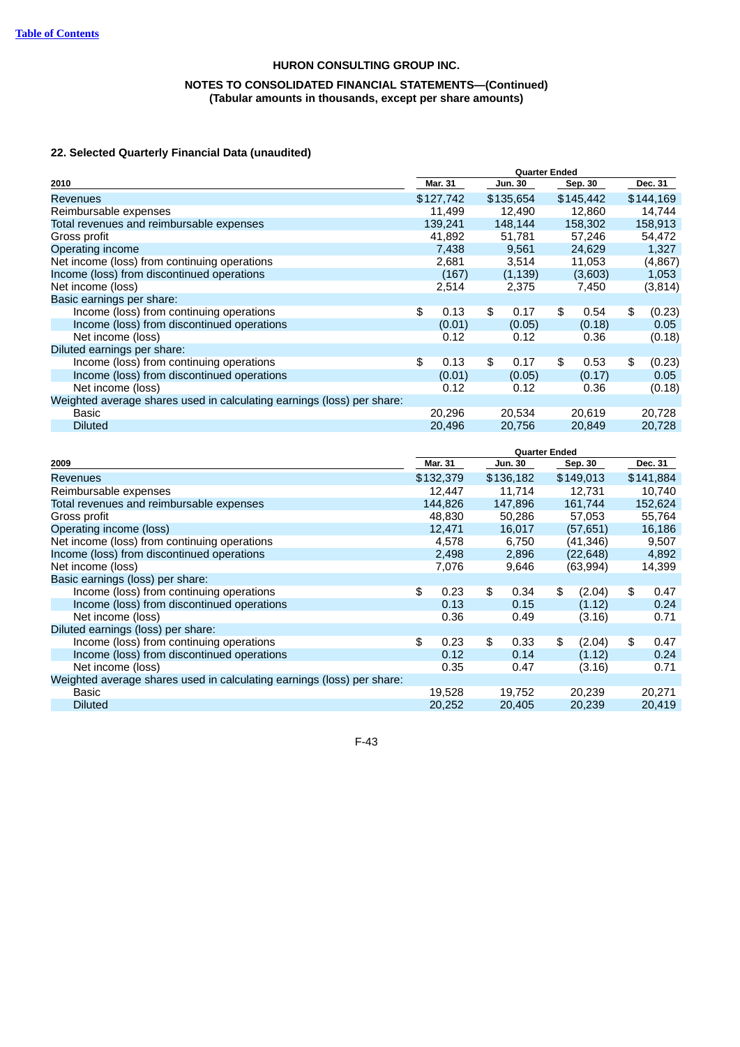#### **NOTES TO CONSOLIDATED FINANCIAL STATEMENTS—(Continued) (Tabular amounts in thousands, except per share amounts)**

# **22. Selected Quarterly Financial Data (unaudited)**

|                                                                        | <b>Ouarter Ended</b> |           |    |           |    |           |    |           |
|------------------------------------------------------------------------|----------------------|-----------|----|-----------|----|-----------|----|-----------|
| 2010                                                                   |                      | Mar. 31   |    | Jun. 30   |    | Sep. 30   |    | Dec. 31   |
| <b>Revenues</b>                                                        |                      | \$127,742 |    | \$135,654 |    | \$145,442 |    | \$144,169 |
| Reimbursable expenses                                                  |                      | 11,499    |    | 12,490    |    | 12,860    |    | 14,744    |
| Total revenues and reimbursable expenses                               |                      | 139,241   |    | 148,144   |    | 158,302   |    | 158,913   |
| Gross profit                                                           |                      | 41,892    |    | 51,781    |    | 57,246    |    | 54,472    |
| Operating income                                                       |                      | 7,438     |    | 9,561     |    | 24,629    |    | 1,327     |
| Net income (loss) from continuing operations                           |                      | 2,681     |    | 3,514     |    | 11,053    |    | (4, 867)  |
| Income (loss) from discontinued operations                             |                      | (167)     |    | (1, 139)  |    | (3,603)   |    | 1,053     |
| Net income (loss)                                                      |                      | 2,514     |    | 2,375     |    | 7,450     |    | (3,814)   |
| Basic earnings per share:                                              |                      |           |    |           |    |           |    |           |
| Income (loss) from continuing operations                               | \$                   | 0.13      | \$ | 0.17      | \$ | 0.54      | \$ | (0.23)    |
| Income (loss) from discontinued operations                             |                      | (0.01)    |    | (0.05)    |    | (0.18)    |    | 0.05      |
| Net income (loss)                                                      |                      | 0.12      |    | 0.12      |    | 0.36      |    | (0.18)    |
| Diluted earnings per share:                                            |                      |           |    |           |    |           |    |           |
| Income (loss) from continuing operations                               | \$                   | 0.13      | \$ | 0.17      | \$ | 0.53      | \$ | (0.23)    |
| Income (loss) from discontinued operations                             |                      | (0.01)    |    | (0.05)    |    | (0.17)    |    | 0.05      |
| Net income (loss)                                                      |                      | 0.12      |    | 0.12      |    | 0.36      |    | (0.18)    |
| Weighted average shares used in calculating earnings (loss) per share: |                      |           |    |           |    |           |    |           |
| <b>Basic</b>                                                           |                      | 20.296    |    | 20.534    |    | 20.619    |    | 20,728    |
| <b>Diluted</b>                                                         |                      | 20,496    |    | 20,756    |    | 20,849    |    | 20,728    |
|                                                                        |                      |           |    |           |    |           |    |           |

| <b>Ouarter Ended</b>      |       |                                                                        |       |                                                                        |        |                                                                                    |           |
|---------------------------|-------|------------------------------------------------------------------------|-------|------------------------------------------------------------------------|--------|------------------------------------------------------------------------------------|-----------|
| Mar. 31<br><b>Jun. 30</b> |       |                                                                        |       |                                                                        |        | <b>Dec. 31</b>                                                                     |           |
|                           |       |                                                                        |       |                                                                        |        |                                                                                    | \$141.884 |
|                           |       |                                                                        |       |                                                                        | 12.731 |                                                                                    | 10,740    |
|                           |       |                                                                        |       |                                                                        |        |                                                                                    | 152,624   |
|                           |       |                                                                        |       |                                                                        | 57,053 |                                                                                    | 55,764    |
|                           |       |                                                                        |       |                                                                        |        |                                                                                    | 16,186    |
|                           | 4,578 |                                                                        | 6,750 |                                                                        |        |                                                                                    | 9,507     |
|                           | 2,498 |                                                                        | 2,896 |                                                                        |        |                                                                                    | 4,892     |
|                           | 7,076 |                                                                        | 9,646 |                                                                        |        |                                                                                    | 14,399    |
|                           |       |                                                                        |       |                                                                        |        |                                                                                    |           |
| \$                        | 0.23  | \$                                                                     | 0.34  | \$                                                                     | (2.04) | \$                                                                                 | 0.47      |
|                           | 0.13  |                                                                        | 0.15  |                                                                        | (1.12) |                                                                                    | 0.24      |
|                           | 0.36  |                                                                        | 0.49  |                                                                        | (3.16) |                                                                                    | 0.71      |
|                           |       |                                                                        |       |                                                                        |        |                                                                                    |           |
| \$                        | 0.23  | \$                                                                     | 0.33  | \$                                                                     | (2.04) | \$                                                                                 | 0.47      |
|                           | 0.12  |                                                                        | 0.14  |                                                                        | (1.12) |                                                                                    | 0.24      |
|                           | 0.35  |                                                                        | 0.47  |                                                                        | (3.16) |                                                                                    | 0.71      |
|                           |       |                                                                        |       |                                                                        |        |                                                                                    |           |
|                           |       |                                                                        |       |                                                                        | 20.239 |                                                                                    | 20.271    |
|                           |       |                                                                        |       |                                                                        | 20,239 |                                                                                    | 20.419    |
|                           |       | \$132,379<br>12,447<br>144.826<br>48,830<br>12,471<br>19.528<br>20.252 |       | \$136,182<br>11,714<br>147.896<br>50,286<br>16,017<br>19.752<br>20,405 |        | Sep. 30<br>\$149.013<br>161.744<br>(57, 651)<br>(41,346)<br>(22, 648)<br>(63, 994) |           |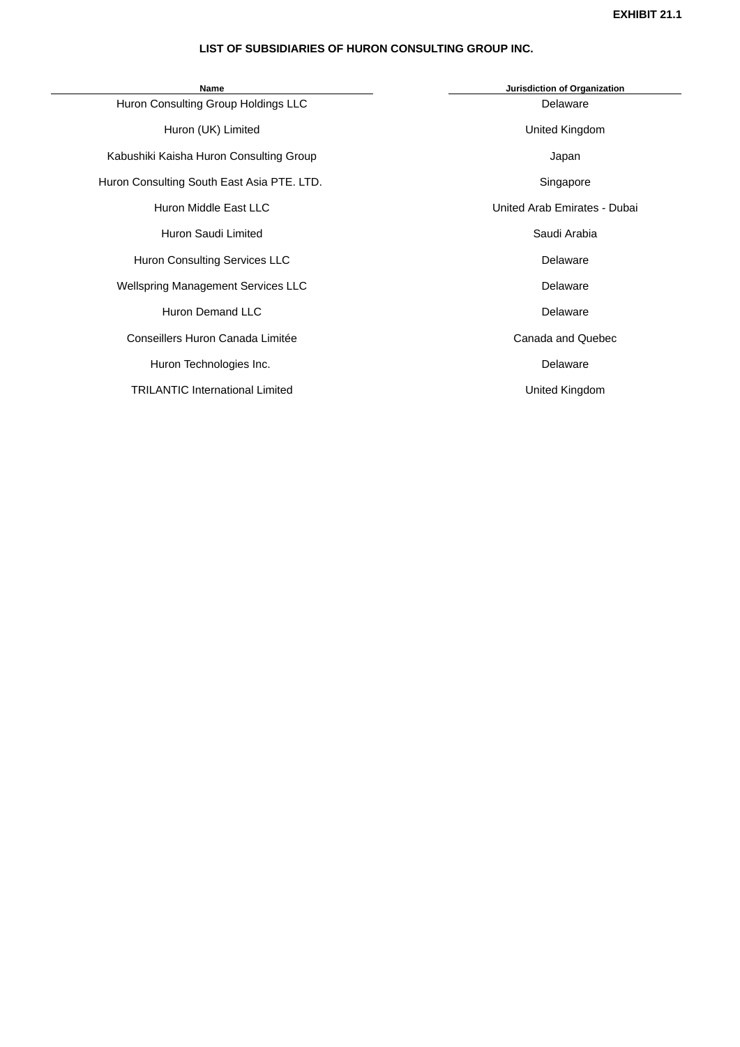# **LIST OF SUBSIDIARIES OF HURON CONSULTING GROUP INC.**

| Name                                       | Jurisdiction of Organization |
|--------------------------------------------|------------------------------|
| Huron Consulting Group Holdings LLC        | Delaware                     |
| Huron (UK) Limited                         | United Kingdom               |
| Kabushiki Kaisha Huron Consulting Group    | Japan                        |
| Huron Consulting South East Asia PTE. LTD. | Singapore                    |
| Huron Middle East LLC                      | United Arab Emirates - Dubai |
| Huron Saudi Limited                        | Saudi Arabia                 |
| Huron Consulting Services LLC              | Delaware                     |
| Wellspring Management Services LLC         | Delaware                     |
| <b>Huron Demand LLC</b>                    | Delaware                     |
| Conseillers Huron Canada Limitée           | Canada and Quebec            |
| Huron Technologies Inc.                    | Delaware                     |
| <b>TRILANTIC International Limited</b>     | United Kingdom               |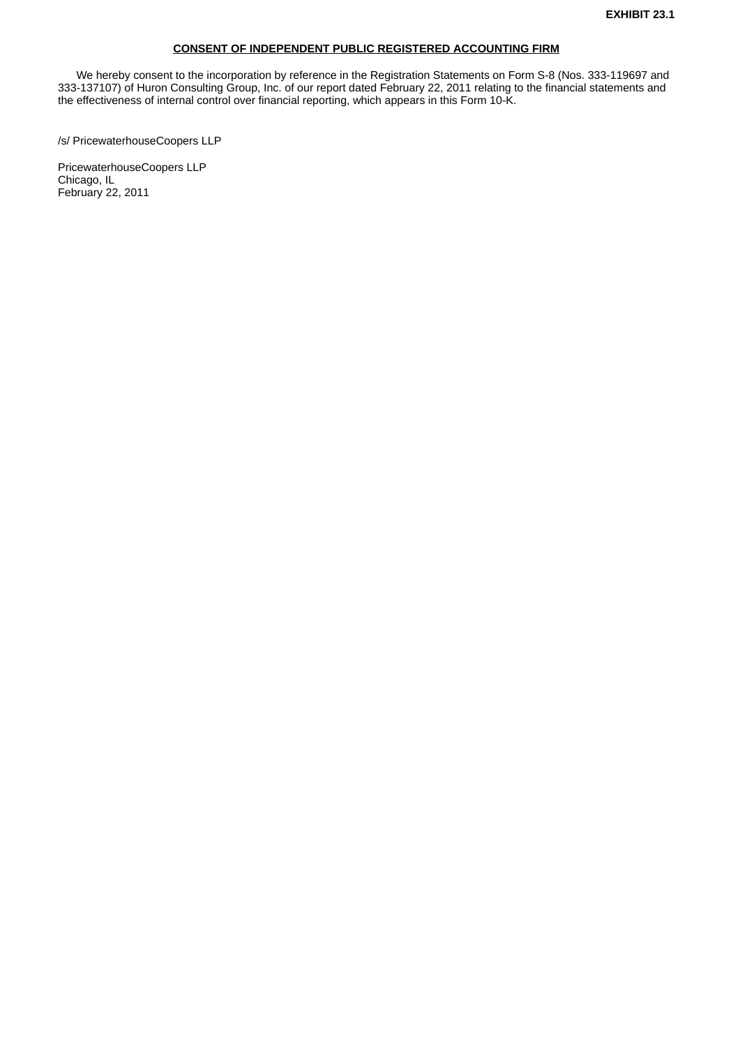# **CONSENT OF INDEPENDENT PUBLIC REGISTERED ACCOUNTING FIRM**

We hereby consent to the incorporation by reference in the Registration Statements on Form S-8 (Nos. 333-119697 and 333-137107) of Huron Consulting Group, Inc. of our report dated February 22, 2011 relating to the financial statements and the effectiveness of internal control over financial reporting, which appears in this Form 10-K.

/s/ PricewaterhouseCoopers LLP

PricewaterhouseCoopers LLP Chicago, IL February 22, 2011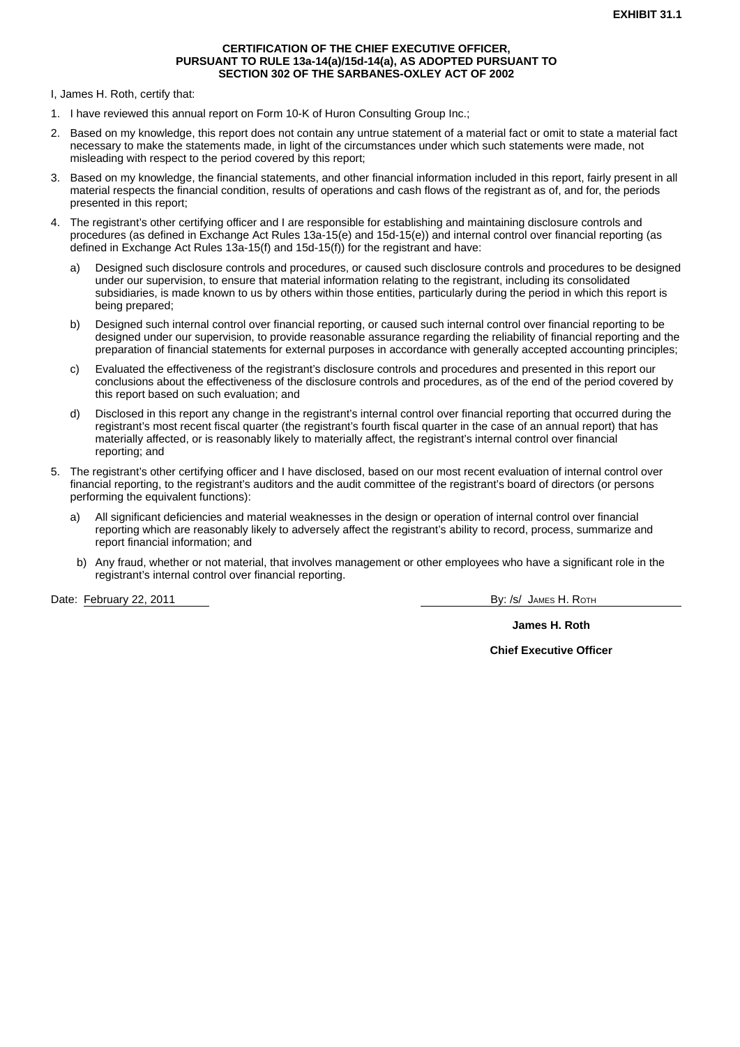# **CERTIFICATION OF THE CHIEF EXECUTIVE OFFICER, PURSUANT TO RULE 13a-14(a)/15d-14(a), AS ADOPTED PURSUANT TO SECTION 302 OF THE SARBANES-OXLEY ACT OF 2002**

I, James H. Roth, certify that:

- 1. I have reviewed this annual report on Form 10-K of Huron Consulting Group Inc.;
- 2. Based on my knowledge, this report does not contain any untrue statement of a material fact or omit to state a material fact necessary to make the statements made, in light of the circumstances under which such statements were made, not misleading with respect to the period covered by this report;
- 3. Based on my knowledge, the financial statements, and other financial information included in this report, fairly present in all material respects the financial condition, results of operations and cash flows of the registrant as of, and for, the periods presented in this report;
- 4. The registrant's other certifying officer and I are responsible for establishing and maintaining disclosure controls and procedures (as defined in Exchange Act Rules 13a-15(e) and 15d-15(e)) and internal control over financial reporting (as defined in Exchange Act Rules 13a-15(f) and 15d-15(f)) for the registrant and have:
	- a) Designed such disclosure controls and procedures, or caused such disclosure controls and procedures to be designed under our supervision, to ensure that material information relating to the registrant, including its consolidated subsidiaries, is made known to us by others within those entities, particularly during the period in which this report is being prepared;
	- b) Designed such internal control over financial reporting, or caused such internal control over financial reporting to be designed under our supervision, to provide reasonable assurance regarding the reliability of financial reporting and the preparation of financial statements for external purposes in accordance with generally accepted accounting principles;
	- c) Evaluated the effectiveness of the registrant's disclosure controls and procedures and presented in this report our conclusions about the effectiveness of the disclosure controls and procedures, as of the end of the period covered by this report based on such evaluation; and
	- d) Disclosed in this report any change in the registrant's internal control over financial reporting that occurred during the registrant's most recent fiscal quarter (the registrant's fourth fiscal quarter in the case of an annual report) that has materially affected, or is reasonably likely to materially affect, the registrant's internal control over financial reporting; and
- 5. The registrant's other certifying officer and I have disclosed, based on our most recent evaluation of internal control over financial reporting, to the registrant's auditors and the audit committee of the registrant's board of directors (or persons performing the equivalent functions):
	- a) All significant deficiencies and material weaknesses in the design or operation of internal control over financial reporting which are reasonably likely to adversely affect the registrant's ability to record, process, summarize and report financial information; and
	- b) Any fraud, whether or not material, that involves management or other employees who have a significant role in the registrant's internal control over financial reporting.

Date: February 22, 2011 **By:** /s/ JAMES H. ROTH

**James H. Roth**

**Chief Executive Officer**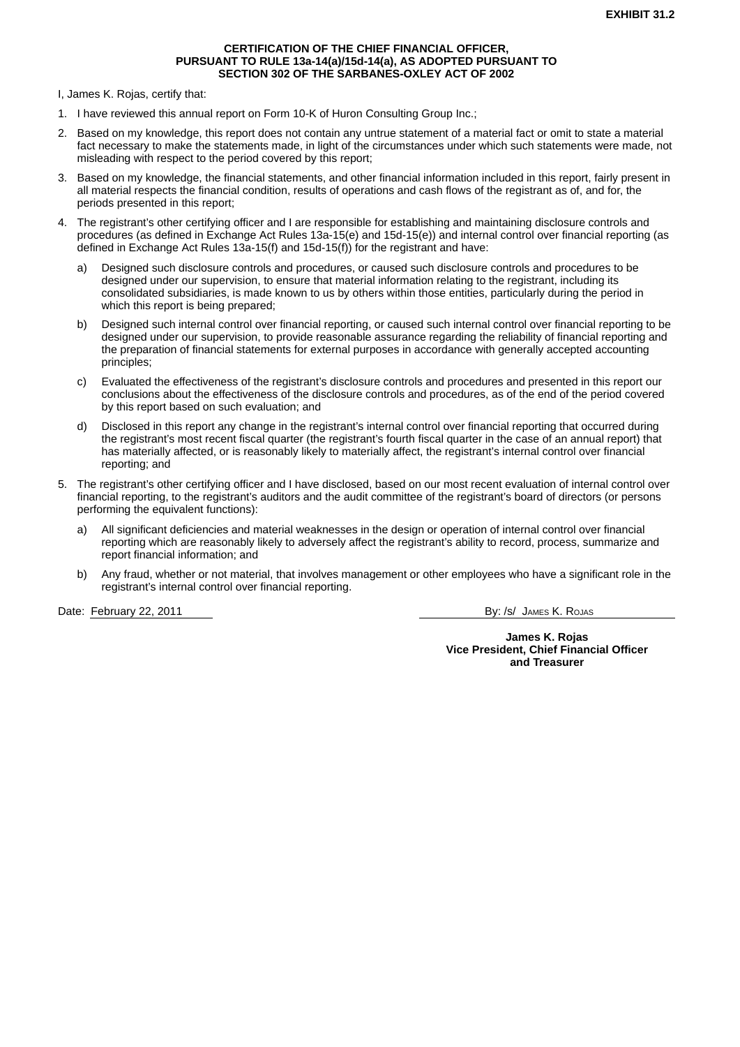# **CERTIFICATION OF THE CHIEF FINANCIAL OFFICER, PURSUANT TO RULE 13a-14(a)/15d-14(a), AS ADOPTED PURSUANT TO SECTION 302 OF THE SARBANES-OXLEY ACT OF 2002**

I, James K. Rojas, certify that:

- 1. I have reviewed this annual report on Form 10-K of Huron Consulting Group Inc.;
- 2. Based on my knowledge, this report does not contain any untrue statement of a material fact or omit to state a material fact necessary to make the statements made, in light of the circumstances under which such statements were made, not misleading with respect to the period covered by this report;
- 3. Based on my knowledge, the financial statements, and other financial information included in this report, fairly present in all material respects the financial condition, results of operations and cash flows of the registrant as of, and for, the periods presented in this report;
- 4. The registrant's other certifying officer and I are responsible for establishing and maintaining disclosure controls and procedures (as defined in Exchange Act Rules 13a-15(e) and 15d-15(e)) and internal control over financial reporting (as defined in Exchange Act Rules 13a-15(f) and 15d-15(f)) for the registrant and have:
	- a) Designed such disclosure controls and procedures, or caused such disclosure controls and procedures to be designed under our supervision, to ensure that material information relating to the registrant, including its consolidated subsidiaries, is made known to us by others within those entities, particularly during the period in which this report is being prepared;
	- b) Designed such internal control over financial reporting, or caused such internal control over financial reporting to be designed under our supervision, to provide reasonable assurance regarding the reliability of financial reporting and the preparation of financial statements for external purposes in accordance with generally accepted accounting principles;
	- c) Evaluated the effectiveness of the registrant's disclosure controls and procedures and presented in this report our conclusions about the effectiveness of the disclosure controls and procedures, as of the end of the period covered by this report based on such evaluation; and
	- d) Disclosed in this report any change in the registrant's internal control over financial reporting that occurred during the registrant's most recent fiscal quarter (the registrant's fourth fiscal quarter in the case of an annual report) that has materially affected, or is reasonably likely to materially affect, the registrant's internal control over financial reporting; and
- 5. The registrant's other certifying officer and I have disclosed, based on our most recent evaluation of internal control over financial reporting, to the registrant's auditors and the audit committee of the registrant's board of directors (or persons performing the equivalent functions):
	- a) All significant deficiencies and material weaknesses in the design or operation of internal control over financial reporting which are reasonably likely to adversely affect the registrant's ability to record, process, summarize and report financial information; and
	- b) Any fraud, whether or not material, that involves management or other employees who have a significant role in the registrant's internal control over financial reporting.

Date: February 22, 2011 **By: /s/ JAMES K. ROJAS** By: /s/ JAMES K. ROJAS

**James K. Rojas Vice President, Chief Financial Officer and Treasurer**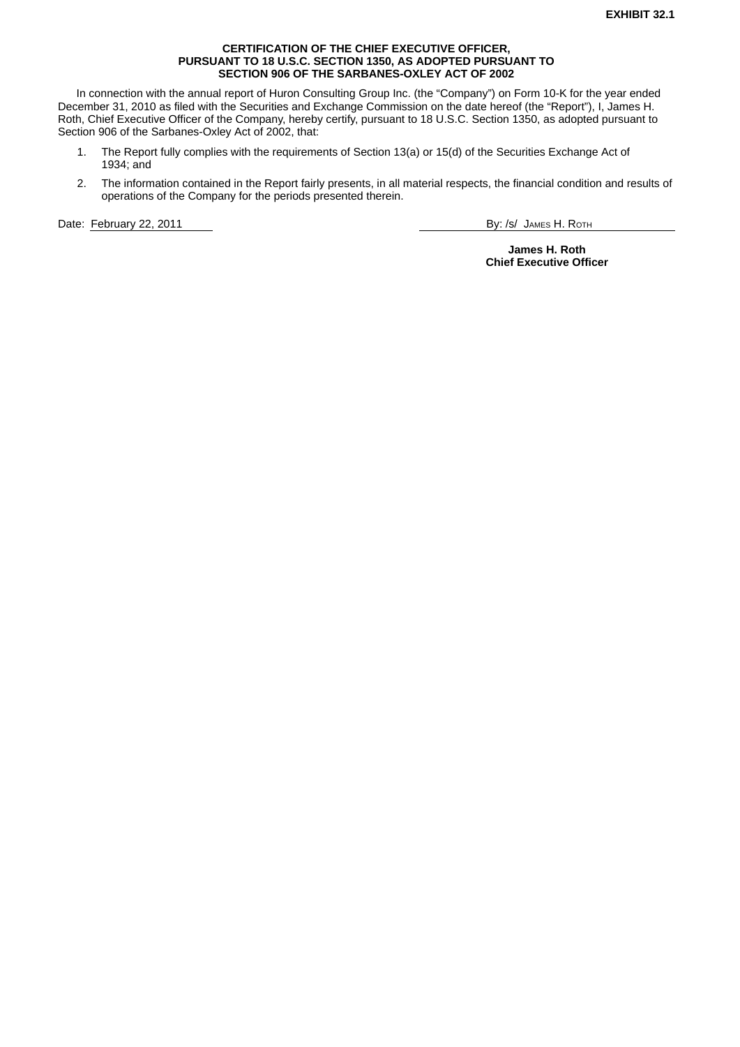## **CERTIFICATION OF THE CHIEF EXECUTIVE OFFICER, PURSUANT TO 18 U.S.C. SECTION 1350, AS ADOPTED PURSUANT TO SECTION 906 OF THE SARBANES-OXLEY ACT OF 2002**

In connection with the annual report of Huron Consulting Group Inc. (the "Company") on Form 10-K for the year ended December 31, 2010 as filed with the Securities and Exchange Commission on the date hereof (the "Report"), I, James H. Roth, Chief Executive Officer of the Company, hereby certify, pursuant to 18 U.S.C. Section 1350, as adopted pursuant to Section 906 of the Sarbanes-Oxley Act of 2002, that:

- 1. The Report fully complies with the requirements of Section 13(a) or 15(d) of the Securities Exchange Act of 1934; and
- 2. The information contained in the Report fairly presents, in all material respects, the financial condition and results of operations of the Company for the periods presented therein.

Date: February 22, 2011 **By:** /s/ JAMES H. ROTH

**James H. Roth Chief Executive Officer**